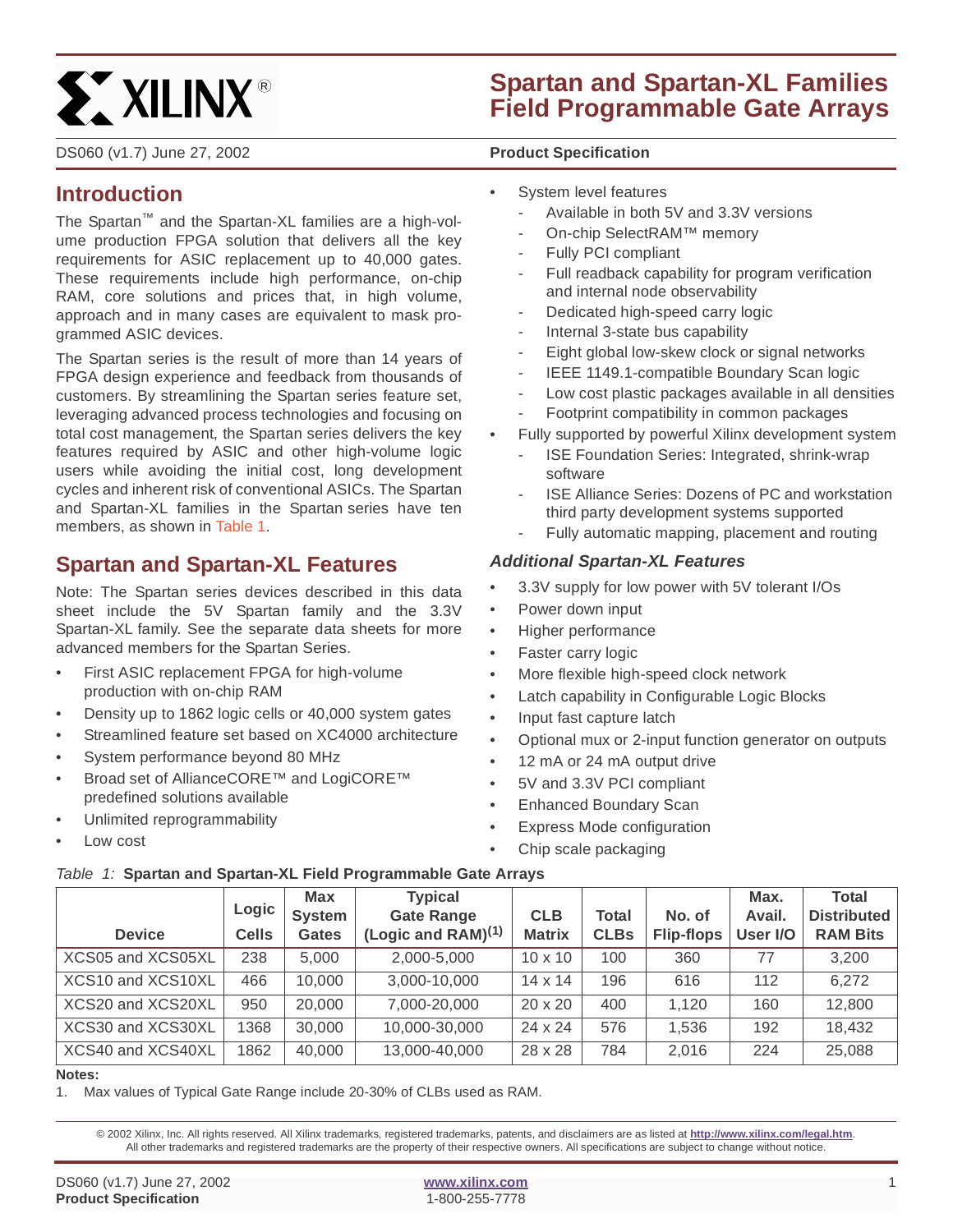

DS060 (v1.7) June 27, 2002 **0 0 Product Specification**

# **Spartan and Spartan-XL Families Field Programmable Gate Arrays**

# **Introduction**

The Spartan™ and the Spartan-XL families are a high-volume production FPGA solution that delivers all the key requirements for ASIC replacement up to 40,000 gates. These requirements include high performance, on-chip RAM, core solutions and prices that, in high volume, approach and in many cases are equivalent to mask programmed ASIC devices.

The Spartan series is the result of more than 14 years of FPGA design experience and feedback from thousands of customers. By streamlining the Spartan series feature set, leveraging advanced process technologies and focusing on total cost management, the Spartan series delivers the key features required by ASIC and other high-volume logic users while avoiding the initial cost, long development cycles and inherent risk of conventional ASICs. The Spartan and Spartan-XL families in the Spartan series have ten members, as shown in Table 1.

# **Spartan and Spartan-XL Features**

Note: The Spartan series devices described in this data sheet include the 5V Spartan family and the 3.3V Spartan-XL family. See the separate data sheets for more advanced members for the Spartan Series.

- First ASIC replacement FPGA for high-volume production with on-chip RAM
- Density up to 1862 logic cells or 40,000 system gates
- Streamlined feature set based on XC4000 architecture
- System performance beyond 80 MHz
- Broad set of AllianceCORE™ and LogiCORE™ predefined solutions available
- Unlimited reprogrammability
- Low cost
- System level features
	- Available in both 5V and 3.3V versions
	- On-chip SelectRAM™ memory
	- Fully PCI compliant
	- Full readback capability for program verification and internal node observability
	- Dedicated high-speed carry logic
	- Internal 3-state bus capability
	- Eight global low-skew clock or signal networks
	- IEEE 1149.1-compatible Boundary Scan logic
	- Low cost plastic packages available in all densities
	- Footprint compatibility in common packages
- Fully supported by powerful Xilinx development system
	- ISE Foundation Series: Integrated, shrink-wrap software
	- ISE Alliance Series: Dozens of PC and workstation third party development systems supported
	- Fully automatic mapping, placement and routing

### **Additional Spartan-XL Features**

- 3.3V supply for low power with 5V tolerant I/Os
- Power down input
- Higher performance
- Faster carry logic
- More flexible high-speed clock network
- Latch capability in Configurable Logic Blocks
- Input fast capture latch
- Optional mux or 2-input function generator on outputs
- 12 mA or 24 mA output drive
- 5V and 3.3V PCI compliant
- Enhanced Boundary Scan
- Express Mode configuration
- Chip scale packaging

#### Table 1: **Spartan and Spartan-XL Field Programmable Gate Arrays**

| <b>Device</b>     | Logic<br><b>Cells</b> | <b>Max</b><br><b>System</b><br><b>Gates</b> | <b>Typical</b><br><b>Gate Range</b><br>(Logic and RAM) $(1)$ | <b>CLB</b><br><b>Matrix</b> | Total<br><b>CLBs</b> | No. of<br><b>Flip-flops</b> | Max.<br>Avail.<br>User I/O | <b>Total</b><br><b>Distributed</b><br><b>RAM Bits</b> |
|-------------------|-----------------------|---------------------------------------------|--------------------------------------------------------------|-----------------------------|----------------------|-----------------------------|----------------------------|-------------------------------------------------------|
| XCS05 and XCS05XL | 238                   | 5.000                                       | 2,000-5,000                                                  | $10 \times 10$              | 100                  | 360                         | 77                         | 3.200                                                 |
| XCS10 and XCS10XL | 466                   | 10,000                                      | 3,000-10,000                                                 | $14 \times 14$              | 196                  | 616                         | 112                        | 6,272                                                 |
| XCS20 and XCS20XL | 950                   | 20,000                                      | 7,000-20,000                                                 | $20 \times 20$              | 400                  | 1.120                       | 160                        | 12,800                                                |
| XCS30 and XCS30XL | 368                   | 30,000                                      | 10,000-30,000                                                | $24 \times 24$              | 576                  | 1.536                       | 192                        | 18,432                                                |
| XCS40 and XCS40XL | 1862                  | 40,000                                      | 13,000-40,000                                                | 28 x 28                     | 784                  | 2,016                       | 224                        | 25,088                                                |

#### **Notes:**

1. Max values of Typical Gate Range include 20-30% of CLBs used as RAM.

© 2002 Xilinx, Inc. All rights reserved. All Xilinx trademarks, registered trademarks, patents, and disclaimers are as listed at **<http://www.xilinx.com/legal.htm>**. All other trademarks and registered trademarks are the property of their respective owners. All specifications are subject to change without notice.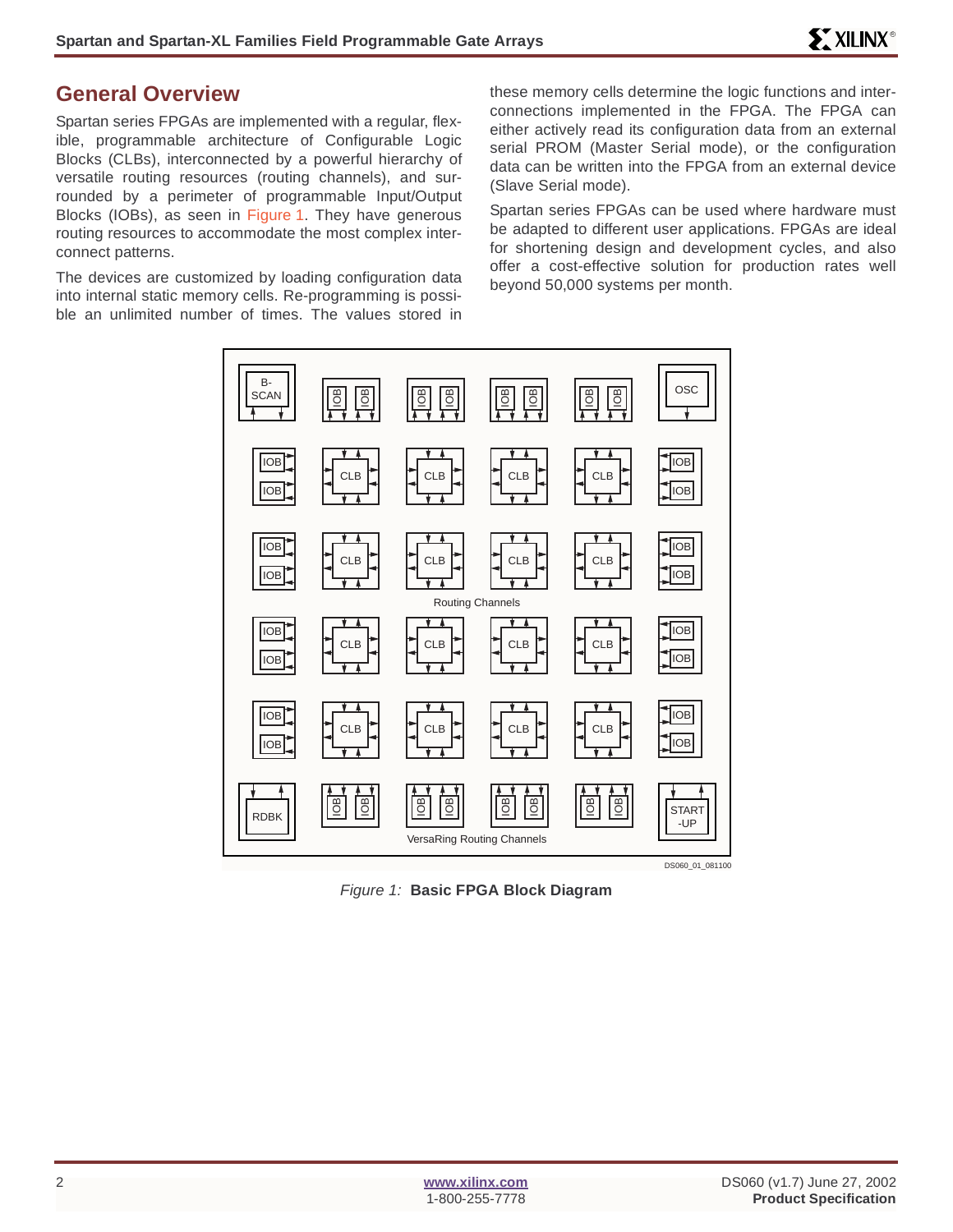# **General Overview**

Spartan series FPGAs are implemented with a regular, flexible, programmable architecture of Configurable Logic Blocks (CLBs), interconnected by a powerful hierarchy of versatile routing resources (routing channels), and surrounded by a perimeter of programmable Input/Output Blocks (IOBs), as seen in Figure 1. They have generous routing resources to accommodate the most complex interconnect patterns.

The devices are customized by loading configuration data into internal static memory cells. Re-programming is possible an unlimited number of times. The values stored in these memory cells determine the logic functions and interconnections implemented in the FPGA. The FPGA can either actively read its configuration data from an external serial PROM (Master Serial mode), or the configuration data can be written into the FPGA from an external device (Slave Serial mode).

Spartan series FPGAs can be used where hardware must be adapted to different user applications. FPGAs are ideal for shortening design and development cycles, and also offer a cost-effective solution for production rates well beyond 50,000 systems per month.



Figure 1: **Basic FPGA Block Diagram**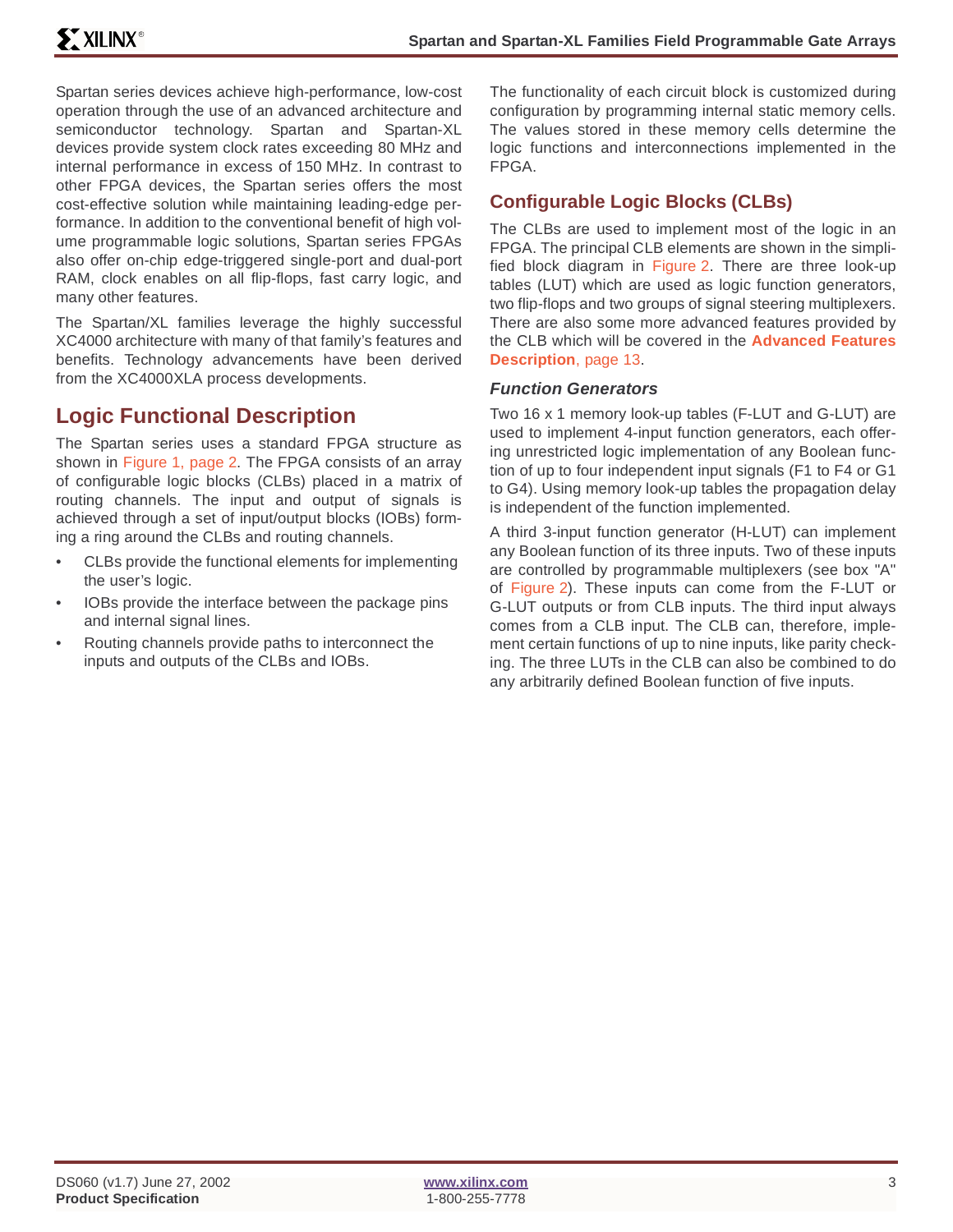Spartan series devices achieve high-performance, low-cost operation through the use of an advanced architecture and semiconductor technology. Spartan and Spartan-XL devices provide system clock rates exceeding 80 MHz and internal performance in excess of 150 MHz. In contrast to other FPGA devices, the Spartan series offers the most cost-effective solution while maintaining leading-edge performance. In addition to the conventional benefit of high volume programmable logic solutions, Spartan series FPGAs also offer on-chip edge-triggered single-port and dual-port RAM, clock enables on all flip-flops, fast carry logic, and many other features.

The Spartan/XL families leverage the highly successful XC4000 architecture with many of that family's features and benefits. Technology advancements have been derived from the XC4000XLA process developments.

# **Logic Functional Description**

The Spartan series uses a standard FPGA structure as shown in Figure 1, page 2. The FPGA consists of an array of configurable logic blocks (CLBs) placed in a matrix of routing channels. The input and output of signals is achieved through a set of input/output blocks (IOBs) forming a ring around the CLBs and routing channels.

- CLBs provide the functional elements for implementing the user's logic.
- IOBs provide the interface between the package pins and internal signal lines.
- Routing channels provide paths to interconnect the inputs and outputs of the CLBs and IOBs.

The functionality of each circuit block is customized during configuration by programming internal static memory cells. The values stored in these memory cells determine the logic functions and interconnections implemented in the FPGA.

### **Configurable Logic Blocks (CLBs)**

The CLBs are used to implement most of the logic in an FPGA. The principal CLB elements are shown in the simplified block diagram in Figure 2. There are three look-up tables (LUT) which are used as logic function generators, two flip-flops and two groups of signal steering multiplexers. There are also some more advanced features provided by the CLB which will be covered in the **[Advanced Features](#page-12-0) [Description](#page-12-0)**, page 13.

### **Function Generators**

Two 16 x 1 memory look-up tables (F-LUT and G-LUT) are used to implement 4-input function generators, each offering unrestricted logic implementation of any Boolean function of up to four independent input signals (F1 to F4 or G1 to G4). Using memory look-up tables the propagation delay is independent of the function implemented.

A third 3-input function generator (H-LUT) can implement any Boolean function of its three inputs. Two of these inputs are controlled by programmable multiplexers (see box "A" of Figure 2). These inputs can come from the F-LUT or G-LUT outputs or from CLB inputs. The third input always comes from a CLB input. The CLB can, therefore, implement certain functions of up to nine inputs, like parity checking. The three LUTs in the CLB can also be combined to do any arbitrarily defined Boolean function of five inputs.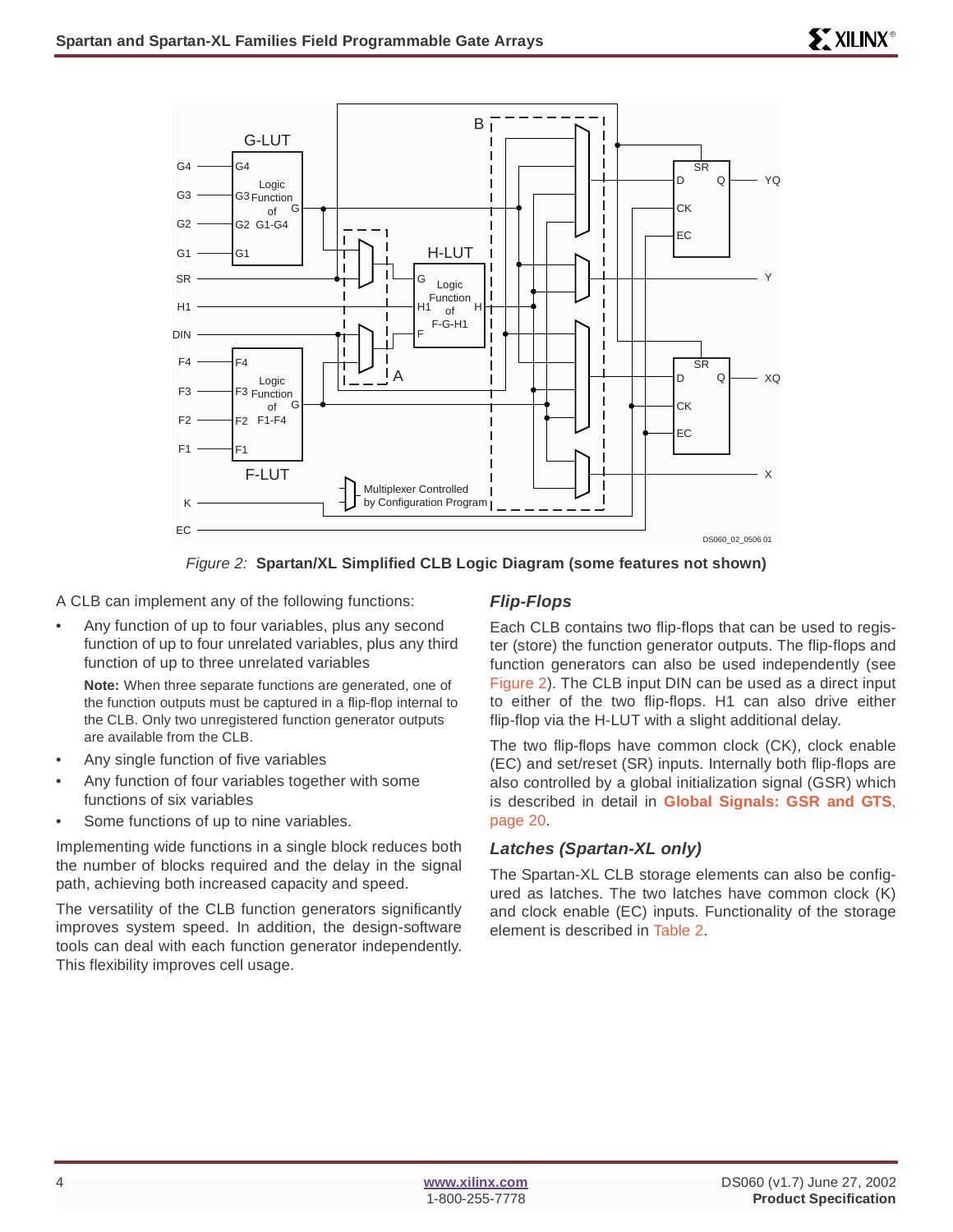



A CLB can implement any of the following functions:

• Any function of up to four variables, plus any second function of up to four unrelated variables, plus any third function of up to three unrelated variables

**Note:** When three separate functions are generated, one of the function outputs must be captured in a flip-flop internal to the CLB. Only two unregistered function generator outputs are available from the CLB.

- Any single function of five variables
- Any function of four variables together with some functions of six variables
- Some functions of up to nine variables.

Implementing wide functions in a single block reduces both the number of blocks required and the delay in the signal path, achieving both increased capacity and speed.

The versatility of the CLB function generators significantly improves system speed. In addition, the design-software tools can deal with each function generator independently. This flexibility improves cell usage.

### **Flip-Flops**

Each CLB contains two flip-flops that can be used to register (store) the function generator outputs. The flip-flops and function generators can also be used independently (see Figure 2). The CLB input DIN can be used as a direct input to either of the two flip-flops. H1 can also drive either flip-flop via the H-LUT with a slight additional delay.

The two flip-flops have common clock (CK), clock enable (EC) and set/reset (SR) inputs. Internally both flip-flops are also controlled by a global initialization signal (GSR) which is described in detail in **[Global Signals: GSR and GTS](#page-19-0)**, [page 20.](#page-19-0)

### **Latches (Spartan-XL only)**

The Spartan-XL CLB storage elements can also be configured as latches. The two latches have common clock (K) and clock enable (EC) inputs. Functionality of the storage element is described in Table 2.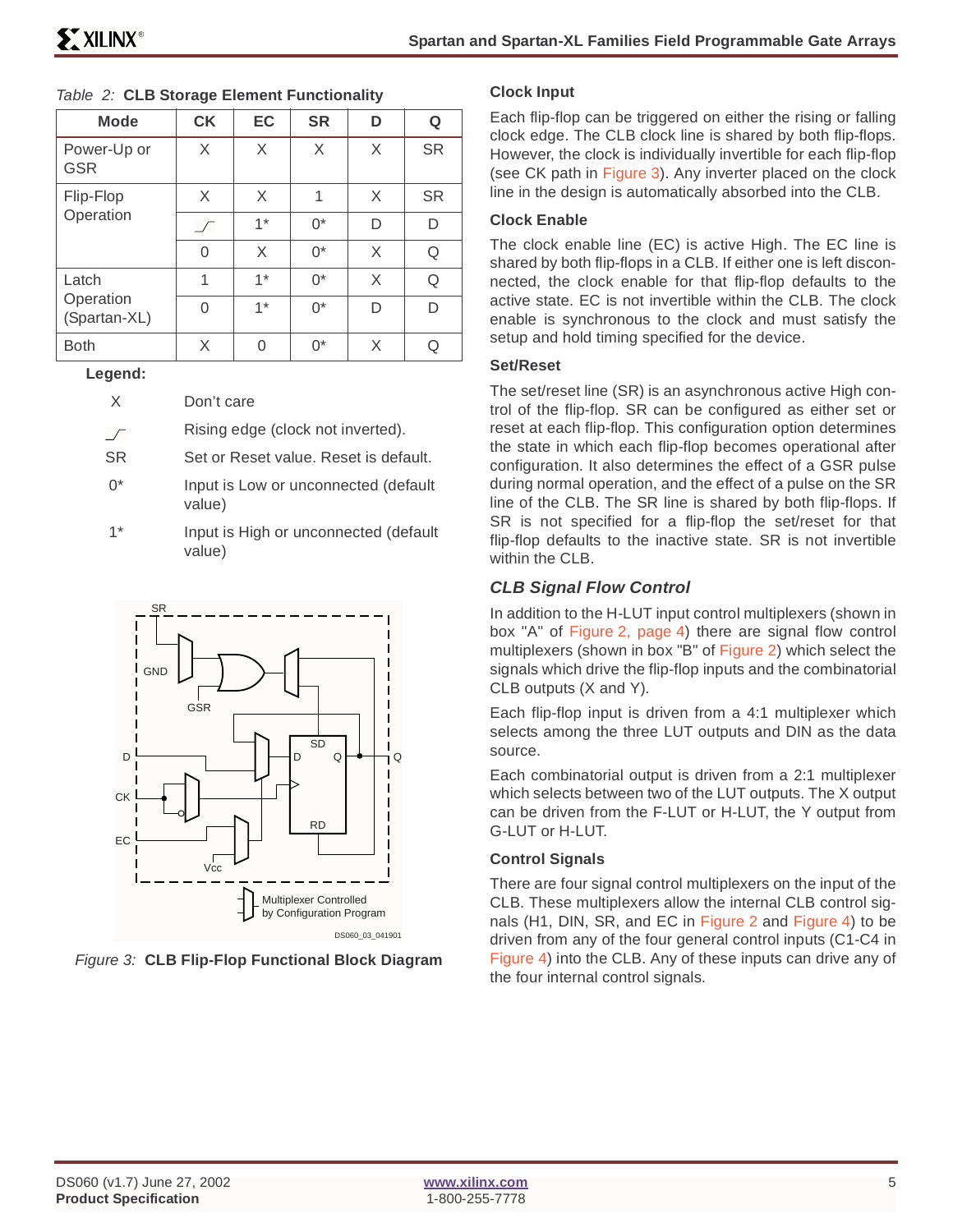| <b>Mode</b>               | <b>CK</b>  | EC   | <b>SR</b> | D | Q         |
|---------------------------|------------|------|-----------|---|-----------|
| Power-Up or<br><b>GSR</b> | X          | X    | X         | X | <b>SR</b> |
| Flip-Flop                 | X          | X    | 1         | X | <b>SR</b> |
| Operation                 | $\sqrt{ }$ | $1*$ | $0^*$     | D | D         |
|                           | O          | X    | $0^*$     | X | Q         |
| Latch                     | 1          | $1*$ | $0^*$     | X | Q         |
| Operation<br>(Spartan-XL) | ∩          | $1*$ | $0^*$     | D | D         |
| <b>Both</b>               | X          | N    | $0^*$     | X |           |

#### . Table 2: **CLB Storage Element Functionality**

#### **Legend:**

- X Don't care
- Rising edge (clock not inverted).  $\sqrt{ }$
- SR Set or Reset value. Reset is default.
- 0<sup>\*</sup> Input is Low or unconnected (default value)
- 1\* Input is High or unconnected (default value)



Figure 3: **CLB Flip-Flop Functional Block Diagram**

#### **Clock Input**

Each flip-flop can be triggered on either the rising or falling clock edge. The CLB clock line is shared by both flip-flops. However, the clock is individually invertible for each flip-flop (see CK path in Figure 3). Any inverter placed on the clock line in the design is automatically absorbed into the CLB.

### **Clock Enable**

The clock enable line (EC) is active High. The EC line is shared by both flip-flops in a CLB. If either one is left disconnected, the clock enable for that flip-flop defaults to the active state. EC is not invertible within the CLB. The clock enable is synchronous to the clock and must satisfy the setup and hold timing specified for the device.

#### **Set/Reset**

The set/reset line (SR) is an asynchronous active High control of the flip-flop. SR can be configured as either set or reset at each flip-flop. This configuration option determines the state in which each flip-flop becomes operational after configuration. It also determines the effect of a GSR pulse during normal operation, and the effect of a pulse on the SR line of the CLB. The SR line is shared by both flip-flops. If SR is not specified for a flip-flop the set/reset for that flip-flop defaults to the inactive state. SR is not invertible within the CLB.

### **CLB Signal Flow Control**

In addition to the H-LUT input control multiplexers (shown in box "A" of Figure 2, page 4) there are signal flow control multiplexers (shown in box "B" of Figure 2) which select the signals which drive the flip-flop inputs and the combinatorial CLB outputs (X and Y).

Each flip-flop input is driven from a 4:1 multiplexer which selects among the three LUT outputs and DIN as the data source.

Each combinatorial output is driven from a 2:1 multiplexer which selects between two of the LUT outputs. The X output can be driven from the F-LUT or H-LUT, the Y output from G-LUT or H-LUT.

### **Control Signals**

There are four signal control multiplexers on the input of the CLB. These multiplexers allow the internal CLB control signals (H1, DIN, SR, and EC in Figure 2 and Figure 4) to be driven from any of the four general control inputs (C1-C4 in Figure 4) into the CLB. Any of these inputs can drive any of the four internal control signals.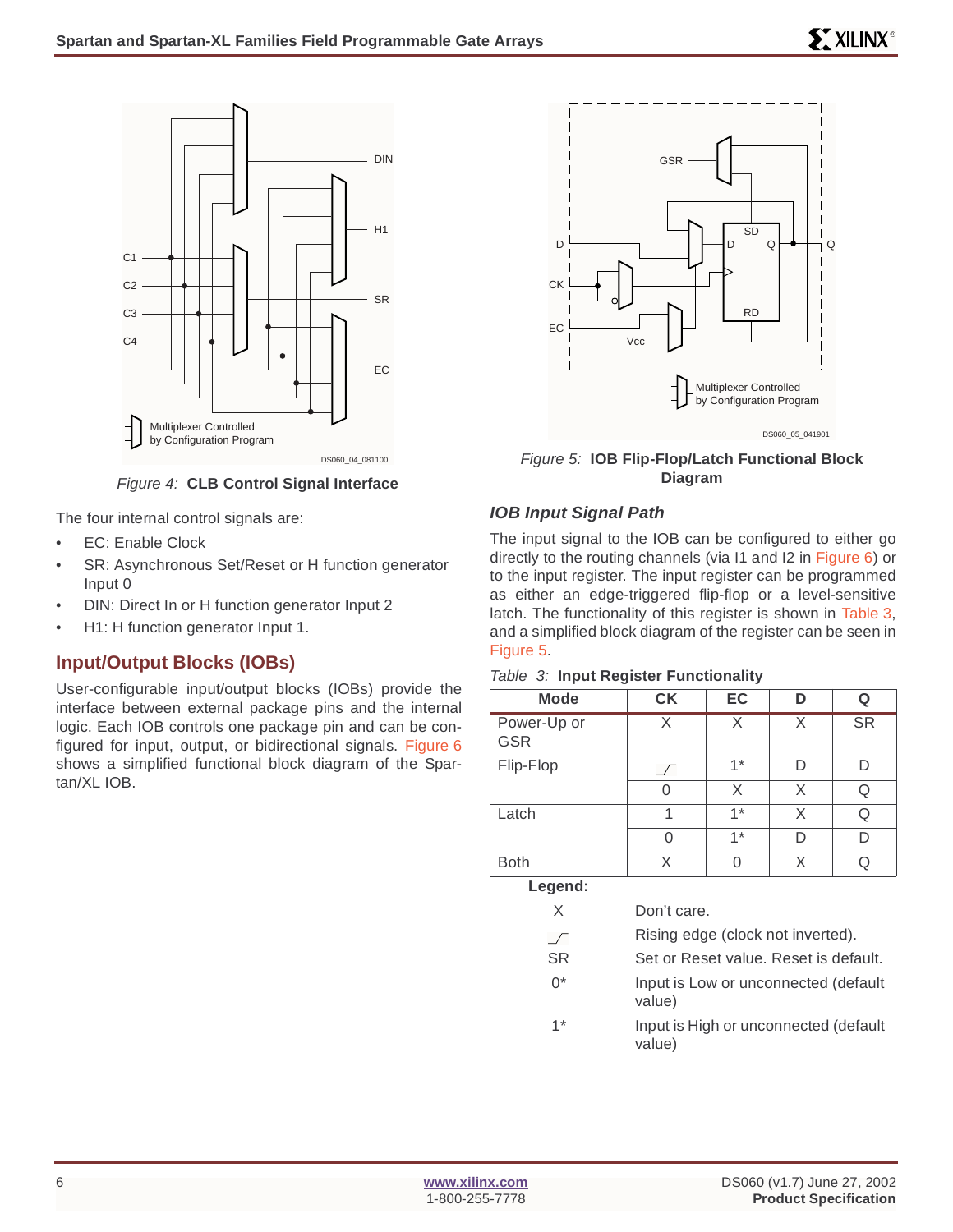

Figure 4: **CLB Control Signal Interface**

The four internal control signals are:

- EC: Enable Clock
- SR: Asynchronous Set/Reset or H function generator Input 0
- DIN: Direct In or H function generator Input 2
- H1: H function generator Input 1.

### **Input/Output Blocks (IOBs)**

User-configurable input/output blocks (IOBs) provide the interface between external package pins and the internal logic. Each IOB controls one package pin and can be configured for input, output, or bidirectional signals. Figure 6 shows a simplified functional block diagram of the Spartan/XL IOB.



DS060\_04\_081100 Figure 5: **IOB Flip-Flop/Latch Functional Block Diagram**

### **IOB Input Signal Path**

The input signal to the IOB can be configured to either go directly to the routing channels (via I1 and I2 in Figure 6) or to the input register. The input register can be programmed as either an edge-triggered flip-flop or a level-sensitive latch. The functionality of this register is shown in Table 3, and a simplified block diagram of the register can be seen in Figure 5.

| <b>Mode</b>               | <b>CK</b> | EC       | D | Q         |
|---------------------------|-----------|----------|---|-----------|
| Power-Up or<br><b>GSR</b> | X         | X        | X | <b>SR</b> |
| Flip-Flop                 |           | $1*$     | D | D         |
|                           | O         | X        | X | Q         |
| Latch                     |           | $1*$     | X | Q         |
|                           | 0         | $1*$     | D | D         |
| <b>Both</b>               | X         | $\Omega$ | X | Q         |
| Legend:                   |           |          |   |           |

#### Table 3: **Input Register Functionality**

| łh      |                                                 | х |  |
|---------|-------------------------------------------------|---|--|
| Legend: |                                                 |   |  |
| X       | Don't care.                                     |   |  |
|         | Rising edge (clock not inverted).               |   |  |
| SR.     | Set or Reset value. Reset is default.           |   |  |
| ∩*      | Input is Low or unconnected (default<br>value)  |   |  |
| $1*$    | Input is High or unconnected (default<br>value) |   |  |
|         |                                                 |   |  |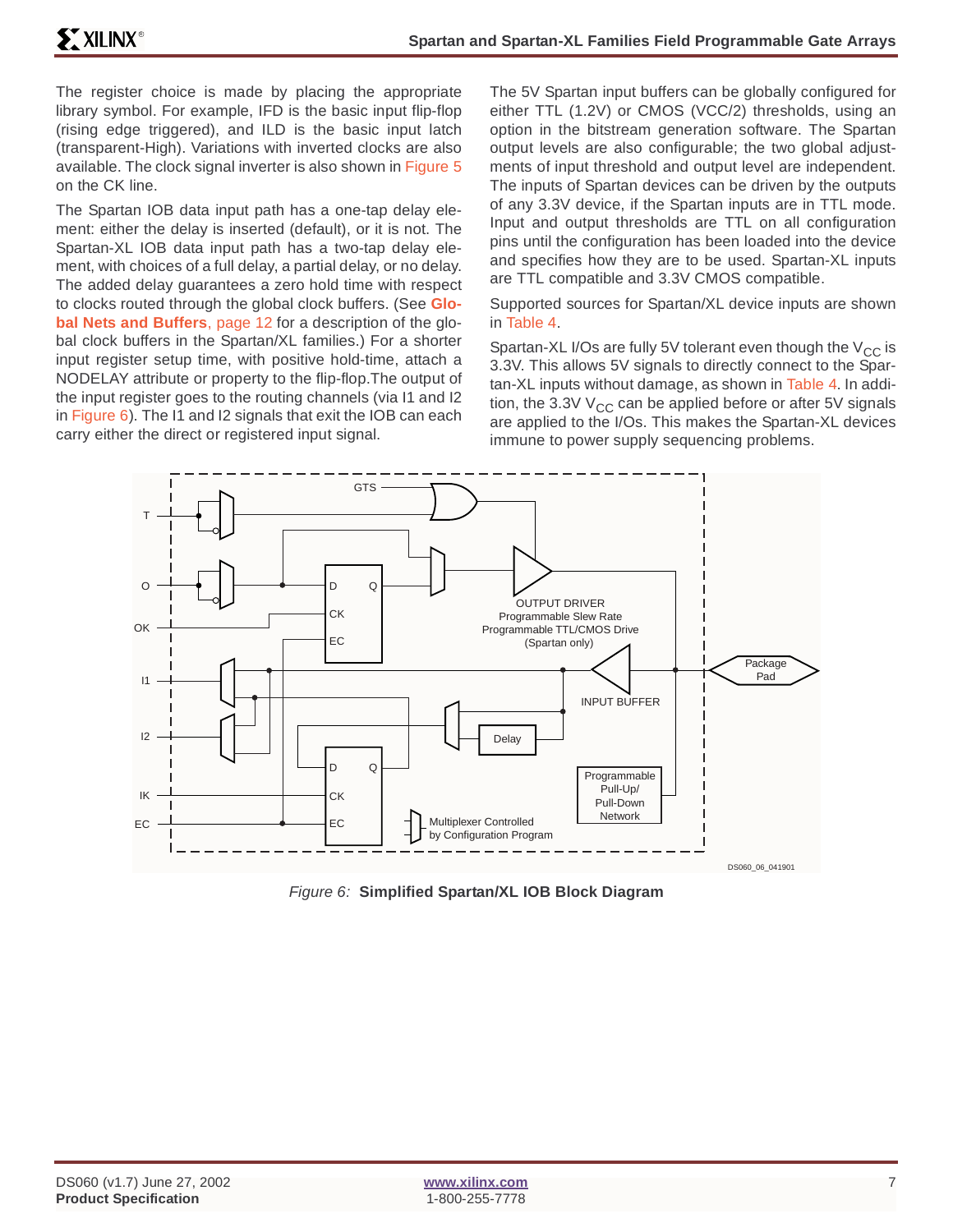The register choice is made by placing the appropriate library symbol. For example, IFD is the basic input flip-flop (rising edge triggered), and ILD is the basic input latch (transparent-High). Variations with inverted clocks are also available. The clock signal inverter is also shown in Figure 5 on the CK line.

The Spartan IOB data input path has a one-tap delay element: either the delay is inserted (default), or it is not. The Spartan-XL IOB data input path has a two-tap delay element, with choices of a full delay, a partial delay, or no delay. The added delay guarantees a zero hold time with respect to clocks routed through the global clock buffers. (See **[Glo](#page-11-0)[bal Nets and Buffers](#page-11-0)**, page 12 for a description of the global clock buffers in the Spartan/XL families.) For a shorter input register setup time, with positive hold-time, attach a NODELAY attribute or property to the flip-flop.The output of the input register goes to the routing channels (via I1 and I2 in Figure 6). The I1 and I2 signals that exit the IOB can each carry either the direct or registered input signal.

The 5V Spartan input buffers can be globally configured for either TTL (1.2V) or CMOS (VCC/2) thresholds, using an option in the bitstream generation software. The Spartan output levels are also configurable; the two global adjustments of input threshold and output level are independent. The inputs of Spartan devices can be driven by the outputs of any 3.3V device, if the Spartan inputs are in TTL mode. Input and output thresholds are TTL on all configuration pins until the configuration has been loaded into the device and specifies how they are to be used. Spartan-XL inputs are TTL compatible and 3.3V CMOS compatible.

Supported sources for Spartan/XL device inputs are shown in Table 4.

Spartan-XL I/Os are fully 5V tolerant even though the  $V_{CC}$  is 3.3V. This allows 5V signals to directly connect to the Spartan-XL inputs without damage, as shown in Table 4. In addition, the 3.3V  $V_{CC}$  can be applied before or after 5V signals are applied to the I/Os. This makes the Spartan-XL devices immune to power supply sequencing problems.



Figure 6: **Simplified Spartan/XL IOB Block Diagram**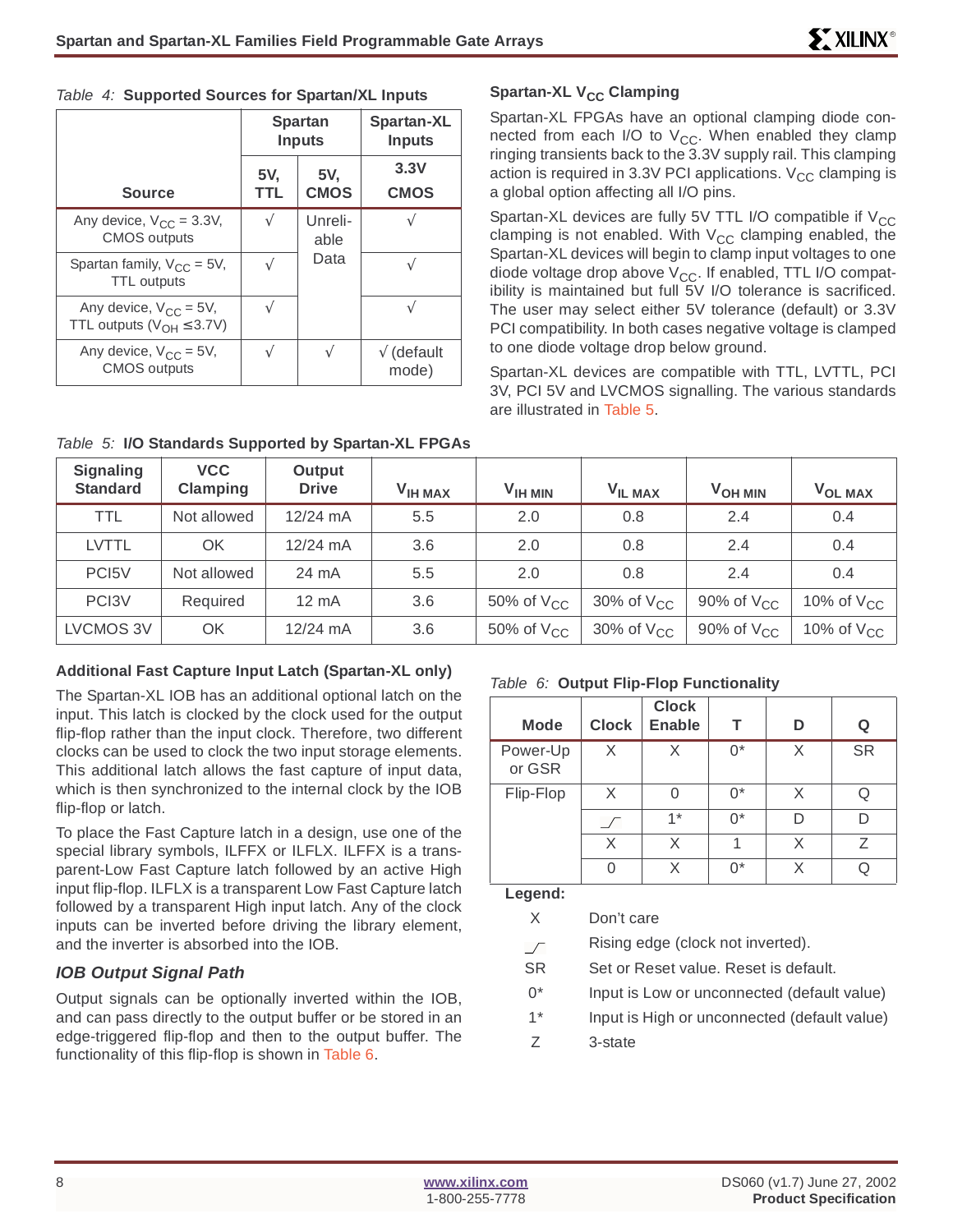|  | Table 4: Supported Sources for Spartan/XL Inputs |  |  |
|--|--------------------------------------------------|--|--|
|  |                                                  |  |  |

|                                                                   | <b>Spartan</b><br><b>Inputs</b> |                    | Spartan-XL<br><b>Inputs</b> |
|-------------------------------------------------------------------|---------------------------------|--------------------|-----------------------------|
| <b>Source</b>                                                     | 5V.<br>TTL                      | 5V,<br><b>CMOS</b> | 3.3V<br><b>CMOS</b>         |
| Any device, $V_{CC} = 3.3V$ ,<br><b>CMOS</b> outputs              |                                 | Unreli-<br>able    |                             |
| Spartan family, $V_{CC} = 5V$ ,<br><b>TTL</b> outputs             |                                 | Data               |                             |
| Any device, $V_{CC} = 5V$ ,<br>TTL outputs ( $V_{OH} \leq 3.7V$ ) |                                 |                    |                             |
| Any device, $V_{CC} = 5V$ ,<br><b>CMOS outputs</b>                |                                 |                    | $\sqrt{}$ (default<br>mode) |

### **Spartan-XL V<sub>CC</sub> Clamping**

Spartan-XL FPGAs have an optional clamping diode connected from each I/O to  $V_{CC}$ . When enabled they clamp ringing transients back to the 3.3V supply rail. This clamping action is required in 3.3V PCI applications.  $V_{CC}$  clamping is a global option affecting all I/O pins.

Spartan-XL devices are fully 5V TTL I/O compatible if  $V_{CC}$ clamping is not enabled. With  $V_{CC}$  clamping enabled, the Spartan-XL devices will begin to clamp input voltages to one diode voltage drop above  $V_{CC}$ . If enabled, TTL I/O compatibility is maintained but full 5V I/O tolerance is sacrificed. The user may select either 5V tolerance (default) or 3.3V PCI compatibility. In both cases negative voltage is clamped to one diode voltage drop below ground.

Spartan-XL devices are compatible with TTL, LVTTL, PCI 3V, PCI 5V and LVCMOS signalling. The various standards are illustrated in Table 5.

| <b>Signaling</b><br><b>Standard</b> | <b>VCC</b><br>Clamping | Output<br><b>Drive</b> | <b>VIH MAX</b> | $VIH$ MIN           | VIL MAX             | <b>VOH MIN</b>  | VOL MAX             |
|-------------------------------------|------------------------|------------------------|----------------|---------------------|---------------------|-----------------|---------------------|
| TTL                                 | Not allowed            | $12/24$ mA             | 5.5            | 2.0                 | 0.8                 | 2.4             | 0.4                 |
| <b>LVTTL</b>                        | ΟK                     | 12/24 mA               | 3.6            | 2.0                 | 0.8                 | 2.4             | 0.4                 |
| PC <sub>15</sub> V                  | Not allowed            | 24 mA                  | 5.5            | 2.0                 | 0.8                 | 2.4             | 0.4                 |
| PC <sub>13</sub> V                  | Required               | $12 \text{ mA}$        | 3.6            | 50% of $V_{CC}$     | 30% of $V_{CC}$     | 90% of $V_{CC}$ | 10% of $\rm V_{CC}$ |
| LVCMOS 3V                           | ΟK                     | $12/24$ mA             | 3.6            | 50% of $\rm V_{CC}$ | 30% of $\rm V_{CC}$ | 90% of $V_{CC}$ | 10% of $\rm V_{CC}$ |

### Table 5: **I/O Standards Supported by Spartan-XL FPGAs**

### **Additional Fast Capture Input Latch (Spartan-XL only)**

The Spartan-XL IOB has an additional optional latch on the input. This latch is clocked by the clock used for the output flip-flop rather than the input clock. Therefore, two different clocks can be used to clock the two input storage elements. This additional latch allows the fast capture of input data, which is then synchronized to the internal clock by the IOB flip-flop or latch.

To place the Fast Capture latch in a design, use one of the special library symbols, ILFFX or ILFLX. ILFFX is a transparent-Low Fast Capture latch followed by an active High input flip-flop. ILFLX is a transparent Low Fast Capture latch followed by a transparent High input latch. Any of the clock inputs can be inverted before driving the library element, and the inverter is absorbed into the IOB.

### **IOB Output Signal Path**

Output signals can be optionally inverted within the IOB, and can pass directly to the output buffer or be stored in an edge-triggered flip-flop and then to the output buffer. The functionality of this flip-flop is shown in Table 6.

### Table 6: **Output Flip-Flop Functionality**

| <b>Mode</b>        | <b>Clock</b> | <b>Clock</b><br><b>Enable</b> | т     | D | Q         |
|--------------------|--------------|-------------------------------|-------|---|-----------|
| Power-Up<br>or GSR | X            | Χ                             | $0^*$ | X | <b>SR</b> |
| Flip-Flop          | X            | ∩                             | በ*    | X | Ω         |
|                    |              | $1*$                          | በ*    | D | n         |
|                    | X            | X                             |       | X | 7         |
|                    | Λ            | X                             | በ*    | X |           |

**Legend:**

X Don't care

Rising edge (clock not inverted).  $\sqrt{ }$ 

- SR Set or Reset value. Reset is default.
- 0\* Input is Low or unconnected (default value)
- 1\* Input is High or unconnected (default value)
- Z 3-state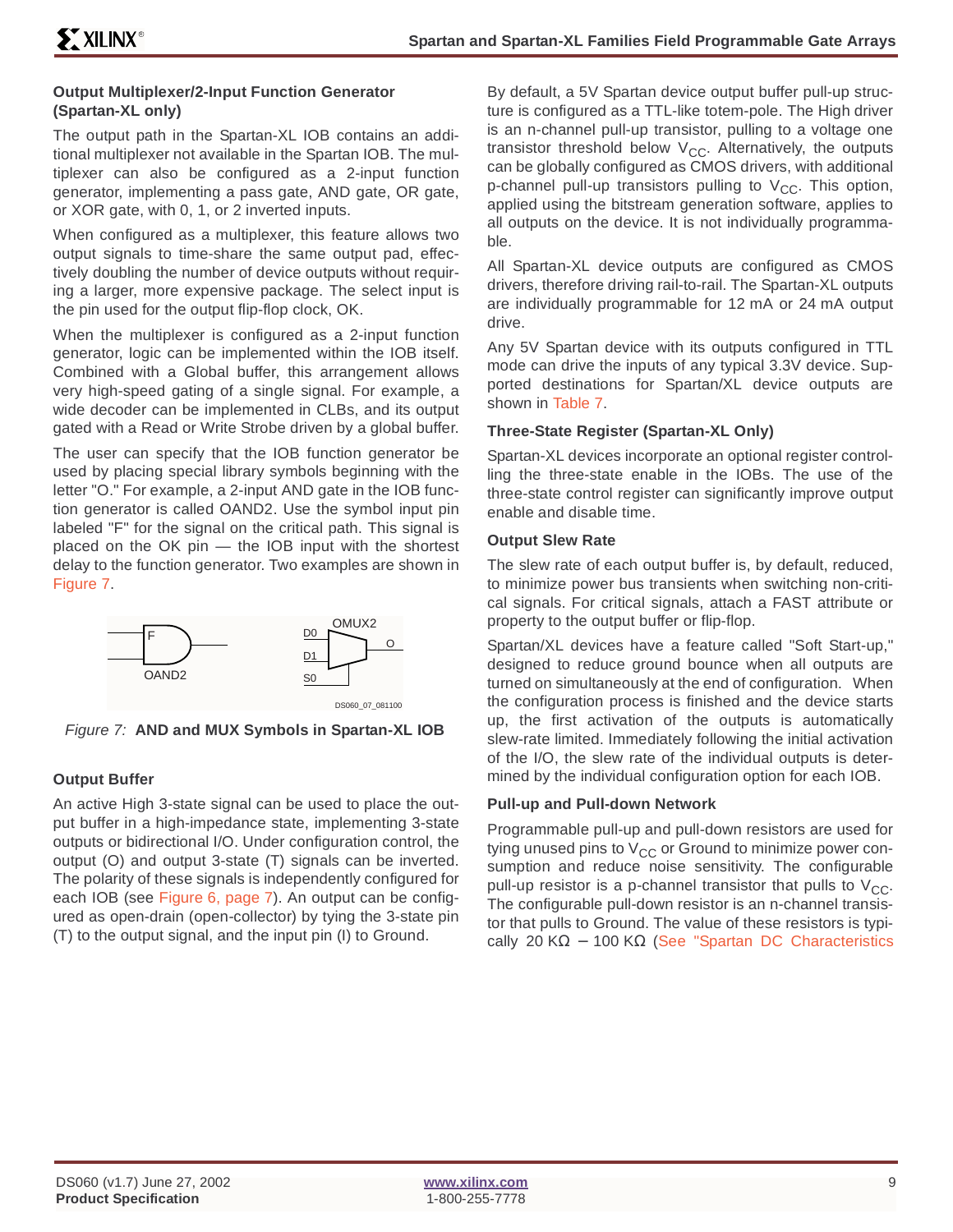### **Output Multiplexer/2-Input Function Generator (Spartan-XL only)**

The output path in the Spartan-XL IOB contains an additional multiplexer not available in the Spartan IOB. The multiplexer can also be configured as a 2-input function generator, implementing a pass gate, AND gate, OR gate, or XOR gate, with 0, 1, or 2 inverted inputs.

When configured as a multiplexer, this feature allows two output signals to time-share the same output pad, effectively doubling the number of device outputs without requiring a larger, more expensive package. The select input is the pin used for the output flip-flop clock, OK.

When the multiplexer is configured as a 2-input function generator, logic can be implemented within the IOB itself. Combined with a Global buffer, this arrangement allows very high-speed gating of a single signal. For example, a wide decoder can be implemented in CLBs, and its output gated with a Read or Write Strobe driven by a global buffer.

The user can specify that the IOB function generator be used by placing special library symbols beginning with the letter "O." For example, a 2-input AND gate in the IOB function generator is called OAND2. Use the symbol input pin labeled "F" for the signal on the critical path. This signal is placed on the OK pin — the IOB input with the shortest delay to the function generator. Two examples are shown in Figure 7.



Figure 7: **AND and MUX Symbols in Spartan-XL IOB**

### **Output Buffer**

An active High 3-state signal can be used to place the output buffer in a high-impedance state, implementing 3-state outputs or bidirectional I/O. Under configuration control, the output (O) and output 3-state (T) signals can be inverted. The polarity of these signals is independently configured for each IOB (see Figure 6, page 7). An output can be configured as open-drain (open-collector) by tying the 3-state pin (T) to the output signal, and the input pin (I) to Ground.

By default, a 5V Spartan device output buffer pull-up structure is configured as a TTL-like totem-pole. The High driver is an n-channel pull-up transistor, pulling to a voltage one transistor threshold below  $V_{CC}$ . Alternatively, the outputs can be globally configured as CMOS drivers, with additional p-channel pull-up transistors pulling to  $V_{CC}$ . This option, applied using the bitstream generation software, applies to all outputs on the device. It is not individually programmable.

All Spartan-XL device outputs are configured as CMOS drivers, therefore driving rail-to-rail. The Spartan-XL outputs are individually programmable for 12 mA or 24 mA output drive.

Any 5V Spartan device with its outputs configured in TTL mode can drive the inputs of any typical 3.3V device. Supported destinations for Spartan/XL device outputs are shown in Table 7.

### **Three-State Register (Spartan-XL Only)**

Spartan-XL devices incorporate an optional register controlling the three-state enable in the IOBs. The use of the three-state control register can significantly improve output enable and disable time.

### **Output Slew Rate**

The slew rate of each output buffer is, by default, reduced, to minimize power bus transients when switching non-critical signals. For critical signals, attach a FAST attribute or property to the output buffer or flip-flop.

Spartan/XL devices have a feature called "Soft Start-up," designed to reduce ground bounce when all outputs are turned on simultaneously at the end of configuration. When the configuration process is finished and the device starts up, the first activation of the outputs is automatically slew-rate limited. Immediately following the initial activation of the I/O, the slew rate of the individual outputs is determined by the individual configuration option for each IOB.

### **Pull-up and Pull-down Network**

Programmable pull-up and pull-down resistors are used for tying unused pins to  $V_{CC}$  or Ground to minimize power consumption and reduce noise sensitivity. The configurable pull-up resistor is a p-channel transistor that pulls to  $V_{CC}$ . The configurable pull-down resistor is an n-channel transistor that pulls to Ground. The value of these resistors is typi-cally 20 KΩ – 100 KΩ [\(See "Spartan DC Characteristics](#page-42-0)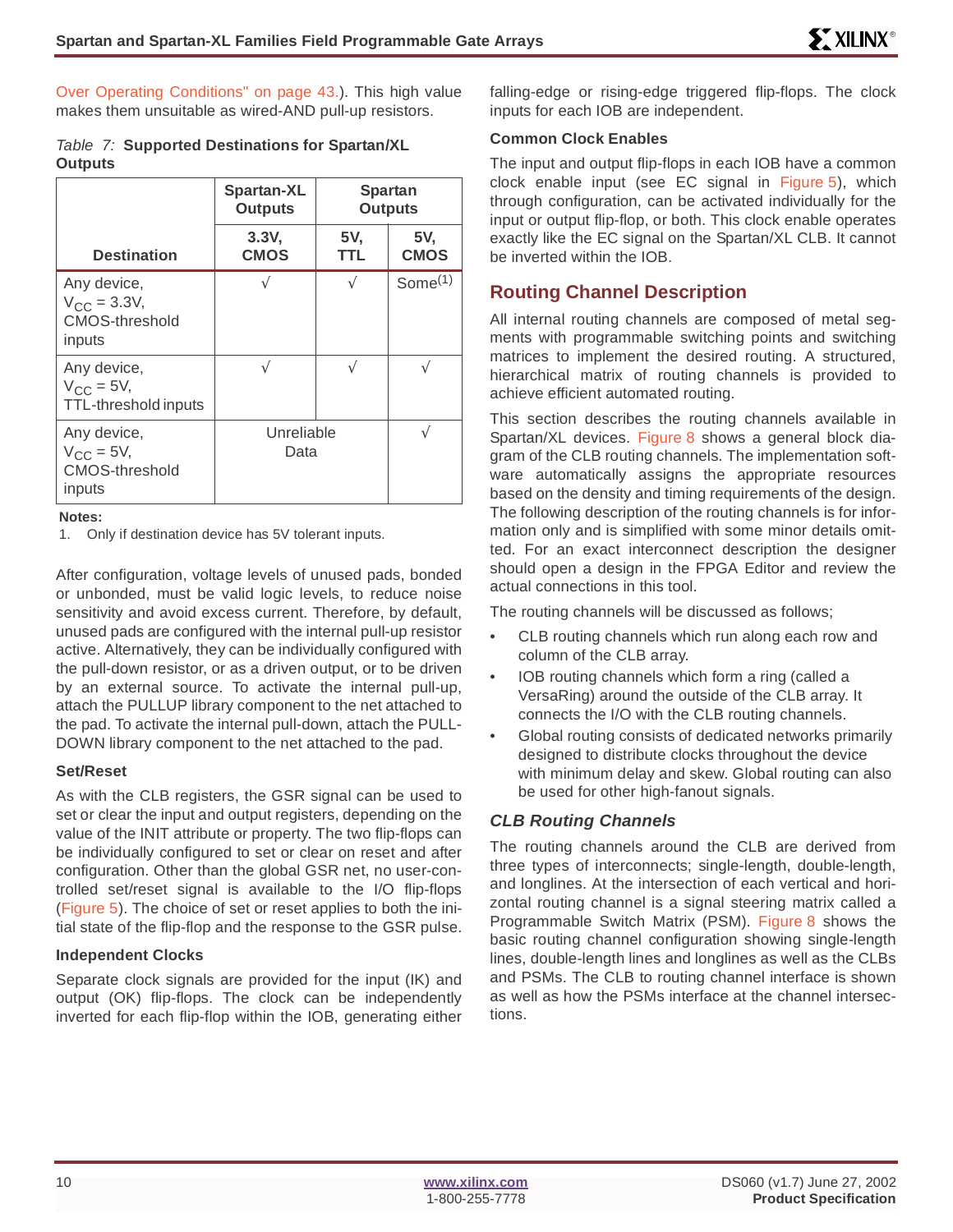[Over Operating Conditions" on page 43.](#page-42-0)). This high value makes them unsuitable as wired-AND pull-up resistors.

#### Table 7: **Supported Destinations for Spartan/XL Outputs**

|                                                             | <b>Spartan-XL</b><br><b>Outputs</b> |            | <b>Spartan</b><br><b>Outputs</b> |
|-------------------------------------------------------------|-------------------------------------|------------|----------------------------------|
| <b>Destination</b>                                          | 3.3V,<br><b>CMOS</b>                | 5V,<br>TTL | 5V,<br><b>CMOS</b>               |
| Any device,<br>$V_{CC} = 3.3V,$<br>CMOS-threshold<br>inputs | N                                   | N          | Some <sup>(1)</sup>              |
| Any device,<br>$V_{\rm CC}$ = 5V,<br>TTL-threshold inputs   | $\sqrt{}$                           | $\sqrt{}$  |                                  |
| Any device,<br>$V_{CC}$ = 5V,<br>CMOS-threshold<br>inputs   | Unreliable<br>Data                  |            |                                  |

**Notes:**

1. Only if destination device has 5V tolerant inputs.

After configuration, voltage levels of unused pads, bonded or unbonded, must be valid logic levels, to reduce noise sensitivity and avoid excess current. Therefore, by default, unused pads are configured with the internal pull-up resistor active. Alternatively, they can be individually configured with the pull-down resistor, or as a driven output, or to be driven by an external source. To activate the internal pull-up, attach the PULLUP library component to the net attached to the pad. To activate the internal pull-down, attach the PULL-DOWN library component to the net attached to the pad.

#### **Set/Reset**

As with the CLB registers, the GSR signal can be used to set or clear the input and output registers, depending on the value of the INIT attribute or property. The two flip-flops can be individually configured to set or clear on reset and after configuration. Other than the global GSR net, no user-controlled set/reset signal is available to the I/O flip-flops (Figure 5). The choice of set or reset applies to both the initial state of the flip-flop and the response to the GSR pulse.

#### **Independent Clocks**

Separate clock signals are provided for the input (IK) and output (OK) flip-flops. The clock can be independently inverted for each flip-flop within the IOB, generating either

falling-edge or rising-edge triggered flip-flops. The clock inputs for each IOB are independent.

### **Common Clock Enables**

The input and output flip-flops in each IOB have a common clock enable input (see EC signal in Figure 5), which through configuration, can be activated individually for the input or output flip-flop, or both. This clock enable operates exactly like the EC signal on the Spartan/XL CLB. It cannot be inverted within the IOB.

### **Routing Channel Description**

All internal routing channels are composed of metal segments with programmable switching points and switching matrices to implement the desired routing. A structured, hierarchical matrix of routing channels is provided to achieve efficient automated routing.

This section describes the routing channels available in Spartan/XL devices. Figure 8 shows a general block diagram of the CLB routing channels. The implementation software automatically assigns the appropriate resources based on the density and timing requirements of the design. The following description of the routing channels is for information only and is simplified with some minor details omitted. For an exact interconnect description the designer should open a design in the FPGA Editor and review the actual connections in this tool.

The routing channels will be discussed as follows;

- CLB routing channels which run along each row and column of the CLB array.
- IOB routing channels which form a ring (called a VersaRing) around the outside of the CLB array. It connects the I/O with the CLB routing channels.
- Global routing consists of dedicated networks primarily designed to distribute clocks throughout the device with minimum delay and skew. Global routing can also be used for other high-fanout signals.

### **CLB Routing Channels**

The routing channels around the CLB are derived from three types of interconnects; single-length, double-length, and longlines. At the intersection of each vertical and horizontal routing channel is a signal steering matrix called a Programmable Switch Matrix (PSM). Figure 8 shows the basic routing channel configuration showing single-length lines, double-length lines and longlines as well as the CLBs and PSMs. The CLB to routing channel interface is shown as well as how the PSMs interface at the channel intersections.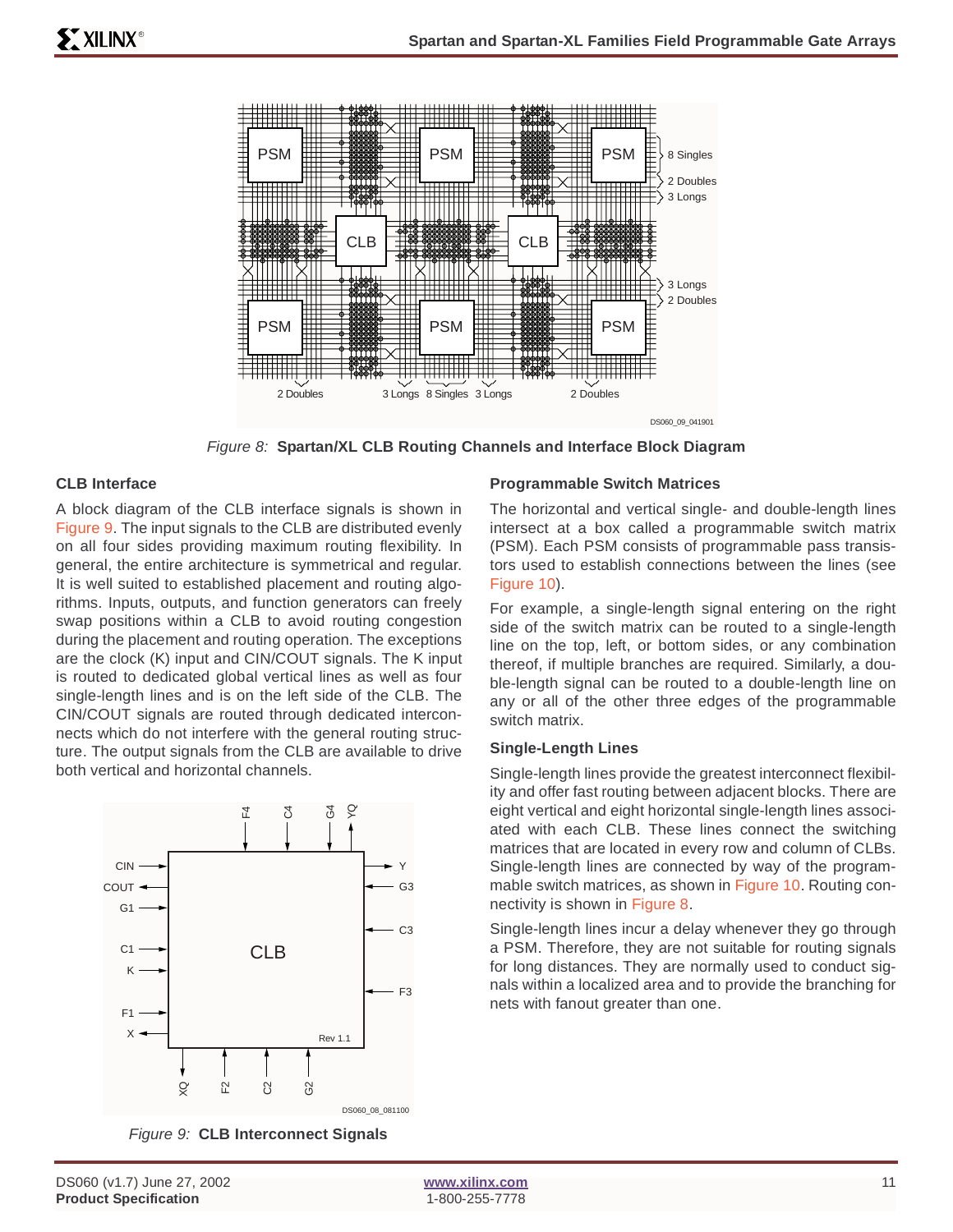

Figure 8: **Spartan/XL CLB Routing Channels and Interface Block Diagram**

### **CLB Interface**

A block diagram of the CLB interface signals is shown in Figure 9. The input signals to the CLB are distributed evenly on all four sides providing maximum routing flexibility. In general, the entire architecture is symmetrical and regular. It is well suited to established placement and routing algorithms. Inputs, outputs, and function generators can freely swap positions within a CLB to avoid routing congestion during the placement and routing operation. The exceptions are the clock (K) input and CIN/COUT signals. The K input is routed to dedicated global vertical lines as well as four single-length lines and is on the left side of the CLB. The CIN/COUT signals are routed through dedicated interconnects which do not interfere with the general routing structure. The output signals from the CLB are available to drive both vertical and horizontal channels.



Figure 9: **CLB Interconnect Signals**

### **Programmable Switch Matrices**

The horizontal and vertical single- and double-length lines intersect at a box called a programmable switch matrix (PSM). Each PSM consists of programmable pass transistors used to establish connections between the lines (see Figure 10).

For example, a single-length signal entering on the right side of the switch matrix can be routed to a single-length line on the top, left, or bottom sides, or any combination thereof, if multiple branches are required. Similarly, a double-length signal can be routed to a double-length line on any or all of the other three edges of the programmable switch matrix.

### **Single-Length Lines**

Single-length lines provide the greatest interconnect flexibility and offer fast routing between adjacent blocks. There are eight vertical and eight horizontal single-length lines associated with each CLB. These lines connect the switching matrices that are located in every row and column of CLBs. Single-length lines are connected by way of the programmable switch matrices, as shown in Figure 10. Routing connectivity is shown in Figure 8.

Single-length lines incur a delay whenever they go through a PSM. Therefore, they are not suitable for routing signals for long distances. They are normally used to conduct signals within a localized area and to provide the branching for nets with fanout greater than one.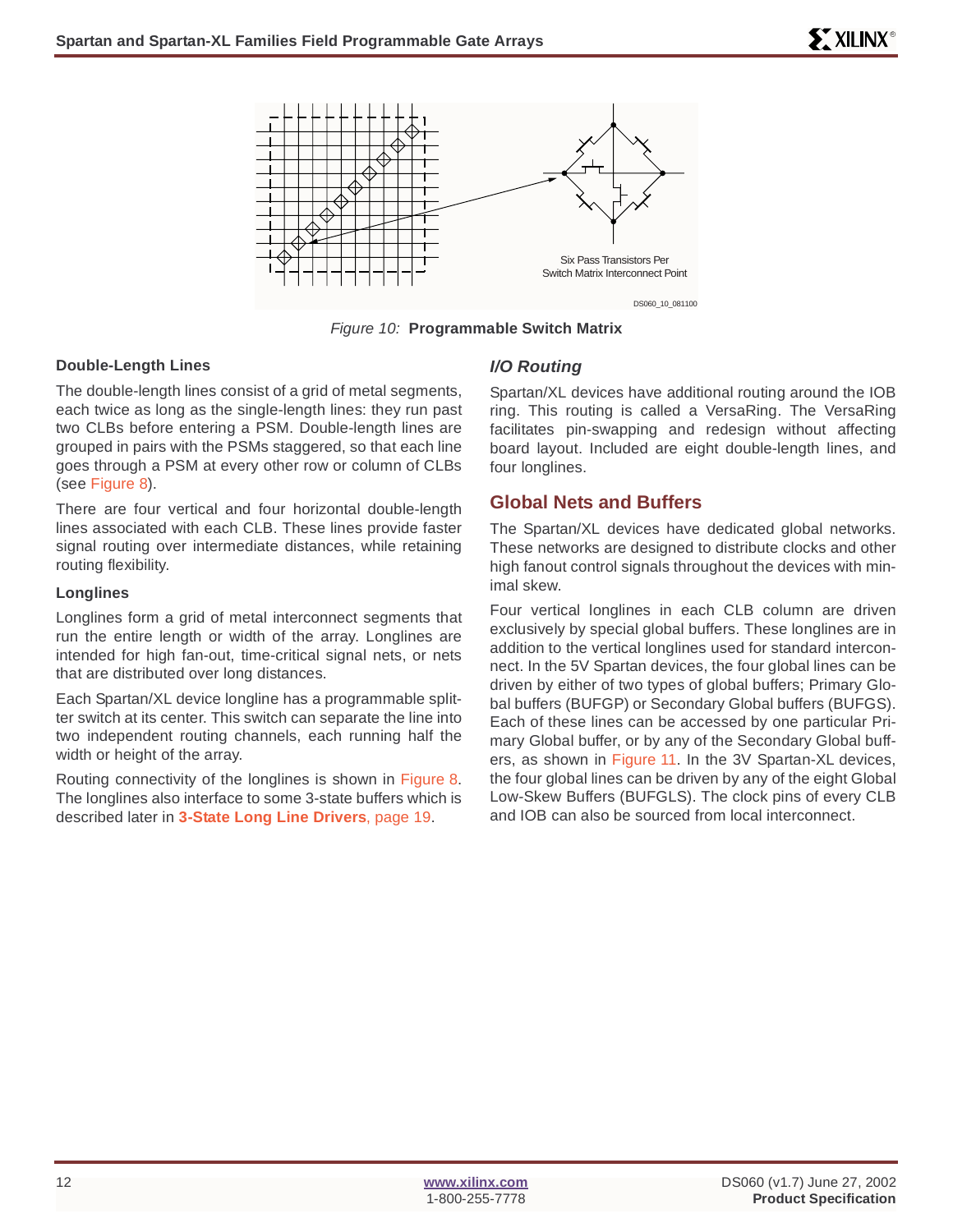

Figure 10: **Programmable Switch Matrix**

### **Double-Length Lines**

The double-length lines consist of a grid of metal segments, each twice as long as the single-length lines: they run past two CLBs before entering a PSM. Double-length lines are grouped in pairs with the PSMs staggered, so that each line goes through a PSM at every other row or column of CLBs (see Figure 8).

There are four vertical and four horizontal double-length lines associated with each CLB. These lines provide faster signal routing over intermediate distances, while retaining routing flexibility.

#### **Longlines**

Longlines form a grid of metal interconnect segments that run the entire length or width of the array. Longlines are intended for high fan-out, time-critical signal nets, or nets that are distributed over long distances.

Each Spartan/XL device longline has a programmable splitter switch at its center. This switch can separate the line into two independent routing channels, each running half the width or height of the array.

Routing connectivity of the longlines is shown in Figure 8. The longlines also interface to some 3-state buffers which is described later in **[3-State Long Line Drivers](#page-18-0)**, page 19.

### **I/O Routing**

Spartan/XL devices have additional routing around the IOB ring. This routing is called a VersaRing. The VersaRing facilitates pin-swapping and redesign without affecting board layout. Included are eight double-length lines, and four longlines.

### <span id="page-11-0"></span>**Global Nets and Buffers**

The Spartan/XL devices have dedicated global networks. These networks are designed to distribute clocks and other high fanout control signals throughout the devices with minimal skew.

Four vertical longlines in each CLB column are driven exclusively by special global buffers. These longlines are in addition to the vertical longlines used for standard interconnect. In the 5V Spartan devices, the four global lines can be driven by either of two types of global buffers; Primary Global buffers (BUFGP) or Secondary Global buffers (BUFGS). Each of these lines can be accessed by one particular Primary Global buffer, or by any of the Secondary Global buffers, as shown in Figure 11. In the 3V Spartan-XL devices, the four global lines can be driven by any of the eight Global Low-Skew Buffers (BUFGLS). The clock pins of every CLB and IOB can also be sourced from local interconnect.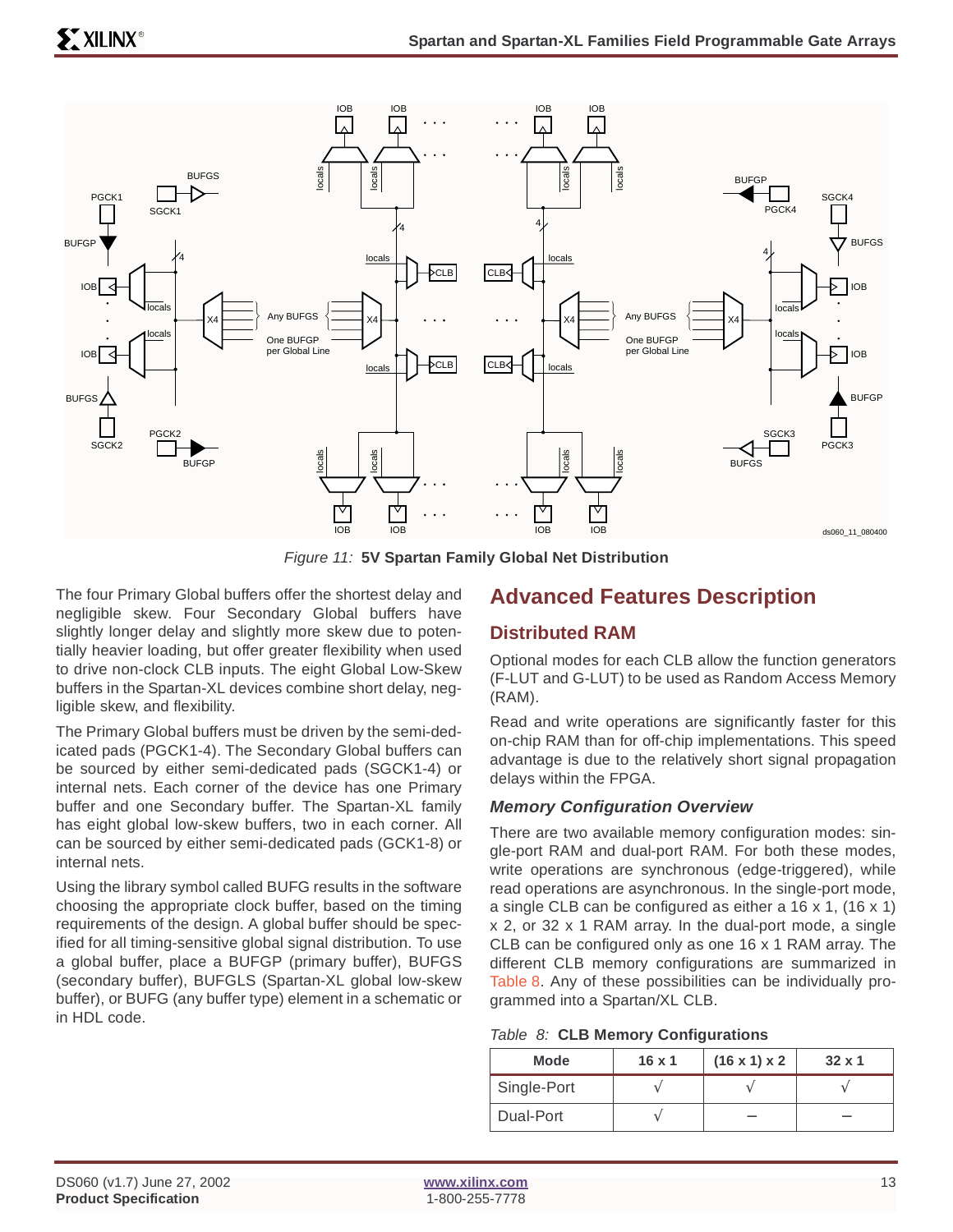

Figure 11: **5V Spartan Family Global Net Distribution**

The four Primary Global buffers offer the shortest delay and negligible skew. Four Secondary Global buffers have slightly longer delay and slightly more skew due to potentially heavier loading, but offer greater flexibility when used to drive non-clock CLB inputs. The eight Global Low-Skew buffers in the Spartan-XL devices combine short delay, negligible skew, and flexibility.

The Primary Global buffers must be driven by the semi-dedicated pads (PGCK1-4). The Secondary Global buffers can be sourced by either semi-dedicated pads (SGCK1-4) or internal nets. Each corner of the device has one Primary buffer and one Secondary buffer. The Spartan-XL family has eight global low-skew buffers, two in each corner. All can be sourced by either semi-dedicated pads (GCK1-8) or internal nets.

Using the library symbol called BUFG results in the software choosing the appropriate clock buffer, based on the timing requirements of the design. A global buffer should be specified for all timing-sensitive global signal distribution. To use a global buffer, place a BUFGP (primary buffer), BUFGS (secondary buffer), BUFGLS (Spartan-XL global low-skew buffer), or BUFG (any buffer type) element in a schematic or in HDL code.

# <span id="page-12-0"></span>**Advanced Features Description**

### **Distributed RAM**

Optional modes for each CLB allow the function generators (F-LUT and G-LUT) to be used as Random Access Memory (RAM).

Read and write operations are significantly faster for this on-chip RAM than for off-chip implementations. This speed advantage is due to the relatively short signal propagation delays within the FPGA.

### **Memory Configuration Overview**

There are two available memory configuration modes: single-port RAM and dual-port RAM. For both these modes, write operations are synchronous (edge-triggered), while read operations are asynchronous. In the single-port mode, a single CLB can be configured as either a 16 x 1, (16 x 1) x 2, or 32 x 1 RAM array. In the dual-port mode, a single CLB can be configured only as one 16 x 1 RAM array. The different CLB memory configurations are summarized in Table 8. Any of these possibilities can be individually programmed into a Spartan/XL CLB.

| <b>Mode</b> | $16 \times 1$ | $(16 \times 1) \times 2$ | $32 \times 1$ |
|-------------|---------------|--------------------------|---------------|
| Single-Port |               |                          |               |
| Dual-Port   |               |                          |               |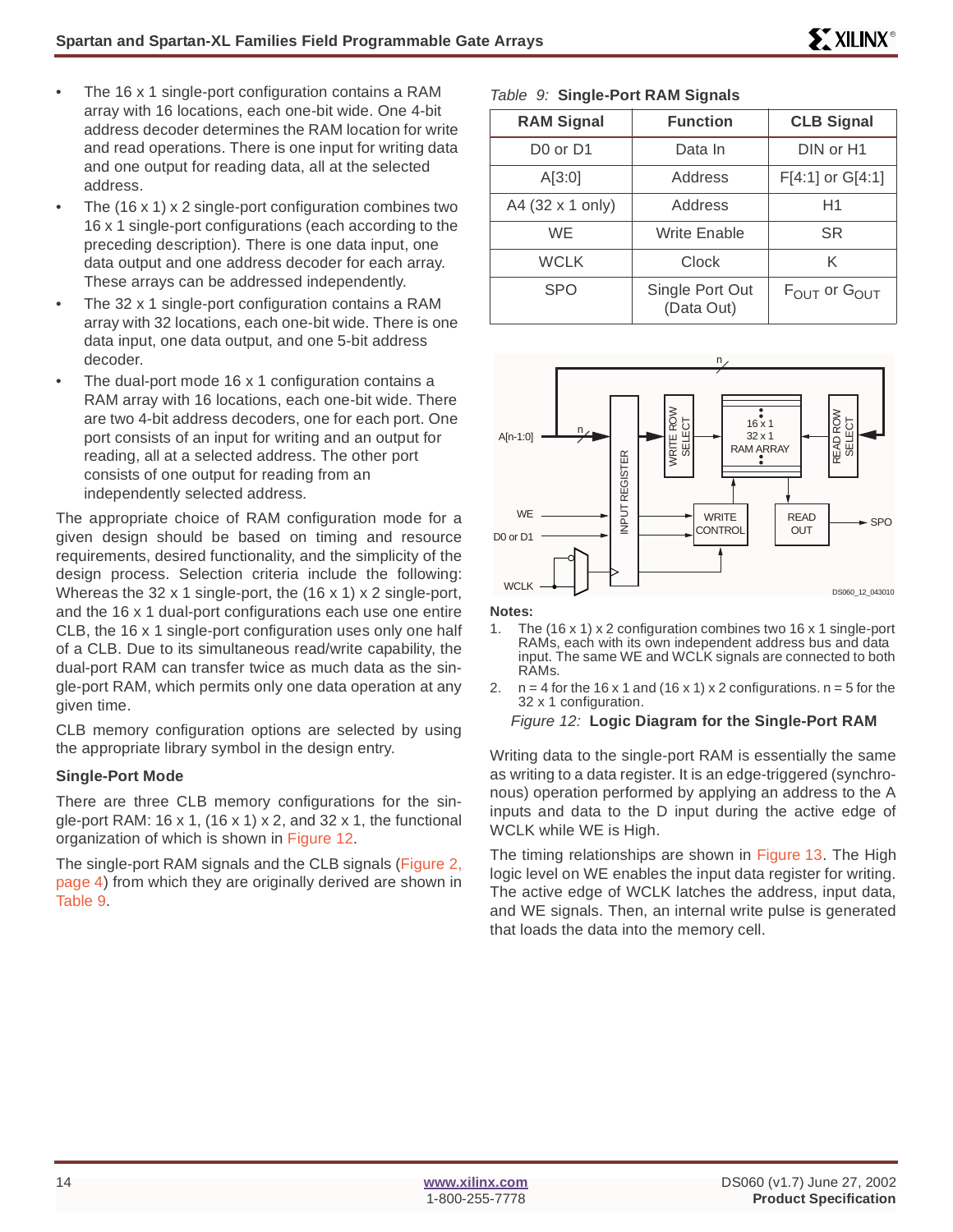- The 16 x 1 single-port configuration contains a RAM array with 16 locations, each one-bit wide. One 4-bit address decoder determines the RAM location for write and read operations. There is one input for writing data and one output for reading data, all at the selected address.
- The  $(16 \times 1) \times 2$  single-port configuration combines two 16 x 1 single-port configurations (each according to the preceding description). There is one data input, one data output and one address decoder for each array. These arrays can be addressed independently.
- The 32 x 1 single-port configuration contains a RAM array with 32 locations, each one-bit wide. There is one data input, one data output, and one 5-bit address decoder.
- The dual-port mode 16  $\times$  1 configuration contains a RAM array with 16 locations, each one-bit wide. There are two 4-bit address decoders, one for each port. One port consists of an input for writing and an output for reading, all at a selected address. The other port consists of one output for reading from an independently selected address.

The appropriate choice of RAM configuration mode for a given design should be based on timing and resource requirements, desired functionality, and the simplicity of the design process. Selection criteria include the following: Whereas the 32 x 1 single-port, the (16 x 1) x 2 single-port, and the 16 x 1 dual-port configurations each use one entire CLB, the 16 x 1 single-port configuration uses only one half of a CLB. Due to its simultaneous read/write capability, the dual-port RAM can transfer twice as much data as the single-port RAM, which permits only one data operation at any given time.

CLB memory configuration options are selected by using the appropriate library symbol in the design entry.

### **Single-Port Mode**

There are three CLB memory configurations for the single-port RAM: 16 x 1, (16 x 1) x 2, and 32 x 1, the functional organization of which is shown in Figure 12.

The single-port RAM signals and the CLB signals (Figure 2, page 4) from which they are originally derived are shown in Table 9.

### Table 9: **Single-Port RAM Signals**

| <b>RAM Signal</b> | <b>Function</b>               | <b>CLB Signal</b>                    |
|-------------------|-------------------------------|--------------------------------------|
| D0 or D1          | Data In                       | DIN or H1                            |
| A[3:0]            | Address                       | F[4:1] or G[4:1]                     |
| A4 (32 x 1 only)  | Address                       | H1                                   |
| WE                | <b>Write Enable</b>           | SR                                   |
| <b>WCLK</b>       | Clock                         | Κ                                    |
| <b>SPO</b>        | Single Port Out<br>(Data Out) | $F_{\text{OUT}}$ or $G_{\text{OUT}}$ |



**Notes:**

- 1. The (16 x 1) x 2 configuration combines two 16 x 1 single-port RAMs, each with its own independent address bus and data input. The same WE and WCLK signals are connected to both RAMs.
- 2.  $n = 4$  for the 16 x 1 and (16 x 1) x 2 configurations.  $n = 5$  for the 32 x 1 configuration.

#### Figure 12: **Logic Diagram for the Single-Port RAM**

Writing data to the single-port RAM is essentially the same as writing to a data register. It is an edge-triggered (synchronous) operation performed by applying an address to the A inputs and data to the D input during the active edge of WCLK while WE is High.

The timing relationships are shown in Figure 13. The High logic level on WE enables the input data register for writing. The active edge of WCLK latches the address, input data, and WE signals. Then, an internal write pulse is generated that loads the data into the memory cell.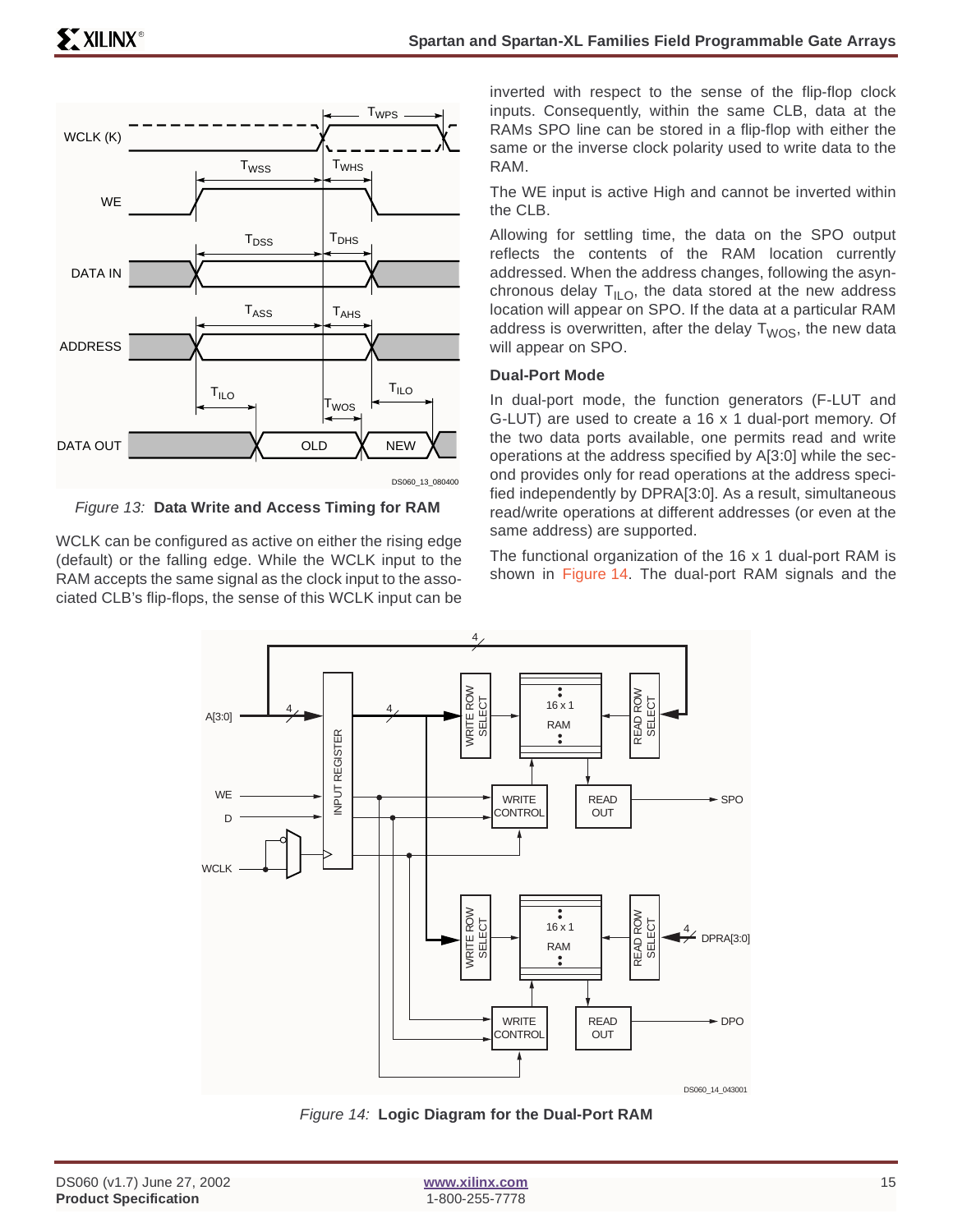

Figure 13: **Data Write and Access Timing for RAM**

WCLK can be configured as active on either the rising edge (default) or the falling edge. While the WCLK input to the RAM accepts the same signal as the clock input to the associated CLB's flip-flops, the sense of this WCLK input can be inverted with respect to the sense of the flip-flop clock inputs. Consequently, within the same CLB, data at the RAMs SPO line can be stored in a flip-flop with either the same or the inverse clock polarity used to write data to the RAM.

The WE input is active High and cannot be inverted within the CLB.

Allowing for settling time, the data on the SPO output reflects the contents of the RAM location currently addressed. When the address changes, following the asynchronous delay  $T_{II,0}$ , the data stored at the new address location will appear on SPO. If the data at a particular RAM address is overwritten, after the delay  $T<sub>WOS</sub>$ , the new data will appear on SPO.

### **Dual-Port Mode**

In dual-port mode, the function generators (F-LUT and G-LUT) are used to create a 16 x 1 dual-port memory. Of the two data ports available, one permits read and write operations at the address specified by A[3:0] while the second provides only for read operations at the address specified independently by DPRA[3:0]. As a result, simultaneous read/write operations at different addresses (or even at the same address) are supported.

The functional organization of the 16 x 1 dual-port RAM is shown in Figure 14. The dual-port RAM signals and the



Figure 14: **Logic Diagram for the Dual-Port RAM**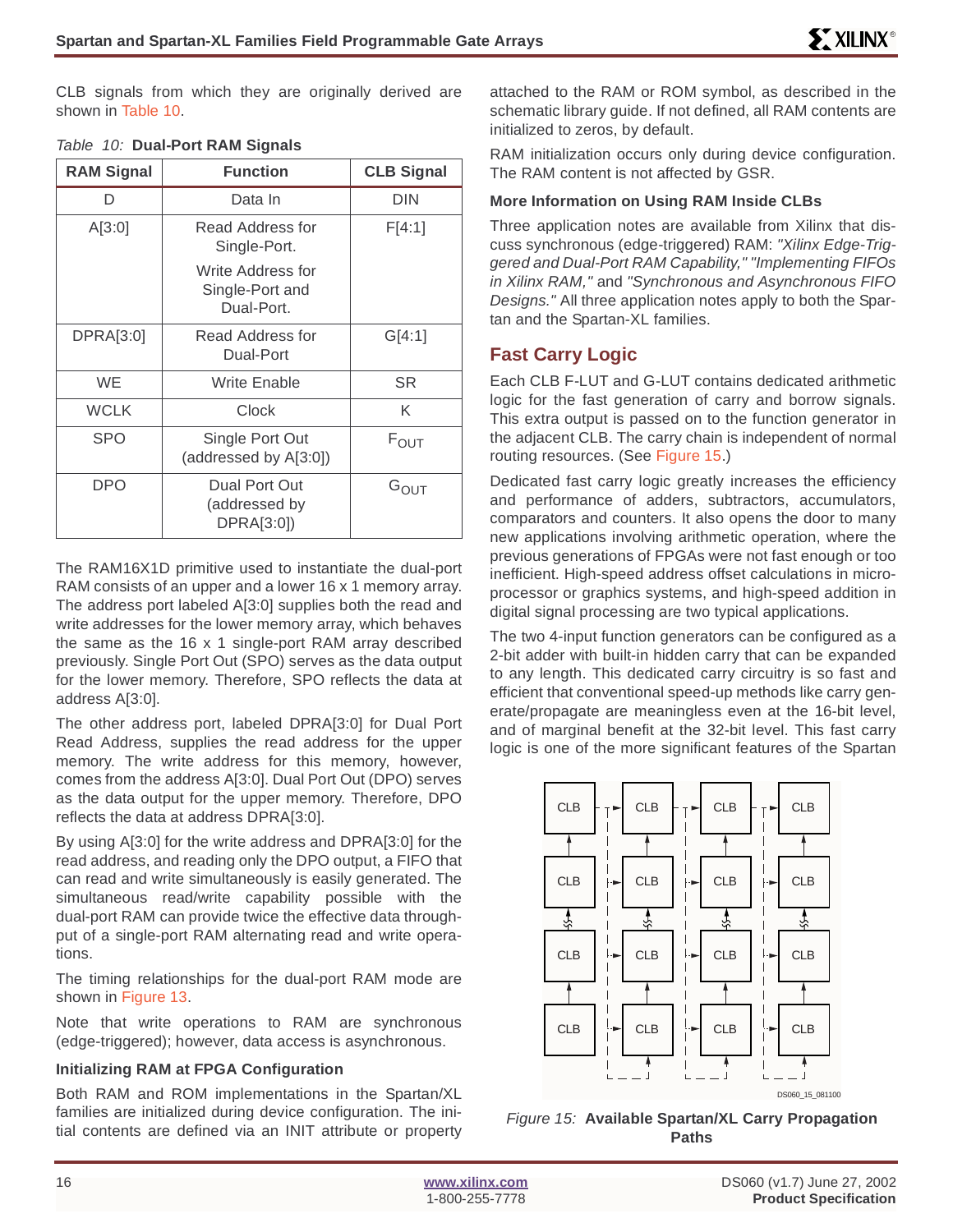CLB signals from which they are originally derived are shown in Table 10.

| <b>RAM Signal</b> | <b>Function</b>                                    | <b>CLB Signal</b> |
|-------------------|----------------------------------------------------|-------------------|
| D                 | Data In                                            | <b>DIN</b>        |
| A[3:0]            | Read Address for<br>Single-Port.                   | F[4:1]            |
|                   | Write Address for<br>Single-Port and<br>Dual-Port. |                   |
| DPRA[3:0]         | Read Address for<br>Dual-Port                      | G[4:1]            |
| <b>WE</b>         | <b>Write Enable</b>                                | SR                |
| <b>WCLK</b>       | Clock                                              | K                 |
| <b>SPO</b>        | Single Port Out<br>(addressed by A[3:0])           | $F_{\text{OUT}}$  |
| DPO               | Dual Port Out<br>(addressed by<br>DPRA[3:0])       | $G_{\text{OUT}}$  |

#### Table 10: **Dual-Port RAM Signals**

The RAM16X1D primitive used to instantiate the dual-port RAM consists of an upper and a lower 16 x 1 memory array. The address port labeled A[3:0] supplies both the read and write addresses for the lower memory array, which behaves the same as the 16 x 1 single-port RAM array described previously. Single Port Out (SPO) serves as the data output for the lower memory. Therefore, SPO reflects the data at address A[3:0].

The other address port, labeled DPRA[3:0] for Dual Port Read Address, supplies the read address for the upper memory. The write address for this memory, however, comes from the address A[3:0]. Dual Port Out (DPO) serves as the data output for the upper memory. Therefore, DPO reflects the data at address DPRA[3:0].

By using A[3:0] for the write address and DPRA[3:0] for the read address, and reading only the DPO output, a FIFO that can read and write simultaneously is easily generated. The simultaneous read/write capability possible with the dual-port RAM can provide twice the effective data throughput of a single-port RAM alternating read and write operations.

The timing relationships for the dual-port RAM mode are shown in Figure 13.

Note that write operations to RAM are synchronous (edge-triggered); however, data access is asynchronous.

### **Initializing RAM at FPGA Configuration**

Both RAM and ROM implementations in the Spartan/XL families are initialized during device configuration. The initial contents are defined via an INIT attribute or property

attached to the RAM or ROM symbol, as described in the schematic library guide. If not defined, all RAM contents are initialized to zeros, by default.

RAM initialization occurs only during device configuration. The RAM content is not affected by GSR.

### **More Information on Using RAM Inside CLBs**

Three application notes are available from Xilinx that discuss synchronous (edge-triggered) RAM: "Xilinx Edge-Triggered and Dual-Port RAM Capability," "Implementing FIFOs in Xilinx RAM," and "Synchronous and Asynchronous FIFO Designs." All three application notes apply to both the Spartan and the Spartan-XL families.

### **Fast Carry Logic**

Each CLB F-LUT and G-LUT contains dedicated arithmetic logic for the fast generation of carry and borrow signals. This extra output is passed on to the function generator in the adjacent CLB. The carry chain is independent of normal routing resources. (See Figure 15.)

Dedicated fast carry logic greatly increases the efficiency and performance of adders, subtractors, accumulators, comparators and counters. It also opens the door to many new applications involving arithmetic operation, where the previous generations of FPGAs were not fast enough or too inefficient. High-speed address offset calculations in microprocessor or graphics systems, and high-speed addition in digital signal processing are two typical applications.

The two 4-input function generators can be configured as a 2-bit adder with built-in hidden carry that can be expanded to any length. This dedicated carry circuitry is so fast and efficient that conventional speed-up methods like carry generate/propagate are meaningless even at the 16-bit level, and of marginal benefit at the 32-bit level. This fast carry logic is one of the more significant features of the Spartan



Figure 15: **Available Spartan/XL Carry Propagation Paths**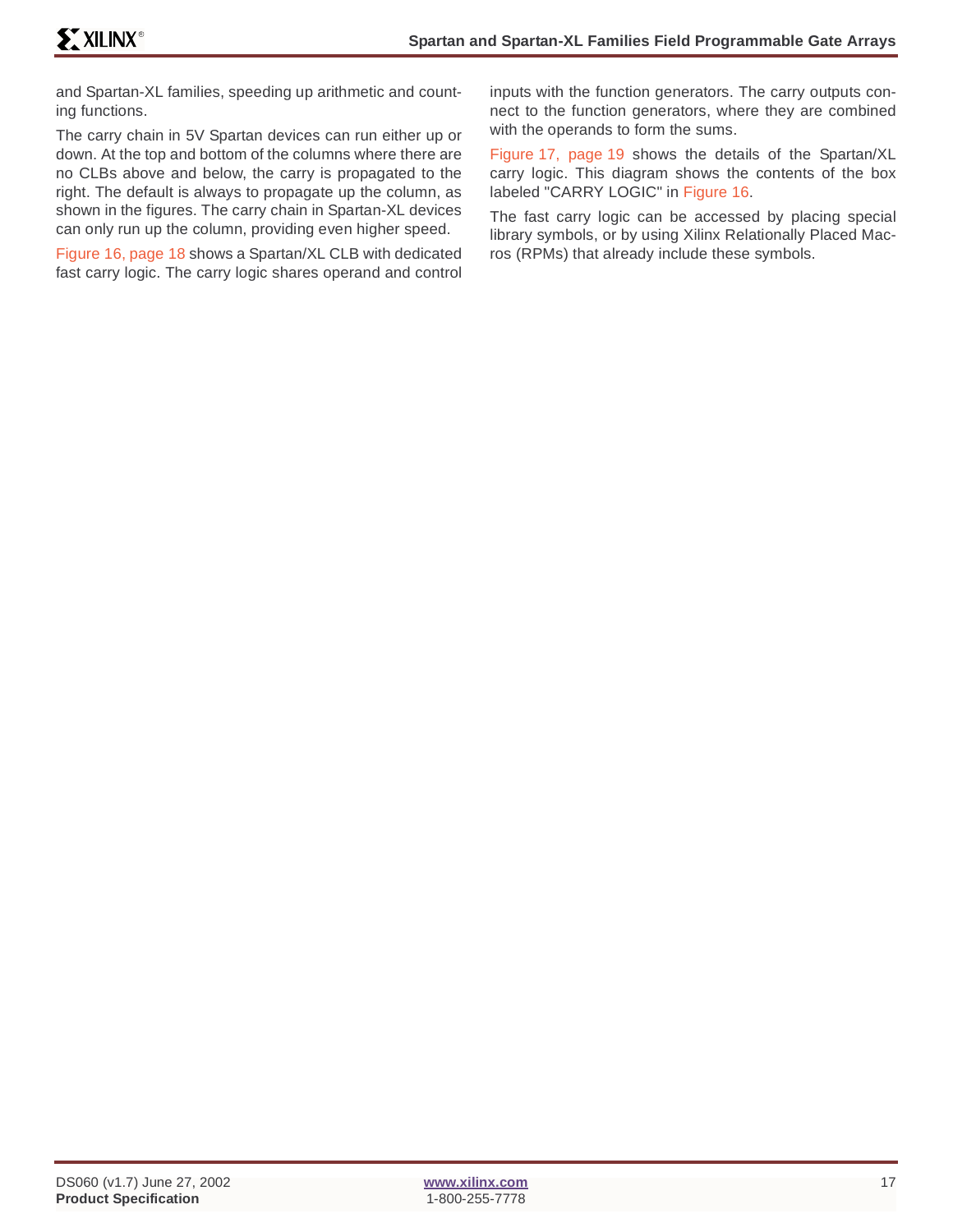and Spartan-XL families, speeding up arithmetic and counting functions.

The carry chain in 5V Spartan devices can run either up or down. At the top and bottom of the columns where there are no CLBs above and below, the carry is propagated to the right. The default is always to propagate up the column, as shown in the figures. The carry chain in Spartan-XL devices can only run up the column, providing even higher speed.

Figure 16, page 18 shows a Spartan/XL CLB with dedicated fast carry logic. The carry logic shares operand and control inputs with the function generators. The carry outputs connect to the function generators, where they are combined with the operands to form the sums.

Figure 17, page 19 shows the details of the Spartan/XL carry logic. This diagram shows the contents of the box labeled "CARRY LOGIC" in Figure 16.

The fast carry logic can be accessed by placing special library symbols, or by using Xilinx Relationally Placed Macros (RPMs) that already include these symbols.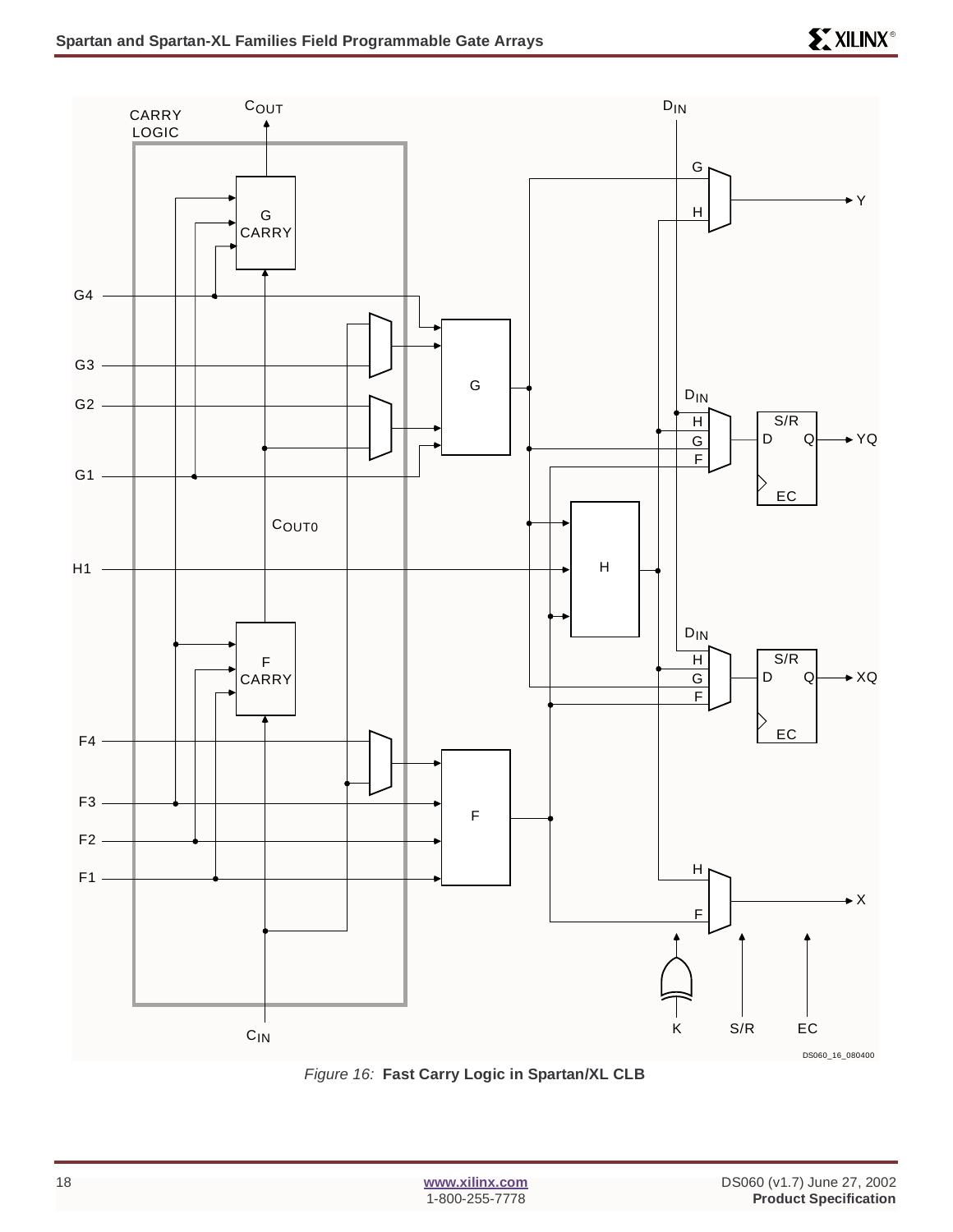

Figure 16: **Fast Carry Logic in Spartan/XL CLB**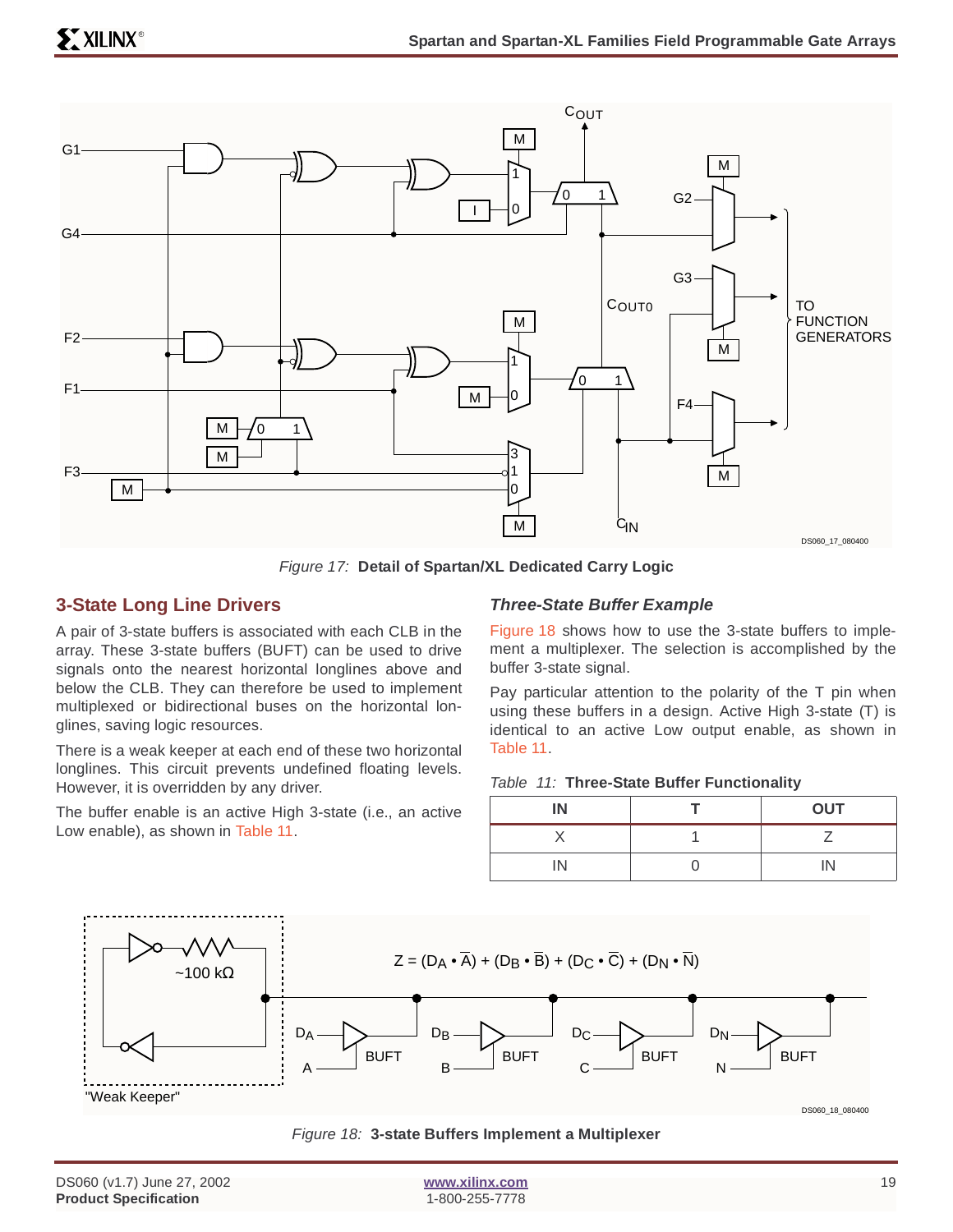

Figure 17: **Detail of Spartan/XL Dedicated Carry Logic**

### <span id="page-18-0"></span>**3-State Long Line Drivers**

A pair of 3-state buffers is associated with each CLB in the array. These 3-state buffers (BUFT) can be used to drive signals onto the nearest horizontal longlines above and below the CLB. They can therefore be used to implement multiplexed or bidirectional buses on the horizontal longlines, saving logic resources.

There is a weak keeper at each end of these two horizontal longlines. This circuit prevents undefined floating levels. However, it is overridden by any driver.

The buffer enable is an active High 3-state (i.e., an active Low enable), as shown in Table 11.

### **Three-State Buffer Example**

Figure 18 shows how to use the 3-state buffers to implement a multiplexer. The selection is accomplished by the buffer 3-state signal.

Pay particular attention to the polarity of the T pin when using these buffers in a design. Active High 3-state (T) is identical to an active Low output enable, as shown in Table 11.

#### Table 11: **Three-State Buffer Functionality**

| IN | <b>OUT</b> |
|----|------------|
|    |            |
| IN | IN         |



#### Figure 18: **3-state Buffers Implement a Multiplexer**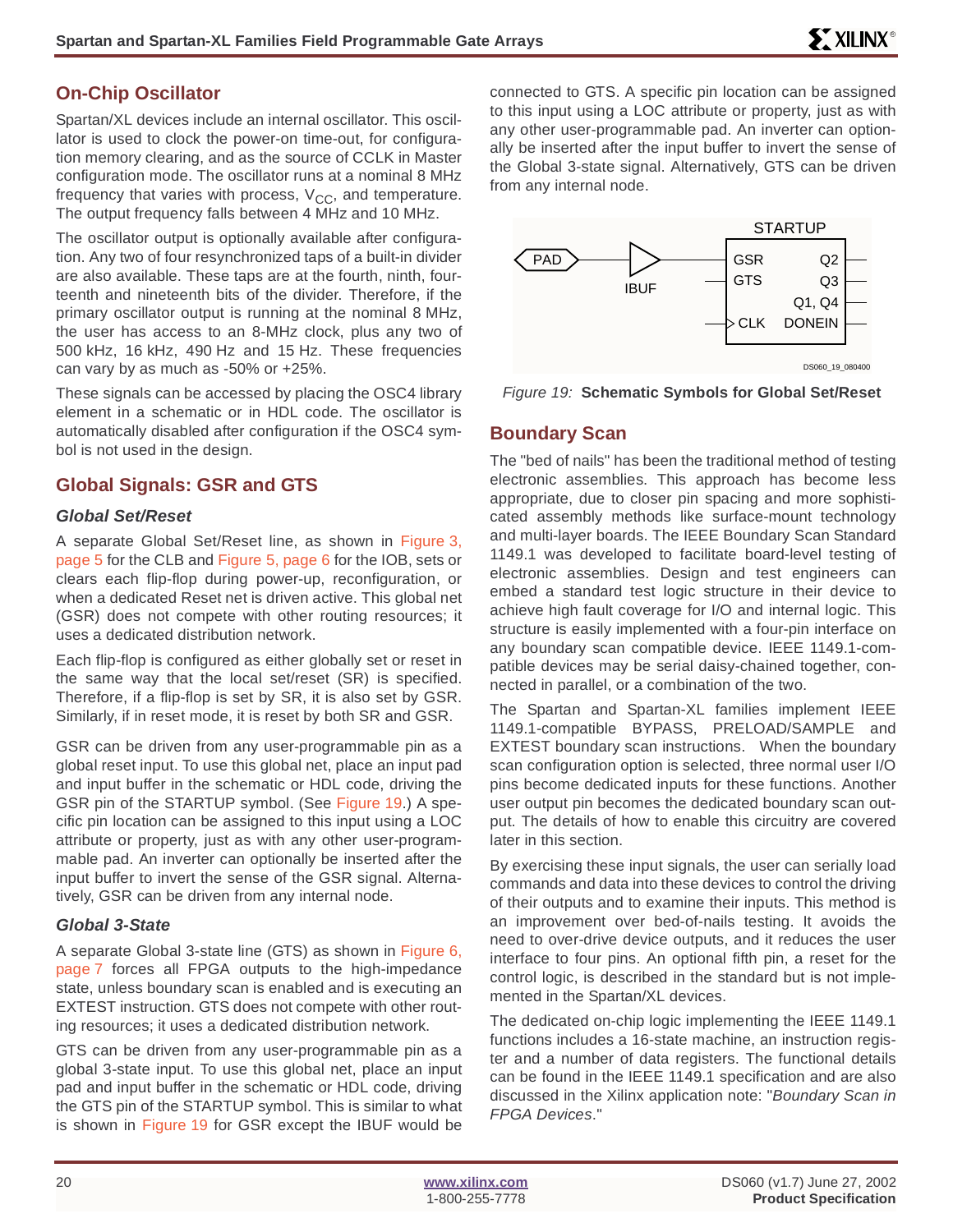### **On-Chip Oscillator**

Spartan/XL devices include an internal oscillator. This oscillator is used to clock the power-on time-out, for configuration memory clearing, and as the source of CCLK in Master configuration mode. The oscillator runs at a nominal 8 MHz frequency that varies with process,  $V_{CC}$ , and temperature. The output frequency falls between 4 MHz and 10 MHz.

The oscillator output is optionally available after configuration. Any two of four resynchronized taps of a built-in divider are also available. These taps are at the fourth, ninth, fourteenth and nineteenth bits of the divider. Therefore, if the primary oscillator output is running at the nominal 8 MHz, the user has access to an 8-MHz clock, plus any two of 500 kHz, 16 kHz, 490 Hz and 15 Hz. These frequencies can vary by as much as -50% or +25%.

These signals can be accessed by placing the OSC4 library element in a schematic or in HDL code. The oscillator is automatically disabled after configuration if the OSC4 symbol is not used in the design.

### <span id="page-19-0"></span>**Global Signals: GSR and GTS**

### **Global Set/Reset**

A separate Global Set/Reset line, as shown in Figure 3, page 5 for the CLB and Figure 5, page 6 for the IOB, sets or clears each flip-flop during power-up, reconfiguration, or when a dedicated Reset net is driven active. This global net (GSR) does not compete with other routing resources; it uses a dedicated distribution network.

Each flip-flop is configured as either globally set or reset in the same way that the local set/reset (SR) is specified. Therefore, if a flip-flop is set by SR, it is also set by GSR. Similarly, if in reset mode, it is reset by both SR and GSR.

GSR can be driven from any user-programmable pin as a global reset input. To use this global net, place an input pad and input buffer in the schematic or HDL code, driving the GSR pin of the STARTUP symbol. (See Figure 19.) A specific pin location can be assigned to this input using a LOC attribute or property, just as with any other user-programmable pad. An inverter can optionally be inserted after the input buffer to invert the sense of the GSR signal. Alternatively, GSR can be driven from any internal node.

### **Global 3-State**

A separate Global 3-state line (GTS) as shown in Figure 6, page 7 forces all FPGA outputs to the high-impedance state, unless boundary scan is enabled and is executing an EXTEST instruction. GTS does not compete with other routing resources; it uses a dedicated distribution network.

GTS can be driven from any user-programmable pin as a global 3-state input. To use this global net, place an input pad and input buffer in the schematic or HDL code, driving the GTS pin of the STARTUP symbol. This is similar to what is shown in Figure 19 for GSR except the IBUF would be

connected to GTS. A specific pin location can be assigned to this input using a LOC attribute or property, just as with any other user-programmable pad. An inverter can optionally be inserted after the input buffer to invert the sense of the Global 3-state signal. Alternatively, GTS can be driven from any internal node.



Figure 19: **Schematic Symbols for Global Set/Reset**

### **Boundary Scan**

The "bed of nails" has been the traditional method of testing electronic assemblies. This approach has become less appropriate, due to closer pin spacing and more sophisticated assembly methods like surface-mount technology and multi-layer boards. The IEEE Boundary Scan Standard 1149.1 was developed to facilitate board-level testing of electronic assemblies. Design and test engineers can embed a standard test logic structure in their device to achieve high fault coverage for I/O and internal logic. This structure is easily implemented with a four-pin interface on any boundary scan compatible device. IEEE 1149.1-compatible devices may be serial daisy-chained together, connected in parallel, or a combination of the two.

The Spartan and Spartan-XL families implement IEEE 1149.1-compatible BYPASS, PRELOAD/SAMPLE and EXTEST boundary scan instructions. When the boundary scan configuration option is selected, three normal user I/O pins become dedicated inputs for these functions. Another user output pin becomes the dedicated boundary scan output. The details of how to enable this circuitry are covered later in this section.

By exercising these input signals, the user can serially load commands and data into these devices to control the driving of their outputs and to examine their inputs. This method is an improvement over bed-of-nails testing. It avoids the need to over-drive device outputs, and it reduces the user interface to four pins. An optional fifth pin, a reset for the control logic, is described in the standard but is not implemented in the Spartan/XL devices.

The dedicated on-chip logic implementing the IEEE 1149.1 functions includes a 16-state machine, an instruction register and a number of data registers. The functional details can be found in the IEEE 1149.1 specification and are also discussed in the Xilinx application note: "Boundary Scan in FPGA Devices."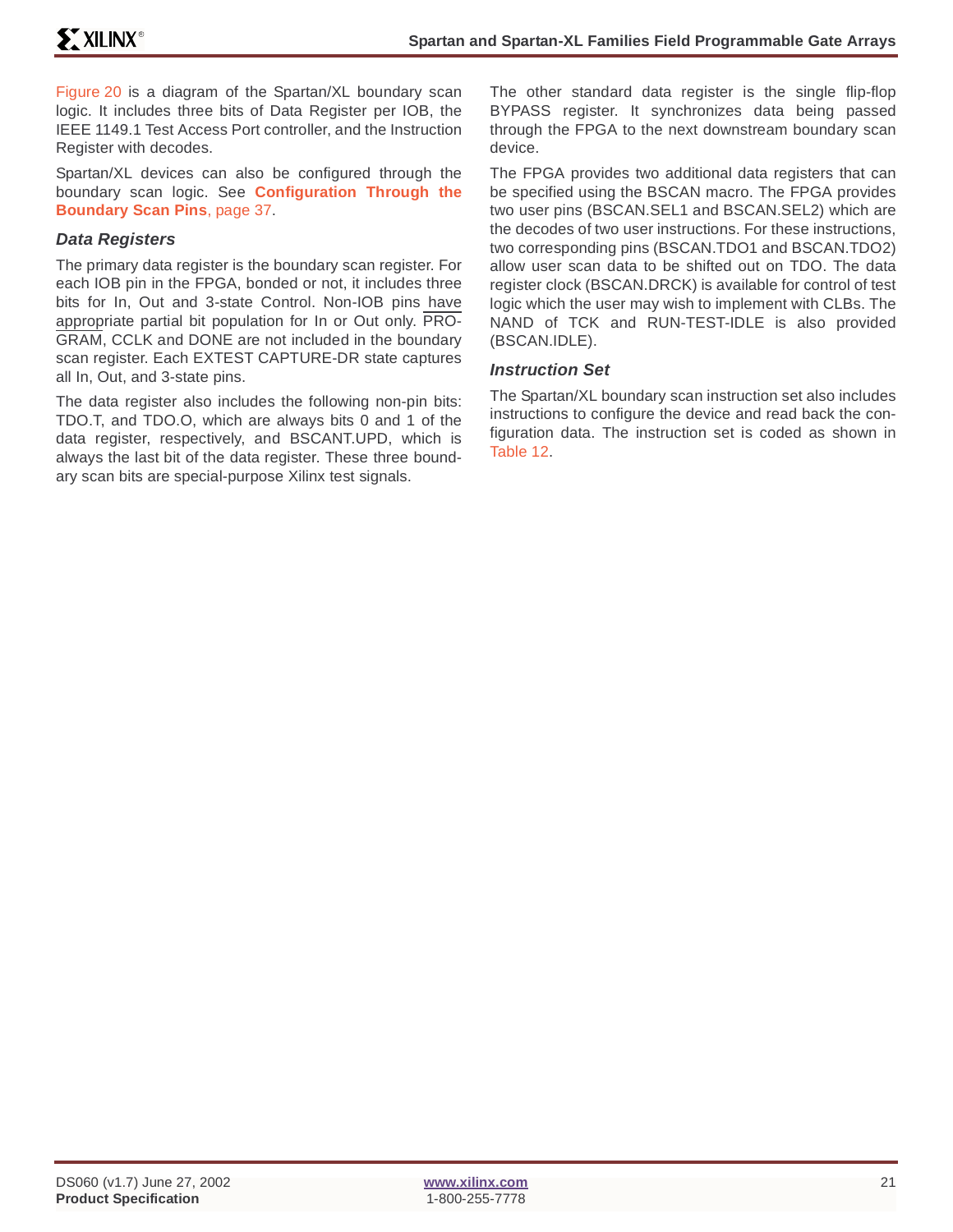Figure 20 is a diagram of the Spartan/XL boundary scan logic. It includes three bits of Data Register per IOB, the IEEE 1149.1 Test Access Port controller, and the Instruction Register with decodes.

Spartan/XL devices can also be configured through the boundary scan logic. See **[Configuration Through the](#page-36-0) [Boundary Scan Pins](#page-36-0)**, page 37.

### **Data Registers**

The primary data register is the boundary scan register. For each IOB pin in the FPGA, bonded or not, it includes three bits for In, Out and 3-state Control. Non-IOB pins have appropriate partial bit population for In or Out only. PRO-GRAM, CCLK and DONE are not included in the boundary scan register. Each EXTEST CAPTURE-DR state captures all In, Out, and 3-state pins.

The data register also includes the following non-pin bits: TDO.T, and TDO.O, which are always bits 0 and 1 of the data register, respectively, and BSCANT.UPD, which is always the last bit of the data register. These three boundary scan bits are special-purpose Xilinx test signals.

The other standard data register is the single flip-flop BYPASS register. It synchronizes data being passed through the FPGA to the next downstream boundary scan device.

The FPGA provides two additional data registers that can be specified using the BSCAN macro. The FPGA provides two user pins (BSCAN.SEL1 and BSCAN.SEL2) which are the decodes of two user instructions. For these instructions, two corresponding pins (BSCAN.TDO1 and BSCAN.TDO2) allow user scan data to be shifted out on TDO. The data register clock (BSCAN.DRCK) is available for control of test logic which the user may wish to implement with CLBs. The NAND of TCK and RUN-TEST-IDLE is also provided (BSCAN.IDLE).

### **Instruction Set**

The Spartan/XL boundary scan instruction set also includes instructions to configure the device and read back the configuration data. The instruction set is coded as shown in Table 12.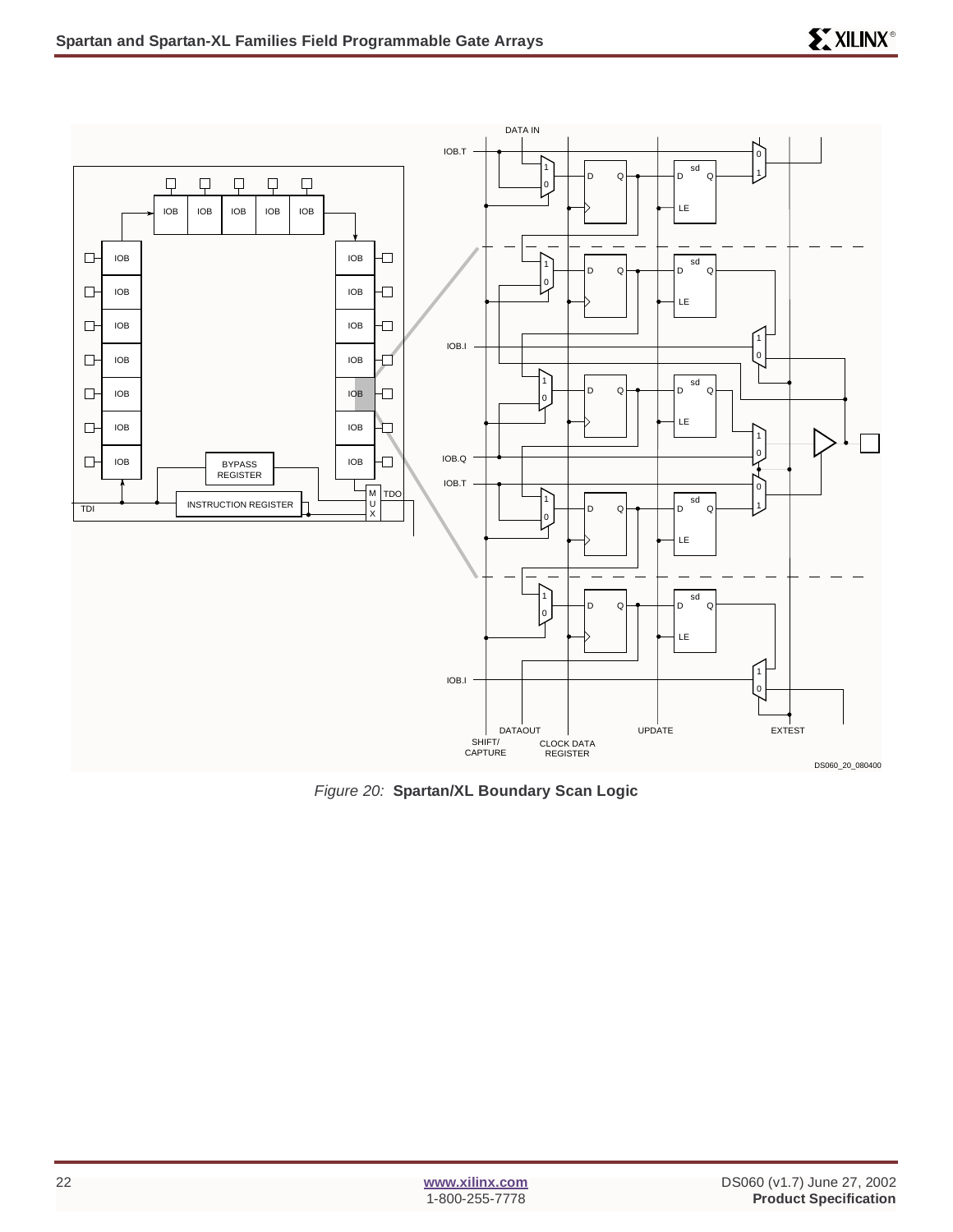

Figure 20: **Spartan/XL Boundary Scan Logic**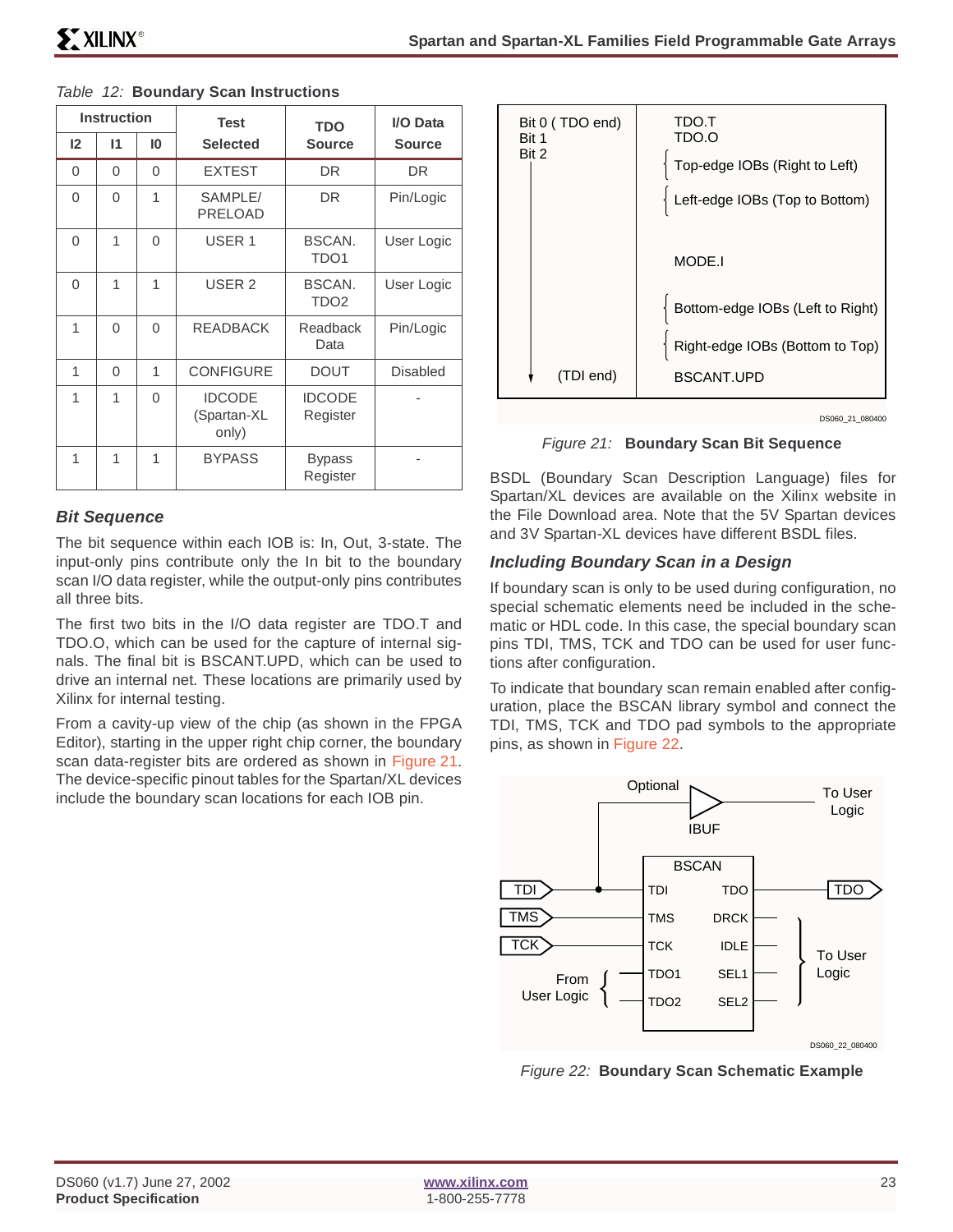|          | <b>Instruction</b> |          | <b>Test</b>                           | <b>TDO</b>                 | I/O Data        |
|----------|--------------------|----------|---------------------------------------|----------------------------|-----------------|
| 12       | 11                 | 10       | <b>Selected</b>                       | <b>Source</b>              | <b>Source</b>   |
| 0        | $\Omega$           | $\Omega$ | <b>EXTEST</b>                         | DR.                        | DR              |
| $\Omega$ | $\Omega$           | 1        | SAMPLE/<br><b>PRELOAD</b>             | DR                         | Pin/Logic       |
| $\Omega$ | 1                  | $\Omega$ | USER <sub>1</sub>                     | BSCAN.<br>TDO <sub>1</sub> | User Logic      |
| $\Omega$ | 1                  | 1        | USER <sub>2</sub>                     | BSCAN.<br>TDO <sub>2</sub> | User Logic      |
| 1        | $\Omega$           | 0        | <b>READBACK</b>                       | Readback<br>Data           | Pin/Logic       |
| 1        | 0                  | 1        | <b>CONFIGURE</b>                      | <b>DOUT</b>                | <b>Disabled</b> |
| 1        | 1                  | $\Omega$ | <b>IDCODE</b><br>(Spartan-XL<br>only) | <b>IDCODE</b><br>Register  |                 |
| 1        | 1                  | 1        | <b>BYPASS</b>                         | <b>Bypass</b><br>Register  |                 |

### Table 12: **Boundary Scan Instructions**

### **Bit Sequence**

The bit sequence within each IOB is: In, Out, 3-state. The input-only pins contribute only the In bit to the boundary scan I/O data register, while the output-only pins contributes all three bits.

The first two bits in the I/O data register are TDO.T and TDO.O, which can be used for the capture of internal signals. The final bit is BSCANT.UPD, which can be used to drive an internal net. These locations are primarily used by Xilinx for internal testing.

From a cavity-up view of the chip (as shown in the FPGA Editor), starting in the upper right chip corner, the boundary scan data-register bits are ordered as shown in Figure 21. The device-specific pinout tables for the Spartan/XL devices include the boundary scan locations for each IOB pin.



DS060\_21\_080400

Figure 21: **Boundary Scan Bit Sequence**

BSDL (Boundary Scan Description Language) files for Spartan/XL devices are available on the Xilinx website in the File Download area. Note that the 5V Spartan devices and 3V Spartan-XL devices have different BSDL files.

### **Including Boundary Scan in a Design**

If boundary scan is only to be used during configuration, no special schematic elements need be included in the schematic or HDL code. In this case, the special boundary scan pins TDI, TMS, TCK and TDO can be used for user functions after configuration.

To indicate that boundary scan remain enabled after configuration, place the BSCAN library symbol and connect the TDI, TMS, TCK and TDO pad symbols to the appropriate pins, as shown in Figure 22.



Figure 22: **Boundary Scan Schematic Example**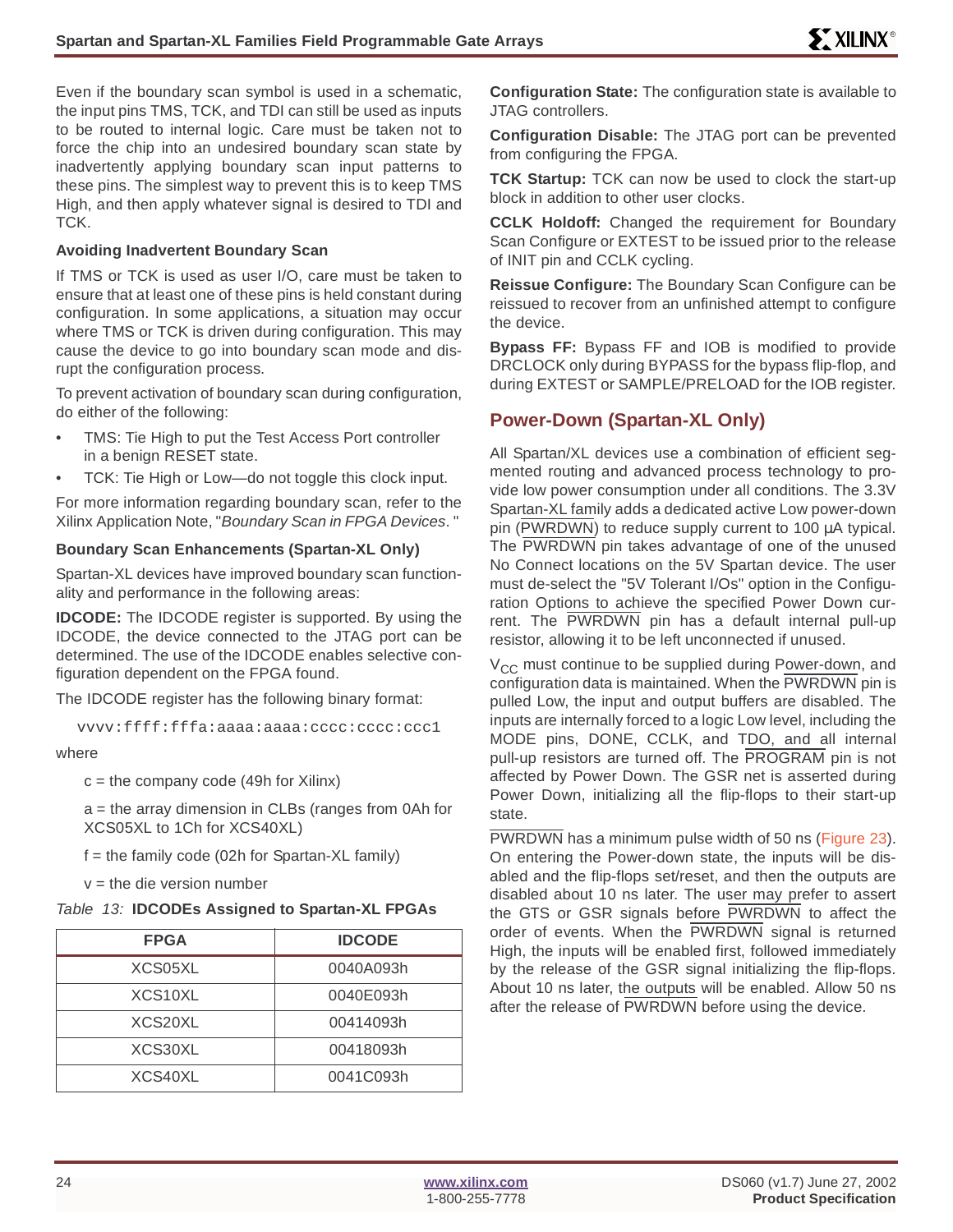Even if the boundary scan symbol is used in a schematic, the input pins TMS, TCK, and TDI can still be used as inputs to be routed to internal logic. Care must be taken not to force the chip into an undesired boundary scan state by inadvertently applying boundary scan input patterns to these pins. The simplest way to prevent this is to keep TMS High, and then apply whatever signal is desired to TDI and TCK.

### **Avoiding Inadvertent Boundary Scan**

If TMS or TCK is used as user I/O, care must be taken to ensure that at least one of these pins is held constant during configuration. In some applications, a situation may occur where TMS or TCK is driven during configuration. This may cause the device to go into boundary scan mode and disrupt the configuration process.

To prevent activation of boundary scan during configuration, do either of the following:

- TMS: Tie High to put the Test Access Port controller in a benign RESET state.
- TCK: Tie High or Low—do not toggle this clock input.

For more information regarding boundary scan, refer to the Xilinx Application Note, "Boundary Scan in FPGA Devices. "

### **Boundary Scan Enhancements (Spartan-XL Only)**

Spartan-XL devices have improved boundary scan functionality and performance in the following areas:

**IDCODE:** The IDCODE register is supported. By using the IDCODE, the device connected to the JTAG port can be determined. The use of the IDCODE enables selective configuration dependent on the FPGA found.

The IDCODE register has the following binary format:

```
vvvv:ffff:fffa:aaaa:aaaa:cccc:cccc:ccc1
```
#### where

 $c =$  the company code (49h for Xilinx)

a = the array dimension in CLBs (ranges from 0Ah for XCS05XL to 1Ch for XCS40XL)

 $f =$  the family code (02h for Spartan-XL family)

 $v =$  the die version number

| Table 13: IDCODEs Assigned to Spartan-XL FPGAs |  |
|------------------------------------------------|--|
|------------------------------------------------|--|

| <b>FPGA</b>          | <b>IDCODE</b> |
|----------------------|---------------|
| XCS05XL              | 0040A093h     |
| XCS <sub>10</sub> XL | 0040E093h     |
| XCS20XL              | 00414093h     |
| XCS30XL              | 00418093h     |
| XCS40XL              | 0041C093h     |

**Configuration State:** The configuration state is available to JTAG controllers.

**Configuration Disable:** The JTAG port can be prevented from configuring the FPGA.

**TCK Startup:** TCK can now be used to clock the start-up block in addition to other user clocks.

**CCLK Holdoff:** Changed the requirement for Boundary Scan Configure or EXTEST to be issued prior to the release of INIT pin and CCLK cycling.

**Reissue Configure:** The Boundary Scan Configure can be reissued to recover from an unfinished attempt to configure the device.

**Bypass FF:** Bypass FF and IOB is modified to provide DRCLOCK only during BYPASS for the bypass flip-flop, and during EXTEST or SAMPLE/PRELOAD for the IOB register.

### **Power-Down (Spartan-XL Only)**

All Spartan/XL devices use a combination of efficient segmented routing and advanced process technology to provide low power consumption under all conditions. The 3.3V Spartan-XL family adds a dedicated active Low power-down pin (PWRDWN) to reduce supply current to 100 µA typical. The PWRDWN pin takes advantage of one of the unused No Connect locations on the 5V Spartan device. The user must de-select the "5V Tolerant I/Os" option in the Configuration Options to achieve the specified Power Down current. The PWRDWN pin has a default internal pull-up resistor, allowing it to be left unconnected if unused.

 $V_{CC}$  must continue to be supplied during Power-down, and configuration data is maintained. When the PWRDWN pin is pulled Low, the input and output buffers are disabled. The inputs are internally forced to a logic Low level, including the MODE pins, DONE, CCLK, and TDO, and all internal pull-up resistors are turned off. The PROGRAM pin is not affected by Power Down. The GSR net is asserted during Power Down, initializing all the flip-flops to their start-up state.

PWRDWN has a minimum pulse width of 50 ns (Figure 23). On entering the Power-down state, the inputs will be disabled and the flip-flops set/reset, and then the outputs are disabled about 10 ns later. The user may prefer to assert the GTS or GSR signals before PWRDWN to affect the order of events. When the PWRDWN signal is returned High, the inputs will be enabled first, followed immediately by the release of the GSR signal initializing the flip-flops. About 10 ns later, the outputs will be enabled. Allow 50 ns after the release of PWRDWN before using the device.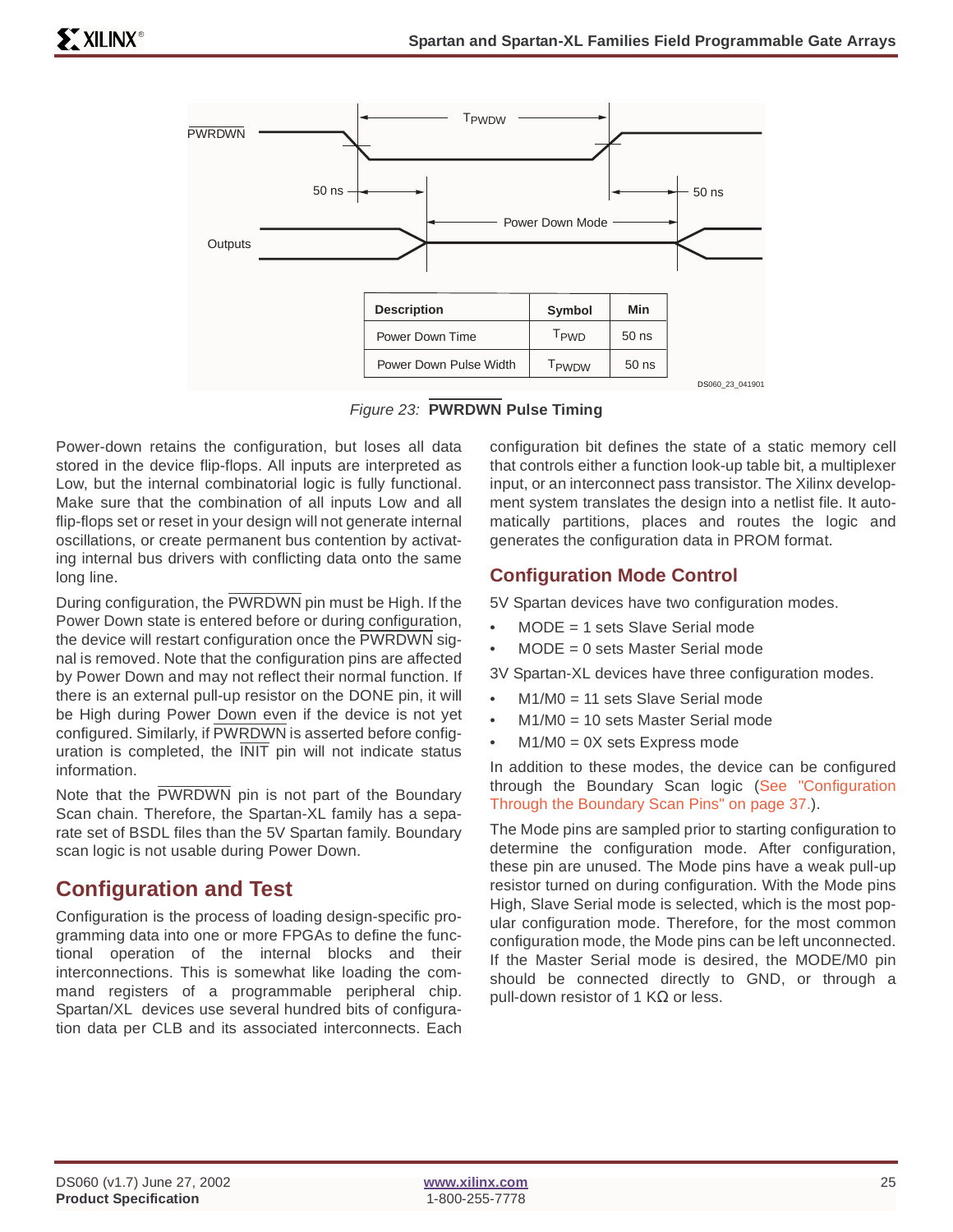

Figure 23: **PWRDWN Pulse Timing**

Power-down retains the configuration, but loses all data stored in the device flip-flops. All inputs are interpreted as Low, but the internal combinatorial logic is fully functional. Make sure that the combination of all inputs Low and all flip-flops set or reset in your design will not generate internal oscillations, or create permanent bus contention by activating internal bus drivers with conflicting data onto the same long line.

During configuration, the PWRDWN pin must be High. If the Power Down state is entered before or during configuration, the device will restart configuration once the PWRDWN signal is removed. Note that the configuration pins are affected by Power Down and may not reflect their normal function. If there is an external pull-up resistor on the DONE pin, it will be High during Power Down even if the device is not yet configured. Similarly, if PWRDWN is asserted before configuration is completed, the INIT pin will not indicate status information.

Note that the PWRDWN pin is not part of the Boundary Scan chain. Therefore, the Spartan-XL family has a separate set of BSDL files than the 5V Spartan family. Boundary scan logic is not usable during Power Down.

# **Configuration and Test**

Configuration is the process of loading design-specific programming data into one or more FPGAs to define the functional operation of the internal blocks and their interconnections. This is somewhat like loading the command registers of a programmable peripheral chip. Spartan/XL devices use several hundred bits of configuration data per CLB and its associated interconnects. Each

configuration bit defines the state of a static memory cell that controls either a function look-up table bit, a multiplexer input, or an interconnect pass transistor. The Xilinx development system translates the design into a netlist file. It automatically partitions, places and routes the logic and generates the configuration data in PROM format.

# **Configuration Mode Control**

5V Spartan devices have two configuration modes.

- MODE = 1 sets Slave Serial mode
- $MODE = 0$  sets Master Serial mode

3V Spartan-XL devices have three configuration modes.

- M1/M0 = 11 sets Slave Serial mode
- $M1/M0 = 10$  sets Master Serial mode
- $M1/M0 = 0X$  sets Express mode

In addition to these modes, the device can be configured through the Boundary Scan logic [\(See "Configuration](#page-36-0) [Through the Boundary Scan Pins" on page 37.](#page-36-0)).

The Mode pins are sampled prior to starting configuration to determine the configuration mode. After configuration, these pin are unused. The Mode pins have a weak pull-up resistor turned on during configuration. With the Mode pins High, Slave Serial mode is selected, which is the most popular configuration mode. Therefore, for the most common configuration mode, the Mode pins can be left unconnected. If the Master Serial mode is desired, the MODE/M0 pin should be connected directly to GND, or through a pull-down resistor of 1 KΩ or less.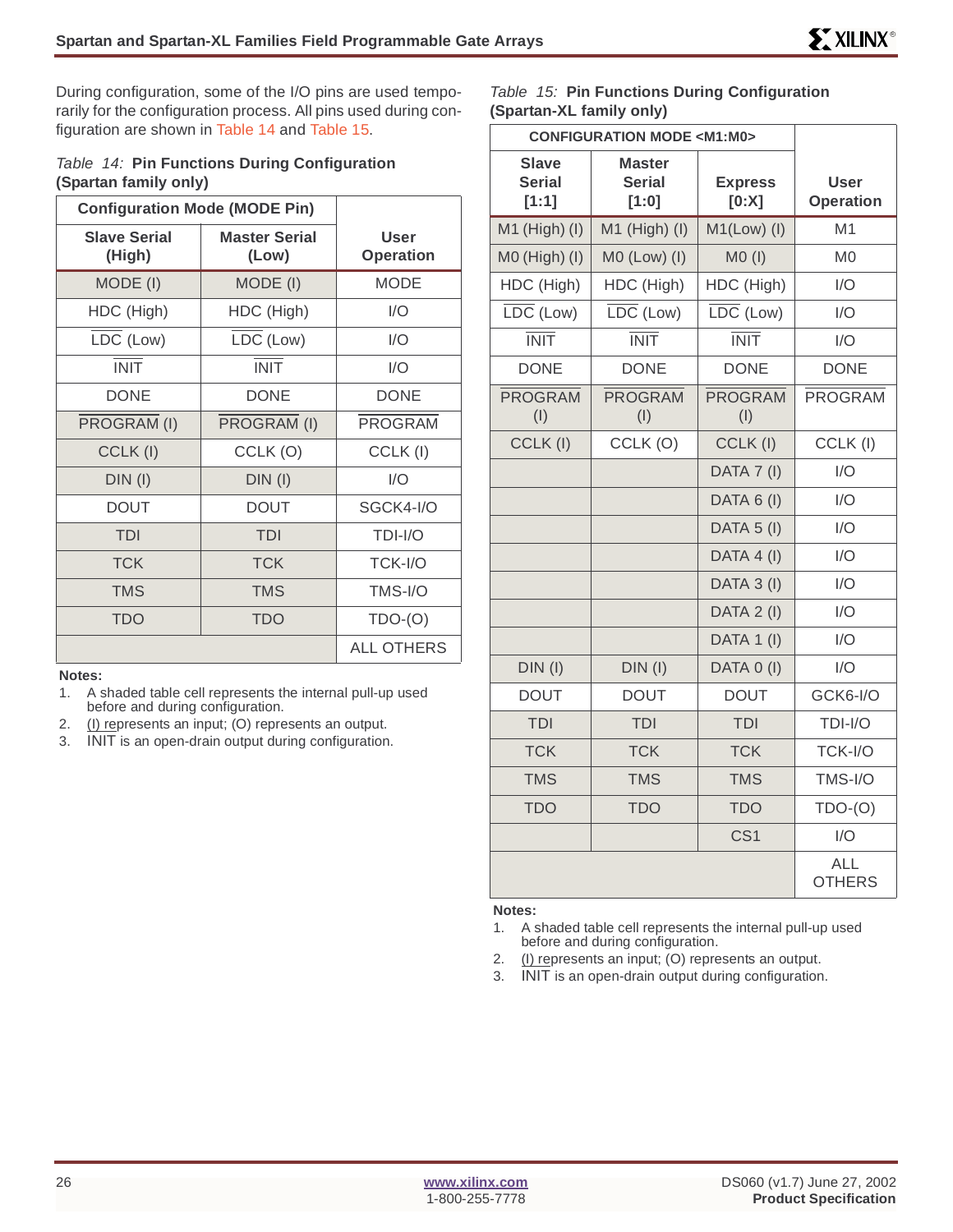During configuration, some of the I/O pins are used temporarily for the configuration process. All pins used during configuration are shown in Table 14 and Table 15.

### Table 14: **Pin Functions During Configuration (Spartan family only)**

| <b>Configuration Mode (MODE Pin)</b> |                               |                          |
|--------------------------------------|-------------------------------|--------------------------|
| <b>Slave Serial</b><br>(High)        | <b>Master Serial</b><br>(Low) | User<br><b>Operation</b> |
| MODE (I)                             | MODE (I)                      | <b>MODE</b>              |
| HDC (High)                           | HDC (High)                    | I/O                      |
| LDC (Low)                            | LDC (Low)                     | I/O                      |
| <b>INIT</b>                          | <b>INIT</b>                   | 1/O                      |
| <b>DONE</b>                          | <b>DONE</b>                   | <b>DONE</b>              |
| PROGRAM (I)                          | PROGRAM (I)                   | <b>PROGRAM</b>           |
| CCLK(I)                              | CCLK(O)                       | CCLK(I)                  |
| $DIN$ (I)                            | $DIN$ (I)                     | 1/O                      |
| <b>DOUT</b>                          | DOUT                          | SGCK4-I/O                |
| <b>TDI</b>                           | TDI                           | TDI-I/O                  |
| <b>TCK</b>                           | <b>TCK</b>                    | TCK-I/O                  |
| <b>TMS</b>                           | <b>TMS</b>                    | $TMS-I/O$                |
| <b>TDO</b>                           | <b>TDO</b>                    | $TDO-(O)$                |
|                                      |                               | <b>ALL OTHERS</b>        |

#### **Notes:**

1. A shaded table cell represents the internal pull-up used before and during configuration.

- 2. (I) represents an input; (O) represents an output.
- 3. INIT is an open-drain output during configuration.

Table 15: **Pin Functions During Configuration (Spartan-XL family only)**

| <b>CONFIGURATION MODE <m1:m0></m1:m0></b> |                                         |                               |                             |
|-------------------------------------------|-----------------------------------------|-------------------------------|-----------------------------|
| Slave<br><b>Serial</b><br>[1:1]           | <b>Master</b><br><b>Serial</b><br>[1:0] | <b>Express</b><br>[0:X]       | User<br><b>Operation</b>    |
| $M1$ (High) (I)                           | $M1$ (High) (I)                         | $M1(Low)$ (I)                 | M <sub>1</sub>              |
| M0 (High) (I)                             | $MO$ (Low) (I)                          | $MO$ (l)                      | M <sub>0</sub>              |
| HDC (High)                                | HDC (High)                              | HDC (High)                    | I/O                         |
| $\overline{\text{LDC}}$ (Low)             | $\overline{\text{LDC}}$ (Low)           | $\overline{\text{LDC}}$ (Low) | 1/O                         |
| <b>INIT</b>                               | <b>INIT</b>                             | <b>INIT</b>                   | I/O                         |
| <b>DONE</b>                               | <b>DONE</b>                             | <b>DONE</b>                   | <b>DONE</b>                 |
| <b>PROGRAM</b><br>(1)                     | <b>PROGRAM</b><br>(1)                   | <b>PROGRAM</b><br>(1)         | <b>PROGRAM</b>              |
| CCLK (I)                                  | CCLK(O)                                 | CCLK(I)                       | CCLK (I)                    |
|                                           |                                         | DATA 7 (I)                    | I/O                         |
|                                           |                                         | DATA 6 (I)                    | 1/O                         |
|                                           |                                         | DATA 5 (I)                    | I/O                         |
|                                           |                                         | DATA 4 (I)                    | I/O                         |
|                                           |                                         | DATA 3 (I)                    | 1/O                         |
|                                           |                                         | DATA 2 (I)                    | I/O                         |
|                                           |                                         | DATA 1 (I)                    | 1/O                         |
| DIN(I)                                    | $DIN$ $(1)$                             | DATA 0 (I)                    | 1/O                         |
| <b>DOUT</b>                               | <b>DOUT</b>                             | <b>DOUT</b>                   | GCK6-I/O                    |
| TDI                                       | TDI                                     | TDI                           | TDI-I/O                     |
| <b>TCK</b>                                | <b>TCK</b>                              | <b>TCK</b>                    | TCK-I/O                     |
| <b>TMS</b>                                | <b>TMS</b>                              | <b>TMS</b>                    | TMS-I/O                     |
| <b>TDO</b>                                | <b>TDO</b>                              | <b>TDO</b>                    | $TDO-(O)$                   |
|                                           |                                         | CS <sub>1</sub>               | I/O                         |
|                                           |                                         |                               | <b>ALL</b><br><b>OTHERS</b> |

#### **Notes:**

- 1. A shaded table cell represents the internal pull-up used before and during configuration.
- 2. (I) represents an input; (O) represents an output.
- 3. INIT is an open-drain output during configuration.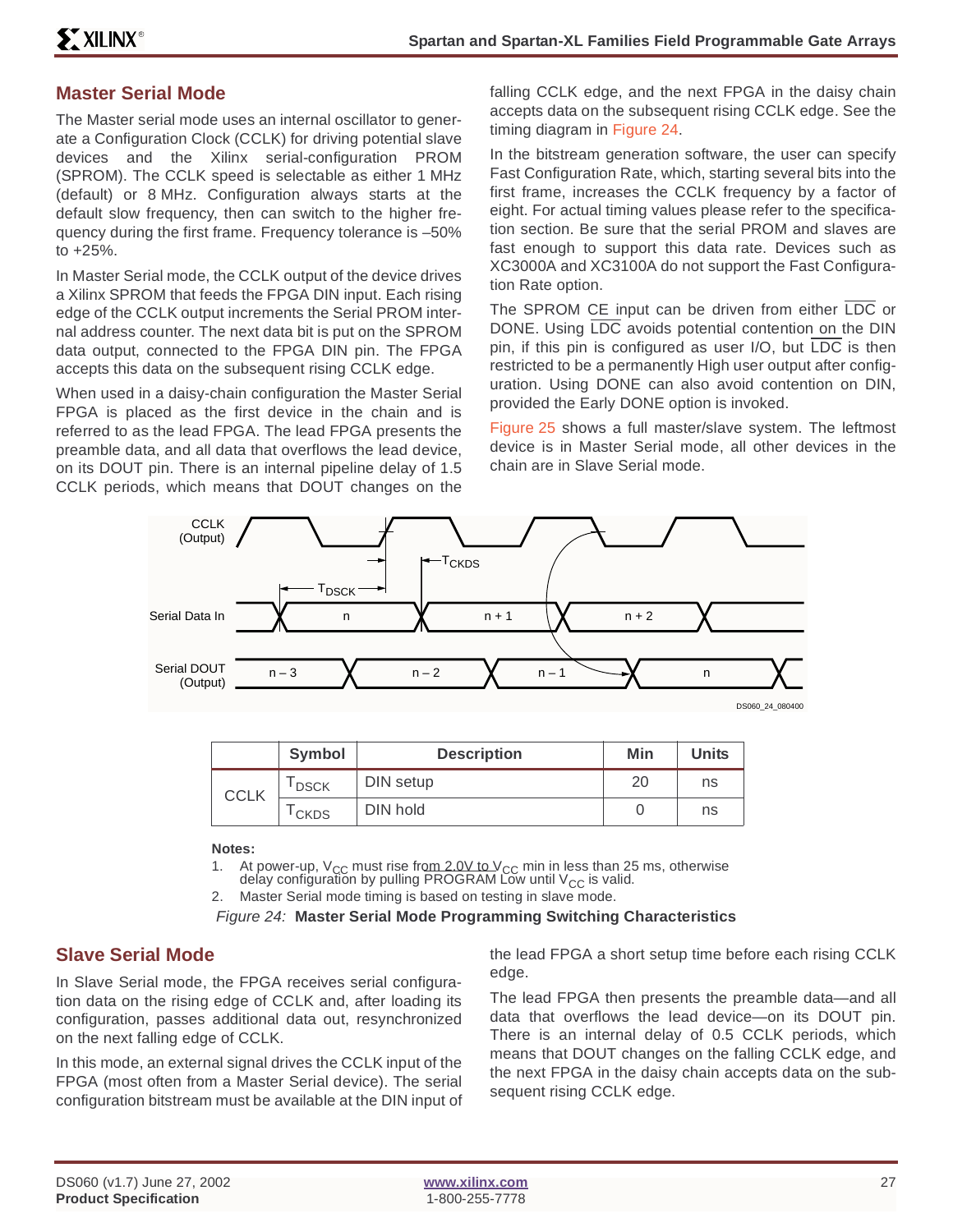## **Master Serial Mode**

The Master serial mode uses an internal oscillator to generate a Configuration Clock (CCLK) for driving potential slave devices and the Xilinx serial-configuration PROM (SPROM). The CCLK speed is selectable as either 1 MHz (default) or 8 MHz. Configuration always starts at the default slow frequency, then can switch to the higher frequency during the first frame. Frequency tolerance is –50% to +25%.

In Master Serial mode, the CCLK output of the device drives a Xilinx SPROM that feeds the FPGA DIN input. Each rising edge of the CCLK output increments the Serial PROM internal address counter. The next data bit is put on the SPROM data output, connected to the FPGA DIN pin. The FPGA accepts this data on the subsequent rising CCLK edge.

When used in a daisy-chain configuration the Master Serial FPGA is placed as the first device in the chain and is referred to as the lead FPGA. The lead FPGA presents the preamble data, and all data that overflows the lead device, on its DOUT pin. There is an internal pipeline delay of 1.5 CCLK periods, which means that DOUT changes on the falling CCLK edge, and the next FPGA in the daisy chain accepts data on the subsequent rising CCLK edge. See the timing diagram in Figure 24.

In the bitstream generation software, the user can specify Fast Configuration Rate, which, starting several bits into the first frame, increases the CCLK frequency by a factor of eight. For actual timing values please refer to the specification section. Be sure that the serial PROM and slaves are fast enough to support this data rate. Devices such as XC3000A and XC3100A do not support the Fast Configuration Rate option.

The SPROM CE input can be driven from either LDC or DONE. Using LDC avoids potential contention on the DIN pin, if this pin is configured as user I/O, but LDC is then restricted to be a permanently High user output after configuration. Using DONE can also avoid contention on DIN, provided the Early DONE option is invoked.

Figure 25 shows a full master/slave system. The leftmost device is in Master Serial mode, all other devices in the chain are in Slave Serial mode.



|             | <b>Symbol</b>     | <b>Description</b> | Min | <b>Units</b> |
|-------------|-------------------|--------------------|-----|--------------|
| <b>CCLK</b> | <sup>I</sup> DSCK | DIN setup          |     | ns           |
|             | <sup>I</sup> CKDS | DIN hold           |     | ns           |

#### **Notes:**

- 1. At power-up, V<sub>CC</sub> must rise from  $2.0$ V to V<sub>CC</sub> min in less than 25 ms, otherwise delay configuration by pulling PROGRAM Low until V $_{\rm CC}$  is valid.
- 2. Master Serial mode timing is based on testing in slave mode.

Figure 24: **Master Serial Mode Programming Switching Characteristics**

### **Slave Serial Mode**

In Slave Serial mode, the FPGA receives serial configuration data on the rising edge of CCLK and, after loading its configuration, passes additional data out, resynchronized on the next falling edge of CCLK.

In this mode, an external signal drives the CCLK input of the FPGA (most often from a Master Serial device). The serial configuration bitstream must be available at the DIN input of the lead FPGA a short setup time before each rising CCLK edge.

The lead FPGA then presents the preamble data—and all data that overflows the lead device—on its DOUT pin. There is an internal delay of 0.5 CCLK periods, which means that DOUT changes on the falling CCLK edge, and the next FPGA in the daisy chain accepts data on the subsequent rising CCLK edge.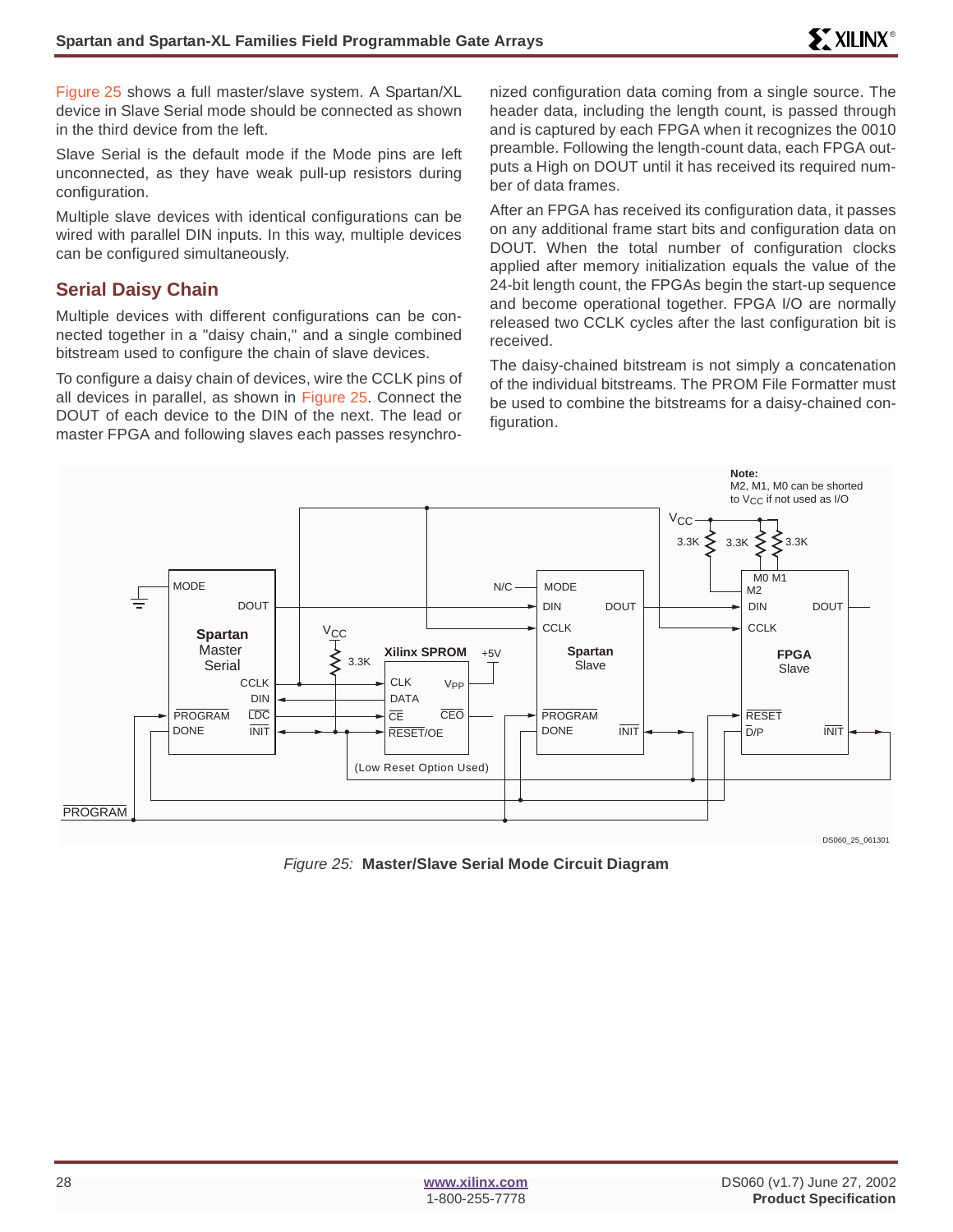Figure 25 shows a full master/slave system. A Spartan/XL device in Slave Serial mode should be connected as shown in the third device from the left.

Slave Serial is the default mode if the Mode pins are left unconnected, as they have weak pull-up resistors during configuration.

Multiple slave devices with identical configurations can be wired with parallel DIN inputs. In this way, multiple devices can be configured simultaneously.

### **Serial Daisy Chain**

Multiple devices with different configurations can be connected together in a "daisy chain," and a single combined bitstream used to configure the chain of slave devices.

To configure a daisy chain of devices, wire the CCLK pins of all devices in parallel, as shown in Figure 25. Connect the DOUT of each device to the DIN of the next. The lead or master FPGA and following slaves each passes resynchronized configuration data coming from a single source. The header data, including the length count, is passed through and is captured by each FPGA when it recognizes the 0010 preamble. Following the length-count data, each FPGA outputs a High on DOUT until it has received its required number of data frames.

After an FPGA has received its configuration data, it passes on any additional frame start bits and configuration data on DOUT. When the total number of configuration clocks applied after memory initialization equals the value of the 24-bit length count, the FPGAs begin the start-up sequence and become operational together. FPGA I/O are normally released two CCLK cycles after the last configuration bit is received.

The daisy-chained bitstream is not simply a concatenation of the individual bitstreams. The PROM File Formatter must be used to combine the bitstreams for a daisy-chained configuration.



Figure 25: **Master/Slave Serial Mode Circuit Diagram**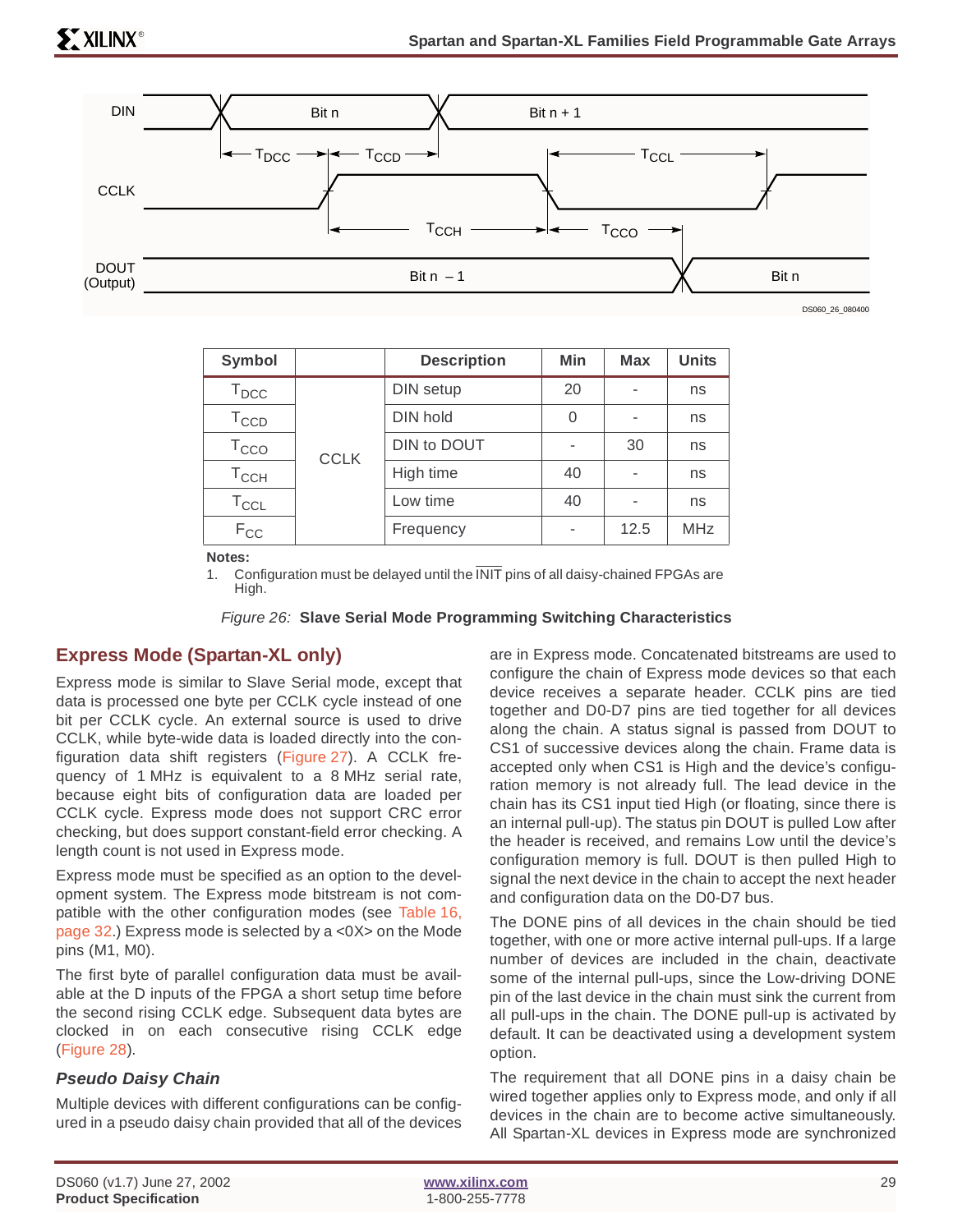

DS060\_26\_080400

| Symbol                      |             | <b>Description</b> | <b>Min</b> | <b>Max</b> | <b>Units</b> |
|-----------------------------|-------------|--------------------|------------|------------|--------------|
| $\mathsf{T}_{\mathsf{DCC}}$ |             | DIN setup          | 20         |            | ns           |
| $T_{CCD}$                   |             | DIN hold           | 0          |            | ns           |
| $\mathsf{T}_{\text{CCO}}$   | <b>CCLK</b> | DIN to DOUT        | ۰          | 30         | ns           |
| $T_{\text{CCH}}$            |             | High time          | 40         |            | ns           |
| $T_{CCL}$                   |             | Low time           | 40         |            | ns           |
| $F_{CC}$                    |             | Frequency          | -          | 12.5       | <b>MHz</b>   |

**Notes:**

1. Configuration must be delayed until the  $\overline{\text{INIT}}$  pins of all daisy-chained FPGAs are High.

Figure 26: **Slave Serial Mode Programming Switching Characteristics**

### **Express Mode (Spartan-XL only)**

Express mode is similar to Slave Serial mode, except that data is processed one byte per CCLK cycle instead of one bit per CCLK cycle. An external source is used to drive CCLK, while byte-wide data is loaded directly into the configuration data shift registers (Figure 27). A CCLK frequency of 1 MHz is equivalent to a 8 MHz serial rate, because eight bits of configuration data are loaded per CCLK cycle. Express mode does not support CRC error checking, but does support constant-field error checking. A length count is not used in Express mode.

Express mode must be specified as an option to the development system. The Express mode bitstream is not compatible with the other configuration modes (see Table 16, page 32.) Express mode is selected by a <0X> on the Mode pins (M1, M0).

The first byte of parallel configuration data must be available at the D inputs of the FPGA a short setup time before the second rising CCLK edge. Subsequent data bytes are clocked in on each consecutive rising CCLK edge (Figure 28).

### **Pseudo Daisy Chain**

Multiple devices with different configurations can be configured in a pseudo daisy chain provided that all of the devices are in Express mode. Concatenated bitstreams are used to configure the chain of Express mode devices so that each device receives a separate header. CCLK pins are tied together and D0-D7 pins are tied together for all devices along the chain. A status signal is passed from DOUT to CS1 of successive devices along the chain. Frame data is accepted only when CS1 is High and the device's configuration memory is not already full. The lead device in the chain has its CS1 input tied High (or floating, since there is an internal pull-up). The status pin DOUT is pulled Low after the header is received, and remains Low until the device's configuration memory is full. DOUT is then pulled High to signal the next device in the chain to accept the next header and configuration data on the D0-D7 bus.

The DONE pins of all devices in the chain should be tied together, with one or more active internal pull-ups. If a large number of devices are included in the chain, deactivate some of the internal pull-ups, since the Low-driving DONE pin of the last device in the chain must sink the current from all pull-ups in the chain. The DONE pull-up is activated by default. It can be deactivated using a development system option.

The requirement that all DONE pins in a daisy chain be wired together applies only to Express mode, and only if all devices in the chain are to become active simultaneously. All Spartan-XL devices in Express mode are synchronized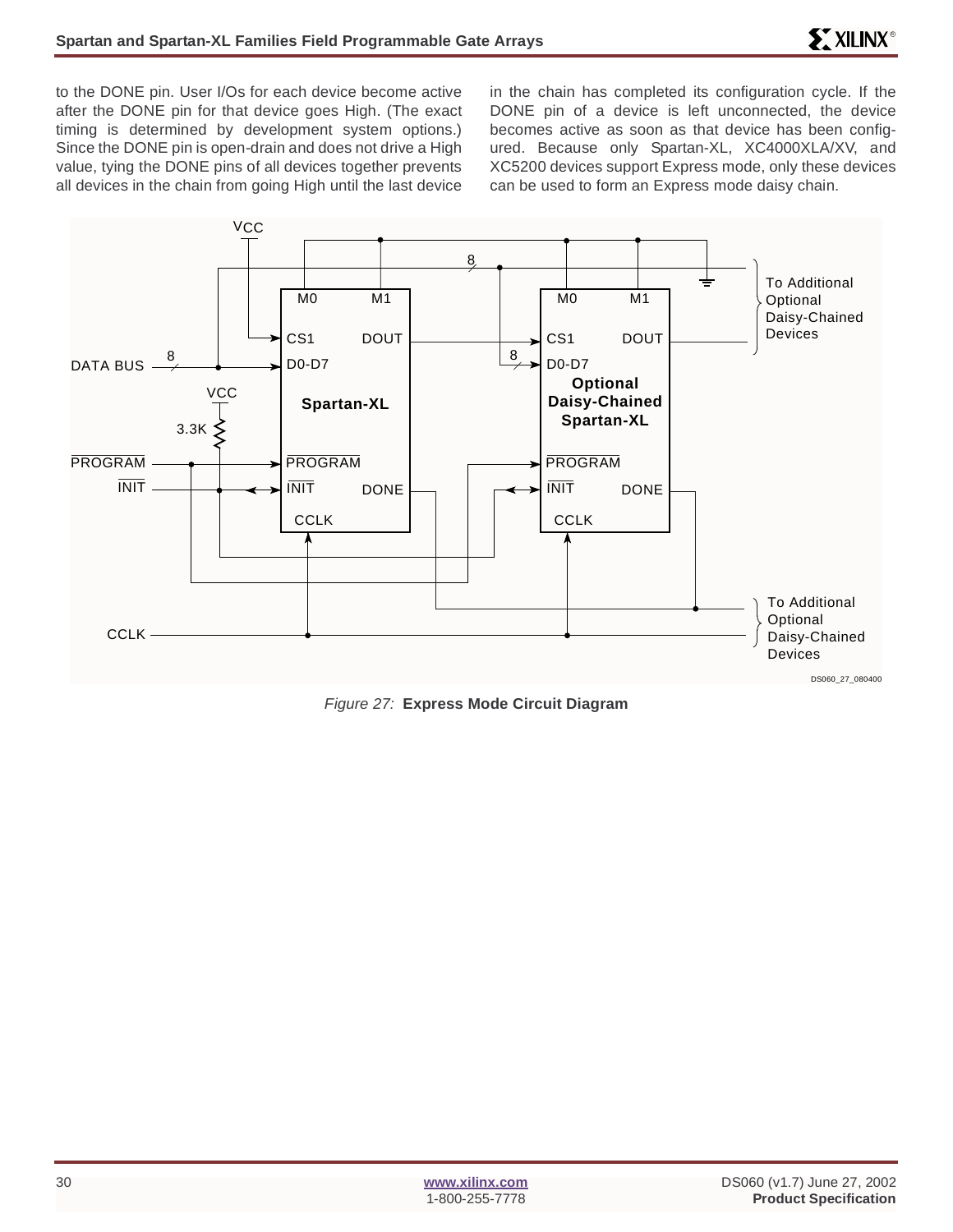to the DONE pin. User I/Os for each device become active after the DONE pin for that device goes High. (The exact timing is determined by development system options.) Since the DONE pin is open-drain and does not drive a High value, tying the DONE pins of all devices together prevents all devices in the chain from going High until the last device in the chain has completed its configuration cycle. If the DONE pin of a device is left unconnected, the device becomes active as soon as that device has been configured. Because only Spartan-XL, XC4000XLA/XV, and XC5200 devices support Express mode, only these devices can be used to form an Express mode daisy chain.



Figure 27: **Express Mode Circuit Diagram**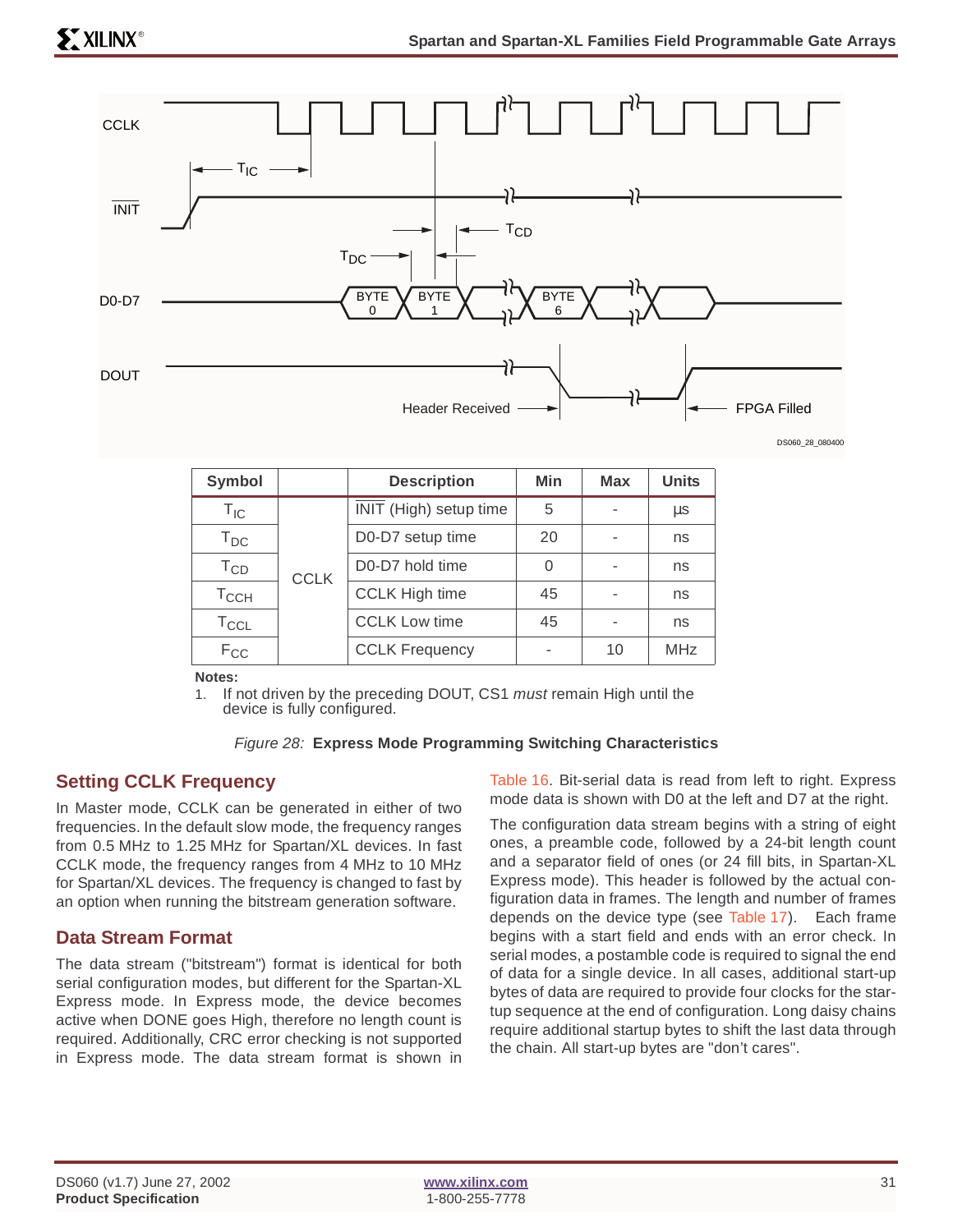

| Symbol                     |             | <b>Description</b>     | Min | <b>Max</b> | <b>Units</b> |
|----------------------------|-------------|------------------------|-----|------------|--------------|
| $\mathsf{T}_{\mathsf{IC}}$ |             | INIT (High) setup time | 5   |            | μs           |
| $T_{DC}$                   |             | D0-D7 setup time       | 20  |            | ns           |
| $T_{CD}$                   | <b>CCLK</b> | D0-D7 hold time        | 0   |            | ns           |
| $T_{\rm CCH}$              |             | <b>CCLK High time</b>  | 45  |            | ns           |
| $T_{CCL}$                  |             | <b>CCLK Low time</b>   | 45  |            | ns           |
| $F_{CC}$                   |             | <b>CCLK Frequency</b>  |     | 10         | <b>MHz</b>   |

**Notes:**

1. If not driven by the preceding DOUT, CS1 *must* remain High until the device is fully configured.

### Figure 28: **Express Mode Programming Switching Characteristics**

### **Setting CCLK Frequency**

In Master mode, CCLK can be generated in either of two frequencies. In the default slow mode, the frequency ranges from 0.5 MHz to 1.25 MHz for Spartan/XL devices. In fast CCLK mode, the frequency ranges from 4 MHz to 10 MHz for Spartan/XL devices. The frequency is changed to fast by an option when running the bitstream generation software.

### **Data Stream Format**

The data stream ("bitstream") format is identical for both serial configuration modes, but different for the Spartan-XL Express mode. In Express mode, the device becomes active when DONE goes High, therefore no length count is required. Additionally, CRC error checking is not supported in Express mode. The data stream format is shown in

Table 16. Bit-serial data is read from left to right. Express mode data is shown with D0 at the left and D7 at the right.

The configuration data stream begins with a string of eight ones, a preamble code, followed by a 24-bit length count and a separator field of ones (or 24 fill bits, in Spartan-XL Express mode). This header is followed by the actual configuration data in frames. The length and number of frames depends on the device type (see Table 17). Each frame begins with a start field and ends with an error check. In serial modes, a postamble code is required to signal the end of data for a single device. In all cases, additional start-up bytes of data are required to provide four clocks for the startup sequence at the end of configuration. Long daisy chains require additional startup bytes to shift the last data through the chain. All start-up bytes are "don't cares".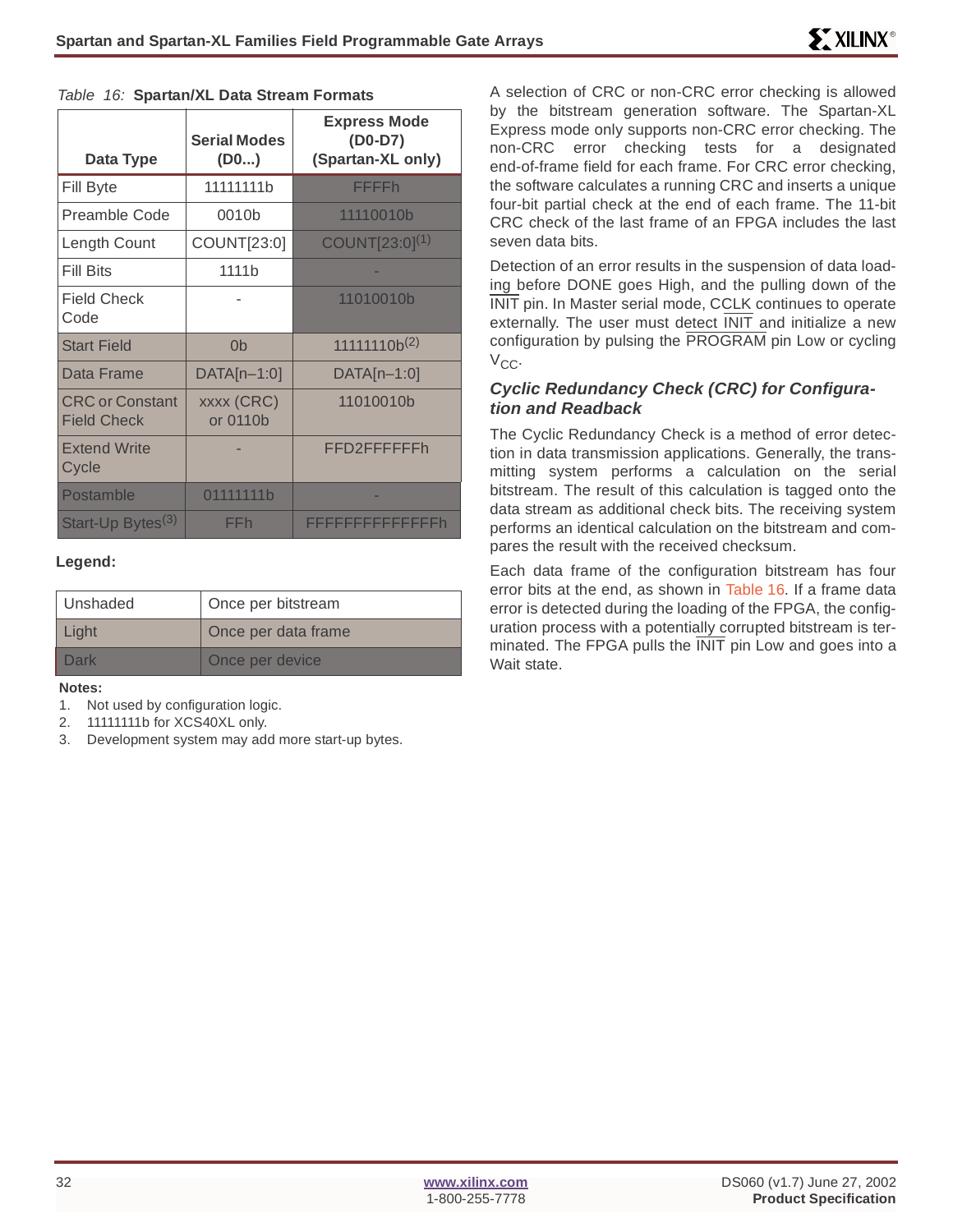| Data Type                                    | <b>Serial Modes</b><br>$($ D0 $)$ | <b>Express Mode</b><br>$(D0-D7)$<br>(Spartan-XL only) |
|----------------------------------------------|-----------------------------------|-------------------------------------------------------|
| Fill Byte                                    | 11111111 <sub>b</sub>             | <b>FFFFh</b>                                          |
| <b>Preamble Code</b>                         | 0010b                             | 11110010b                                             |
| Length Count                                 | COUNT[23:0]                       | $COUNT[23:0]^{(1)}$                                   |
| <b>Fill Bits</b>                             | 1111b                             |                                                       |
| <b>Field Check</b><br>Code                   |                                   | 11010010b                                             |
| <b>Start Field</b>                           | 0 <sub>b</sub>                    | $11111110b^{(2)}$                                     |
| Data Frame                                   | DATA[n-1:0]                       | $DATA[n-1:0]$                                         |
| <b>CRC</b> or Constant<br><b>Field Check</b> | <b>xxxx (CRC)</b><br>or 0110b     | 11010010b                                             |
| <b>Extend Write</b><br>Cycle                 |                                   | FFD2FFFFFFh                                           |
| Postamble                                    | 01111111b                         |                                                       |
| Start-Up Bytes <sup>(3)</sup>                | FFh                               | FFFFFFFFFFFFFFh                                       |

#### Table 16: **Spartan/XL Data Stream Formats**

#### **Legend:**

| Unshaded | Once per bitstream  |
|----------|---------------------|
| Light    | Once per data frame |
| Dark     | Once per device     |

#### **Notes:**

- 1. Not used by configuration logic.
- 2. 11111111b for XCS40XL only.
- 3. Development system may add more start-up bytes.

A selection of CRC or non-CRC error checking is allowed by the bitstream generation software. The Spartan-XL Express mode only supports non-CRC error checking. The non-CRC error checking tests for a designated end-of-frame field for each frame. For CRC error checking, the software calculates a running CRC and inserts a unique four-bit partial check at the end of each frame. The 11-bit CRC check of the last frame of an FPGA includes the last seven data bits.

Detection of an error results in the suspension of data loading before DONE goes High, and the pulling down of the INIT pin. In Master serial mode, CCLK continues to operate externally. The user must detect INIT and initialize a new configuration by pulsing the PROGRAM pin Low or cycling  $V_{CC}$ .

### **Cyclic Redundancy Check (CRC) for Configuration and Readback**

The Cyclic Redundancy Check is a method of error detection in data transmission applications. Generally, the transmitting system performs a calculation on the serial bitstream. The result of this calculation is tagged onto the data stream as additional check bits. The receiving system performs an identical calculation on the bitstream and compares the result with the received checksum.

Each data frame of the configuration bitstream has four error bits at the end, as shown in Table 16. If a frame data error is detected during the loading of the FPGA, the configuration process with a potentially corrupted bitstream is terminated. The FPGA pulls the INIT pin Low and goes into a Wait state.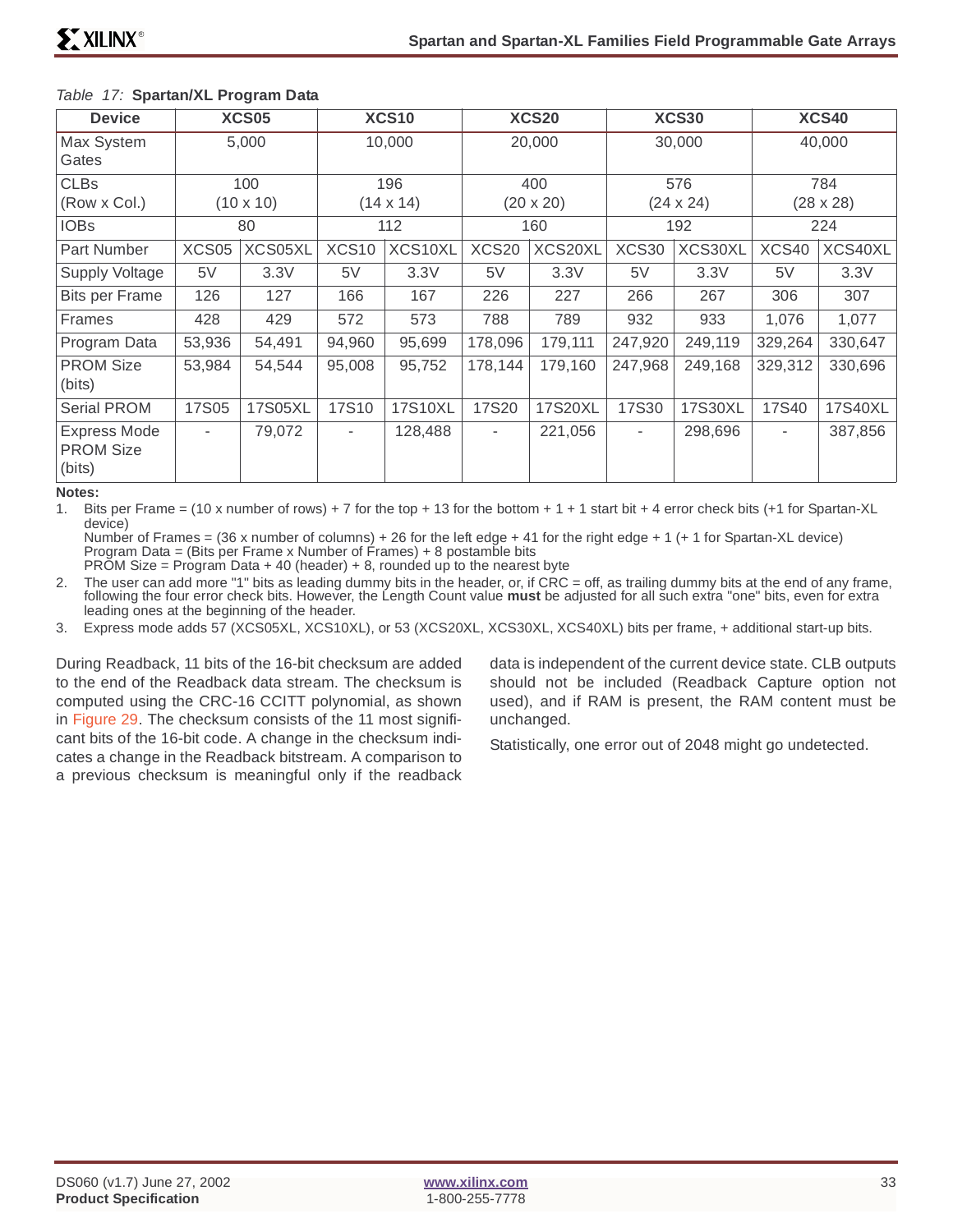| <b>Device</b>                                     | <b>XCS05</b>            |         | <b>XCS10</b>            |         | <b>XCS20</b>            |         | <b>XCS30</b>            |         | <b>XCS40</b>             |         |
|---------------------------------------------------|-------------------------|---------|-------------------------|---------|-------------------------|---------|-------------------------|---------|--------------------------|---------|
| Max System<br>Gates                               | 5,000                   |         | 10,000                  |         | 20,000                  |         | 30,000                  |         | 40,000                   |         |
| <b>CLBs</b><br>(Row x Col.)                       | 100<br>$(10 \times 10)$ |         | 196<br>$(14 \times 14)$ |         | 400<br>$(20 \times 20)$ |         | 576<br>$(24 \times 24)$ |         | 784<br>$(28 \times 28)$  |         |
| <b>IOBs</b>                                       | 80                      |         | 112                     |         | 160                     |         | 192                     |         | 224                      |         |
| Part Number                                       | XCS05                   | XCS05XL | XCS10                   | XCS10XL | <b>XCS20</b>            | XCS20XL | XCS30                   | XCS30XL | XCS40                    | XCS40XL |
| Supply Voltage                                    | 5V                      | 3.3V    | 5V                      | 3.3V    | 5V                      | 3.3V    | 5V                      | 3.3V    | 5V                       | 3.3V    |
| <b>Bits per Frame</b>                             | 126                     | 127     | 166                     | 167     | 226                     | 227     | 266                     | 267     | 306                      | 307     |
| <b>Frames</b>                                     | 428                     | 429     | 572                     | 573     | 788                     | 789     | 932                     | 933     | 1,076                    | 1,077   |
| Program Data                                      | 53,936                  | 54,491  | 94,960                  | 95,699  | 178,096                 | 179,111 | 247,920                 | 249,119 | 329,264                  | 330,647 |
| <b>PROM Size</b><br>(bits)                        | 53,984                  | 54,544  | 95,008                  | 95,752  | 178,144                 | 179,160 | 247,968                 | 249,168 | 329,312                  | 330,696 |
| <b>Serial PROM</b>                                | <b>17S05</b>            | 17S05XL | 17S10                   | 17S10XL | 17S20                   | 17S20XL | <b>17S30</b>            | 17S30XL | 17S40                    | 17S40XL |
| <b>Express Mode</b><br><b>PROM Size</b><br>(bits) | ٠                       | 79,072  | ٠                       | 128,488 | ٠                       | 221,056 | ۰.                      | 298,696 | $\overline{\phantom{a}}$ | 387,856 |

### Table 17: **Spartan/XL Program Data**

#### **Notes:**

1. Bits per Frame = (10 x number of rows) + 7 for the top + 13 for the bottom + 1 + 1 start bit + 4 error check bits (+1 for Spartan-XL device)

Number of Frames = (36 x number of columns) + 26 for the left edge + 41 for the right edge + 1 (+ 1 for Spartan-XL device) Program Data = (Bits per Frame x Number of Frames) + 8 postamble bits PROM Size = Program Data + 40 (header) + 8, rounded up to the nearest byte

2. The user can add more "1" bits as leading dummy bits in the header, or, if CRC = off, as trailing dummy bits at the end of any frame, following the four error check bits. However, the Length Count value **must** be adjusted for all such extra "one" bits, even for extra leading ones at the beginning of the header.

3. Express mode adds 57 (XCS05XL, XCS10XL), or 53 (XCS20XL, XCS30XL, XCS40XL) bits per frame, + additional start-up bits.

During Readback, 11 bits of the 16-bit checksum are added to the end of the Readback data stream. The checksum is computed using the CRC-16 CCITT polynomial, as shown in Figure 29. The checksum consists of the 11 most significant bits of the 16-bit code. A change in the checksum indicates a change in the Readback bitstream. A comparison to a previous checksum is meaningful only if the readback data is independent of the current device state. CLB outputs should not be included (Readback Capture option not used), and if RAM is present, the RAM content must be unchanged.

Statistically, one error out of 2048 might go undetected.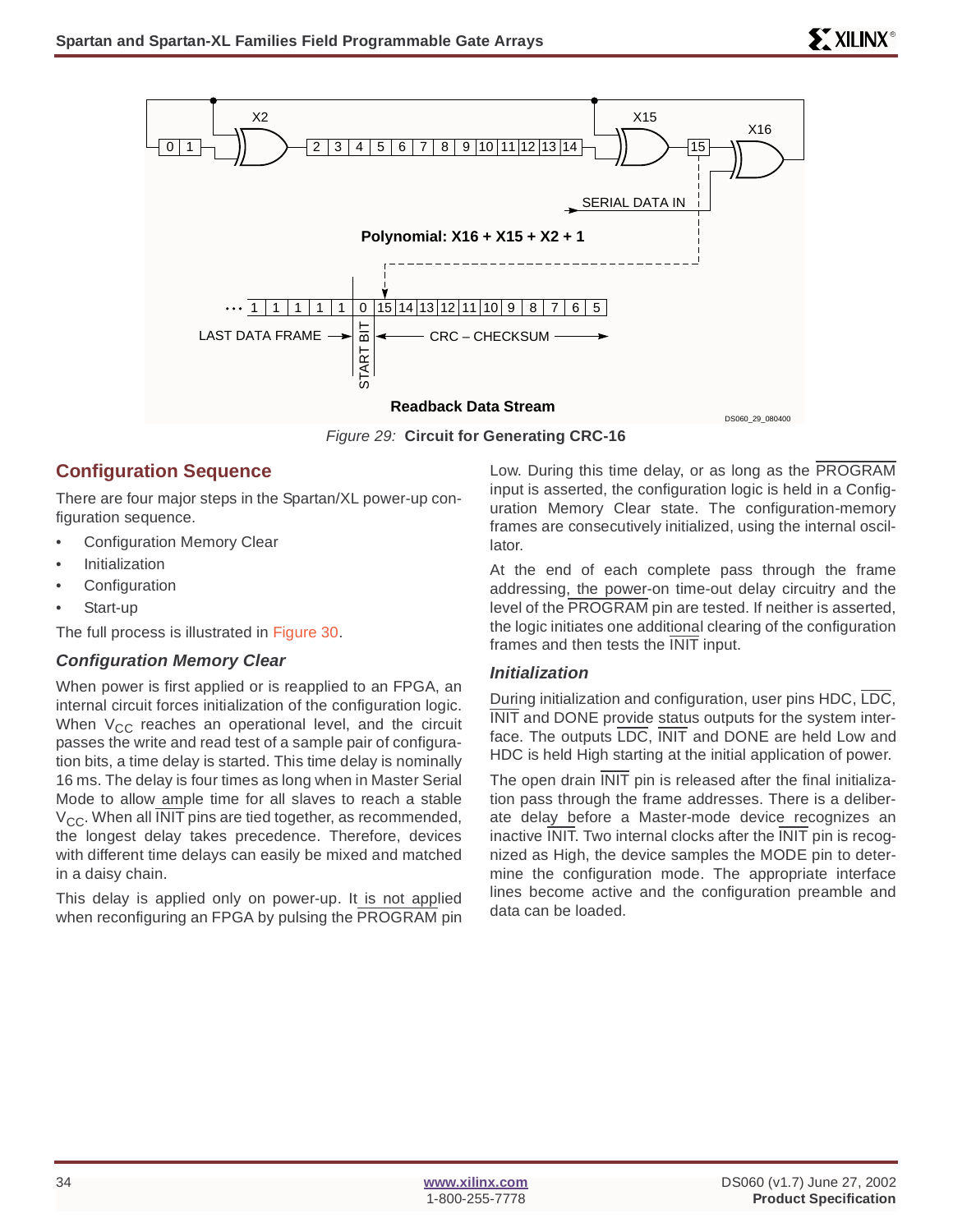

Figure 29: **Circuit for Generating CRC-16**

### **Configuration Sequence**

There are four major steps in the Spartan/XL power-up configuration sequence.

- Configuration Memory Clear
- **Initialization**
- **Configuration**
- Start-up

The full process is illustrated in Figure 30.

### **Configuration Memory Clear**

When power is first applied or is reapplied to an FPGA, an internal circuit forces initialization of the configuration logic. When  $V_{CC}$  reaches an operational level, and the circuit passes the write and read test of a sample pair of configuration bits, a time delay is started. This time delay is nominally 16 ms. The delay is four times as long when in Master Serial Mode to allow ample time for all slaves to reach a stable  $V_{CC}$ . When all INIT pins are tied together, as recommended, the longest delay takes precedence. Therefore, devices with different time delays can easily be mixed and matched in a daisy chain.

This delay is applied only on power-up. It is not applied when reconfiguring an FPGA by pulsing the PROGRAM pin Low. During this time delay, or as long as the PROGRAM input is asserted, the configuration logic is held in a Configuration Memory Clear state. The configuration-memory frames are consecutively initialized, using the internal oscillator.

At the end of each complete pass through the frame addressing, the power-on time-out delay circuitry and the level of the PROGRAM pin are tested. If neither is asserted, the logic initiates one additional clearing of the configuration frames and then tests the INIT input.

### **Initialization**

During initialization and configuration, user pins HDC, LDC, INIT and DONE provide status outputs for the system interface. The outputs LDC, INIT and DONE are held Low and HDC is held High starting at the initial application of power.

The open drain INIT pin is released after the final initialization pass through the frame addresses. There is a deliberate delay before a Master-mode device recognizes an inactive  $\overline{\text{INIT}}$ . Two internal clocks after the  $\overline{\text{INIT}}$  pin is recognized as High, the device samples the MODE pin to determine the configuration mode. The appropriate interface lines become active and the configuration preamble and data can be loaded.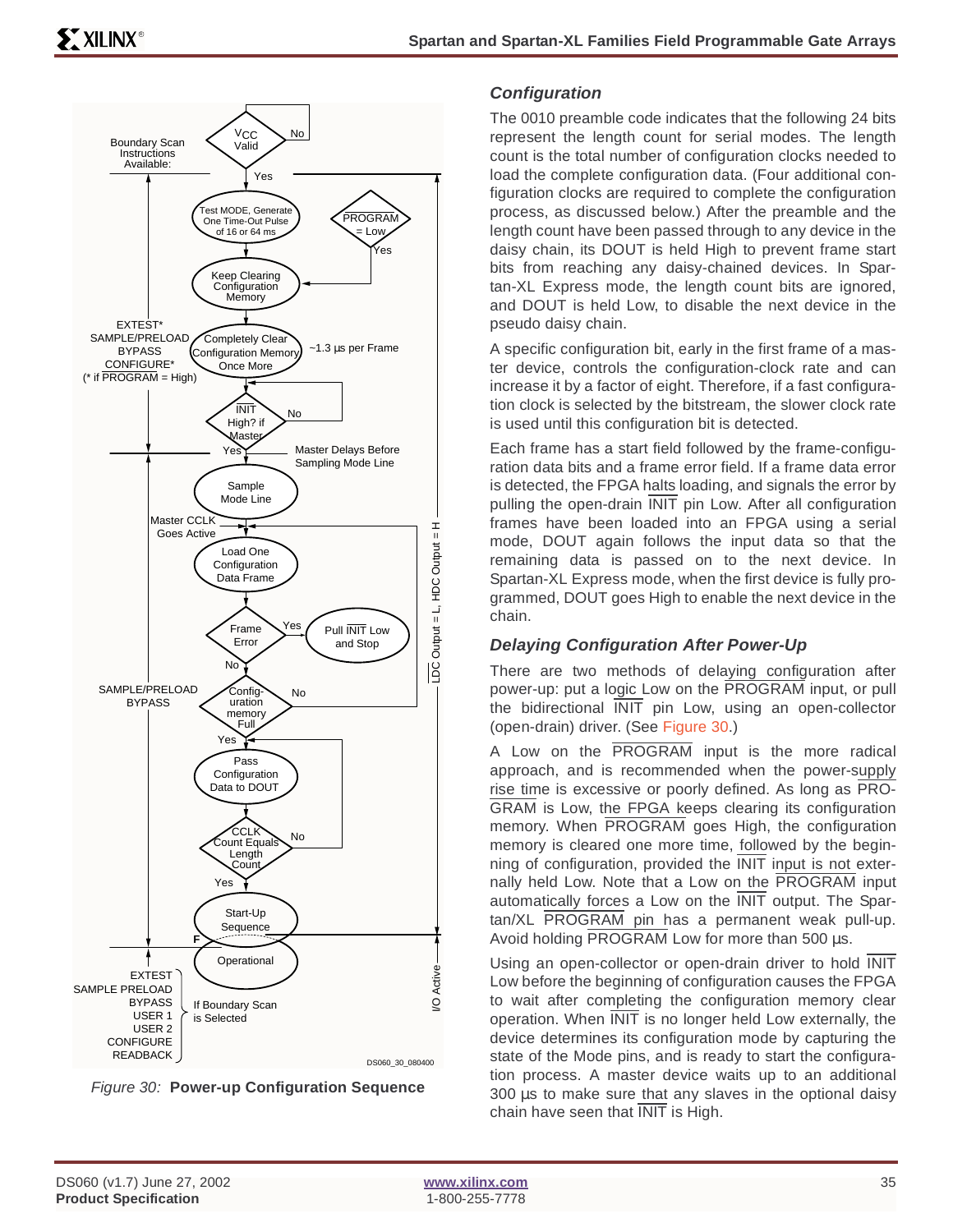



### **Configuration**

The 0010 preamble code indicates that the following 24 bits represent the length count for serial modes. The length count is the total number of configuration clocks needed to load the complete configuration data. (Four additional configuration clocks are required to complete the configuration process, as discussed below.) After the preamble and the length count have been passed through to any device in the daisy chain, its DOUT is held High to prevent frame start bits from reaching any daisy-chained devices. In Spartan-XL Express mode, the length count bits are ignored, and DOUT is held Low, to disable the next device in the pseudo daisy chain.

A specific configuration bit, early in the first frame of a master device, controls the configuration-clock rate and can increase it by a factor of eight. Therefore, if a fast configuration clock is selected by the bitstream, the slower clock rate is used until this configuration bit is detected.

Each frame has a start field followed by the frame-configuration data bits and a frame error field. If a frame data error is detected, the FPGA halts loading, and signals the error by pulling the open-drain INIT pin Low. After all configuration frames have been loaded into an FPGA using a serial mode, DOUT again follows the input data so that the remaining data is passed on to the next device. In Spartan-XL Express mode, when the first device is fully programmed, DOUT goes High to enable the next device in the chain.

### **Delaying Configuration After Power-Up**

There are two methods of delaying configuration after power-up: put a logic Low on the PROGRAM input, or pull the bidirectional INIT pin Low, using an open-collector (open-drain) driver. (See Figure 30.)

A Low on the PROGRAM input is the more radical approach, and is recommended when the power-supply rise time is excessive or poorly defined. As long as PRO-GRAM is Low, the FPGA keeps clearing its configuration memory. When PROGRAM goes High, the configuration memory is cleared one more time, followed by the beginning of configuration, provided the INIT input is not externally held Low. Note that a Low on the PROGRAM input automatically forces a Low on the INIT output. The Spartan/XL PROGRAM pin has a permanent weak pull-up. Avoid holding PROGRAM Low for more than 500 µs.

Using an open-collector or open-drain driver to hold INIT Low before the beginning of configuration causes the FPGA to wait after completing the configuration memory clear operation. When INIT is no longer held Low externally, the device determines its configuration mode by capturing the state of the Mode pins, and is ready to start the configuration process. A master device waits up to an additional  $300 \mu s$  to make sure that any slaves in the optional daisy chain have seen that INIT is High.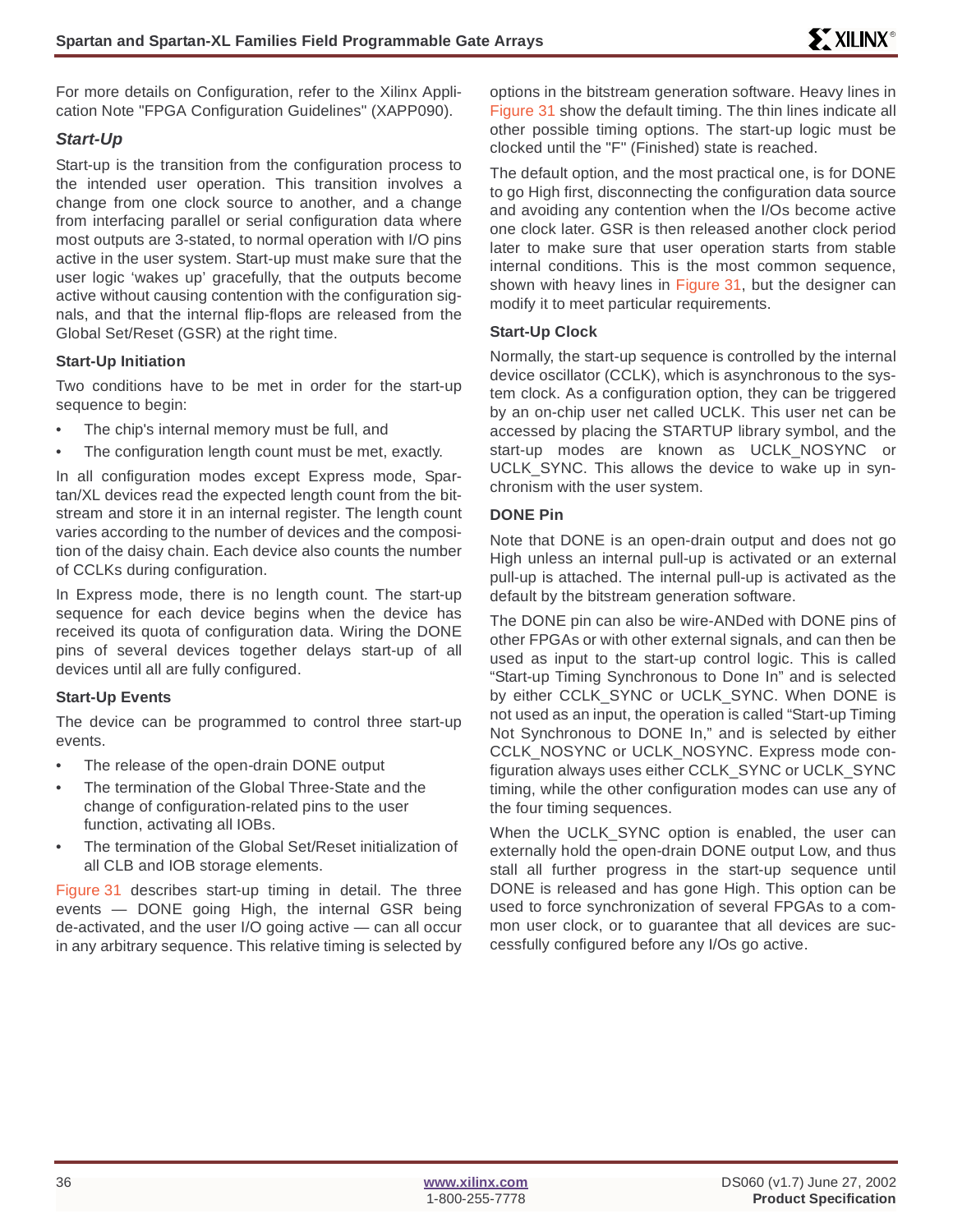[For more details on Configuration, refer to the Xilinx Appli](http://www.xilinx.com/xapp/xapp090.pdf)cation Note "FPGA Configuration Guidelines" (XAPP090).

### **Start-Up**

Start-up is the transition from the configuration process to the intended user operation. This transition involves a change from one clock source to another, and a change from interfacing parallel or serial configuration data where most outputs are 3-stated, to normal operation with I/O pins active in the user system. Start-up must make sure that the user logic 'wakes up' gracefully, that the outputs become active without causing contention with the configuration signals, and that the internal flip-flops are released from the Global Set/Reset (GSR) at the right time.

### **Start-Up Initiation**

Two conditions have to be met in order for the start-up sequence to begin:

- The chip's internal memory must be full, and
- The configuration length count must be met, exactly.

In all configuration modes except Express mode, Spartan/XL devices read the expected length count from the bitstream and store it in an internal register. The length count varies according to the number of devices and the composition of the daisy chain. Each device also counts the number of CCLKs during configuration.

In Express mode, there is no length count. The start-up sequence for each device begins when the device has received its quota of configuration data. Wiring the DONE pins of several devices together delays start-up of all devices until all are fully configured.

### **Start-Up Events**

The device can be programmed to control three start-up events.

- The release of the open-drain DONE output
- The termination of the Global Three-State and the change of configuration-related pins to the user function, activating all IOBs.
- The termination of the Global Set/Reset initialization of all CLB and IOB storage elements.

[Figure 31](#page-36-1) describes start-up timing in detail. The three events — DONE going High, the internal GSR being de-activated, and the user I/O going active — can all occur in any arbitrary sequence. This relative timing is selected by

options in the bitstream generation software. Heavy lines in [Figure 31](#page-36-1) show the default timing. The thin lines indicate all other possible timing options. The start-up logic must be clocked until the "F" (Finished) state is reached.

The default option, and the most practical one, is for DONE to go High first, disconnecting the configuration data source and avoiding any contention when the I/Os become active one clock later. GSR is then released another clock period later to make sure that user operation starts from stable internal conditions. This is the most common sequence, shown with heavy lines in [Figure 31,](#page-36-1) but the designer can modify it to meet particular requirements.

### **Start-Up Clock**

Normally, the start-up sequence is controlled by the internal device oscillator (CCLK), which is asynchronous to the system clock. As a configuration option, they can be triggered by an on-chip user net called UCLK. This user net can be accessed by placing the STARTUP library symbol, and the start-up modes are known as UCLK\_NOSYNC or UCLK\_SYNC. This allows the device to wake up in synchronism with the user system.

### **DONE Pin**

Note that DONE is an open-drain output and does not go High unless an internal pull-up is activated or an external pull-up is attached. The internal pull-up is activated as the default by the bitstream generation software.

The DONE pin can also be wire-ANDed with DONE pins of other FPGAs or with other external signals, and can then be used as input to the start-up control logic. This is called "Start-up Timing Synchronous to Done In" and is selected by either CCLK\_SYNC or UCLK\_SYNC. When DONE is not used as an input, the operation is called "Start-up Timing Not Synchronous to DONE In," and is selected by either CCLK\_NOSYNC or UCLK\_NOSYNC. Express mode configuration always uses either CCLK\_SYNC or UCLK\_SYNC timing, while the other configuration modes can use any of the four timing sequences.

When the UCLK\_SYNC option is enabled, the user can externally hold the open-drain DONE output Low, and thus stall all further progress in the start-up sequence until DONE is released and has gone High. This option can be used to force synchronization of several FPGAs to a common user clock, or to guarantee that all devices are successfully configured before any I/Os go active.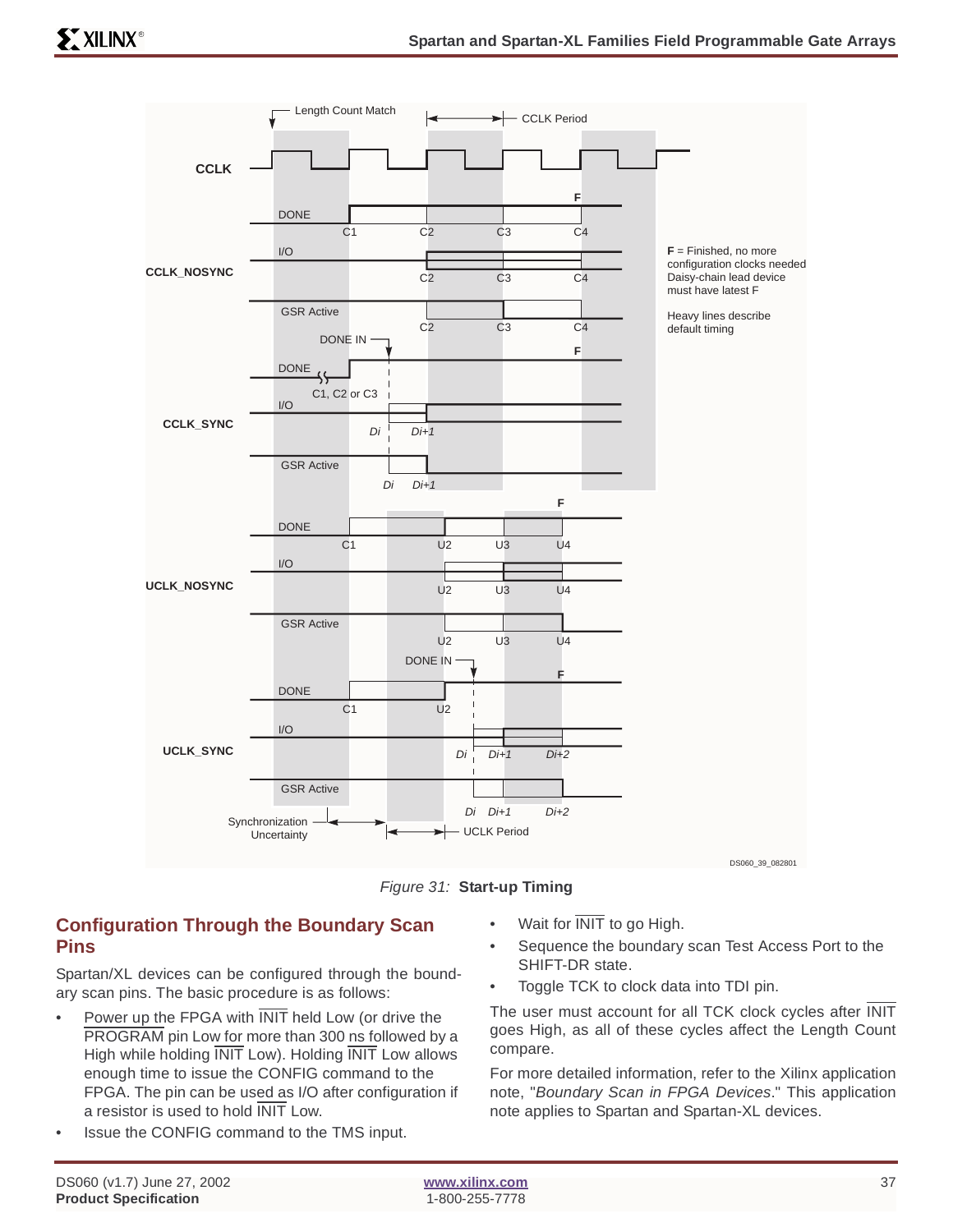

Figure 31: **Start-up Timing**

# **Configuration Through the Boundary Scan Pins**

Spartan/XL devices can be configured through the boundary scan pins. The basic procedure is as follows:

- Power up the FPGA with **INIT** held Low (or drive the PROGRAM pin Low for more than 300 ns followed by a High while holding INIT Low). Holding INIT Low allows enough time to issue the CONFIG command to the FPGA. The pin can be used as I/O after configuration if a resistor is used to hold INIT Low.
- Issue the CONFIG command to the TMS input.
- Wait for  $\overline{\text{INIT}}$  to go High.
- Sequence the boundary scan Test Access Port to the SHIFT-DR state.
- Toggle TCK to clock data into TDI pin.

The user must account for all TCK clock cycles after INIT goes High, as all of these cycles affect the Length Count compare.

For more detailed information, refer to the Xilinx application note, "Boundary Scan in FPGA Devices." This application note applies to Spartan and Spartan-XL devices.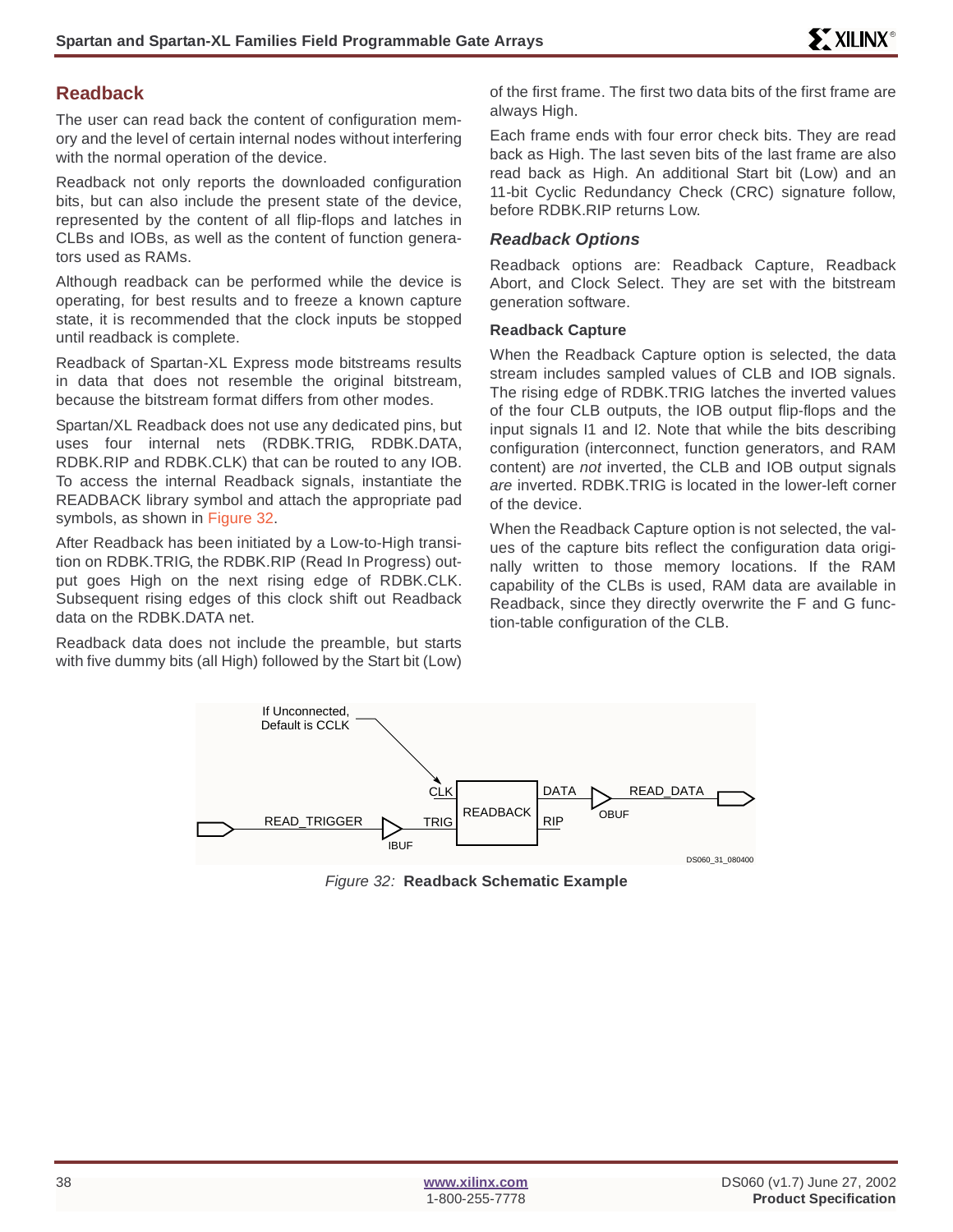#### **Readback**

The user can read back the content of configuration memory and the level of certain internal nodes without interfering with the normal operation of the device.

Readback not only reports the downloaded configuration bits, but can also include the present state of the device, represented by the content of all flip-flops and latches in CLBs and IOBs, as well as the content of function generators used as RAMs.

Although readback can be performed while the device is operating, for best results and to freeze a known capture state, it is recommended that the clock inputs be stopped until readback is complete.

Readback of Spartan-XL Express mode bitstreams results in data that does not resemble the original bitstream, because the bitstream format differs from other modes.

Spartan/XL Readback does not use any dedicated pins, but uses four internal nets (RDBK.TRIG, RDBK.DATA, RDBK.RIP and RDBK.CLK) that can be routed to any IOB. To access the internal Readback signals, instantiate the READBACK library symbol and attach the appropriate pad symbols, as shown in Figure 32.

After Readback has been initiated by a Low-to-High transition on RDBK.TRIG, the RDBK.RIP (Read In Progress) output goes High on the next rising edge of RDBK.CLK. Subsequent rising edges of this clock shift out Readback data on the RDBK.DATA net.

Readback data does not include the preamble, but starts with five dummy bits (all High) followed by the Start bit (Low) of the first frame. The first two data bits of the first frame are always High.

Each frame ends with four error check bits. They are read back as High. The last seven bits of the last frame are also read back as High. An additional Start bit (Low) and an 11-bit Cyclic Redundancy Check (CRC) signature follow, before RDBK.RIP returns Low.

#### **Readback Options**

Readback options are: Readback Capture, Readback Abort, and Clock Select. They are set with the bitstream generation software.

#### **Readback Capture**

When the Readback Capture option is selected, the data stream includes sampled values of CLB and IOB signals. The rising edge of RDBK.TRIG latches the inverted values of the four CLB outputs, the IOB output flip-flops and the input signals I1 and I2. Note that while the bits describing configuration (interconnect, function generators, and RAM content) are not inverted, the CLB and IOB output signals are inverted. RDBK.TRIG is located in the lower-left corner of the device.

When the Readback Capture option is not selected, the values of the capture bits reflect the configuration data originally written to those memory locations. If the RAM capability of the CLBs is used, RAM data are available in Readback, since they directly overwrite the F and G function-table configuration of the CLB.



Figure 32: **Readback Schematic Example**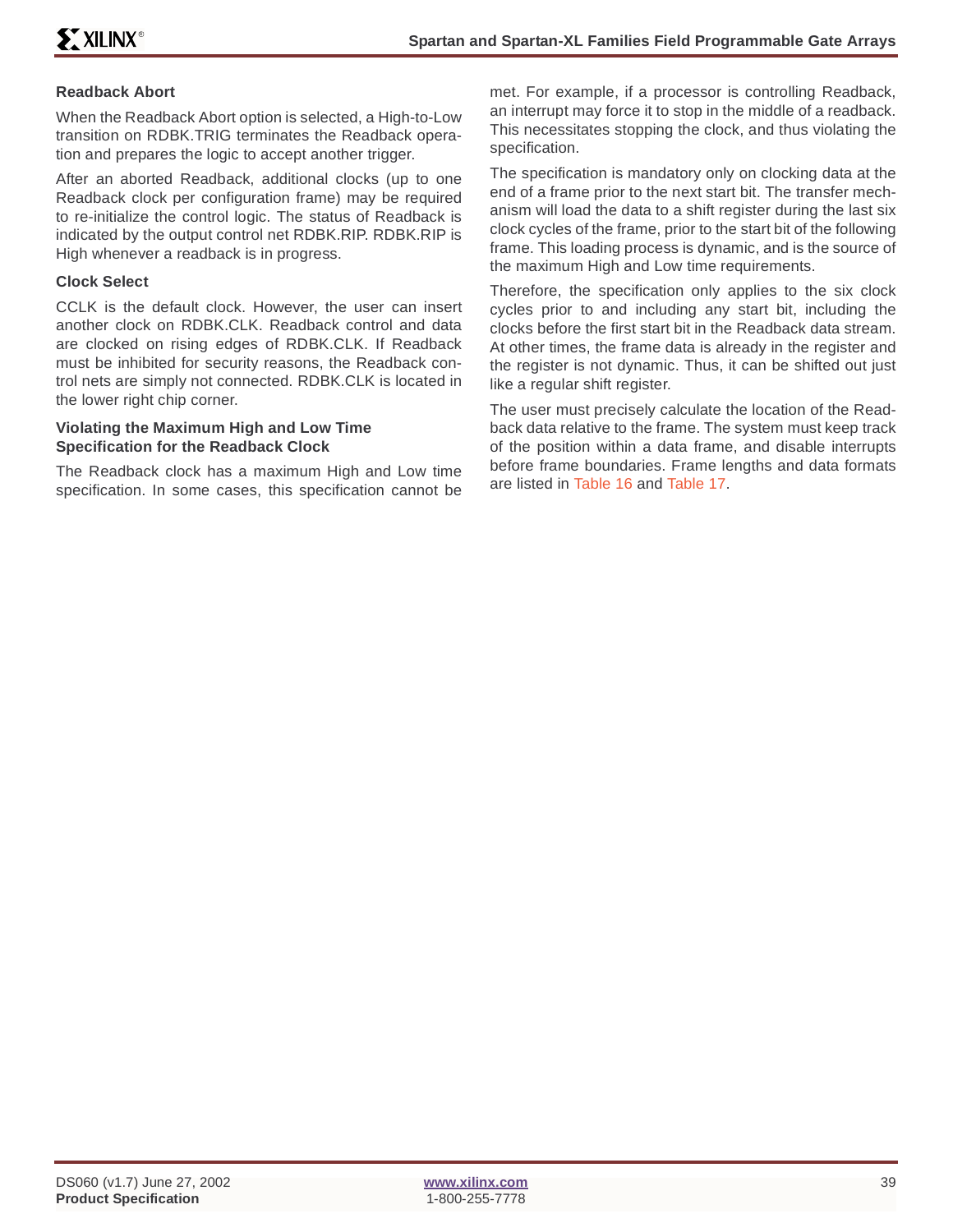#### **Readback Abort**

When the Readback Abort option is selected, a High-to-Low transition on RDBK.TRIG terminates the Readback operation and prepares the logic to accept another trigger.

After an aborted Readback, additional clocks (up to one Readback clock per configuration frame) may be required to re-initialize the control logic. The status of Readback is indicated by the output control net RDBK.RIP. RDBK.RIP is High whenever a readback is in progress.

#### **Clock Select**

CCLK is the default clock. However, the user can insert another clock on RDBK.CLK. Readback control and data are clocked on rising edges of RDBK.CLK. If Readback must be inhibited for security reasons, the Readback control nets are simply not connected. RDBK.CLK is located in the lower right chip corner.

#### <span id="page-38-0"></span>**Violating the Maximum High and Low Time Specification for the Readback Clock**

The Readback clock has a maximum High and Low time specification. In some cases, this specification cannot be met. For example, if a processor is controlling Readback, an interrupt may force it to stop in the middle of a readback. This necessitates stopping the clock, and thus violating the specification.

The specification is mandatory only on clocking data at the end of a frame prior to the next start bit. The transfer mechanism will load the data to a shift register during the last six clock cycles of the frame, prior to the start bit of the following frame. This loading process is dynamic, and is the source of the maximum High and Low time requirements.

Therefore, the specification only applies to the six clock cycles prior to and including any start bit, including the clocks before the first start bit in the Readback data stream. At other times, the frame data is already in the register and the register is not dynamic. Thus, it can be shifted out just like a regular shift register.

The user must precisely calculate the location of the Readback data relative to the frame. The system must keep track of the position within a data frame, and disable interrupts before frame boundaries. Frame lengths and data formats are listed in Table 16 and Table 17.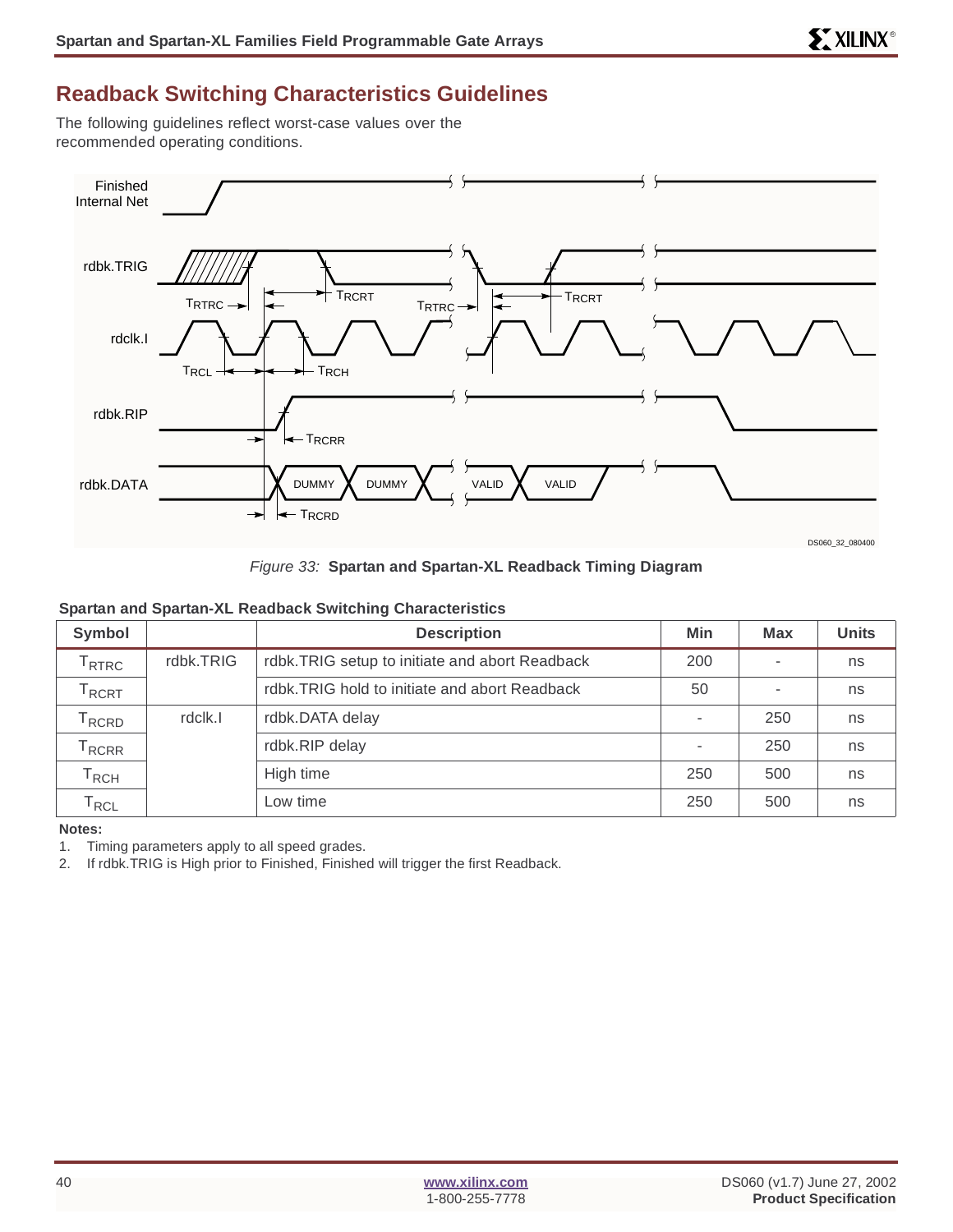# **Readback Switching Characteristics Guidelines**

The following guidelines reflect worst-case values over the recommended operating conditions.



Figure 33: **Spartan and Spartan-XL Readback Timing Diagram**

#### **Spartan and Spartan-XL Readback Switching Characteristics**

| Symbol                            |           | <b>Description</b>                             | <b>Min</b>               | <b>Max</b>               | <b>Units</b> |
|-----------------------------------|-----------|------------------------------------------------|--------------------------|--------------------------|--------------|
| $\mathsf{\Gamma}_{\mathsf{RTRC}}$ | rdbk.TRIG | rdbk.TRIG setup to initiate and abort Readback | 200                      | $\overline{\phantom{a}}$ | ns           |
| $\mathsf{T}_{\mathsf{RCRT}}$      |           | rdbk.TRIG hold to initiate and abort Readback  | 50                       | $\overline{\phantom{a}}$ | ns           |
| <sup>I</sup> RCRD                 | rdclk.l   | rdbk.DATA delay                                | $\overline{\phantom{a}}$ | 250                      | ns           |
| $\mathsf{r}_{\mathsf{RCRR}}$      |           | rdbk.RIP delay                                 |                          | 250                      | ns           |
| $\mathsf{r}_{\mathsf{RCH}}$       |           | High time                                      | 250                      | 500                      | ns           |
| $\mathsf{\Gamma}_{\mathsf{RCL}}$  |           | Low time                                       | 250                      | 500                      | ns           |

**Notes:**

1. Timing parameters apply to all speed grades.

2. If rdbk.TRIG is High prior to Finished, Finished will trigger the first Readback.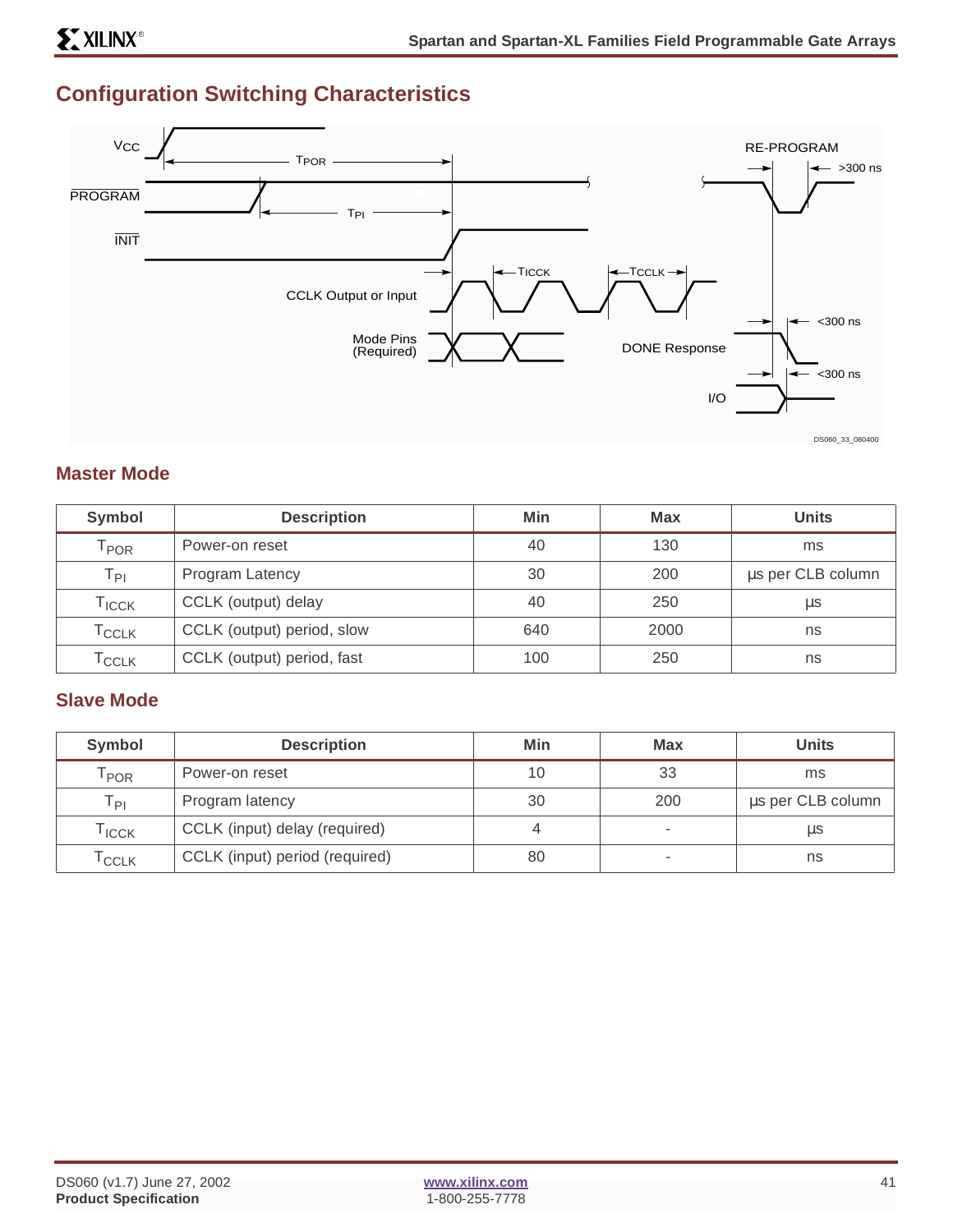# **Configuration Switching Characteristics**



#### **Master Mode**

| Symbol                       | <b>Description</b>         | Min | <b>Max</b> | <b>Units</b>      |
|------------------------------|----------------------------|-----|------------|-------------------|
| $\mathsf{T}_{\mathsf{POR}}$  | Power-on reset             | 40  | 130        | ms                |
| $T_{\mathsf{PI}}$            | Program Latency            | 30  | 200        | us per CLB column |
| $\Gamma$ <sub>ICCK</sub>     | CCLK (output) delay        | 40  | 250        | μs                |
| $\mathsf{T}_{\mathsf{CCLK}}$ | CCLK (output) period, slow | 640 | 2000       | ns                |
| $\mathsf{T}_{\mathsf{CCLK}}$ | CCLK (output) period, fast | 100 | 250        | ns                |

# **Slave Mode**

| Symbol                      | <b>Description</b>             | Min | <b>Max</b> | <b>Units</b>      |
|-----------------------------|--------------------------------|-----|------------|-------------------|
| $\mathsf{r}_{\mathsf{POR}}$ | Power-on reset                 | 10  | 33         | ms                |
| Ты                          | Program latency                | 30  | 200        | us per CLB column |
| <b>ICCK</b>                 | CCLK (input) delay (required)  |     |            | μs                |
| <sup>I</sup> CCLK           | CCLK (input) period (required) | 80  | ۰          | ns                |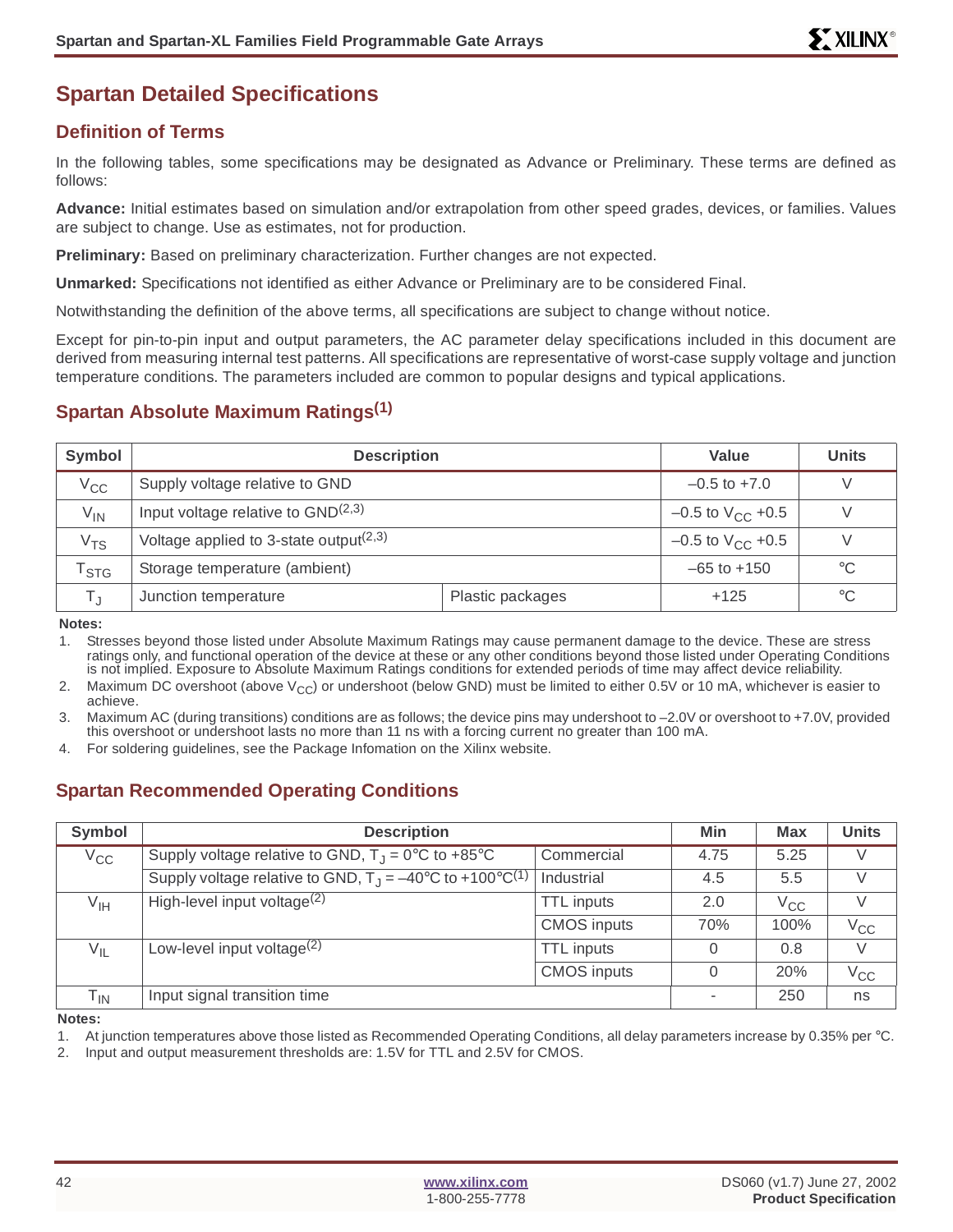# **Spartan Detailed Specifications**

# **Definition of Terms**

In the following tables, some specifications may be designated as Advance or Preliminary. These terms are defined as follows:

**Advance:** Initial estimates based on simulation and/or extrapolation from other speed grades, devices, or families. Values are subject to change. Use as estimates, not for production.

**Preliminary:** Based on preliminary characterization. Further changes are not expected.

**Unmarked:** Specifications not identified as either Advance or Preliminary are to be considered Final.

Notwithstanding the definition of the above terms, all specifications are subject to change without notice.

Except for pin-to-pin input and output parameters, the AC parameter delay specifications included in this document are derived from measuring internal test patterns. All specifications are representative of worst-case supply voltage and junction temperature conditions. The parameters included are common to popular designs and typical applications.

# **Spartan Absolute Maximum Ratings(1)**

| Symbol           | <b>Description</b>                                 | Value                   | <b>Units</b>                   |                 |
|------------------|----------------------------------------------------|-------------------------|--------------------------------|-----------------|
| $V_{CC}$         | Supply voltage relative to GND                     |                         | $-0.5$ to $+7.0$               |                 |
| $V_{IN}$         | Input voltage relative to $GND(2,3)$               | $-0.5$ to $V_{CC}$ +0.5 | V                              |                 |
| V <sub>TS</sub>  | Voltage applied to 3-state output <sup>(2,3)</sup> |                         | $-0.5$ to $V_{\text{CC}}$ +0.5 | V               |
| <sup>I</sup> STG | Storage temperature (ambient)                      |                         | $-65$ to $+150$                | $^{\circ}C$     |
| T.               | Junction temperature                               | Plastic packages        |                                | $\rm ^{\circ}C$ |

**Notes:**

1. Stresses beyond those listed under Absolute Maximum Ratings may cause permanent damage to the device. These are stress ratings only, and functional operation of the device at these or any other conditions beyond those listed under Operating Conditions is not implied. Exposure to Absolute Maximum Ratings conditions for extended periods of time may affect device reliability.

2. Maximum DC overshoot (above  $V_{CC}$ ) or undershoot (below GND) must be limited to either 0.5V or 10 mA, whichever is easier to achieve.

3. Maximum AC (during transitions) conditions are as follows; the device pins may undershoot to –2.0V or overshoot to +7.0V, provided this overshoot or undershoot lasts no more than 11 ns with a forcing current no greater than 100 mA.

4. For soldering guidelines, see the Package Infomation on the Xilinx website.

# **Spartan Recommended Operating Conditions**

| Symbol                     | <b>Description</b>                                                                   | Min                | <b>Max</b> | <b>Units</b> |              |
|----------------------------|--------------------------------------------------------------------------------------|--------------------|------------|--------------|--------------|
| $V_{\rm CC}$               | Supply voltage relative to GND, $T_J = 0^\circ \text{C}$ to +85°C                    | Commercial         | 4.75       | 5.25         | V            |
|                            | Supply voltage relative to GND, $T_{\rm J} = -40^{\circ}$ C to +100°C <sup>(1)</sup> | Industrial         | 4.5        | 5.5          | V            |
| V <sub>IH</sub>            | High-level input voltage $(2)$                                                       | <b>TTL</b> inputs  | 2.0        | $V_{\rm CC}$ | V            |
|                            |                                                                                      | <b>CMOS</b> inputs | 70%        | 100%         | $V_{\rm CC}$ |
| $V_{IL}$                   | Low-level input voltage $(2)$                                                        | <b>TTL</b> inputs  | $\Omega$   | 0.8          | V            |
|                            |                                                                                      | <b>CMOS</b> inputs | 0          | 20%          | $V_{CC}$     |
| $\mathsf{T}_{\textsf{IN}}$ | Input signal transition time                                                         |                    |            | 250          | ns           |

**Notes:**

1. At junction temperatures above those listed as Recommended Operating Conditions, all delay parameters increase by 0.35% per °C.

2. Input and output measurement thresholds are: 1.5V for TTL and 2.5V for CMOS.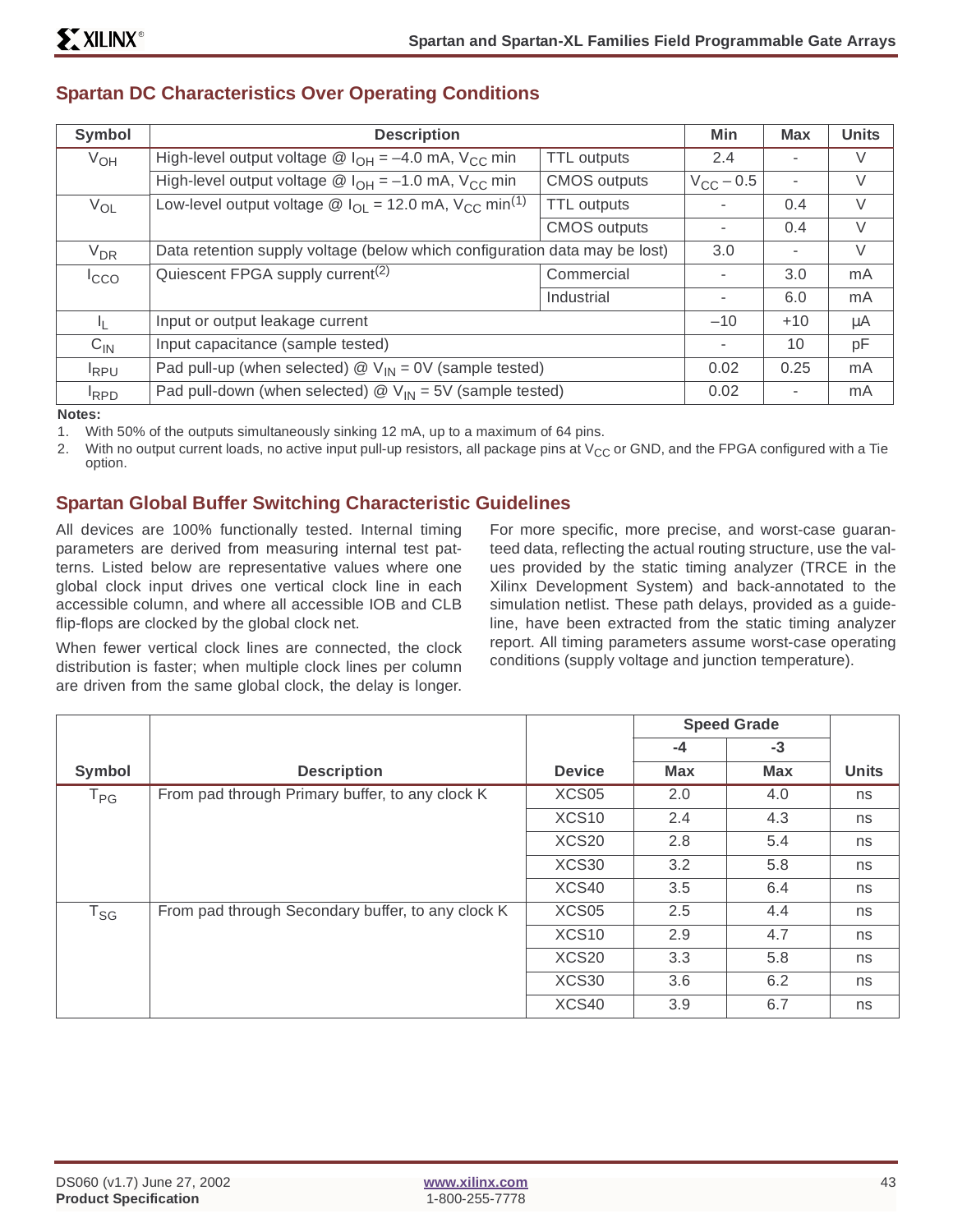| Symbol           | <b>Description</b>                                                                                       |                     | Min                | <b>Max</b> | <b>Units</b> |
|------------------|----------------------------------------------------------------------------------------------------------|---------------------|--------------------|------------|--------------|
| $V_{OH}$         | High-level output voltage $\circledR$ $I_{OH} = -4.0$ mA, $V_{CC}$ min                                   | <b>TTL</b> outputs  | 2.4                |            | V            |
|                  | High-level output voltage $\circledR$ I <sub>OH</sub> = -1.0 mA, V <sub>CC</sub> min                     | <b>CMOS</b> outputs | $V_{\rm CC}$ – 0.5 | ٠          | V            |
| $V_{OL}$         | Low-level output voltage $\textcircled{a}$ I <sub>OL</sub> = 12.0 mA, V <sub>CC</sub> min <sup>(1)</sup> | <b>TTL</b> outputs  |                    | 0.4        | V            |
|                  |                                                                                                          | <b>CMOS</b> outputs |                    | 0.4        | $\vee$       |
| $V_{DR}$         | Data retention supply voltage (below which configuration data may be lost)                               |                     | 3.0                |            | $\vee$       |
| <sup>I</sup> cco | Quiescent FPGA supply current <sup>(2)</sup>                                                             | Commercial          |                    | 3.0        | mA           |
|                  |                                                                                                          | Industrial          |                    | 6.0        | mA           |
| IL.              | Input or output leakage current                                                                          |                     | $-10$              | $+10$      | μA           |
| $C_{IN}$         | Input capacitance (sample tested)                                                                        |                     |                    | 10         | pF           |
| $I_{RPU}$        | Pad pull-up (when selected) $\mathcal{Q}$ V <sub>IN</sub> = 0V (sample tested)                           |                     | 0.02               | 0.25       | mA           |
| <sup>I</sup> RPD | Pad pull-down (when selected) $\mathcal{Q}$ V <sub>IN</sub> = 5V (sample tested)                         |                     | 0.02               |            | mA           |

## **Spartan DC Characteristics Over Operating Conditions**

**Notes:**

1. With 50% of the outputs simultaneously sinking 12 mA, up to a maximum of 64 pins.

2. With no output current loads, no active input pull-up resistors, all package pins at  $V_{CC}$  or GND, and the FPGA configured with a Tie option.

# **Spartan Global Buffer Switching Characteristic Guidelines**

All devices are 100% functionally tested. Internal timing parameters are derived from measuring internal test patterns. Listed below are representative values where one global clock input drives one vertical clock line in each accessible column, and where all accessible IOB and CLB flip-flops are clocked by the global clock net.

When fewer vertical clock lines are connected, the clock distribution is faster; when multiple clock lines per column are driven from the same global clock, the delay is longer.

For more specific, more precise, and worst-case guaranteed data, reflecting the actual routing structure, use the values provided by the static timing analyzer (TRCE in the Xilinx Development System) and back-annotated to the simulation netlist. These path delays, provided as a guideline, have been extracted from the static timing analyzer report. All timing parameters assume worst-case operating conditions (supply voltage and junction temperature).

|              |                                                   |                   | <b>Speed Grade</b> |            |              |
|--------------|---------------------------------------------------|-------------------|--------------------|------------|--------------|
|              |                                                   |                   | $-4$               | $-3$       |              |
| Symbol       | <b>Description</b>                                | <b>Device</b>     | <b>Max</b>         | <b>Max</b> | <b>Units</b> |
| $T_{\sf PG}$ | From pad through Primary buffer, to any clock K   | XCS <sub>05</sub> | 2.0                | 4.0        | ns           |
|              |                                                   | XCS <sub>10</sub> | 2.4                | 4.3        | ns           |
|              |                                                   | XCS20             | 2.8                | 5.4        | ns           |
|              |                                                   | XCS30             | 3.2                | 5.8        | ns           |
|              |                                                   | XCS40             | 3.5                | 6.4        | ns           |
| $T_{SG}$     | From pad through Secondary buffer, to any clock K | XCS <sub>05</sub> | 2.5                | 4.4        | ns           |
|              |                                                   | XCS <sub>10</sub> | 2.9                | 4.7        | ns           |
|              |                                                   | XCS <sub>20</sub> | 3.3                | 5.8        | ns           |
|              |                                                   | XCS30             | 3.6                | 6.2        | ns           |
|              |                                                   | XCS40             | 3.9                | 6.7        | ns           |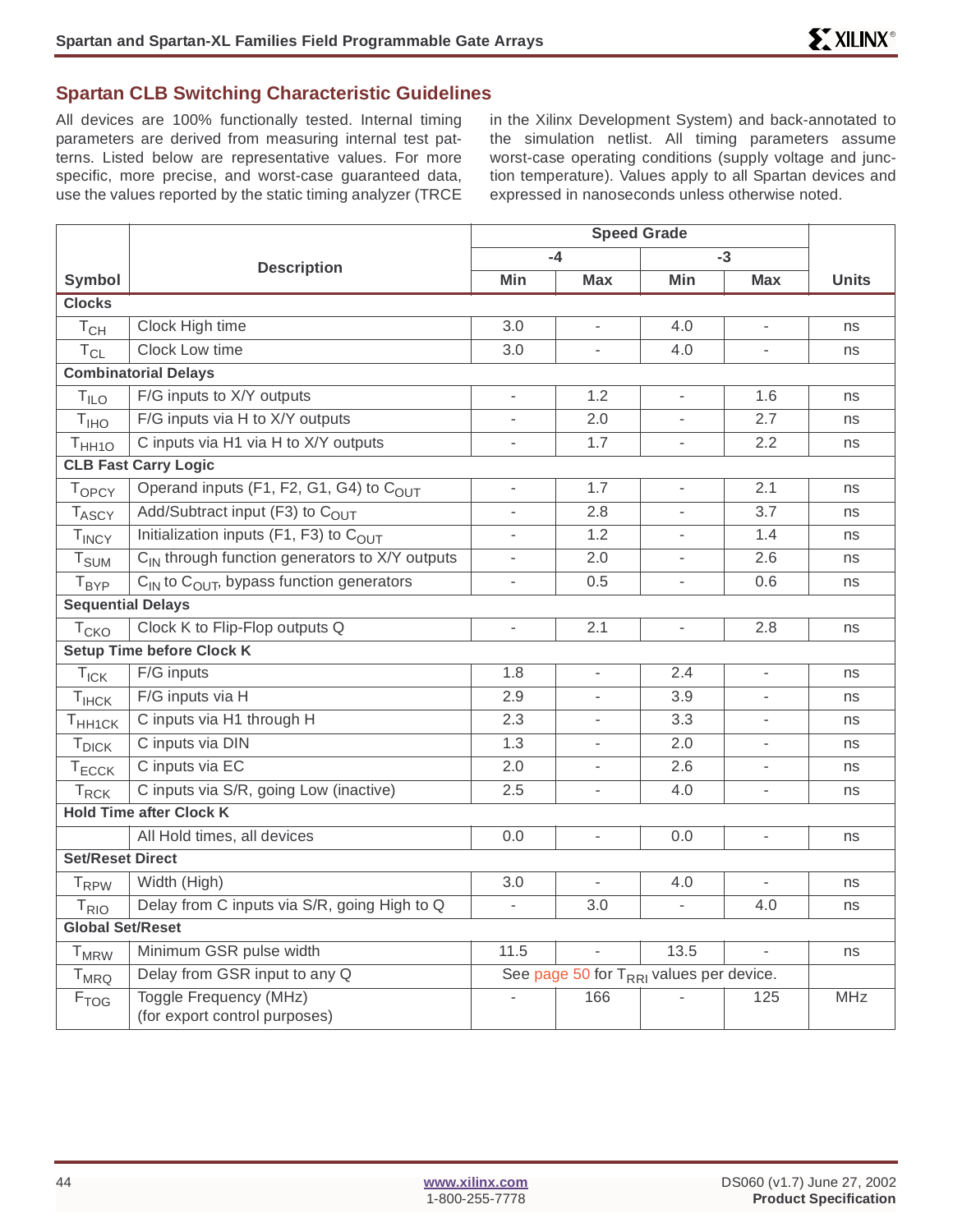#### **Spartan CLB Switching Characteristic Guidelines**

All devices are 100% functionally tested. Internal timing parameters are derived from measuring internal test patterns. Listed below are representative values. For more specific, more precise, and worst-case guaranteed data, use the values reported by the static timing analyzer (TRCE in the Xilinx Development System) and back-annotated to the simulation netlist. All timing parameters assume worst-case operating conditions (supply voltage and junction temperature). Values apply to all Spartan devices and expressed in nanoseconds unless otherwise noted.

|                          |                                                            | <b>Speed Grade</b>       |                                                     |                              |                          |              |
|--------------------------|------------------------------------------------------------|--------------------------|-----------------------------------------------------|------------------------------|--------------------------|--------------|
|                          | <b>Description</b>                                         |                          | $-4$                                                |                              | $-3$                     |              |
| <b>Symbol</b>            |                                                            | Min                      | <b>Max</b>                                          | Min                          | <b>Max</b>               | <b>Units</b> |
| <b>Clocks</b>            |                                                            |                          |                                                     |                              |                          |              |
| $T_{CH}$                 | Clock High time                                            | 3.0                      | $\overline{\phantom{a}}$                            | 4.0                          | L,                       | ns           |
| $T_{CL}$                 | Clock Low time                                             | 3.0                      | $\overline{\phantom{a}}$                            | 4.0                          | $\overline{a}$           | ns           |
|                          | <b>Combinatorial Delays</b>                                |                          |                                                     |                              |                          |              |
| T <sub>ILO</sub>         | F/G inputs to X/Y outputs                                  |                          | 1.2                                                 |                              | 1.6                      | ns           |
| T <sub>IHO</sub>         | F/G inputs via H to X/Y outputs                            | $\overline{\phantom{a}}$ | 2.0                                                 | $\overline{\phantom{a}}$     | 2.7                      | ns           |
| T <sub>HH10</sub>        | C inputs via H1 via H to X/Y outputs                       | $\blacksquare$           | 1.7                                                 | $\qquad \qquad \blacksquare$ | 2.2                      | ns           |
|                          | <b>CLB Fast Carry Logic</b>                                |                          |                                                     |                              |                          |              |
| TOPCY                    | Operand inputs (F1, F2, G1, G4) to COUT                    | $\overline{\phantom{a}}$ | 1.7                                                 | $\overline{\phantom{a}}$     | 2.1                      | ns           |
| <b>TASCY</b>             | Add/Subtract input (F3) to C <sub>OUT</sub>                | $\overline{a}$           | 2.8                                                 |                              | 3.7                      | ns           |
| TINCY                    | Initialization inputs (F1, F3) to COUT                     |                          | 1.2                                                 |                              | 1.4                      | ns           |
| <b>T</b> <sub>SUM</sub>  | C <sub>IN</sub> through function generators to X/Y outputs | $\overline{a}$           | 2.0                                                 |                              | 2.6                      | ns           |
| T <sub>BYP</sub>         | $C_{IN}$ to $C_{OUT}$ , bypass function generators         | $\overline{\phantom{a}}$ | 0.5                                                 | $\frac{1}{2}$                | 0.6                      | ns           |
| <b>Sequential Delays</b> |                                                            |                          |                                                     |                              |                          |              |
| $T_{CKO}$                | Clock K to Flip-Flop outputs Q                             | $\blacksquare$           | 2.1                                                 | $\frac{1}{2}$                | 2.8                      | ns           |
|                          | <b>Setup Time before Clock K</b>                           |                          |                                                     |                              |                          |              |
| $T_{\text{ICK}}$         | F/G inputs                                                 | 1.8                      |                                                     | 2.4                          |                          | ns           |
| T <sub>IHCK</sub>        | F/G inputs via H                                           | 2.9                      |                                                     | 3.9                          |                          | ns           |
| T <sub>HH1CK</sub>       | C inputs via H1 through H                                  | 2.3                      | $\frac{1}{2}$                                       | 3.3                          | $\frac{1}{2}$            | ns           |
| <b>T</b> <sub>DICK</sub> | C inputs via DIN                                           | 1.3                      | $\overline{a}$                                      | 2.0                          | ÷,                       | ns           |
| $T_{\text{ECCK}}$        | C inputs via EC                                            | 2.0                      | $\overline{\phantom{a}}$                            | 2.6                          | L.                       | ns           |
| $T_{RCK}$                | C inputs via S/R, going Low (inactive)                     | 2.5                      | $\overline{\phantom{a}}$                            | 4.0                          | L.                       | ns           |
|                          | <b>Hold Time after Clock K</b>                             |                          |                                                     |                              |                          |              |
|                          | All Hold times, all devices                                | 0.0                      | $\frac{1}{2}$                                       | 0.0                          |                          | ns           |
| <b>Set/Reset Direct</b>  |                                                            |                          |                                                     |                              |                          |              |
| T <sub>RPW</sub>         | Width (High)                                               | 3.0                      | $\qquad \qquad \blacksquare$                        | 4.0                          | $\overline{\phantom{a}}$ | ns           |
| $T_{RIO}$                | Delay from C inputs via S/R, going High to Q               | $\overline{\phantom{a}}$ | 3.0                                                 | $\overline{\phantom{a}}$     | 4.0                      | ns           |
| <b>Global Set/Reset</b>  |                                                            |                          |                                                     |                              |                          |              |
| <b>T</b> <sub>MRW</sub>  | Minimum GSR pulse width                                    | 11.5                     | $\overline{a}$                                      | 13.5                         | L.                       | ns           |
| <b>T</b> <sub>MRQ</sub>  | Delay from GSR input to any Q                              |                          | See page 50 for T <sub>RRI</sub> values per device. |                              |                          |              |
| F <sub>TOG</sub>         | Toggle Frequency (MHz)<br>(for export control purposes)    |                          | 166                                                 |                              | 125                      | <b>MHz</b>   |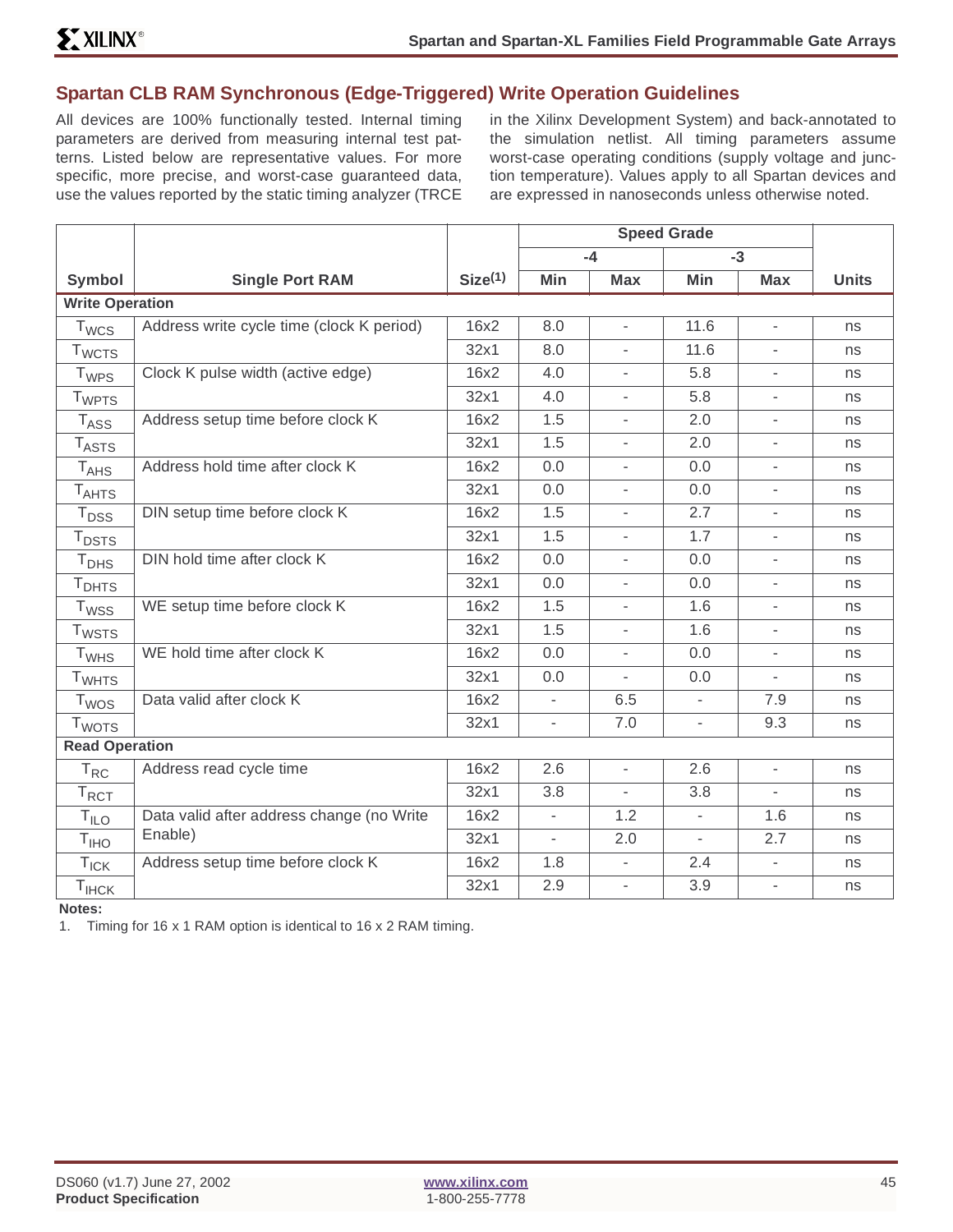# **Spartan CLB RAM Synchronous (Edge-Triggered) Write Operation Guidelines**

All devices are 100% functionally tested. Internal timing parameters are derived from measuring internal test patterns. Listed below are representative values. For more specific, more precise, and worst-case guaranteed data, use the values reported by the static timing analyzer (TRCE in the Xilinx Development System) and back-annotated to the simulation netlist. All timing parameters assume worst-case operating conditions (supply voltage and junction temperature). Values apply to all Spartan devices and are expressed in nanoseconds unless otherwise noted.

|                          |                                           |                     | <b>Speed Grade</b>           |                          |                          |                          |              |
|--------------------------|-------------------------------------------|---------------------|------------------------------|--------------------------|--------------------------|--------------------------|--------------|
|                          |                                           |                     |                              | $-4$                     |                          | $-3$                     |              |
| <b>Symbol</b>            | <b>Single Port RAM</b>                    | Size <sup>(1)</sup> | Min                          | <b>Max</b>               | Min                      | <b>Max</b>               | <b>Units</b> |
| <b>Write Operation</b>   |                                           |                     |                              |                          |                          |                          |              |
| $T_{WCS}$                | Address write cycle time (clock K period) | 16x2                | 8.0                          | $\overline{\phantom{a}}$ | 11.6                     | $\frac{1}{2}$            | ns           |
| <b>T</b> <sub>WCTS</sub> |                                           | 32x1                | 8.0                          |                          | 11.6                     |                          | ns           |
| $T_{WPS}$                | Clock K pulse width (active edge)         | 16x2                | 4.0                          | $\overline{\phantom{a}}$ | 5.8                      | $\overline{\phantom{a}}$ | ns           |
| <b>T</b> <sub>WPTS</sub> |                                           | 32x1                | 4.0                          | $\overline{\phantom{a}}$ | 5.8                      | $\overline{\phantom{a}}$ | ns           |
| $T_{ASS}$                | Address setup time before clock K         | 16x2                | 1.5                          | $\overline{a}$           | 2.0                      | $\overline{\phantom{a}}$ | ns           |
| $T_{\text{ASTS}}$        |                                           | 32x1                | 1.5                          | $\overline{\phantom{a}}$ | 2.0                      | $\overline{\phantom{0}}$ | ns           |
| $T_{AHS}$                | Address hold time after clock K           | 16x2                | 0.0                          | L,                       | 0.0                      |                          | ns           |
| $T_{AHTS}$               |                                           | 32x1                | 0.0                          | $\bar{\phantom{a}}$      | 0.0                      | $\overline{\phantom{0}}$ | ns           |
| $T_{DSS}$                | DIN setup time before clock K             | 16x2                | 1.5                          |                          | 2.7                      | $\overline{\phantom{a}}$ | ns           |
| $T_{DSTS}$               |                                           | 32x1                | 1.5                          | $\overline{\phantom{a}}$ | 1.7                      | $\overline{\phantom{0}}$ | ns           |
| T <sub>DHS</sub>         | DIN hold time after clock K               | 16x2                | 0.0                          | $\overline{\phantom{a}}$ | 0.0                      | $\overline{\phantom{0}}$ | ns           |
| T <sub>DHTS</sub>        |                                           | 32x1                | 0.0                          | $\overline{\phantom{0}}$ | 0.0                      | $\overline{\phantom{a}}$ | ns           |
| <b>T</b> <sub>WSS</sub>  | WE setup time before clock K              | 16x2                | 1.5                          | $\overline{\phantom{a}}$ | 1.6                      | $\overline{\phantom{a}}$ | ns           |
| $T_{WSTS}$               |                                           | 32x1                | 1.5                          |                          | 1.6                      |                          | ns           |
| T <sub>WHS</sub>         | WE hold time after clock K                | 16x2                | 0.0                          | $\overline{\phantom{a}}$ | 0.0                      | $\overline{\phantom{0}}$ | ns           |
| <b>T</b> <sub>WHTS</sub> |                                           | 32x1                | 0.0                          |                          | 0.0                      |                          | ns           |
| $T_{WOS}$                | Data valid after clock K                  | 16x2                | $\overline{\phantom{a}}$     | 6.5                      | $\overline{\phantom{a}}$ | 7.9                      | ns           |
| <b>T</b> <sub>WOTS</sub> |                                           | 32x1                | $\overline{\phantom{a}}$     | 7.0                      | $\overline{\phantom{a}}$ | 9.3                      | ns           |
| <b>Read Operation</b>    |                                           |                     |                              |                          |                          |                          |              |
| $T_{RC}$                 | Address read cycle time                   | 16x2                | 2.6                          | $\overline{\phantom{a}}$ | 2.6                      | $\overline{\phantom{0}}$ | ns           |
| $T_{\text{RCT}}$         |                                           | 32x1                | 3.8                          |                          | 3.8                      |                          | ns           |
| T <sub>ILO</sub>         | Data valid after address change (no Write | 16x2                | $\qquad \qquad \blacksquare$ | 1.2                      | $\overline{\phantom{a}}$ | 1.6                      | ns           |
| T <sub>IHO</sub>         | Enable)                                   | 32x1                | $\overline{\phantom{a}}$     | 2.0                      | $\overline{\phantom{a}}$ | 2.7                      | ns           |
| $T_{\text{ICK}}$         | Address setup time before clock K         | 16x2                | 1.8                          | $\overline{\phantom{a}}$ | 2.4                      | $\overline{\phantom{0}}$ | ns           |
| $T_{IHCK}$               |                                           | 32x1                | 2.9                          | $\overline{\phantom{a}}$ | 3.9                      | $\overline{\phantom{a}}$ | ns           |

**Notes:**

1. Timing for 16 x 1 RAM option is identical to 16 x 2 RAM timing.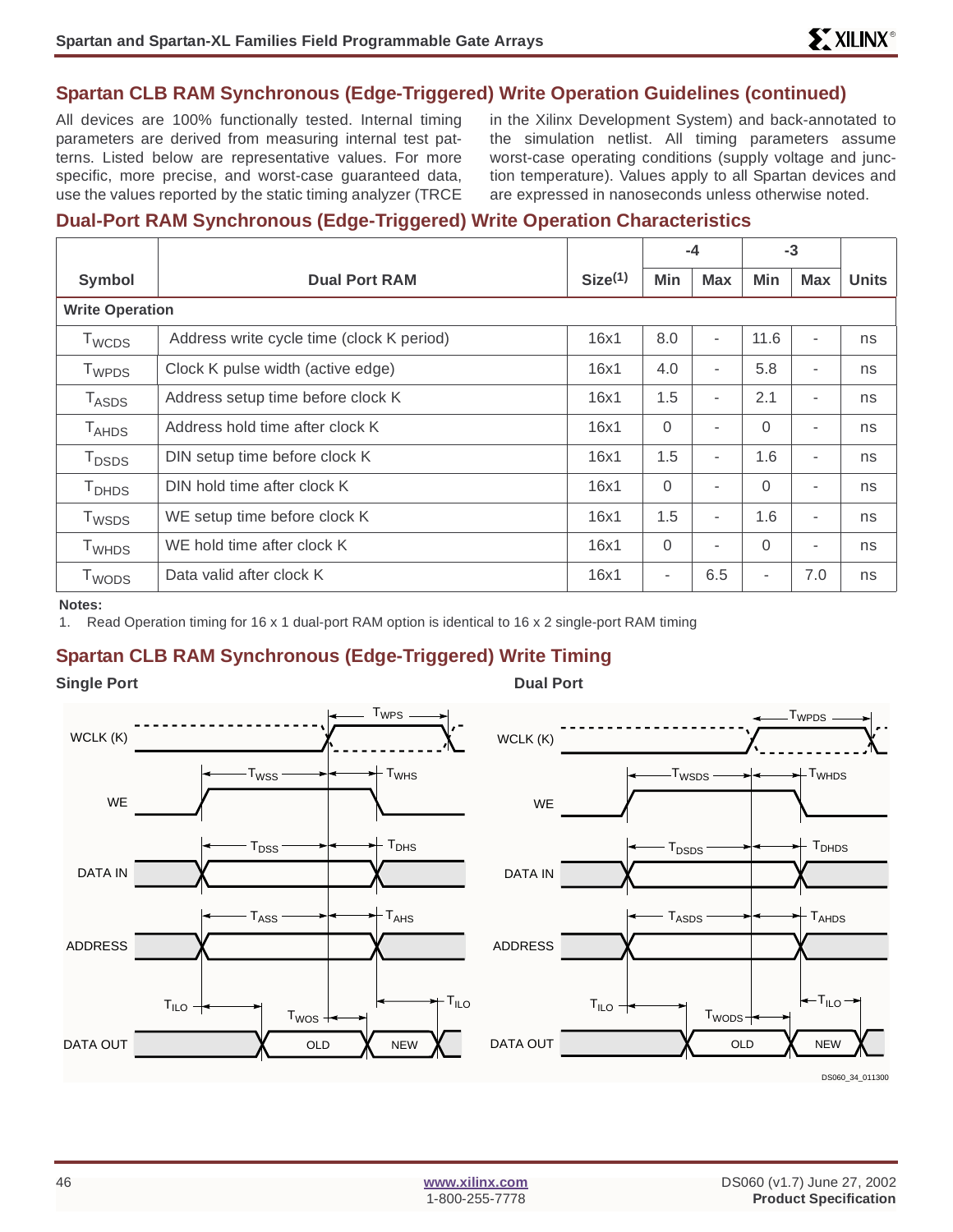## **Spartan CLB RAM Synchronous (Edge-Triggered) Write Operation Guidelines (continued)**

All devices are 100% functionally tested. Internal timing parameters are derived from measuring internal test patterns. Listed below are representative values. For more specific, more precise, and worst-case guaranteed data, use the values reported by the static timing analyzer (TRCE

in the Xilinx Development System) and back-annotated to the simulation netlist. All timing parameters assume worst-case operating conditions (supply voltage and junction temperature). Values apply to all Spartan devices and are expressed in nanoseconds unless otherwise noted.

#### **Dual-Port RAM Synchronous (Edge-Triggered) Write Operation Characteristics**

|                          |                                           |                     |          | $-4$                     |          | $-3$                     |              |
|--------------------------|-------------------------------------------|---------------------|----------|--------------------------|----------|--------------------------|--------------|
| <b>Symbol</b>            | <b>Dual Port RAM</b>                      | Size <sup>(1)</sup> | Min      | <b>Max</b>               | Min      | <b>Max</b>               | <b>Units</b> |
| <b>Write Operation</b>   |                                           |                     |          |                          |          |                          |              |
| T <sub>WCDS</sub>        | Address write cycle time (clock K period) | 16x1                | 8.0      | $\blacksquare$           | 11.6     | ٠                        | ns           |
| T <sub>WPDS</sub>        | Clock K pulse width (active edge)         | 16x1                | 4.0      | $\blacksquare$           | 5.8      | ٠                        | ns           |
| <b>TASDS</b>             | Address setup time before clock K         | 16x1                | 1.5      | $\blacksquare$           | 2.1      | ٠                        | ns           |
| $T_{\sf AHDS}$           | Address hold time after clock K           | 16x1                | $\Omega$ | $\blacksquare$           | $\Omega$ | ٠                        | ns           |
| T <sub>DSDS</sub>        | DIN setup time before clock K             | 16x1                | 1.5      | $\blacksquare$           | 1.6      | ٠                        | ns           |
| T <sub>DHDS</sub>        | DIN hold time after clock K               | 16x1                | $\Omega$ | $\overline{\phantom{a}}$ | $\Omega$ | $\overline{\phantom{a}}$ | ns           |
| T <sub>WSDS</sub>        | WE setup time before clock K              | 16x1                | 1.5      | $\blacksquare$           | 1.6      | $\overline{\phantom{a}}$ | ns           |
| <b>T</b> <sub>WHDS</sub> | WE hold time after clock K                | 16x1                | $\Omega$ | $\blacksquare$           | $\Omega$ | ٠                        | ns           |
| T <sub>WODS</sub>        | Data valid after clock K                  | 16x1                | ٠        | 6.5                      | ۰        | 7.0                      | ns           |

**Notes:**

1. Read Operation timing for 16 x 1 dual-port RAM option is identical to 16 x 2 single-port RAM timing

# **Spartan CLB RAM Synchronous (Edge-Triggered) Write Timing**

**Single Port** Dual Port Dual Port

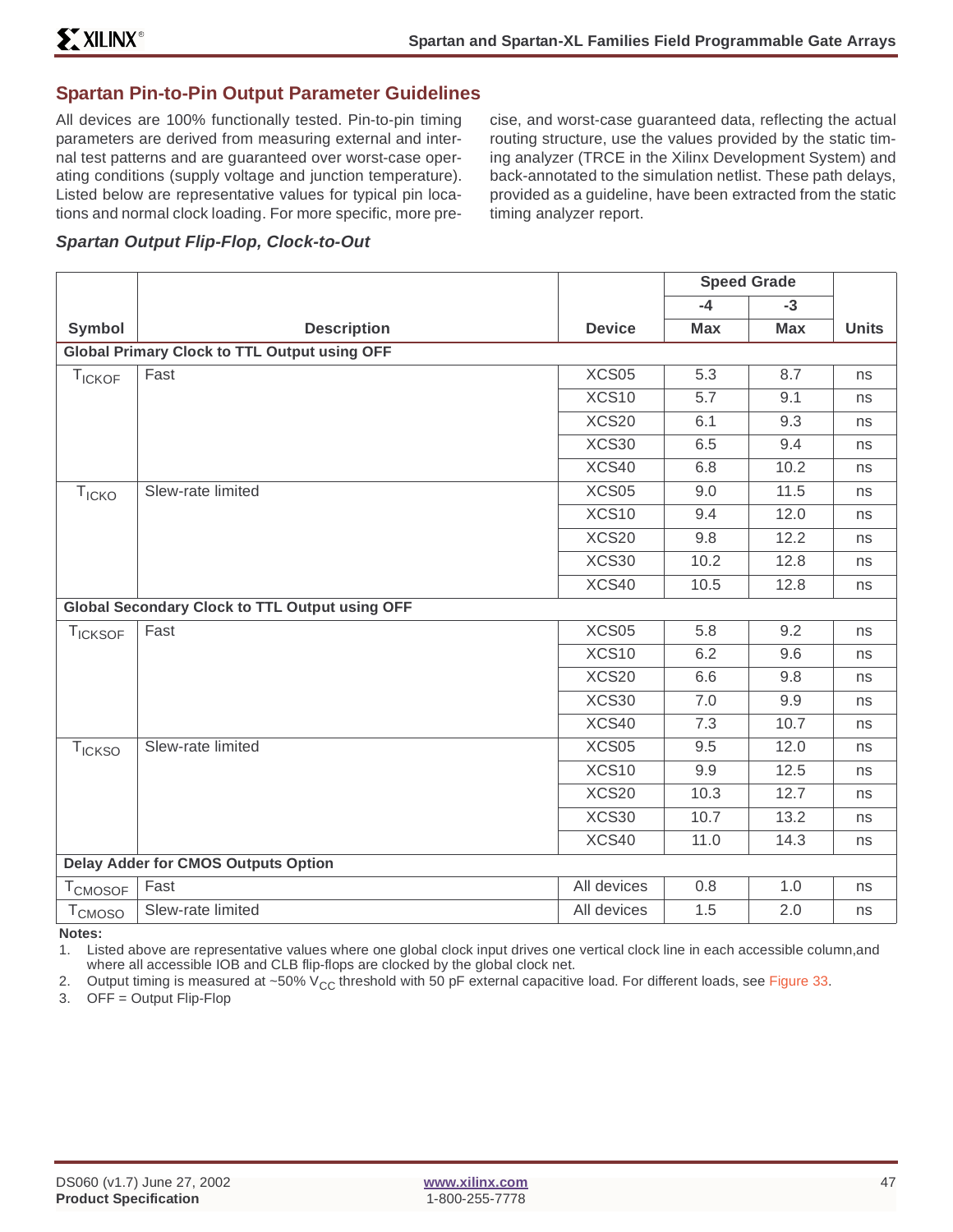### **Spartan Pin-to-Pin Output Parameter Guidelines**

All devices are 100% functionally tested. Pin-to-pin timing parameters are derived from measuring external and internal test patterns and are guaranteed over worst-case operating conditions (supply voltage and junction temperature). Listed below are representative values for typical pin locations and normal clock loading. For more specific, more pre-

cise, and worst-case guaranteed data, reflecting the actual routing structure, use the values provided by the static timing analyzer (TRCE in the Xilinx Development System) and back-annotated to the simulation netlist. These path delays, provided as a guideline, have been extracted from the static timing analyzer report.

#### **Spartan Output Flip-Flop, Clock-to-Out**

|                           |                                                       |               | <b>Speed Grade</b> |            |              |
|---------------------------|-------------------------------------------------------|---------------|--------------------|------------|--------------|
|                           |                                                       |               | $-4$               | $-3$       |              |
| <b>Symbol</b>             | <b>Description</b>                                    | <b>Device</b> | <b>Max</b>         | <b>Max</b> | <b>Units</b> |
|                           | <b>Global Primary Clock to TTL Output using OFF</b>   |               |                    |            |              |
| TICKOF                    | Fast                                                  | XCS05         | 5.3                | 8.7        | ns           |
|                           |                                                       | XCS10         | 5.7                | 9.1        | ns           |
|                           |                                                       | XCS20         | 6.1                | 9.3        | ns           |
|                           |                                                       | XCS30         | 6.5                | 9.4        | ns           |
|                           |                                                       | XCS40         | 6.8                | 10.2       | ns           |
| <b>T<sub>ICKO</sub></b>   | Slew-rate limited                                     | XCS05         | 9.0                | 11.5       | ns           |
|                           |                                                       | XCS10         | 9.4                | 12.0       | ns           |
|                           |                                                       | XCS20         | 9.8                | 12.2       | ns           |
|                           |                                                       | XCS30         | 10.2               | 12.8       | ns           |
|                           |                                                       | XCS40         | 10.5               | 12.8       | ns           |
|                           | <b>Global Secondary Clock to TTL Output using OFF</b> |               |                    |            |              |
| <b>TICKSOF</b>            | Fast                                                  | XCS05         | 5.8                | 9.2        | ns           |
|                           |                                                       | XCS10         | 6.2                | 9.6        | ns           |
|                           |                                                       | XCS20         | 6.6                | 9.8        | ns           |
|                           |                                                       | XCS30         | 7.0                | 9.9        | ns           |
|                           |                                                       | XCS40         | 7.3                | 10.7       | ns           |
| <b>T<sub>ICKSO</sub></b>  | Slew-rate limited                                     | XCS05         | 9.5                | 12.0       | ns           |
|                           |                                                       | XCS10         | 9.9                | 12.5       | ns           |
|                           |                                                       | XCS20         | 10.3               | 12.7       | ns           |
|                           |                                                       | XCS30         | 10.7               | 13.2       | ns           |
|                           |                                                       | XCS40         | 11.0               | 14.3       | ns           |
|                           | <b>Delay Adder for CMOS Outputs Option</b>            |               |                    |            |              |
| T <sub>CMOSOF</sub>       | Fast                                                  | All devices   | 0.8                | 1.0        | ns           |
| <b>T</b> <sub>CMOSO</sub> | Slew-rate limited                                     | All devices   | 1.5                | 2.0        | ns           |

**Notes:**

1. Listed above are representative values where one global clock input drives one vertical clock line in each accessible column,and where all accessible IOB and CLB flip-flops are clocked by the global clock net.

2. Output timing is measured at ~50% V<sub>CC</sub> threshold with 50 pF external capacitive load. For different loads, see Figure 33.<br>3. OFF = Output Flip-Flop

 $OFF = Output$  Flip-Flop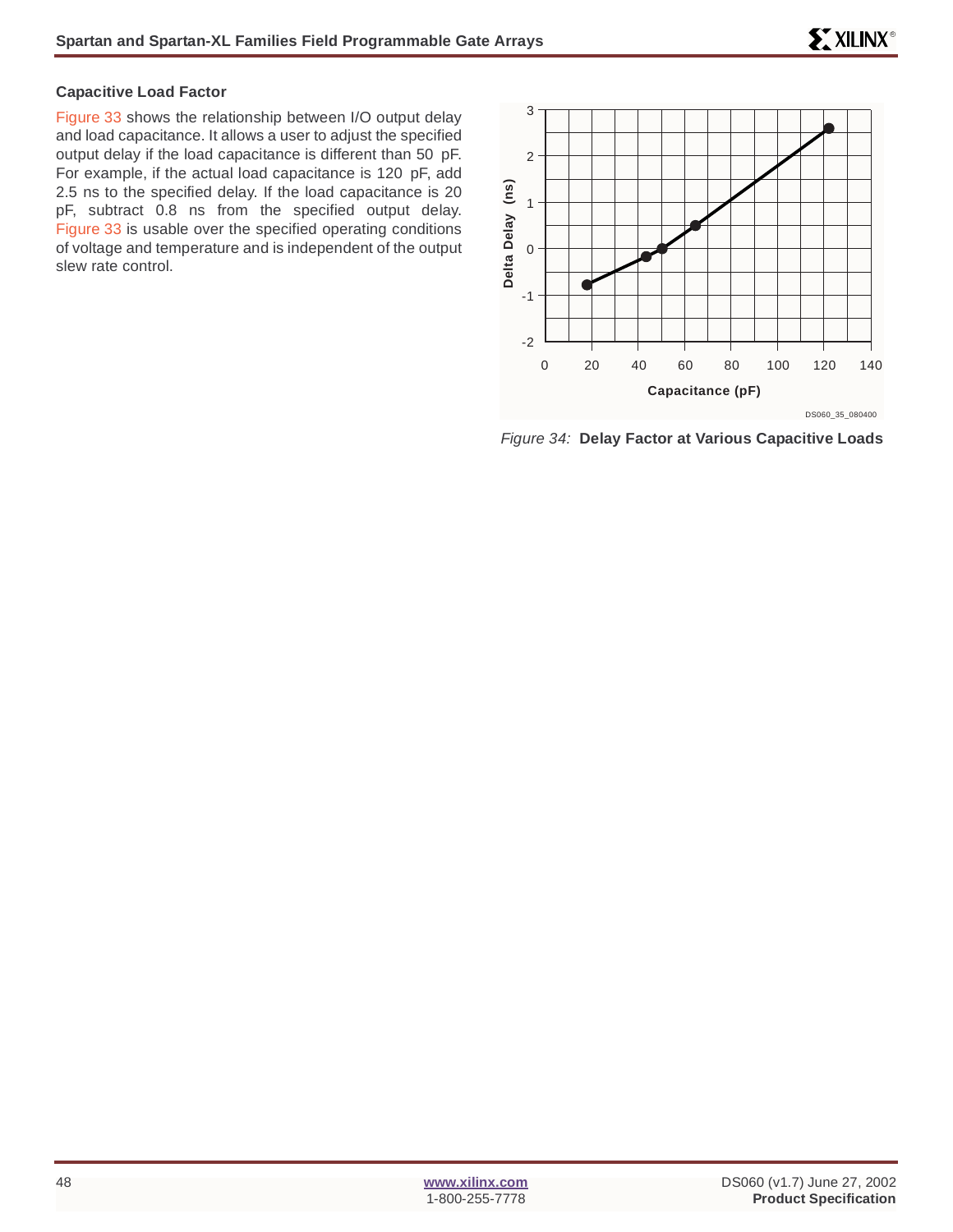#### **Capacitive Load Factor**

Figure 33 shows the relationship between I/O output delay and load capacitance. It allows a user to adjust the specified output delay if the load capacitance is different than 50 pF. For example, if the actual load capacitance is 120 pF, add 2.5 ns to the specified delay. If the load capacitance is 20 pF, subtract 0.8 ns from the specified output delay. Figure 33 is usable over the specified operating conditions of voltage and temperature and is independent of the output slew rate control.



Figure 34: **Delay Factor at Various Capacitive Loads**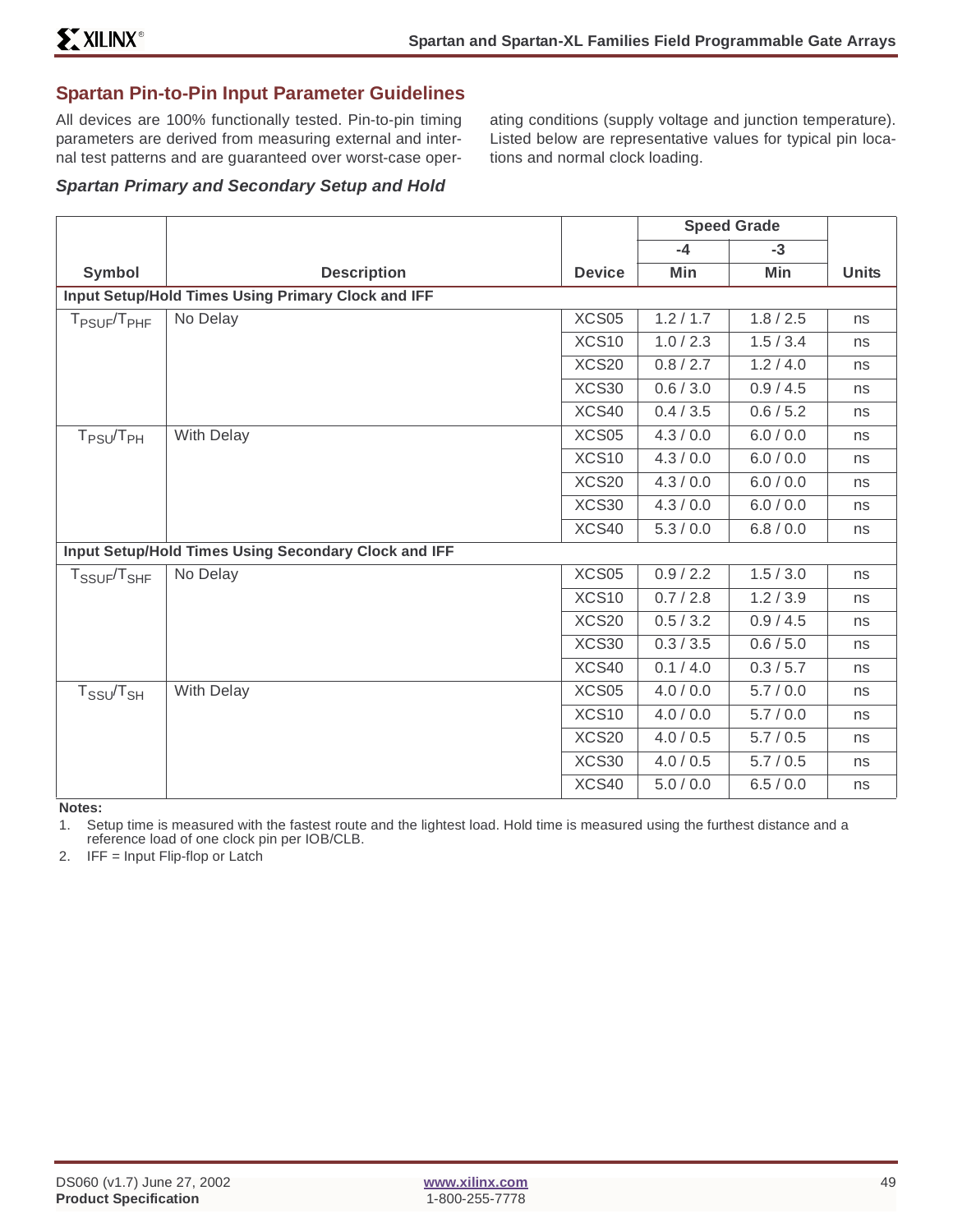# **Spartan Pin-to-Pin Input Parameter Guidelines**

All devices are 100% functionally tested. Pin-to-pin timing parameters are derived from measuring external and internal test patterns and are guaranteed over worst-case operating conditions (supply voltage and junction temperature). Listed below are representative values for typical pin locations and normal clock loading.

#### **Spartan Primary and Secondary Setup and Hold**

|                                     |                                                      |               | <b>Speed Grade</b> |           |              |
|-------------------------------------|------------------------------------------------------|---------------|--------------------|-----------|--------------|
|                                     |                                                      |               | $-4$               | $-3$      |              |
| Symbol                              | <b>Description</b>                                   | <b>Device</b> | Min                | Min       | <b>Units</b> |
|                                     | Input Setup/Hold Times Using Primary Clock and IFF   |               |                    |           |              |
| $T_{PSUF}/T_{PHF}$                  | No Delay                                             | XCS05         | 1.2 / 1.7          | 1.8 / 2.5 | ns           |
|                                     |                                                      | XCS10         | 1.0 / 2.3          | 1.5/3.4   | ns           |
|                                     |                                                      | XCS20         | 0.8 / 2.7          | 1.2 / 4.0 | ns           |
|                                     |                                                      | XCS30         | 0.6 / 3.0          | 0.9 / 4.5 | ns           |
|                                     |                                                      | XCS40         | 0.4 / 3.5          | 0.6 / 5.2 | ns           |
| $T_{PSU}/T_{PH}$                    | With Delay                                           | XCS05         | 4.3 / 0.0          | 6.0 / 0.0 | ns           |
|                                     |                                                      | XCS10         | 4.3 / 0.0          | 6.0 / 0.0 | ns           |
|                                     |                                                      | XCS20         | 4.3 / 0.0          | 6.0 / 0.0 | ns           |
|                                     |                                                      | XCS30         | 4.3 / 0.0          | 6.0 / 0.0 | ns           |
|                                     |                                                      | XCS40         | 5.3 / 0.0          | 6.8 / 0.0 | ns           |
|                                     | Input Setup/Hold Times Using Secondary Clock and IFF |               |                    |           |              |
| T <sub>SSUF</sub> /T <sub>SHF</sub> | No Delay                                             | XCS05         | 0.9 / 2.2          | 1.5 / 3.0 | ns           |
|                                     |                                                      | XCS10         | 0.7 / 2.8          | 1.2 / 3.9 | ns           |
|                                     |                                                      | XCS20         | 0.5 / 3.2          | 0.9 / 4.5 | ns           |
|                                     |                                                      | XCS30         | 0.3 / 3.5          | 0.6 / 5.0 | ns           |
|                                     |                                                      | XCS40         | 0.1 / 4.0          | 0.3 / 5.7 | ns           |
| $T_{SSU}/T_{SH}$                    | With Delay                                           | XCS05         | 4.0 / 0.0          | 5.7/0.0   | ns           |
|                                     |                                                      | XCS10         | 4.0 / 0.0          | 5.7/0.0   | ns           |
|                                     |                                                      | XCS20         | 4.0 / 0.5          | 5.7/0.5   | ns           |
|                                     |                                                      | XCS30         | 4.0 / 0.5          | 5.7/0.5   | ns           |
|                                     |                                                      | XCS40         | 5.0 / 0.0          | 6.5 / 0.0 | ns           |

**Notes:**

1. Setup time is measured with the fastest route and the lightest load. Hold time is measured using the furthest distance and a reference load of one clock pin per IOB/CLB.

2. IFF = Input Flip-flop or Latch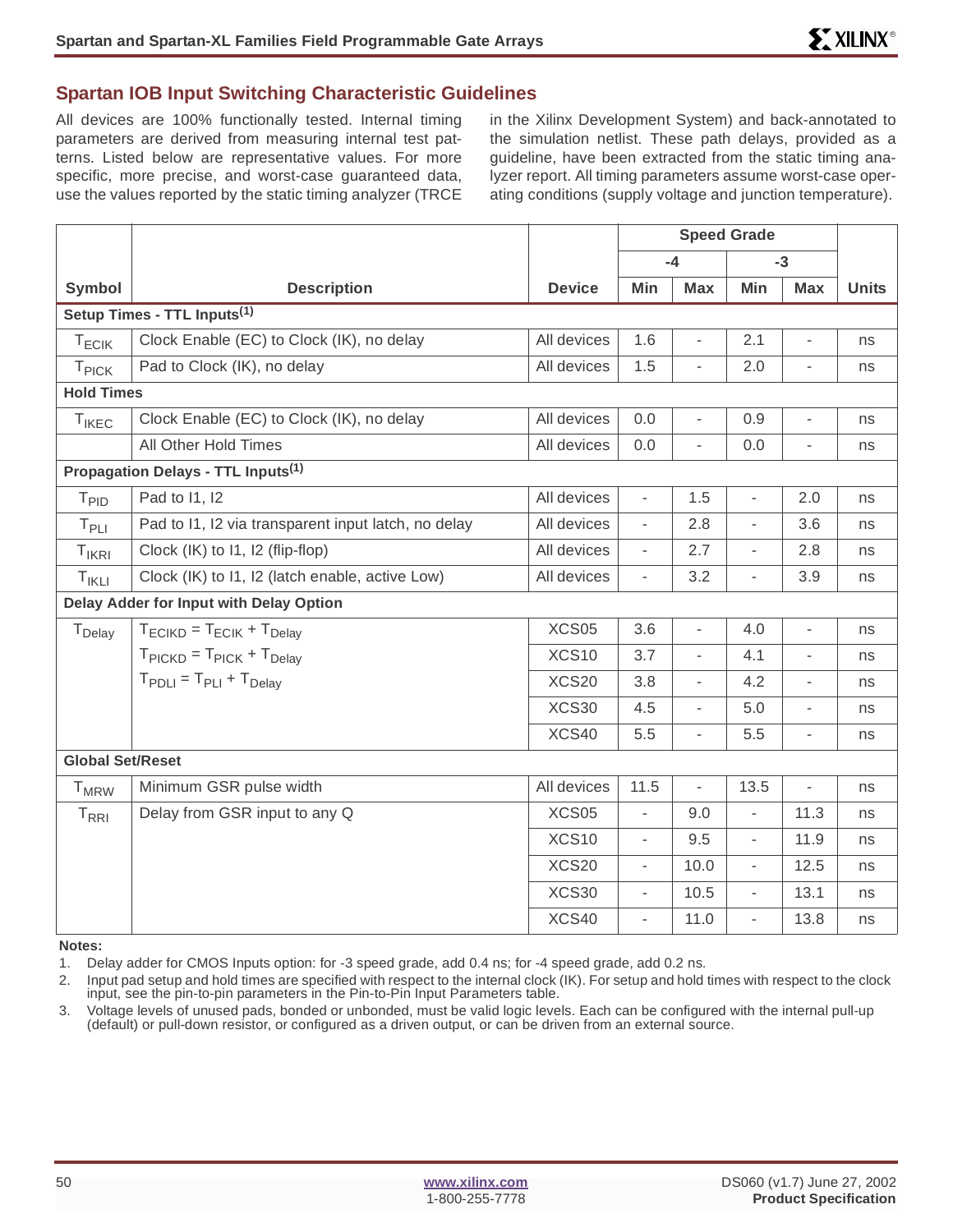#### **Spartan IOB Input Switching Characteristic Guidelines**

All devices are 100% functionally tested. Internal timing parameters are derived from measuring internal test patterns. Listed below are representative values. For more specific, more precise, and worst-case guaranteed data, use the values reported by the static timing analyzer (TRCE

in the Xilinx Development System) and back-annotated to the simulation netlist. These path delays, provided as a guideline, have been extracted from the static timing analyzer report. All timing parameters assume worst-case operating conditions (supply voltage and junction temperature).

|                         |                                                         |               | <b>Speed Grade</b>       |                          |                          |                          |              |
|-------------------------|---------------------------------------------------------|---------------|--------------------------|--------------------------|--------------------------|--------------------------|--------------|
|                         |                                                         |               |                          | $-4$                     |                          | $-3$                     |              |
| <b>Symbol</b>           | <b>Description</b>                                      | <b>Device</b> | Min                      | <b>Max</b>               | Min                      | <b>Max</b>               | <b>Units</b> |
|                         | Setup Times - TTL Inputs <sup>(1)</sup>                 |               |                          |                          |                          |                          |              |
| $T_{ECIK}$              | Clock Enable (EC) to Clock (IK), no delay               | All devices   | 1.6                      | L,                       | 2.1                      | $\overline{\phantom{a}}$ | ns           |
| T <sub>PICK</sub>       | Pad to Clock (IK), no delay                             | All devices   | 1.5                      | L,                       | 2.0                      |                          | ns           |
| <b>Hold Times</b>       |                                                         |               |                          |                          |                          |                          |              |
| $T_{IKEC}$              | Clock Enable (EC) to Clock (IK), no delay               | All devices   | 0.0                      | $\overline{a}$           | 0.9                      | $\overline{\phantom{a}}$ | ns           |
|                         | All Other Hold Times                                    | All devices   | 0.0                      | ÷,                       | 0.0                      | Ĭ.                       | ns           |
|                         | Propagation Delays - TTL Inputs <sup>(1)</sup>          |               |                          |                          |                          |                          |              |
| T <sub>PID</sub>        | Pad to 11, 12                                           | All devices   | ÷,                       | 1.5                      | $\overline{a}$           | 2.0                      | ns           |
| $T_{PLI}$               | Pad to 11, I2 via transparent input latch, no delay     | All devices   | $\overline{\phantom{a}}$ | 2.8                      | $\overline{\phantom{0}}$ | 3.6                      | ns           |
| $T_{IKRI}$              | Clock (IK) to 11, 12 (flip-flop)                        | All devices   | $\overline{\phantom{a}}$ | 2.7                      | ÷,                       | 2.8                      | ns           |
| $T_{IKLI}$              | Clock (IK) to I1, I2 (latch enable, active Low)         | All devices   | ÷,                       | 3.2                      | $\overline{\phantom{a}}$ | 3.9                      | ns           |
|                         | Delay Adder for Input with Delay Option                 |               |                          |                          |                          |                          |              |
| T <sub>Delay</sub>      | $T_{\text{ECIKD}} = T_{\text{ECIK}} + T_{\text{Delay}}$ | XCS05         | 3.6                      | L,                       | 4.0                      | $\overline{\phantom{0}}$ | ns           |
|                         | $T_{\text{PICKD}} = T_{\text{PICK}} + T_{\text{Delay}}$ | XCS10         | 3.7                      | $\overline{a}$           | 4.1                      | $\overline{\phantom{a}}$ | ns           |
|                         | $T_{\text{PDI I}} = T_{\text{PI I}} + T_{\text{Delay}}$ | XCS20         | 3.8                      | $\overline{a}$           | 4.2                      | $\overline{\phantom{a}}$ | ns           |
|                         |                                                         | XCS30         | 4.5                      | $\overline{\phantom{0}}$ | 5.0                      | $\overline{\phantom{0}}$ | ns           |
|                         |                                                         | XCS40         | 5.5                      | $\overline{\phantom{0}}$ | 5.5                      | $\overline{\phantom{a}}$ | ns           |
| <b>Global Set/Reset</b> |                                                         |               |                          |                          |                          |                          |              |
| <b>T</b> <sub>MRW</sub> | Minimum GSR pulse width                                 | All devices   | 11.5                     | $\frac{1}{2}$            | 13.5                     | $\overline{\phantom{a}}$ | ns           |
| $T_{\rm RRI}$           | Delay from GSR input to any Q                           | XCS05         | $\overline{\phantom{a}}$ | 9.0                      | $\overline{\phantom{0}}$ | 11.3                     | ns           |
|                         |                                                         | XCS10         | $\blacksquare$           | 9.5                      | ÷,                       | 11.9                     | ns           |
|                         |                                                         | XCS20         | $\overline{\phantom{a}}$ | 10.0                     | $\overline{\phantom{0}}$ | 12.5                     | ns           |
|                         |                                                         | XCS30         | $\overline{\phantom{a}}$ | 10.5                     | $\overline{\phantom{a}}$ | 13.1                     | ns           |
|                         |                                                         | XCS40         | $\overline{\phantom{a}}$ | 11.0                     | $\overline{a}$           | 13.8                     | ns           |

**Notes:**

1. Delay adder for CMOS Inputs option: for -3 speed grade, add 0.4 ns; for -4 speed grade, add 0.2 ns.

2. Input pad setup and hold times are specified with respect to the internal clock (IK). For setup and hold times with respect to the clock input, see the pin-to-pin parameters in the Pin-to-Pin Input Parameters table.

3. Voltage levels of unused pads, bonded or unbonded, must be valid logic levels. Each can be configured with the internal pull-up (default) or pull-down resistor, or configured as a driven output, or can be driven from an external source.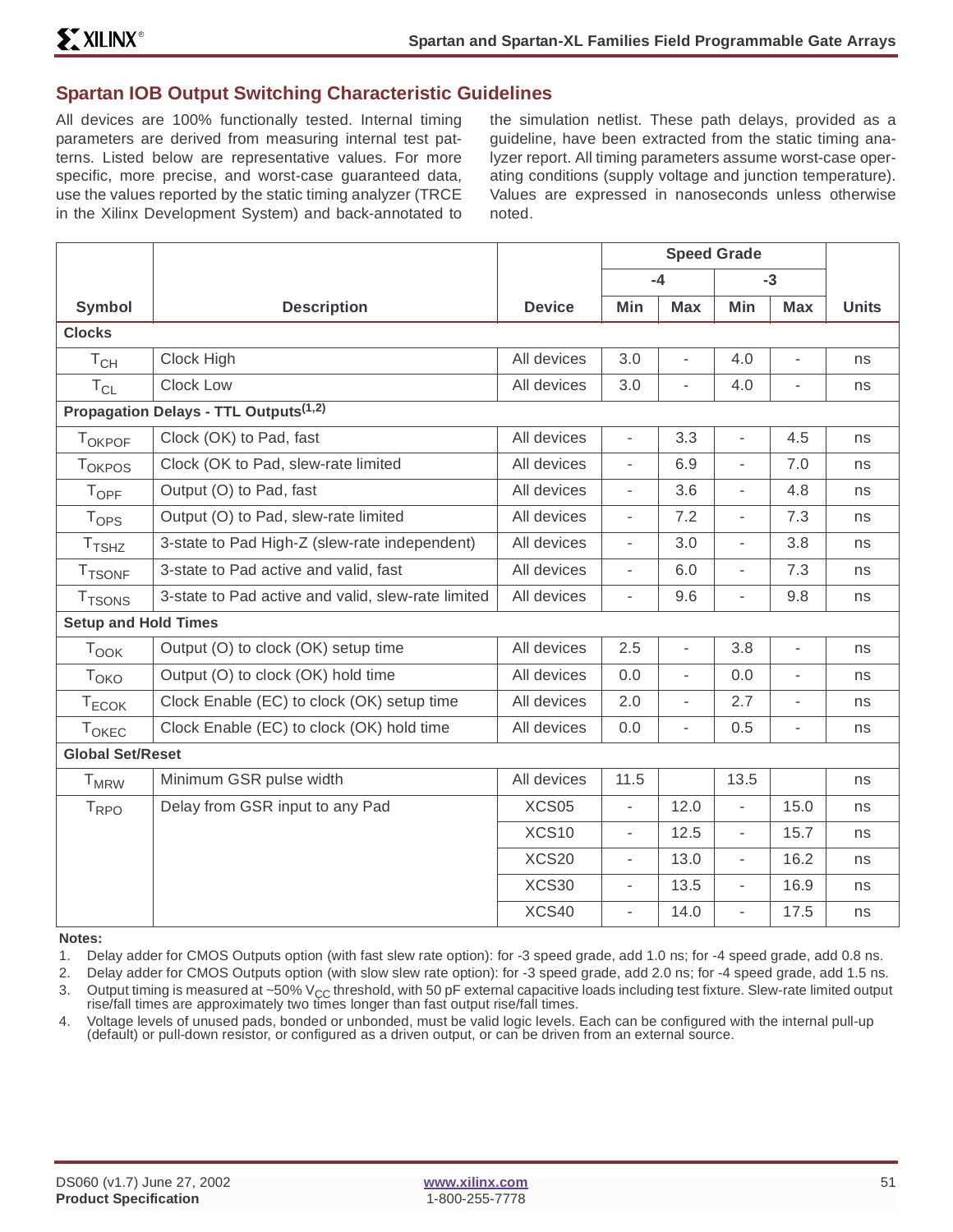#### **Spartan IOB Output Switching Characteristic Guidelines**

All devices are 100% functionally tested. Internal timing parameters are derived from measuring internal test patterns. Listed below are representative values. For more specific, more precise, and worst-case guaranteed data, use the values reported by the static timing analyzer (TRCE in the Xilinx Development System) and back-annotated to

the simulation netlist. These path delays, provided as a guideline, have been extracted from the static timing analyzer report. All timing parameters assume worst-case operating conditions (supply voltage and junction temperature). Values are expressed in nanoseconds unless otherwise noted.

|                             |                                                    |               | <b>Speed Grade</b>       |                          |                          |                          |              |
|-----------------------------|----------------------------------------------------|---------------|--------------------------|--------------------------|--------------------------|--------------------------|--------------|
|                             |                                                    |               |                          | $-4$                     |                          | $-3$                     |              |
| <b>Symbol</b>               | <b>Description</b>                                 | <b>Device</b> | Min                      | <b>Max</b>               | Min                      | <b>Max</b>               | <b>Units</b> |
| <b>Clocks</b>               |                                                    |               |                          |                          |                          |                          |              |
| $T_{CH}$                    | Clock High                                         | All devices   | 3.0                      | $\overline{\phantom{a}}$ | 4.0                      | $\overline{\phantom{a}}$ | ns           |
| $T_{CL}$                    | Clock Low                                          | All devices   | 3.0                      | $\overline{\phantom{a}}$ | 4.0                      | $\overline{\phantom{a}}$ | ns           |
|                             | Propagation Delays - TTL Outputs <sup>(1,2)</sup>  |               |                          |                          |                          |                          |              |
| TOKPOF                      | Clock (OK) to Pad, fast                            | All devices   | $\overline{\phantom{a}}$ | 3.3                      | $\overline{\phantom{a}}$ | 4.5                      | ns           |
| <b>TOKPOS</b>               | Clock (OK to Pad, slew-rate limited                | All devices   | $\overline{\phantom{a}}$ | 6.9                      | $\overline{\phantom{a}}$ | 7.0                      | ns           |
| <b>TOPF</b>                 | Output (O) to Pad, fast                            | All devices   | $\overline{\phantom{a}}$ | 3.6                      | $\overline{\phantom{0}}$ | 4.8                      | ns           |
| <b>T</b> <sub>OPS</sub>     | Output (O) to Pad, slew-rate limited               | All devices   | $\overline{\phantom{a}}$ | 7.2                      | $\overline{\phantom{a}}$ | 7.3                      | ns           |
| T <sub>TSHZ</sub>           | 3-state to Pad High-Z (slew-rate independent)      | All devices   | $\overline{\phantom{a}}$ | 3.0                      | $\overline{\phantom{a}}$ | 3.8                      | ns           |
| <b>T</b> TSONF              | 3-state to Pad active and valid, fast              | All devices   | $\overline{\phantom{a}}$ | 6.0                      | $\overline{\phantom{a}}$ | 7.3                      | ns           |
| <b>T</b> TSONS              | 3-state to Pad active and valid, slew-rate limited | All devices   | $\overline{\phantom{a}}$ | 9.6                      | $\overline{\phantom{0}}$ | 9.8                      | ns           |
| <b>Setup and Hold Times</b> |                                                    |               |                          |                          |                          |                          |              |
| <b>Took</b>                 | Output (O) to clock (OK) setup time                | All devices   | 2.5                      | $\overline{\phantom{a}}$ | 3.8                      | $\overline{\phantom{a}}$ | ns           |
| T <sub>OKO</sub>            | Output (O) to clock (OK) hold time                 | All devices   | 0.0                      | $\bar{ }$                | 0.0                      | $\overline{\phantom{a}}$ | ns           |
| $T_{ECOK}$                  | Clock Enable (EC) to clock (OK) setup time         | All devices   | 2.0                      | $\overline{\phantom{0}}$ | 2.7                      | $\overline{\phantom{a}}$ | ns           |
| <b>TOKEC</b>                | Clock Enable (EC) to clock (OK) hold time          | All devices   | 0.0                      | $\overline{\phantom{a}}$ | 0.5                      | $\bar{\phantom{a}}$      | ns           |
| <b>Global Set/Reset</b>     |                                                    |               |                          |                          |                          |                          |              |
| <b>T</b> <sub>MRW</sub>     | Minimum GSR pulse width                            | All devices   | 11.5                     |                          | 13.5                     |                          | ns           |
| $T_{\text{RPO}}$            | Delay from GSR input to any Pad                    | XCS05         | $\frac{1}{2}$            | 12.0                     | $\frac{1}{2}$            | 15.0                     | ns           |
|                             |                                                    | XCS10         | $\overline{\phantom{0}}$ | 12.5                     | $\overline{\phantom{a}}$ | 15.7                     | ns           |
|                             |                                                    | XCS20         | $\overline{\phantom{a}}$ | 13.0                     | $\overline{\phantom{0}}$ | 16.2                     | ns           |
|                             |                                                    | XCS30         | $\overline{\phantom{0}}$ | 13.5                     | $\overline{\phantom{0}}$ | 16.9                     | ns           |
|                             |                                                    | XCS40         | $\overline{\phantom{a}}$ | 14.0                     | $\bar{ }$                | 17.5                     | ns           |

**Notes:**

1. Delay adder for CMOS Outputs option (with fast slew rate option): for -3 speed grade, add 1.0 ns; for -4 speed grade, add 0.8 ns.

2. Delay adder for CMOS Outputs option (with slow slew rate option): for -3 speed grade, add 2.0 ns; for -4 speed grade, add 1.5 ns.

3. Output timing is measured at ~50% V<sub>CC</sub> threshold, with 50 pF external capacitive loads including test fixture. Slew-rate limited output rise/fall times are approximately two times longer than fast output rise/fall times.

4. Voltage levels of unused pads, bonded or unbonded, must be valid logic levels. Each can be configured with the internal pull-up (default) or pull-down resistor, or configured as a driven output, or can be driven from an external source.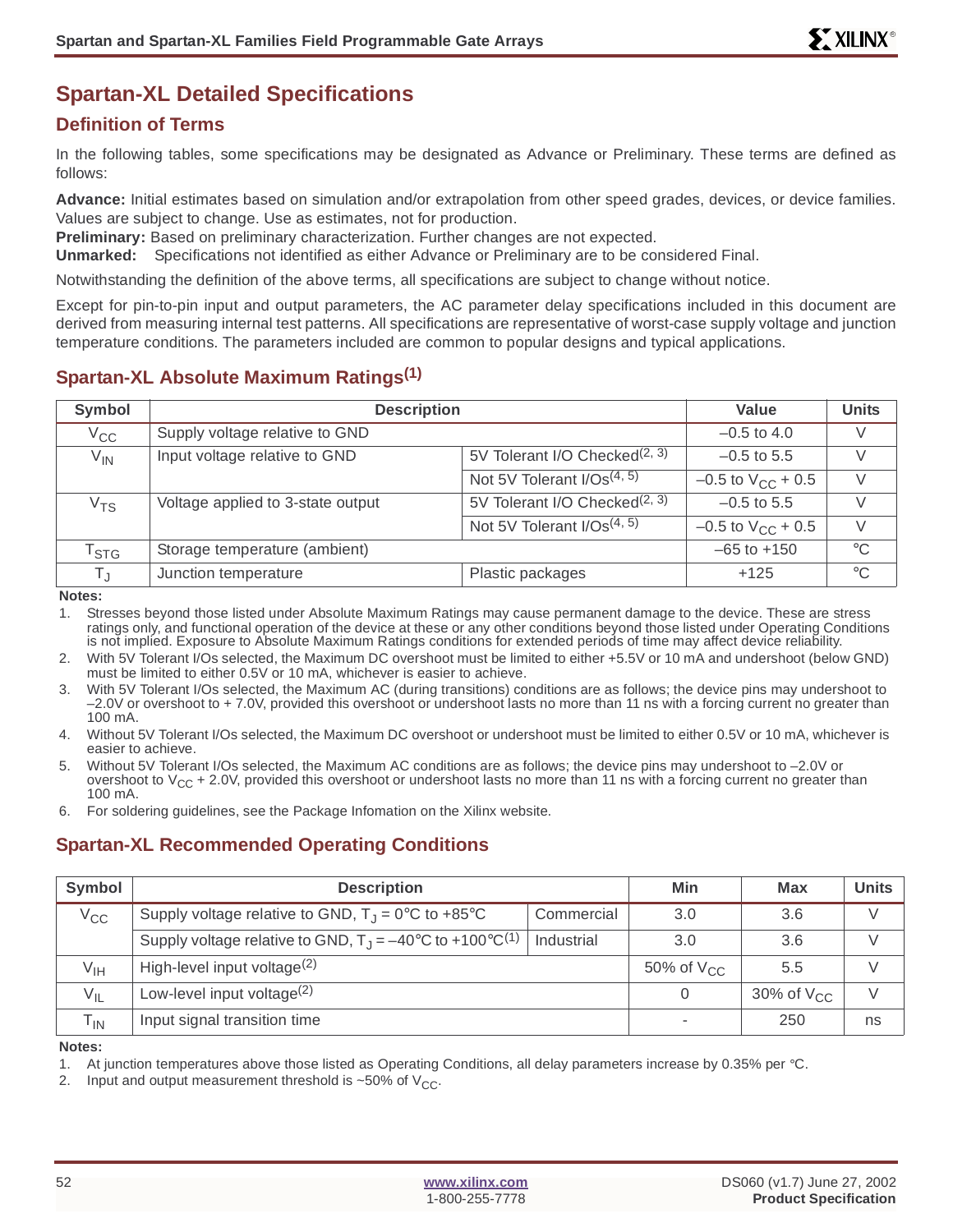# **Spartan-XL Detailed Specifications**

# **Definition of Terms**

In the following tables, some specifications may be designated as Advance or Preliminary. These terms are defined as follows:

**Advance:** Initial estimates based on simulation and/or extrapolation from other speed grades, devices, or device families. Values are subject to change. Use as estimates, not for production.

**Preliminary:** Based on preliminary characterization. Further changes are not expected.

**Unmarked:** Specifications not identified as either Advance or Preliminary are to be considered Final.

Notwithstanding the definition of the above terms, all specifications are subject to change without notice.

Except for pin-to-pin input and output parameters, the AC parameter delay specifications included in this document are derived from measuring internal test patterns. All specifications are representative of worst-case supply voltage and junction temperature conditions. The parameters included are common to popular designs and typical applications.

# **Spartan-XL Absolute Maximum Ratings(1)**

| Symbol                      | <b>Description</b>                |                                           | Value                    | <b>Units</b> |
|-----------------------------|-----------------------------------|-------------------------------------------|--------------------------|--------------|
| $V_{\rm CC}$                | Supply voltage relative to GND    |                                           | $-0.5$ to 4.0            | V            |
| $V_{IN}$                    | Input voltage relative to GND     | 5V Tolerant I/O Checked <sup>(2, 3)</sup> | $-0.5$ to 5.5            | V            |
|                             |                                   | Not 5V Tolerant $I/Os^{(4, 5)}$           | $-0.5$ to $V_{CC}$ + 0.5 | V            |
| V <sub>TS</sub>             | Voltage applied to 3-state output | 5V Tolerant I/O Checked <sup>(2, 3)</sup> | $-0.5$ to 5.5            | V            |
|                             |                                   | Not 5V Tolerant $I/Os^{(4, 5)}$           | $-0.5$ to $V_{CC}$ + 0.5 | $\vee$       |
| $\mathsf{T}_{\textsf{STG}}$ | Storage temperature (ambient)     |                                           | $-65$ to $+150$          | $^{\circ}C$  |
| Tյ                          | Junction temperature              | Plastic packages                          | $+125$                   | $^{\circ}C$  |

**Notes:**

1. Stresses beyond those listed under Absolute Maximum Ratings may cause permanent damage to the device. These are stress ratings only, and functional operation of the device at these or any other conditions beyond those listed under Operating Conditions is not implied. Exposure to Absolute Maximum Ratings conditions for extended periods of time may affect device reliability.

- 2. With 5V Tolerant I/Os selected, the Maximum DC overshoot must be limited to either +5.5V or 10 mA and undershoot (below GND) must be limited to either 0.5V or 10 mA, whichever is easier to achieve.
- 3. With 5V Tolerant I/Os selected, the Maximum AC (during transitions) conditions are as follows; the device pins may undershoot to –2.0V or overshoot to + 7.0V, provided this overshoot or undershoot lasts no more than 11 ns with a forcing current no greater than 100 mA.
- 4. Without 5V Tolerant I/Os selected, the Maximum DC overshoot or undershoot must be limited to either 0.5V or 10 mA, whichever is easier to achieve.
- 5. Without 5V Tolerant I/Os selected, the Maximum AC conditions are as follows; the device pins may undershoot to –2.0V or overshoot to  $V_{CC}$  + 2.0V, provided this overshoot or undershoot lasts no more than 11 ns with a forcing current no greater than 100 mA.

6. For soldering guidelines, see the Package Infomation on the Xilinx website.

# **Spartan-XL Recommended Operating Conditions**

| Symbol                     | <b>Description</b>                                                              | Min        | <b>Max</b>      | Units           |               |
|----------------------------|---------------------------------------------------------------------------------|------------|-----------------|-----------------|---------------|
| $V_{\rm CC}$               | Supply voltage relative to GND, $T_{\rm J} = 0^{\circ}$ C to +85°C              | Commercial | 3.0             | 3.6             |               |
|                            | Supply voltage relative to GND, $T_{J} = -40^{\circ}C$ to +100°C <sup>(1)</sup> | Industrial | 3.0             | 3.6             | $\mathcal{U}$ |
| $V_{\text{IH}}$            | High-level input voltage $(2)$                                                  |            | 50% of $V_{CC}$ | 5.5             | $\vee$        |
| $V_{IL}$                   | Low-level input voltage $(2)$                                                   |            |                 | 30% of $V_{CC}$ | $\vee$        |
| $\mathsf{T}_{\textsf{IN}}$ | Input signal transition time                                                    |            |                 | 250             | ns            |

**Notes:**

1. At junction temperatures above those listed as Operating Conditions, all delay parameters increase by 0.35% per °C.

2. Input and output measurement threshold is  $\sim$  50% of  $V_{CC}$ .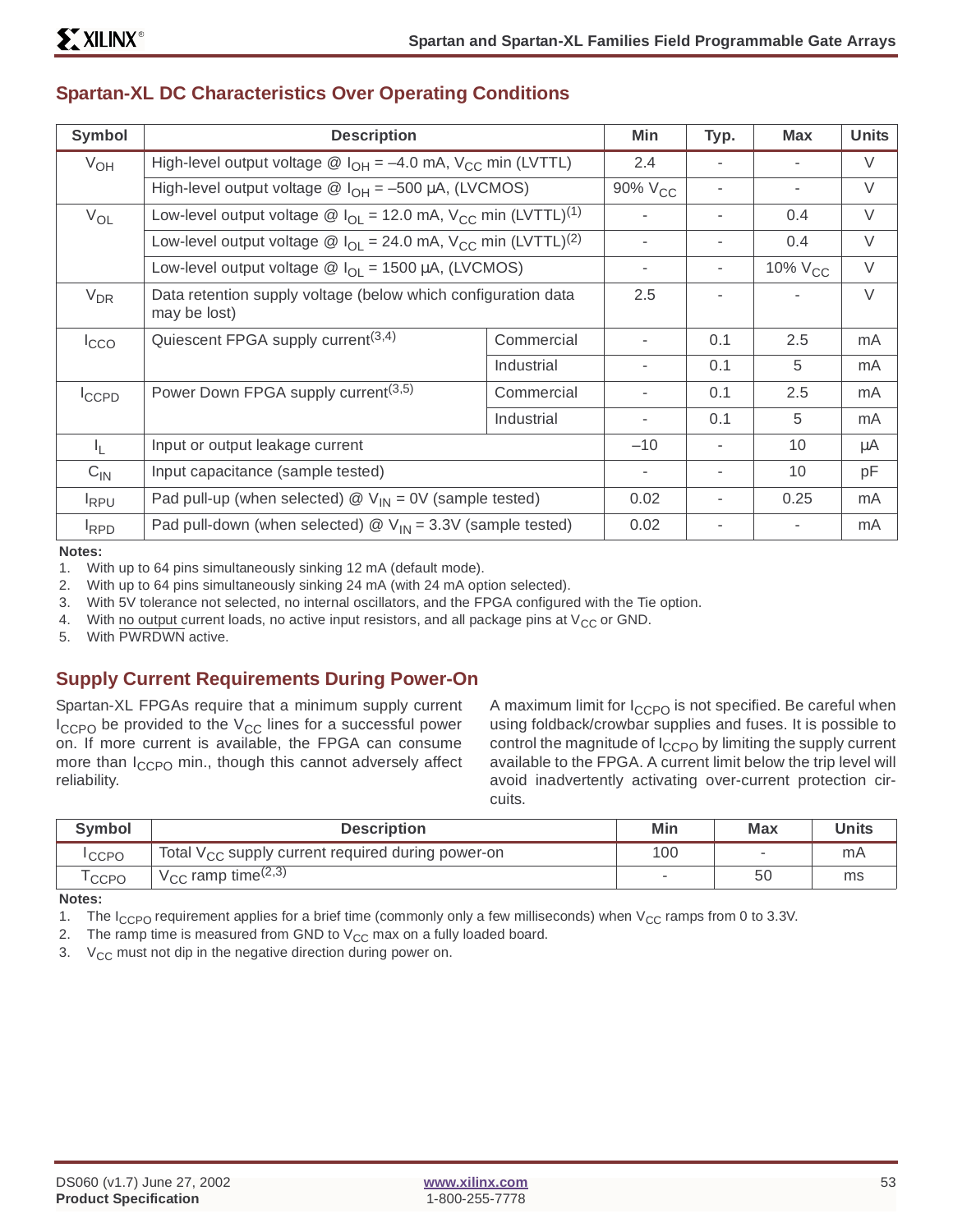| Symbol         | <b>Description</b>                                                                                         |                                                                                                            | Min                      | Typ. | <b>Max</b>   | <b>Units</b> |
|----------------|------------------------------------------------------------------------------------------------------------|------------------------------------------------------------------------------------------------------------|--------------------------|------|--------------|--------------|
| $V_{OH}$       | High-level output voltage $\circledR$ I <sub>OH</sub> = -4.0 mA, V <sub>CC</sub> min (LVTTL)               |                                                                                                            | 2.4                      |      |              | V            |
|                | High-level output voltage $\circledR$ I <sub>OH</sub> = -500 µA, (LVCMOS)                                  |                                                                                                            | 90% V <sub>CC</sub>      | ٠    | ٠.           | V            |
| $V_{OL}$       | Low-level output voltage $\circledR$ I <sub>OI</sub> = 12.0 mA, V <sub>CC</sub> min (LVTTL) <sup>(1)</sup> |                                                                                                            |                          |      | 0.4          | $\vee$       |
|                |                                                                                                            | Low-level output voltage $\circledR$ I <sub>OL</sub> = 24.0 mA, V <sub>CC</sub> min (LVTTL) <sup>(2)</sup> |                          |      | 0.4          | V            |
|                |                                                                                                            | Low-level output voltage $\circledR$ I <sub>OL</sub> = 1500 µA, (LVCMOS)                                   |                          | ۰    | 10% $V_{CC}$ | V            |
| $V_{DR}$       | Data retention supply voltage (below which configuration data<br>may be lost)                              |                                                                                                            | 2.5                      |      |              | V            |
| <b>I</b> cco   | Quiescent FPGA supply current $(3,4)$                                                                      | Commercial                                                                                                 | $\blacksquare$           | 0.1  | 2.5          | mA           |
|                |                                                                                                            | Industrial                                                                                                 | $\overline{\phantom{a}}$ | 0.1  | 5            | mA           |
| ICCPD          | Power Down FPGA supply current <sup>(3,5)</sup>                                                            | Commercial                                                                                                 | $\overline{\phantom{a}}$ | 0.1  | 2.5          | mA           |
|                |                                                                                                            | Industrial                                                                                                 | $\overline{\phantom{a}}$ | 0.1  | 5            | mA           |
| I <sub>L</sub> | Input or output leakage current                                                                            |                                                                                                            | $-10$                    |      | 10           | μA           |
| $C_{IN}$       | Input capacitance (sample tested)                                                                          |                                                                                                            | $\overline{\phantom{a}}$ | ٠    | 10           | pF           |
| <b>IRPU</b>    | Pad pull-up (when selected) $\mathcal{Q}$ V <sub>IN</sub> = 0V (sample tested)                             |                                                                                                            | 0.02                     |      | 0.25         | mA           |
| <b>RPD</b>     | Pad pull-down (when selected) $\mathcal{Q}$ V <sub>IN</sub> = 3.3V (sample tested)                         |                                                                                                            | 0.02                     |      |              | mA           |

### **Spartan-XL DC Characteristics Over Operating Conditions**

**Notes:**

1. With up to 64 pins simultaneously sinking 12 mA (default mode).

2. With up to 64 pins simultaneously sinking 24 mA (with 24 mA option selected).

3. With 5V tolerance not selected, no internal oscillators, and the FPGA configured with the Tie option.

4. With no output current loads, no active input resistors, and all package pins at  $V_{CC}$  or GND.

5. With PWRDWN active.

# **Supply Current Requirements During Power-On**

Spartan-XL FPGAs require that a minimum supply current  $I_{CCPO}$  be provided to the  $V_{CC}$  lines for a successful power on. If more current is available, the FPGA can consume more than I<sub>CCPO</sub> min., though this cannot adversely affect reliability.

A maximum limit for I<sub>CCPO</sub> is not specified. Be careful when using foldback/crowbar supplies and fuses. It is possible to control the magnitude of  $I_{CCPO}$  by limiting the supply current available to the FPGA. A current limit below the trip level will avoid inadvertently activating over-current protection circuits.

| <b>Symbol</b>     | <b>Description</b>                                            | Min | <b>Max</b>               | Units |
|-------------------|---------------------------------------------------------------|-----|--------------------------|-------|
| <sup>I</sup> CCPO | Total V <sub>CC</sub> supply current required during power-on | 100 | $\overline{\phantom{a}}$ | mA    |
| <sup>I</sup> CCPO | $V_{\text{CC}}$ ramp time <sup>(2,3)</sup>                    |     | 50                       | ms    |

**Notes:**

1. The I<sub>CCPO</sub> requirement applies for a brief time (commonly only a few milliseconds) when  $V_{CC}$  ramps from 0 to 3.3V.

2. The ramp time is measured from GND to  $V_{CC}$  max on a fully loaded board.

3.  $V_{CC}$  must not dip in the negative direction during power on.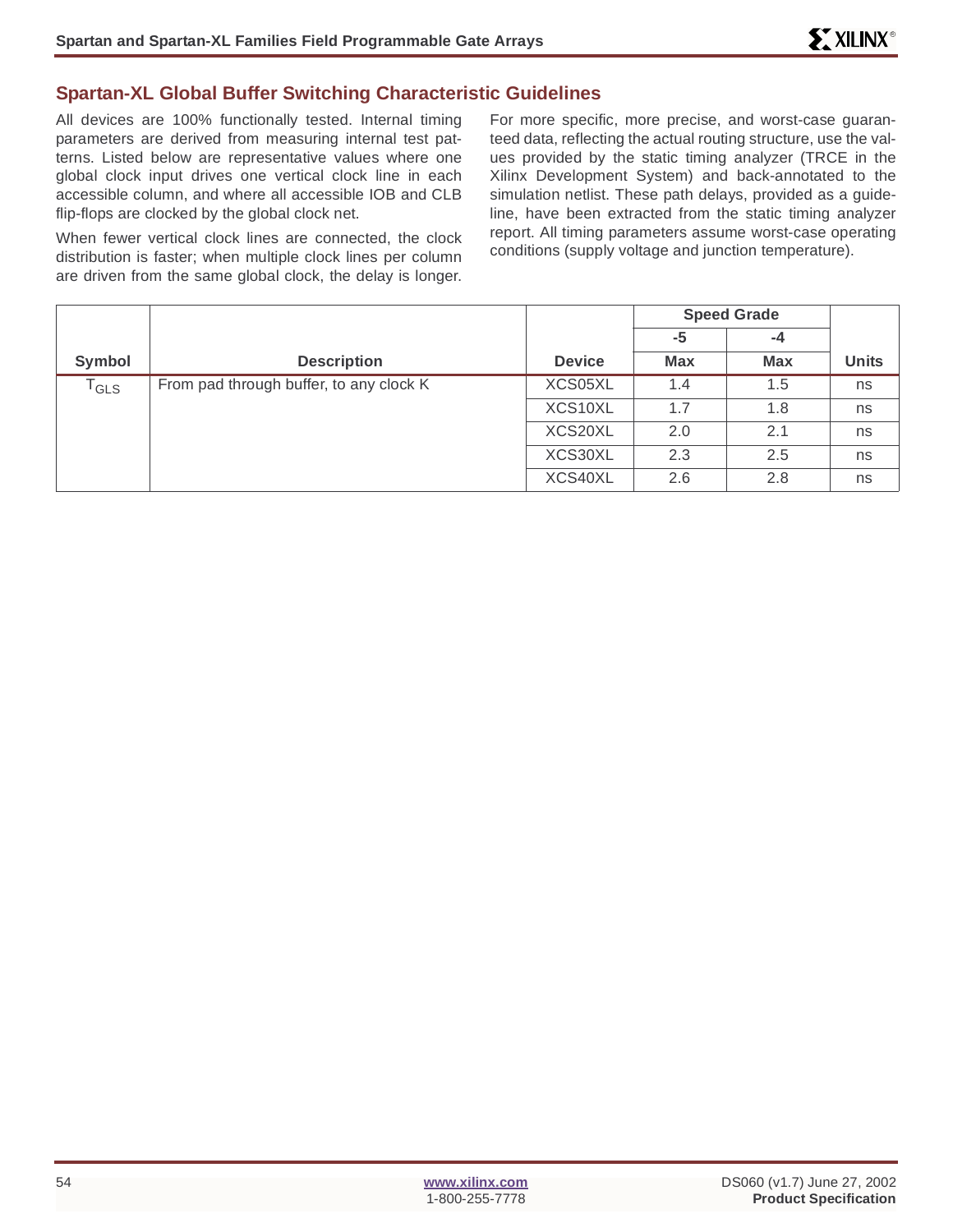#### **Spartan-XL Global Buffer Switching Characteristic Guidelines**

All devices are 100% functionally tested. Internal timing parameters are derived from measuring internal test patterns. Listed below are representative values where one global clock input drives one vertical clock line in each accessible column, and where all accessible IOB and CLB flip-flops are clocked by the global clock net.

When fewer vertical clock lines are connected, the clock distribution is faster; when multiple clock lines per column are driven from the same global clock, the delay is longer.

For more specific, more precise, and worst-case guaranteed data, reflecting the actual routing structure, use the values provided by the static timing analyzer (TRCE in the Xilinx Development System) and back-annotated to the simulation netlist. These path delays, provided as a guideline, have been extracted from the static timing analyzer report. All timing parameters assume worst-case operating conditions (supply voltage and junction temperature).

|                             |                                         |               |            | <b>Speed Grade</b> |              |
|-----------------------------|-----------------------------------------|---------------|------------|--------------------|--------------|
|                             |                                         |               | -5         | $-4$               |              |
| Symbol                      | <b>Description</b>                      | <b>Device</b> | <b>Max</b> | <b>Max</b>         | <b>Units</b> |
| $\mathsf{T}_{\mathsf{GLS}}$ | From pad through buffer, to any clock K | XCS05XL       | 1.4        | 1.5                | ns           |
|                             |                                         | XCS10XL       | 1.7        | 1.8                | ns           |
|                             |                                         | XCS20XL       | 2.0        | 2.1                | ns           |
|                             |                                         | XCS30XL       | 2.3        | 2.5                | ns           |
|                             |                                         | XCS40XL       | 2.6        | 2.8                | ns           |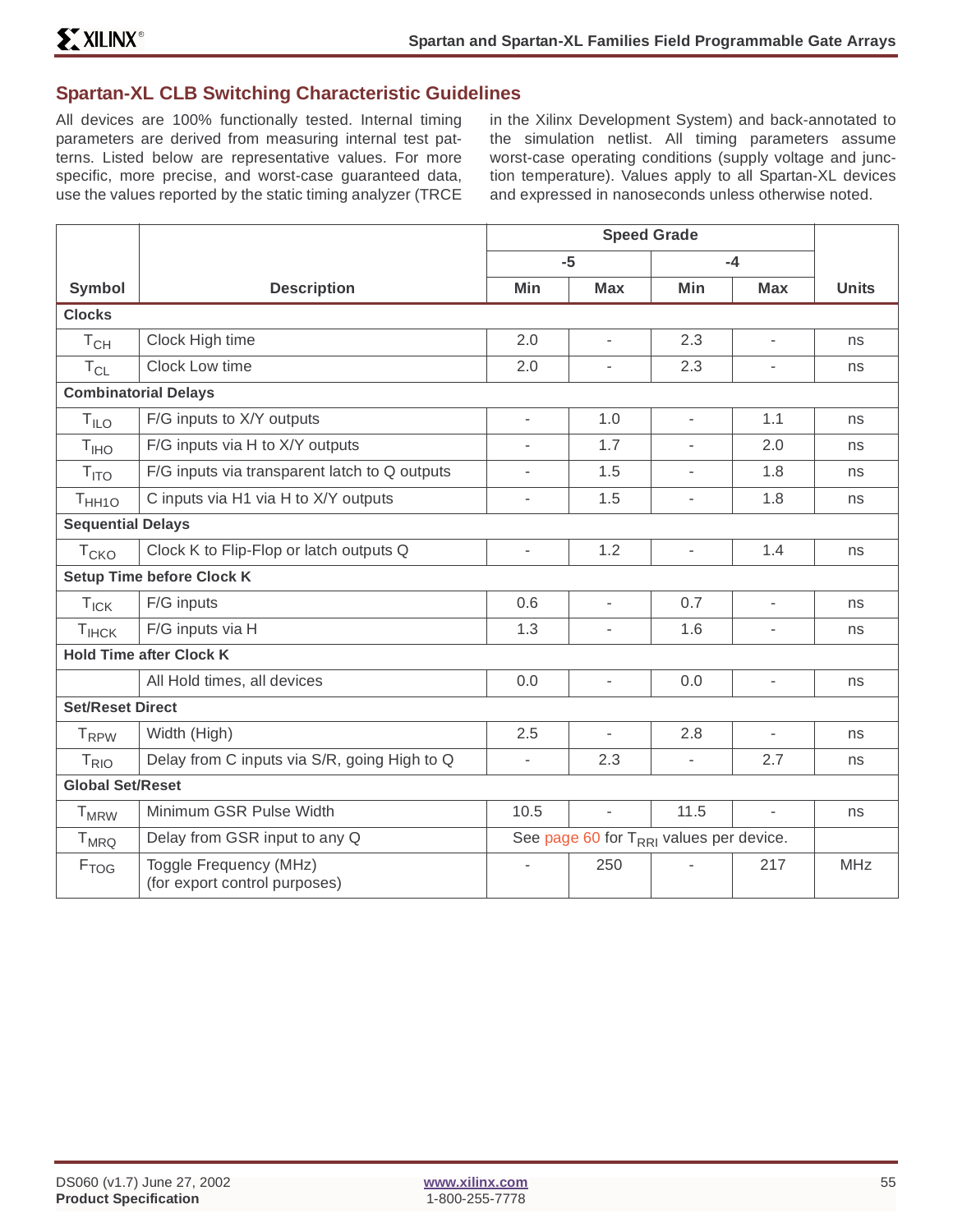#### **Spartan-XL CLB Switching Characteristic Guidelines**

All devices are 100% functionally tested. Internal timing parameters are derived from measuring internal test patterns. Listed below are representative values. For more specific, more precise, and worst-case guaranteed data, use the values reported by the static timing analyzer (TRCE in the Xilinx Development System) and back-annotated to the simulation netlist. All timing parameters assume worst-case operating conditions (supply voltage and junction temperature). Values apply to all Spartan-XL devices and expressed in nanoseconds unless otherwise noted.

|                            |                                                         |                          | $-5$                                                |                          | $-4$                     |              |
|----------------------------|---------------------------------------------------------|--------------------------|-----------------------------------------------------|--------------------------|--------------------------|--------------|
| <b>Symbol</b>              | <b>Description</b>                                      | Min                      | <b>Max</b>                                          | Min                      | <b>Max</b>               | <b>Units</b> |
| <b>Clocks</b>              |                                                         |                          |                                                     |                          |                          |              |
| $\mathsf{T}_{\mathsf{CH}}$ | Clock High time                                         | 2.0                      | $\overline{\phantom{a}}$                            | 2.3                      | $\overline{\phantom{a}}$ | ns           |
| $T_{CL}$                   | Clock Low time                                          | 2.0                      | ÷,                                                  | 2.3                      | -                        | ns           |
|                            | <b>Combinatorial Delays</b>                             |                          |                                                     |                          |                          |              |
| $T_{ILO}$                  | F/G inputs to X/Y outputs                               | ÷.                       | 1.0                                                 | $\overline{\phantom{a}}$ | 1.1                      | ns           |
| T <sub>IHO</sub>           | F/G inputs via H to X/Y outputs                         |                          | 1.7                                                 | L.                       | 2.0                      | ns           |
| T <sub>ITO</sub>           | F/G inputs via transparent latch to Q outputs           | ÷.                       | 1.5                                                 | $\overline{a}$           | 1.8                      | ns           |
| T <sub>HH1O</sub>          | C inputs via H1 via H to X/Y outputs                    | ٠                        | 1.5                                                 | $\overline{\phantom{a}}$ | 1.8                      | ns           |
| <b>Sequential Delays</b>   |                                                         |                          |                                                     |                          |                          |              |
| <b>T<sub>CKO</sub></b>     | Clock K to Flip-Flop or latch outputs Q                 | $\overline{\phantom{a}}$ | 1.2                                                 | $\overline{\phantom{a}}$ | 1.4                      | ns           |
|                            | <b>Setup Time before Clock K</b>                        |                          |                                                     |                          |                          |              |
| $T_{\text{ICK}}$           | F/G inputs                                              | 0.6                      | $\overline{\phantom{a}}$                            | 0.7                      | $\overline{\phantom{a}}$ | ns           |
| T <sub>IHCK</sub>          | F/G inputs via H                                        | 1.3                      | $\overline{a}$                                      | 1.6                      |                          | ns           |
|                            | <b>Hold Time after Clock K</b>                          |                          |                                                     |                          |                          |              |
|                            | All Hold times, all devices                             | 0.0                      | $\overline{\phantom{a}}$                            | 0.0                      | $\overline{\phantom{a}}$ | ns           |
| <b>Set/Reset Direct</b>    |                                                         |                          |                                                     |                          |                          |              |
| T <sub>RPW</sub>           | Width (High)                                            | 2.5                      | $\overline{\phantom{a}}$                            | 2.8                      | $\overline{\phantom{a}}$ | ns           |
| $T_{RIO}$                  | Delay from C inputs via S/R, going High to Q            | ÷.                       | 2.3                                                 | $\overline{\phantom{a}}$ | 2.7                      | ns           |
| <b>Global Set/Reset</b>    |                                                         |                          |                                                     |                          |                          |              |
| <b>T</b> <sub>MRW</sub>    | Minimum GSR Pulse Width                                 | 10.5                     | ÷,                                                  | 11.5                     | $\overline{\phantom{a}}$ | ns           |
| <b>T</b> <sub>MRQ</sub>    | Delay from GSR input to any Q                           |                          | See page 60 for T <sub>RRI</sub> values per device. |                          |                          |              |
| F <sub>TOG</sub>           | Toggle Frequency (MHz)<br>(for export control purposes) |                          | 250                                                 |                          | 217                      | <b>MHz</b>   |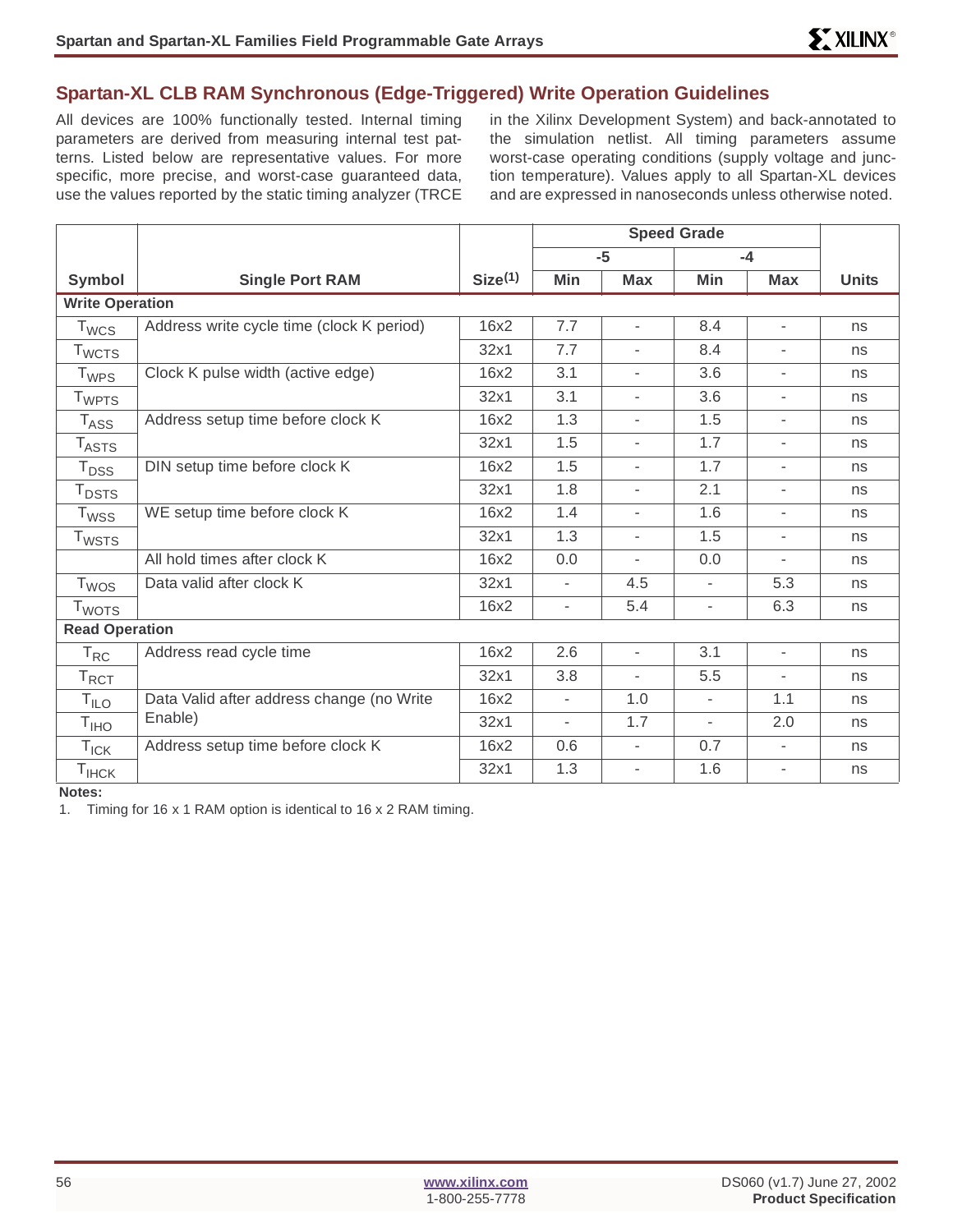# **Spartan-XL CLB RAM Synchronous (Edge-Triggered) Write Operation Guidelines**

All devices are 100% functionally tested. Internal timing parameters are derived from measuring internal test patterns. Listed below are representative values. For more specific, more precise, and worst-case guaranteed data, use the values reported by the static timing analyzer (TRCE in the Xilinx Development System) and back-annotated to the simulation netlist. All timing parameters assume worst-case operating conditions (supply voltage and junction temperature). Values apply to all Spartan-XL devices and are expressed in nanoseconds unless otherwise noted.

|                          |                                           |                     |                          | $-5$                     | $-4$                     |                          |              |
|--------------------------|-------------------------------------------|---------------------|--------------------------|--------------------------|--------------------------|--------------------------|--------------|
| Symbol                   | <b>Single Port RAM</b>                    | Size <sup>(1)</sup> | Min                      | <b>Max</b>               | Min                      | <b>Max</b>               | <b>Units</b> |
| <b>Write Operation</b>   |                                           |                     |                          |                          |                          |                          |              |
| $T_{WCS}$                | Address write cycle time (clock K period) | 16x2                | 7.7                      | $\overline{\phantom{a}}$ | 8.4                      | $\overline{\phantom{a}}$ | ns           |
| <b>T</b> <sub>WCTS</sub> |                                           | 32x1                | 7.7                      | $\overline{\phantom{a}}$ | 8.4                      | $\overline{\phantom{a}}$ | ns           |
| $T_{WPS}$                | Clock K pulse width (active edge)         | 16x2                | 3.1                      | $\overline{\phantom{a}}$ | 3.6                      | $\bar{\phantom{a}}$      | ns           |
| <b>T</b> <sub>WPTS</sub> |                                           | 32x1                | 3.1                      | $\overline{\phantom{a}}$ | 3.6                      | ٠                        | ns           |
| $T_{\rm ASS}$            | Address setup time before clock K         | 16x2                | 1.3                      | ٠                        | 1.5                      | ٠                        | ns           |
| $T_{\sf ASTS}$           |                                           | 32x1                | 1.5                      | $\overline{\phantom{a}}$ | 1.7                      | ٠                        | ns           |
| $T_{DSS}$                | DIN setup time before clock K             | 16x2                | 1.5                      | $\overline{\phantom{a}}$ | 1.7                      | $\overline{\phantom{a}}$ | ns           |
| $T_{\text{DSTS}}$        |                                           | 32x1                | 1.8                      | $\bar{\phantom{a}}$      | 2.1                      | $\overline{\phantom{a}}$ | ns           |
| <b>T</b> <sub>WSS</sub>  | WE setup time before clock K              | 16x2                | 1.4                      | $\overline{\phantom{a}}$ | 1.6                      | $\bar{\phantom{a}}$      | ns           |
| <b>T</b> <sub>WSTS</sub> |                                           | 32x1                | 1.3                      | $\overline{\phantom{a}}$ | 1.5                      | ٠                        | ns           |
|                          | All hold times after clock K              | 16x2                | 0.0                      | $\overline{\phantom{a}}$ | 0.0                      | $\overline{\phantom{a}}$ | ns           |
| $T_{WOS}$                | Data valid after clock K                  | 32x1                | $\mathbf{r}$             | 4.5                      | $\overline{\phantom{0}}$ | 5.3                      | ns           |
| <b>T</b> <sub>WOTS</sub> |                                           | 16x2                | $\overline{\phantom{a}}$ | 5.4                      | $\overline{\phantom{a}}$ | 6.3                      | ns           |
| <b>Read Operation</b>    |                                           |                     |                          |                          |                          |                          |              |
| $T_{RC}$                 | Address read cycle time                   | 16x2                | 2.6                      | $\overline{\phantom{a}}$ | 3.1                      | $\overline{\phantom{a}}$ | ns           |
| $T_{\text{RCT}}$         |                                           | 32x1                | 3.8                      |                          | 5.5                      | ٠                        | ns           |
| T <sub>ILO</sub>         | Data Valid after address change (no Write | 16x2                | $\overline{\phantom{a}}$ | 1.0                      | $\blacksquare$           | 1.1                      | ns           |
| T <sub>IHO</sub>         | Enable)                                   | 32x1                | $\overline{\phantom{a}}$ | 1.7                      | $\overline{\phantom{a}}$ | 2.0                      | ns           |
| $T_{\text{ICK}}$         | Address setup time before clock K         | 16x2                | 0.6                      | $\overline{\phantom{a}}$ | 0.7                      | $\overline{\phantom{a}}$ | ns           |
| $T_{\sf IHCK}$           |                                           | 32x1                | 1.3                      | $\overline{\phantom{a}}$ | 1.6                      | ٠                        | ns           |

**Notes:**

1. Timing for 16 x 1 RAM option is identical to 16 x 2 RAM timing.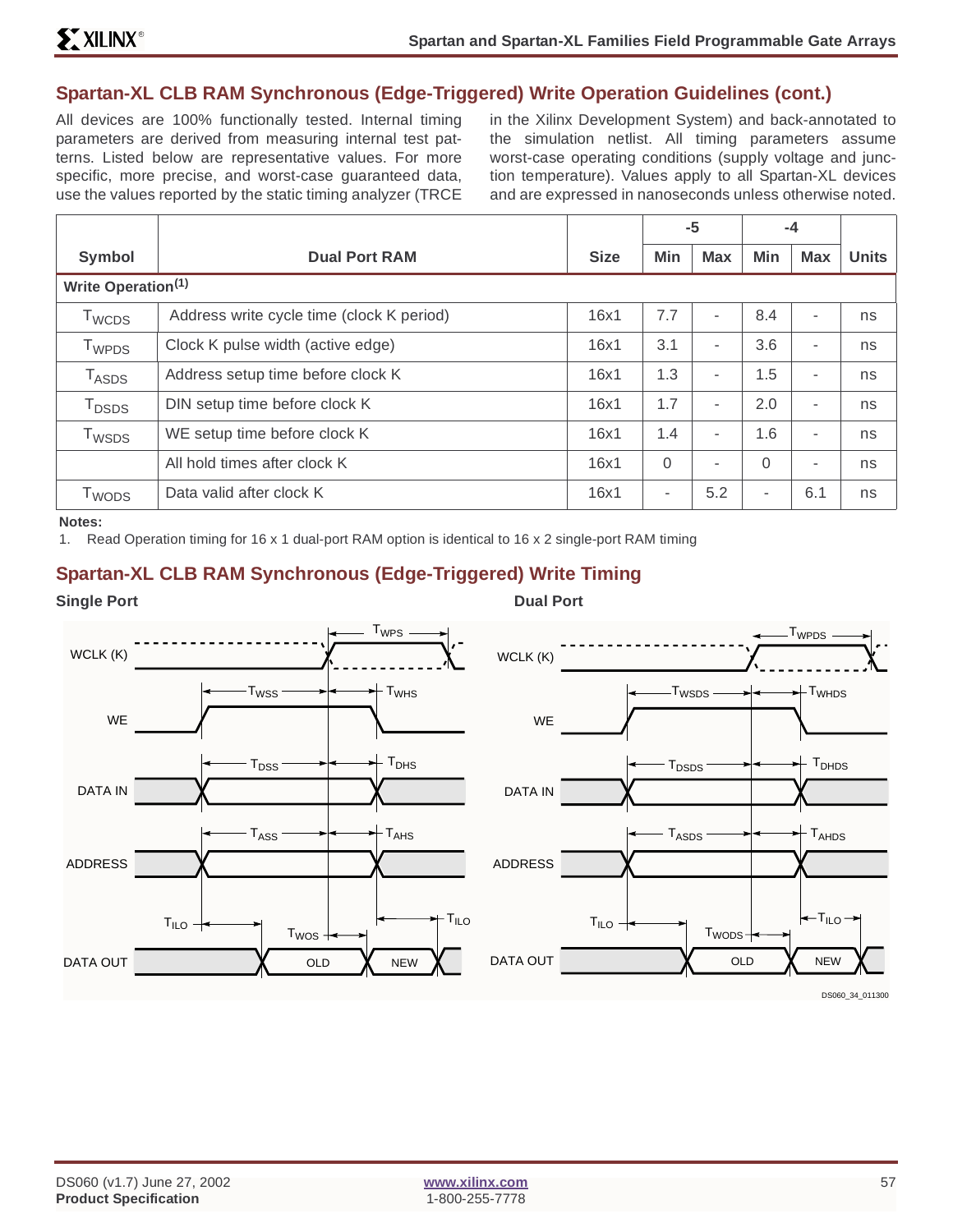# **Spartan-XL CLB RAM Synchronous (Edge-Triggered) Write Operation Guidelines (cont.)**

All devices are 100% functionally tested. Internal timing parameters are derived from measuring internal test patterns. Listed below are representative values. For more specific, more precise, and worst-case guaranteed data, use the values reported by the static timing analyzer (TRCE

in the Xilinx Development System) and back-annotated to the simulation netlist. All timing parameters assume worst-case operating conditions (supply voltage and junction temperature). Values apply to all Spartan-XL devices and are expressed in nanoseconds unless otherwise noted.

|                              |                                           |             |          | -5         | -4             |                          |              |
|------------------------------|-------------------------------------------|-------------|----------|------------|----------------|--------------------------|--------------|
| <b>Symbol</b>                | <b>Dual Port RAM</b>                      | <b>Size</b> | Min      | <b>Max</b> | <b>Min</b>     | <b>Max</b>               | <b>Units</b> |
| Write Operation(1)           |                                           |             |          |            |                |                          |              |
| T <sub>WCDS</sub>            | Address write cycle time (clock K period) | 16x1        | 7.7      | -          | 8.4            | ٠                        | ns           |
| $\mathsf{T}_{\mathsf{WPDS}}$ | Clock K pulse width (active edge)         | 16x1        | 3.1      | ٠          | 3.6            | ۰                        | ns           |
| $T_{ASDS}$                   | Address setup time before clock K         | 16x1        | 1.3      | ٠          | 1.5            | $\overline{\phantom{a}}$ | ns           |
| <b>T</b> <sub>DSDS</sub>     | DIN setup time before clock K             | 16x1        | 1.7      | ۰.         | 2.0            | ٠                        | ns           |
| T <sub>WSDS</sub>            | WE setup time before clock K              | 16x1        | 1.4      | ٠          | 1.6            | ۰                        | ns           |
|                              | All hold times after clock K              | 16x1        | $\Omega$ | ٠          | $\Omega$       | $\overline{\phantom{a}}$ | ns           |
| T <sub>WODS</sub>            | Data valid after clock K                  | 16x1        | $\sim$   | 5.2        | $\blacksquare$ | 6.1                      | ns           |

**Notes:**

1. Read Operation timing for 16 x 1 dual-port RAM option is identical to 16 x 2 single-port RAM timing

# **Spartan-XL CLB RAM Synchronous (Edge-Triggered) Write Timing**

**Single Port** Dual Port **Dual Port** 

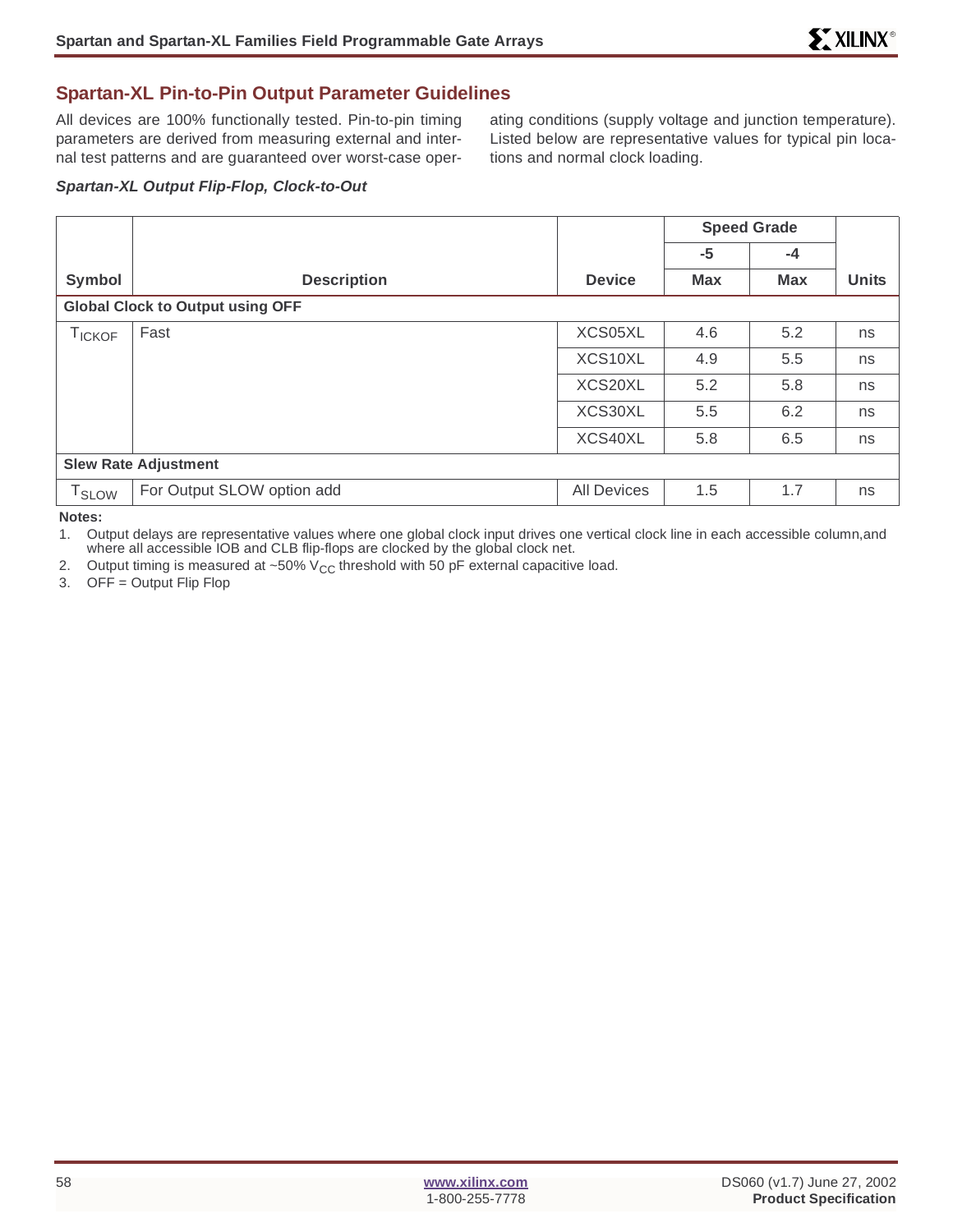### **Spartan-XL Pin-to-Pin Output Parameter Guidelines**

All devices are 100% functionally tested. Pin-to-pin timing parameters are derived from measuring external and internal test patterns and are guaranteed over worst-case oper-

ating conditions (supply voltage and junction temperature). Listed below are representative values for typical pin locations and normal clock loading.

#### **Spartan-XL Output Flip-Flop, Clock-to-Out**

|                             |                                         |                    | <b>Speed Grade</b><br>$-5$<br>$-4$ |            |              |
|-----------------------------|-----------------------------------------|--------------------|------------------------------------|------------|--------------|
|                             |                                         |                    |                                    |            |              |
| Symbol                      | <b>Description</b>                      | <b>Device</b>      | <b>Max</b>                         | <b>Max</b> | <b>Units</b> |
|                             | <b>Global Clock to Output using OFF</b> |                    |                                    |            |              |
| TICKOF                      | Fast                                    | XCS05XL            | 4.6                                | 5.2        | ns           |
|                             |                                         | XCS10XL            | 4.9                                | 5.5        | ns           |
|                             |                                         | XCS20XL            | 5.2                                | 5.8        | ns           |
|                             |                                         | XCS30XL            | 5.5                                | 6.2        | ns           |
|                             |                                         | XCS40XL            | 5.8                                | 6.5        | ns           |
| <b>Slew Rate Adjustment</b> |                                         |                    |                                    |            |              |
| T <sub>SLOW</sub>           | For Output SLOW option add              | <b>All Devices</b> | 1.5                                | 1.7        | ns           |

**Notes:**

1. Output delays are representative values where one global clock input drives one vertical clock line in each accessible column,and where all accessible IOB and CLB flip-flops are clocked by the global clock net.

2. Output timing is measured at  $~50\%$  V<sub>CC</sub> threshold with 50 pF external capacitive load.

3. OFF = Output Flip Flop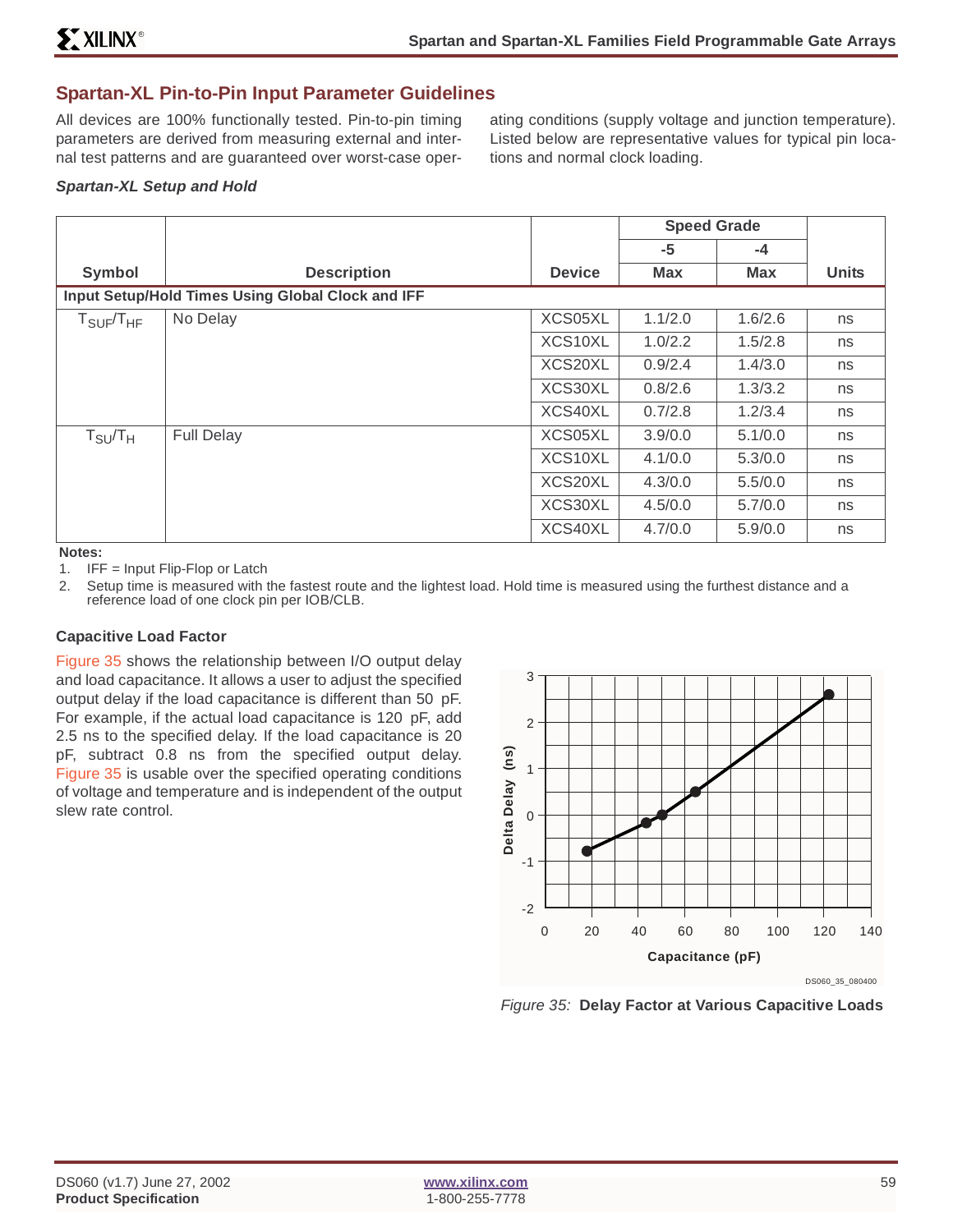#### **Spartan-XL Pin-to-Pin Input Parameter Guidelines**

All devices are 100% functionally tested. Pin-to-pin timing parameters are derived from measuring external and internal test patterns and are guaranteed over worst-case oper-

ating conditions (supply voltage and junction temperature). Listed below are representative values for typical pin locations and normal clock loading.

#### **Spartan-XL Setup and Hold**

|                                      |                                                   |               | <b>Speed Grade</b> |            |              |
|--------------------------------------|---------------------------------------------------|---------------|--------------------|------------|--------------|
|                                      |                                                   |               | $-5$               | $-4$       |              |
| Symbol                               | <b>Description</b>                                | <b>Device</b> | <b>Max</b>         | <b>Max</b> | <b>Units</b> |
|                                      | Input Setup/Hold Times Using Global Clock and IFF |               |                    |            |              |
| ${\sf T}_{\sf SUF}/{\sf T}_{\sf HF}$ | No Delay                                          | XCS05XL       | 1.1/2.0            | 1.6/2.6    | ns           |
|                                      |                                                   | XCS10XL       | 1.0/2.2            | 1.5/2.8    | ns           |
|                                      |                                                   | XCS20XL       | 0.9/2.4            | 1.4/3.0    | ns           |
|                                      |                                                   | XCS30XL       | 0.8/2.6            | 1.3/3.2    | ns           |
|                                      |                                                   | XCS40XL       | 0.7/2.8            | 1.2/3.4    | ns           |
| $T_{\text{SU}}/T_{\text{H}}$         | <b>Full Delay</b>                                 | XCS05XL       | 3.9/0.0            | 5.1/0.0    | ns           |
|                                      |                                                   | XCS10XL       | 4.1/0.0            | 5.3/0.0    | ns           |
|                                      |                                                   | XCS20XL       | 4.3/0.0            | 5.5/0.0    | ns           |
|                                      |                                                   | XCS30XL       | 4.5/0.0            | 5.7/0.0    | ns           |
|                                      |                                                   | XCS40XL       | 4.7/0.0            | 5.9/0.0    | ns           |

**Notes:**

1. IFF = Input Flip-Flop or Latch

2. Setup time is measured with the fastest route and the lightest load. Hold time is measured using the furthest distance and a reference load of one clock pin per IOB/CLB.

#### **Capacitive Load Factor**

Figure 35 shows the relationship between I/O output delay and load capacitance. It allows a user to adjust the specified output delay if the load capacitance is different than 50 pF. For example, if the actual load capacitance is 120 pF, add 2.5 ns to the specified delay. If the load capacitance is 20 pF, subtract 0.8 ns from the specified output delay. Figure 35 is usable over the specified operating conditions of voltage and temperature and is independent of the output slew rate control.



Figure 35: **Delay Factor at Various Capacitive Loads**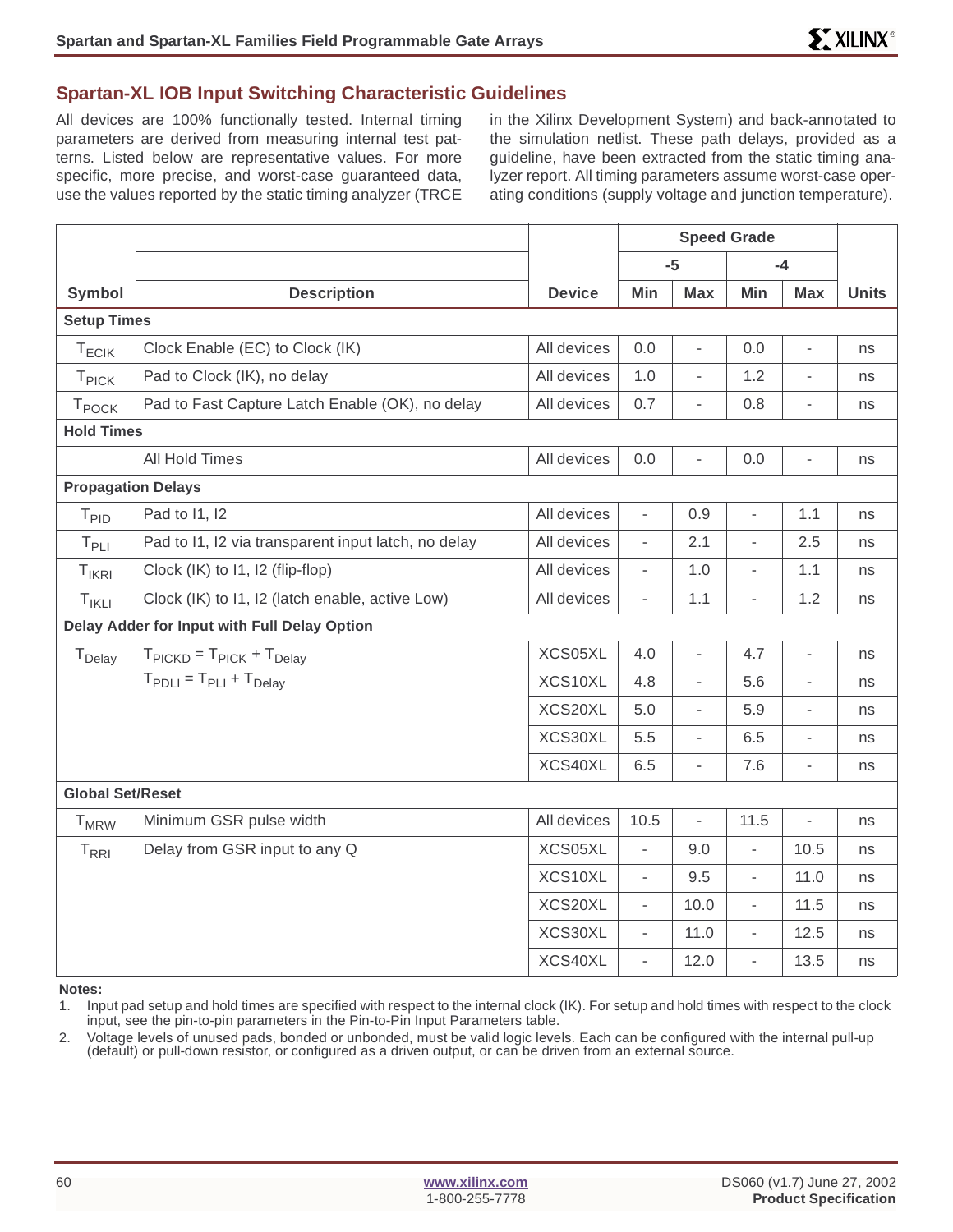### **Spartan-XL IOB Input Switching Characteristic Guidelines**

All devices are 100% functionally tested. Internal timing parameters are derived from measuring internal test patterns. Listed below are representative values. For more specific, more precise, and worst-case guaranteed data, use the values reported by the static timing analyzer (TRCE

in the Xilinx Development System) and back-annotated to the simulation netlist. These path delays, provided as a guideline, have been extracted from the static timing analyzer report. All timing parameters assume worst-case operating conditions (supply voltage and junction temperature).

|                           |                                                         |               | <b>Speed Grade</b>       |                          |                          |                          |              |
|---------------------------|---------------------------------------------------------|---------------|--------------------------|--------------------------|--------------------------|--------------------------|--------------|
|                           |                                                         |               |                          | $-5$                     |                          | $-4$                     |              |
| Symbol                    | <b>Description</b>                                      | <b>Device</b> | Min                      | <b>Max</b>               | Min                      | <b>Max</b>               | <b>Units</b> |
| <b>Setup Times</b>        |                                                         |               |                          |                          |                          |                          |              |
| $T_{ECIK}$                | Clock Enable (EC) to Clock (IK)                         | All devices   | 0.0                      | $\overline{a}$           | 0.0                      | $\overline{\phantom{0}}$ | ns           |
| T <sub>PICK</sub>         | Pad to Clock (IK), no delay                             | All devices   | 1.0                      | Ĭ.                       | 1.2                      | ÷,                       | ns           |
| T <sub>POCK</sub>         | Pad to Fast Capture Latch Enable (OK), no delay         | All devices   | 0.7                      | L,                       | 0.8                      | $\bar{\phantom{a}}$      | ns           |
| <b>Hold Times</b>         |                                                         |               |                          |                          |                          |                          |              |
|                           | All Hold Times                                          | All devices   | 0.0                      | L,                       | 0.0                      | ÷,                       | ns           |
| <b>Propagation Delays</b> |                                                         |               |                          |                          |                          |                          |              |
| T <sub>PID</sub>          | Pad to I1, I2                                           | All devices   | ÷,                       | 0.9                      | $\overline{\phantom{a}}$ | 1.1                      | ns           |
| $T_{PLI}$                 | Pad to I1, I2 via transparent input latch, no delay     | All devices   | ä,                       | 2.1                      | ä,                       | 2.5                      | ns           |
| $T_{IKRI}$                | Clock (IK) to 11, 12 (flip-flop)                        | All devices   | $\overline{\phantom{a}}$ | 1.0                      | $\overline{\phantom{a}}$ | 1.1                      | ns           |
| $T_{IKLI}$                | Clock (IK) to I1, I2 (latch enable, active Low)         | All devices   | $\blacksquare$           | 1.1                      | ÷,                       | 1.2                      | ns           |
|                           | Delay Adder for Input with Full Delay Option            |               |                          |                          |                          |                          |              |
| T <sub>Delay</sub>        | $T_{\text{PICKD}} = T_{\text{PICK}} + T_{\text{Delay}}$ | XCS05XL       | 4.0                      | $\overline{a}$           | 4.7                      | ÷,                       | ns           |
|                           | $T_{\text{PDLI}} = T_{\text{PLI}} + T_{\text{Delay}}$   | XCS10XL       | 4.8                      | $\blacksquare$           | 5.6                      | $\blacksquare$           | ns           |
|                           |                                                         | XCS20XL       | 5.0                      | $\overline{a}$           | 5.9                      | $\overline{\phantom{a}}$ | ns           |
|                           |                                                         | XCS30XL       | 5.5                      | $\overline{\phantom{0}}$ | 6.5                      | ÷,                       | ns           |
|                           |                                                         | XCS40XL       | 6.5                      | $\overline{a}$           | 7.6                      | $\overline{\phantom{a}}$ | ns           |
| <b>Global Set/Reset</b>   |                                                         |               |                          |                          |                          |                          |              |
| <b>T</b> <sub>MRW</sub>   | Minimum GSR pulse width                                 | All devices   | 10.5                     | $\frac{1}{2}$            | 11.5                     | $\blacksquare$           | ns           |
| $T_{\rm RRI}$             | Delay from GSR input to any Q                           | XCS05XL       | $\overline{\phantom{a}}$ | 9.0                      | $\overline{\phantom{0}}$ | 10.5                     | ns           |
|                           |                                                         | XCS10XL       | $\blacksquare$           | 9.5                      | L,                       | 11.0                     | ns           |
|                           |                                                         | XCS20XL       | $\overline{\phantom{a}}$ | 10.0                     | $\overline{\phantom{0}}$ | 11.5                     | ns           |
|                           |                                                         | XCS30XL       | $\overline{\phantom{a}}$ | 11.0                     | $\overline{\phantom{a}}$ | 12.5                     | ns           |
|                           |                                                         | XCS40XL       | ÷,                       | 12.0                     | $\overline{a}$           | 13.5                     | ns           |

**Notes:**

2. Voltage levels of unused pads, bonded or unbonded, must be valid logic levels. Each can be configured with the internal pull-up (default) or pull-down resistor, or configured as a driven output, or can be driven from an external source.

<sup>1.</sup> Input pad setup and hold times are specified with respect to the internal clock (IK). For setup and hold times with respect to the clock input, see the pin-to-pin parameters in the Pin-to-Pin Input Parameters table.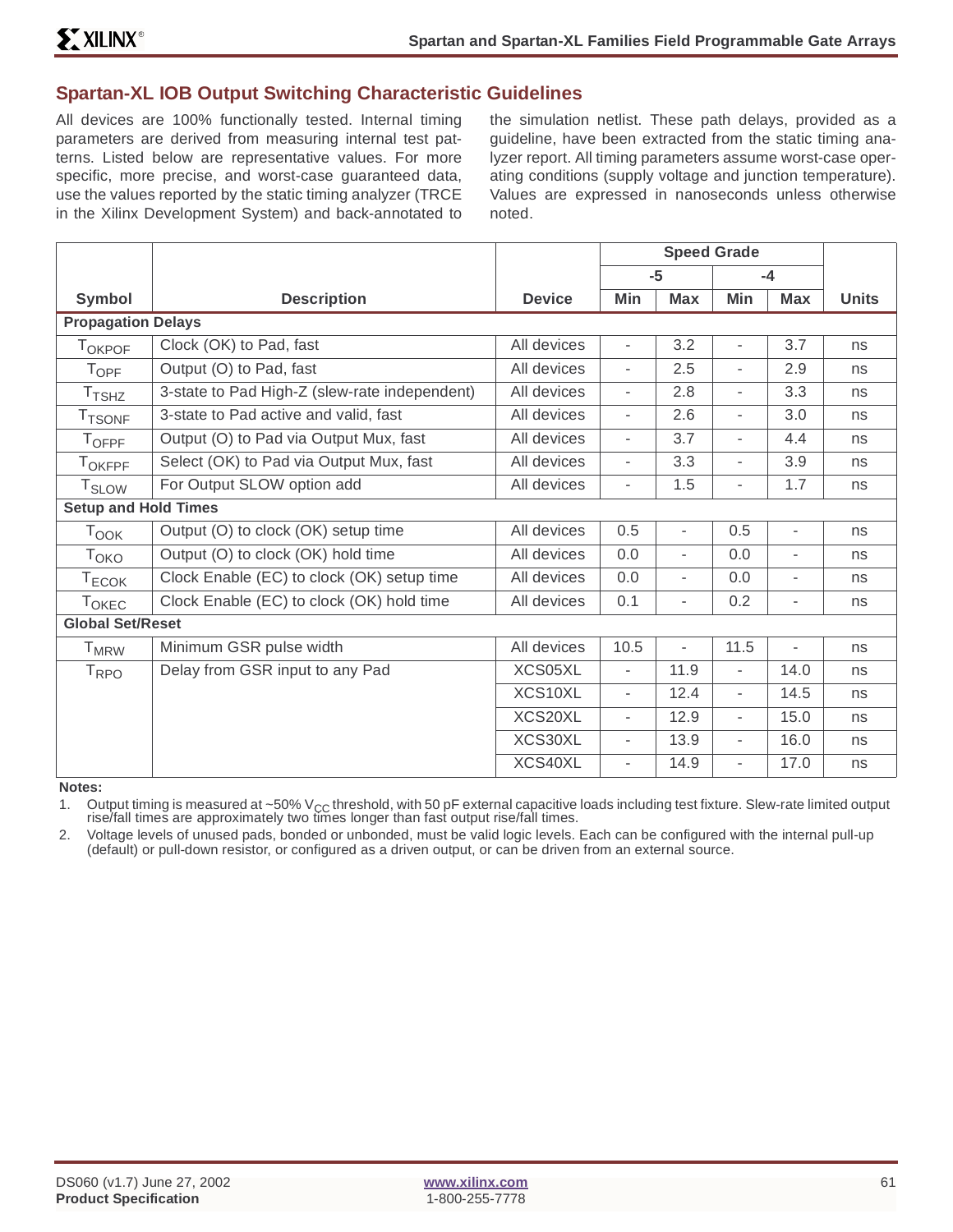### **Spartan-XL IOB Output Switching Characteristic Guidelines**

All devices are 100% functionally tested. Internal timing parameters are derived from measuring internal test patterns. Listed below are representative values. For more specific, more precise, and worst-case guaranteed data, use the values reported by the static timing analyzer (TRCE in the Xilinx Development System) and back-annotated to

the simulation netlist. These path delays, provided as a guideline, have been extracted from the static timing analyzer report. All timing parameters assume worst-case operating conditions (supply voltage and junction temperature). Values are expressed in nanoseconds unless otherwise noted.

|                             |                                               |               | <b>Speed Grade</b>       |                          |                          |                          |              |
|-----------------------------|-----------------------------------------------|---------------|--------------------------|--------------------------|--------------------------|--------------------------|--------------|
|                             |                                               |               |                          | $-5$                     |                          | $-4$                     |              |
| Symbol                      | <b>Description</b>                            | <b>Device</b> | Min                      | <b>Max</b>               | Min                      | <b>Max</b>               | <b>Units</b> |
| <b>Propagation Delays</b>   |                                               |               |                          |                          |                          |                          |              |
| <b>TOKPOF</b>               | Clock (OK) to Pad, fast                       | All devices   |                          | 3.2                      | ٠                        | 3.7                      | ns           |
| $T_{\text{OPF}}$            | Output (O) to Pad, fast                       | All devices   | $\overline{\phantom{a}}$ | 2.5                      | $\overline{\phantom{a}}$ | 2.9                      | ns           |
| $T_{\mathsf{TSHZ}}$         | 3-state to Pad High-Z (slew-rate independent) | All devices   | ٠                        | 2.8                      | $\overline{\phantom{a}}$ | 3.3                      | ns           |
| <b>T</b> TSONF              | 3-state to Pad active and valid, fast         | All devices   | $\overline{\phantom{a}}$ | 2.6                      | $\overline{\phantom{a}}$ | 3.0                      | ns           |
| $T_{\sf OFF}$               | Output (O) to Pad via Output Mux, fast        | All devices   | $\overline{\phantom{a}}$ | 3.7                      | $\overline{\phantom{0}}$ | 4.4                      | ns           |
| T <sub>OKFPF</sub>          | Select (OK) to Pad via Output Mux, fast       | All devices   | $\overline{\phantom{a}}$ | 3.3                      | $\overline{\phantom{a}}$ | 3.9                      | ns           |
| <b>T</b> <sub>SLOW</sub>    | For Output SLOW option add                    | All devices   | ۰                        | 1.5                      | ۰                        | 1.7                      | ns           |
| <b>Setup and Hold Times</b> |                                               |               |                          |                          |                          |                          |              |
| $T_{\text{OOK}}$            | Output (O) to clock (OK) setup time           | All devices   | 0.5                      | $\overline{\phantom{0}}$ | 0.5                      | $\blacksquare$           | ns           |
| T <sub>OKO</sub>            | Output (O) to clock (OK) hold time            | All devices   | 0.0                      | -                        | 0.0                      | $\overline{\phantom{0}}$ | ns           |
| $T_{ECOK}$                  | Clock Enable (EC) to clock (OK) setup time    | All devices   | 0.0                      | ٠                        | 0.0                      |                          | ns           |
| <b>TOKEC</b>                | Clock Enable (EC) to clock (OK) hold time     | All devices   | 0.1                      | ٠                        | 0.2                      | ۰                        | ns           |
| <b>Global Set/Reset</b>     |                                               |               |                          |                          |                          |                          |              |
| <b>T</b> <sub>MRW</sub>     | Minimum GSR pulse width                       | All devices   | 10.5                     | $\overline{\phantom{0}}$ | 11.5                     | $\overline{\phantom{a}}$ | ns           |
| T <sub>RPO</sub>            | Delay from GSR input to any Pad               | XCS05XL       | $\overline{\phantom{a}}$ | 11.9                     | $\overline{\phantom{a}}$ | 14.0                     | ns           |
|                             |                                               | XCS10XL       | $\overline{\phantom{a}}$ | 12.4                     | $\overline{\phantom{0}}$ | 14.5                     | ns           |
|                             |                                               | XCS20XL       | $\overline{\phantom{a}}$ | 12.9                     | $\overline{\phantom{a}}$ | 15.0                     | ns           |
|                             |                                               | XCS30XL       | $\overline{\phantom{a}}$ | 13.9                     | $\overline{\phantom{a}}$ | 16.0                     | ns           |
|                             |                                               | XCS40XL       | $\overline{\phantom{a}}$ | 14.9                     | $\overline{\phantom{a}}$ | 17.0                     | ns           |

**Notes:**

1. Output timing is measured at ~50%  $V_{\text{CC}}$  threshold, with 50 pF external capacitive loads including test fixture. Slew-rate limited output rise/fall times.<br>rise/fall times are approximately two times longer than fast

2. Voltage levels of unused pads, bonded or unbonded, must be valid logic levels. Each can be configured with the internal pull-up (default) or pull-down resistor, or configured as a driven output, or can be driven from an external source.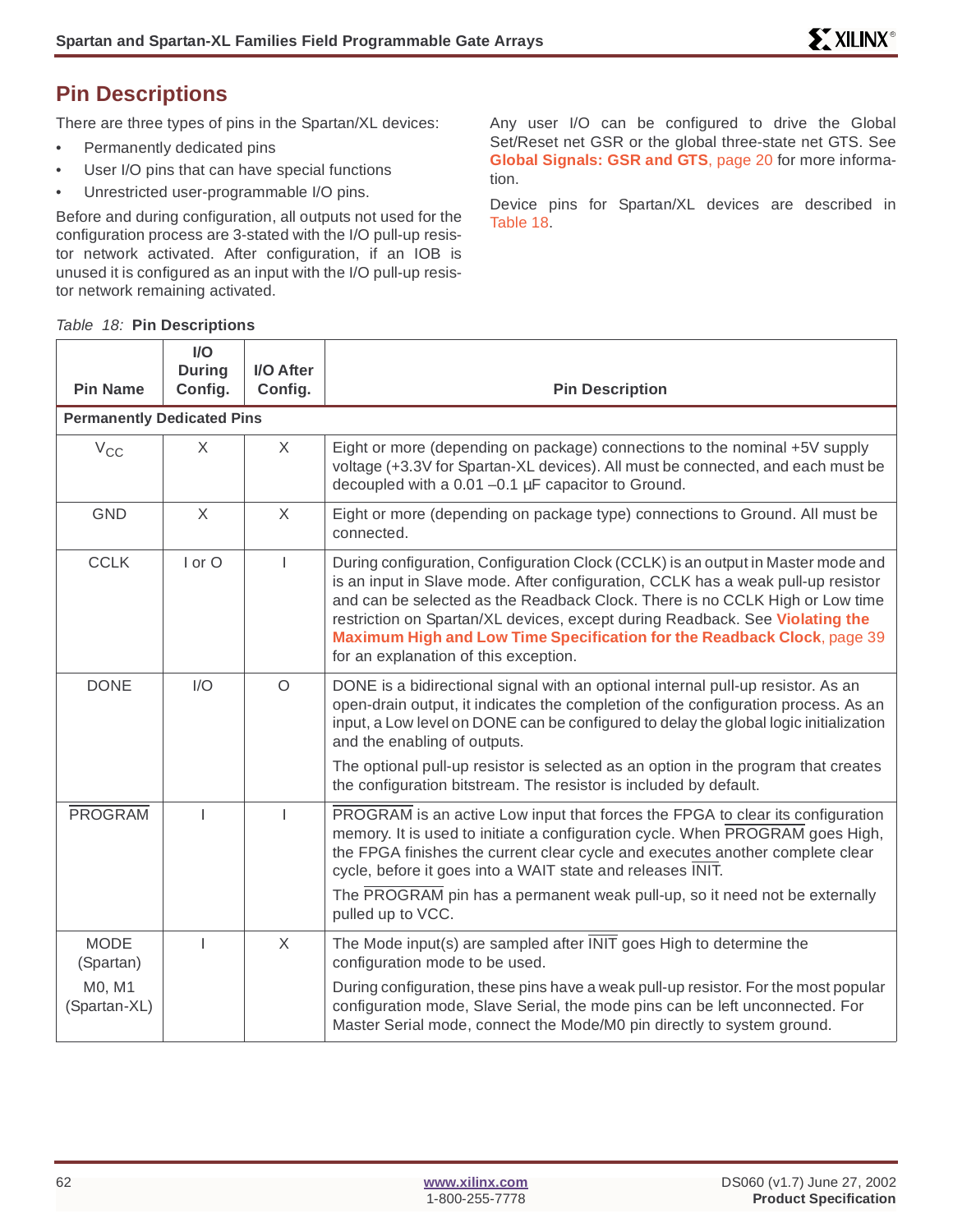# **Pin Descriptions**

There are three types of pins in the Spartan/XL devices:

- Permanently dedicated pins
- User I/O pins that can have special functions
- Unrestricted user-programmable I/O pins.

Before and during configuration, all outputs not used for the configuration process are 3-stated with the I/O pull-up resistor network activated. After configuration, if an IOB is unused it is configured as an input with the I/O pull-up resistor network remaining activated.

Any user I/O can be configured to drive the Global Set/Reset net GSR or the global three-state net GTS. See **[Global Signals: GSR and GTS](#page-19-0)**, page 20 for more information.

Device pins for Spartan/XL devices are described in Table 18.

|  | Table 18: Pin Descriptions |
|--|----------------------------|
|  |                            |

| <b>Pin Name</b>                   | I/O<br><b>During</b><br>Config. | I/O After<br>Config. | <b>Pin Description</b>                                                                                                                                                                                                                                                                                                                                                                                                                                   |
|-----------------------------------|---------------------------------|----------------------|----------------------------------------------------------------------------------------------------------------------------------------------------------------------------------------------------------------------------------------------------------------------------------------------------------------------------------------------------------------------------------------------------------------------------------------------------------|
| <b>Permanently Dedicated Pins</b> |                                 |                      |                                                                                                                                                                                                                                                                                                                                                                                                                                                          |
| $V_{\rm CC}$                      | X                               | X                    | Eight or more (depending on package) connections to the nominal +5V supply<br>voltage (+3.3V for Spartan-XL devices). All must be connected, and each must be<br>decoupled with a 0.01 -0.1 µF capacitor to Ground.                                                                                                                                                                                                                                      |
| <b>GND</b>                        | $\sf X$                         | $\times$             | Eight or more (depending on package type) connections to Ground. All must be<br>connected.                                                                                                                                                                                                                                                                                                                                                               |
| <b>CCLK</b>                       | I or O                          | T                    | During configuration, Configuration Clock (CCLK) is an output in Master mode and<br>is an input in Slave mode. After configuration, CCLK has a weak pull-up resistor<br>and can be selected as the Readback Clock. There is no CCLK High or Low time<br>restriction on Spartan/XL devices, except during Readback. See Violating the<br>Maximum High and Low Time Specification for the Readback Clock, page 39<br>for an explanation of this exception. |
| <b>DONE</b>                       | I/O                             | $\circ$              | DONE is a bidirectional signal with an optional internal pull-up resistor. As an<br>open-drain output, it indicates the completion of the configuration process. As an<br>input, a Low level on DONE can be configured to delay the global logic initialization<br>and the enabling of outputs.                                                                                                                                                          |
|                                   |                                 |                      | The optional pull-up resistor is selected as an option in the program that creates<br>the configuration bitstream. The resistor is included by default.                                                                                                                                                                                                                                                                                                  |
| <b>PROGRAM</b>                    | $\mathbf{I}$                    |                      | PROGRAM is an active Low input that forces the FPGA to clear its configuration<br>memory. It is used to initiate a configuration cycle. When PROGRAM goes High,<br>the FPGA finishes the current clear cycle and executes another complete clear<br>cycle, before it goes into a WAIT state and releases INIT.<br>The PROGRAM pin has a permanent weak pull-up, so it need not be externally<br>pulled up to VCC.                                        |
| <b>MODE</b><br>(Spartan)          | T                               | X                    | The Mode input(s) are sampled after INIT goes High to determine the<br>configuration mode to be used.                                                                                                                                                                                                                                                                                                                                                    |
| M0, M1<br>(Spartan-XL)            |                                 |                      | During configuration, these pins have a weak pull-up resistor. For the most popular<br>configuration mode, Slave Serial, the mode pins can be left unconnected. For<br>Master Serial mode, connect the Mode/M0 pin directly to system ground.                                                                                                                                                                                                            |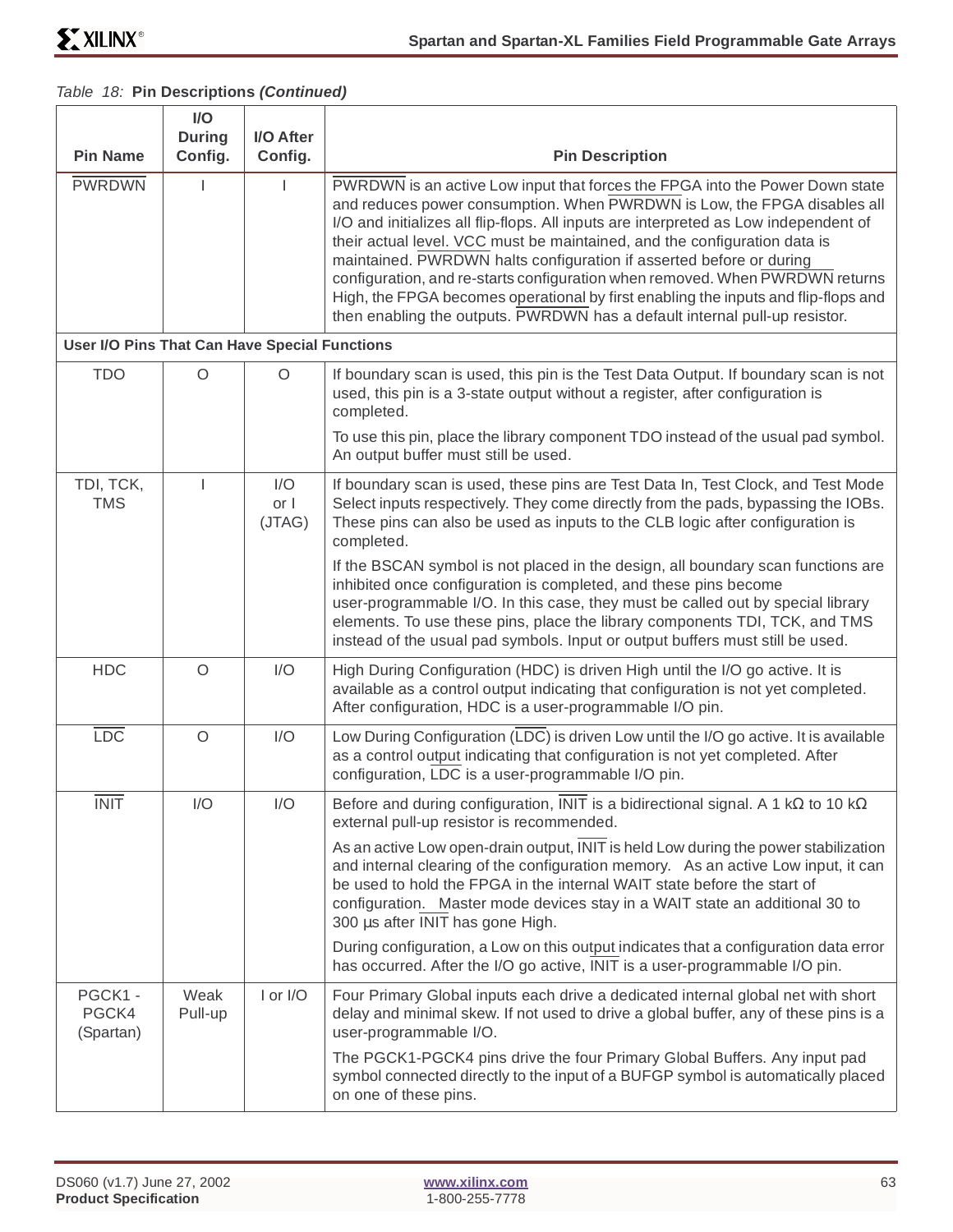#### Table 18: **Pin Descriptions (Continued)**

| <b>Pin Name</b>                               | I/O<br><b>During</b><br>Config. | I/O After<br>Config.  | <b>Pin Description</b>                                                                                                                                                                                                                                                                                                                                                                                                                                                                                                                                                                                                                                   |
|-----------------------------------------------|---------------------------------|-----------------------|----------------------------------------------------------------------------------------------------------------------------------------------------------------------------------------------------------------------------------------------------------------------------------------------------------------------------------------------------------------------------------------------------------------------------------------------------------------------------------------------------------------------------------------------------------------------------------------------------------------------------------------------------------|
| <b>PWRDWN</b>                                 |                                 |                       | PWRDWN is an active Low input that forces the FPGA into the Power Down state<br>and reduces power consumption. When PWRDWN is Low, the FPGA disables all<br>I/O and initializes all flip-flops. All inputs are interpreted as Low independent of<br>their actual level. VCC must be maintained, and the configuration data is<br>maintained. PWRDWN halts configuration if asserted before or during<br>configuration, and re-starts configuration when removed. When PWRDWN returns<br>High, the FPGA becomes operational by first enabling the inputs and flip-flops and<br>then enabling the outputs. PWRDWN has a default internal pull-up resistor. |
| User I/O Pins That Can Have Special Functions |                                 |                       |                                                                                                                                                                                                                                                                                                                                                                                                                                                                                                                                                                                                                                                          |
| <b>TDO</b>                                    | $\circ$                         | $\circ$               | If boundary scan is used, this pin is the Test Data Output. If boundary scan is not<br>used, this pin is a 3-state output without a register, after configuration is<br>completed.<br>To use this pin, place the library component TDO instead of the usual pad symbol.<br>An output buffer must still be used.                                                                                                                                                                                                                                                                                                                                          |
| TDI, TCK,<br><b>TMS</b>                       |                                 | I/O<br>or I<br>(JTAG) | If boundary scan is used, these pins are Test Data In, Test Clock, and Test Mode<br>Select inputs respectively. They come directly from the pads, bypassing the IOBs.<br>These pins can also be used as inputs to the CLB logic after configuration is<br>completed.                                                                                                                                                                                                                                                                                                                                                                                     |
|                                               |                                 |                       | If the BSCAN symbol is not placed in the design, all boundary scan functions are<br>inhibited once configuration is completed, and these pins become<br>user-programmable I/O. In this case, they must be called out by special library<br>elements. To use these pins, place the library components TDI, TCK, and TMS<br>instead of the usual pad symbols. Input or output buffers must still be used.                                                                                                                                                                                                                                                  |
| <b>HDC</b>                                    | $\circ$                         | I/O                   | High During Configuration (HDC) is driven High until the I/O go active. It is<br>available as a control output indicating that configuration is not yet completed.<br>After configuration, HDC is a user-programmable I/O pin.                                                                                                                                                                                                                                                                                                                                                                                                                           |
| $\overline{LOC}$                              | $\circ$                         | I/O                   | Low During Configuration (LDC) is driven Low until the I/O go active. It is available<br>as a control output indicating that configuration is not yet completed. After<br>configuration, LDC is a user-programmable I/O pin.                                                                                                                                                                                                                                                                                                                                                                                                                             |
| <b>INIT</b>                                   | I/O                             | I/O                   | Before and during configuration, INIT is a bidirectional signal. A 1 k $\Omega$ to 10 k $\Omega$<br>external pull-up resistor is recommended.                                                                                                                                                                                                                                                                                                                                                                                                                                                                                                            |
|                                               |                                 |                       | As an active Low open-drain output, INIT is held Low during the power stabilization<br>and internal clearing of the configuration memory. As an active Low input, it can<br>be used to hold the FPGA in the internal WAIT state before the start of<br>configuration. Master mode devices stay in a WAIT state an additional 30 to<br>300 µs after INIT has gone High.                                                                                                                                                                                                                                                                                   |
|                                               |                                 |                       | During configuration, a Low on this output indicates that a configuration data error<br>has occurred. After the I/O go active, INIT is a user-programmable I/O pin.                                                                                                                                                                                                                                                                                                                                                                                                                                                                                      |
| PGCK1 -<br>PGCK4<br>(Spartan)                 | Weak<br>Pull-up                 | I or I/O              | Four Primary Global inputs each drive a dedicated internal global net with short<br>delay and minimal skew. If not used to drive a global buffer, any of these pins is a<br>user-programmable I/O.                                                                                                                                                                                                                                                                                                                                                                                                                                                       |
|                                               |                                 |                       | The PGCK1-PGCK4 pins drive the four Primary Global Buffers. Any input pad<br>symbol connected directly to the input of a BUFGP symbol is automatically placed<br>on one of these pins.                                                                                                                                                                                                                                                                                                                                                                                                                                                                   |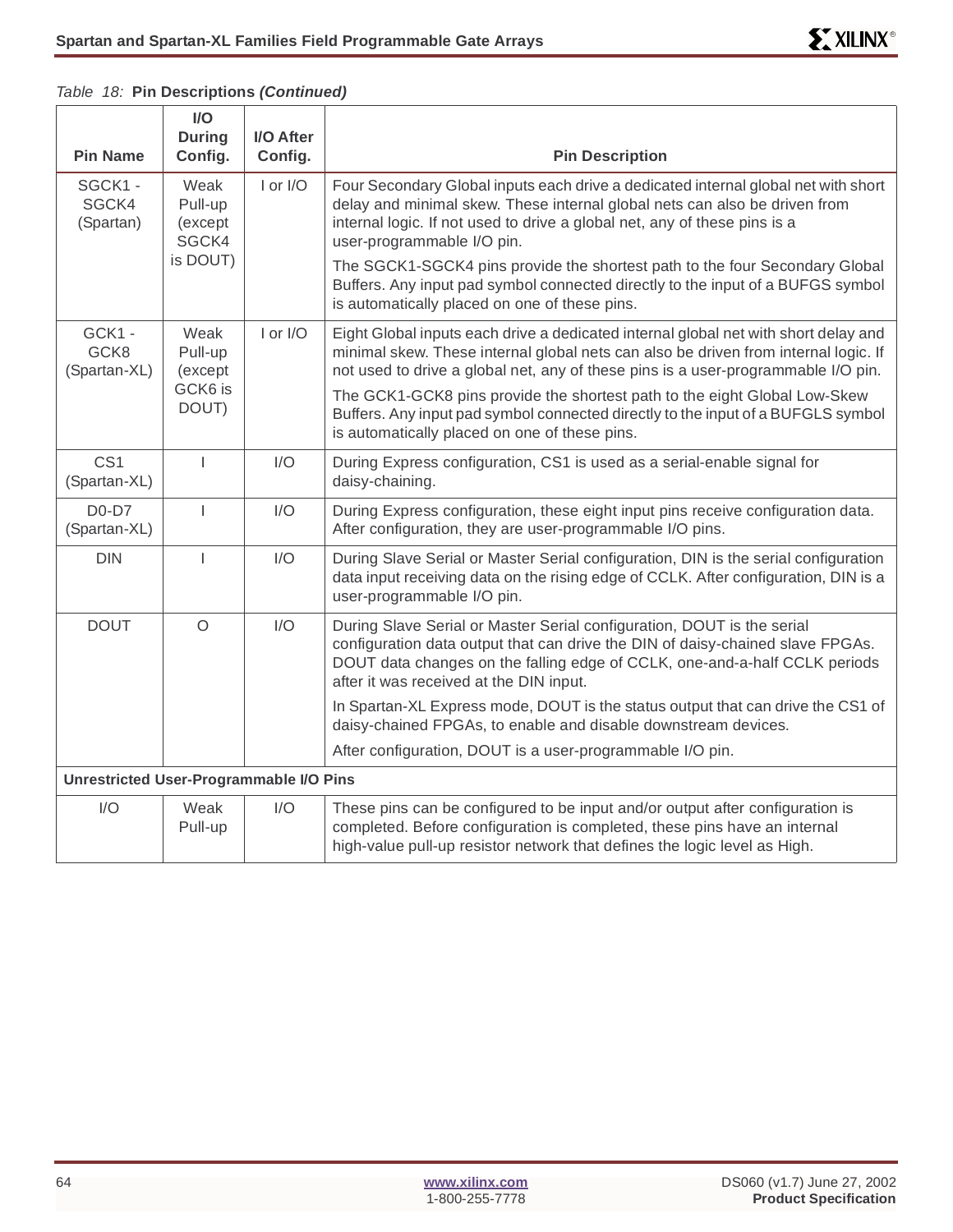|                                                | I/O<br><b>During</b>                            | I/O After |                                                                                                                                                                                                                                                                                                                                                                                                                                                                                                |
|------------------------------------------------|-------------------------------------------------|-----------|------------------------------------------------------------------------------------------------------------------------------------------------------------------------------------------------------------------------------------------------------------------------------------------------------------------------------------------------------------------------------------------------------------------------------------------------------------------------------------------------|
| <b>Pin Name</b>                                | Config.                                         | Config.   | <b>Pin Description</b>                                                                                                                                                                                                                                                                                                                                                                                                                                                                         |
| SGCK1-<br>SGCK4<br>(Spartan)                   | Weak<br>Pull-up<br>(except<br>SGCK4<br>is DOUT) | I or I/O  | Four Secondary Global inputs each drive a dedicated internal global net with short<br>delay and minimal skew. These internal global nets can also be driven from<br>internal logic. If not used to drive a global net, any of these pins is a<br>user-programmable I/O pin.<br>The SGCK1-SGCK4 pins provide the shortest path to the four Secondary Global<br>Buffers. Any input pad symbol connected directly to the input of a BUFGS symbol<br>is automatically placed on one of these pins. |
| GCK1-<br>GCK8<br>(Spartan-XL)                  | Weak<br>Pull-up<br>(except<br>GCK6 is<br>DOUT)  | I or I/O  | Eight Global inputs each drive a dedicated internal global net with short delay and<br>minimal skew. These internal global nets can also be driven from internal logic. If<br>not used to drive a global net, any of these pins is a user-programmable I/O pin.<br>The GCK1-GCK8 pins provide the shortest path to the eight Global Low-Skew<br>Buffers. Any input pad symbol connected directly to the input of a BUFGLS symbol                                                               |
|                                                |                                                 |           | is automatically placed on one of these pins.                                                                                                                                                                                                                                                                                                                                                                                                                                                  |
| CS <sub>1</sub><br>(Spartan-XL)                | $\overline{1}$                                  | I/O       | During Express configuration, CS1 is used as a serial-enable signal for<br>daisy-chaining.                                                                                                                                                                                                                                                                                                                                                                                                     |
| $D0-D7$<br>(Spartan-XL)                        | T                                               | I/O       | During Express configuration, these eight input pins receive configuration data.<br>After configuration, they are user-programmable I/O pins.                                                                                                                                                                                                                                                                                                                                                  |
| <b>DIN</b>                                     | $\mathbf{I}$                                    | I/O       | During Slave Serial or Master Serial configuration, DIN is the serial configuration<br>data input receiving data on the rising edge of CCLK. After configuration, DIN is a<br>user-programmable I/O pin.                                                                                                                                                                                                                                                                                       |
| <b>DOUT</b>                                    | $\circ$                                         | I/O       | During Slave Serial or Master Serial configuration, DOUT is the serial<br>configuration data output that can drive the DIN of daisy-chained slave FPGAs.<br>DOUT data changes on the falling edge of CCLK, one-and-a-half CCLK periods<br>after it was received at the DIN input.                                                                                                                                                                                                              |
|                                                |                                                 |           | In Spartan-XL Express mode, DOUT is the status output that can drive the CS1 of<br>daisy-chained FPGAs, to enable and disable downstream devices.                                                                                                                                                                                                                                                                                                                                              |
|                                                |                                                 |           | After configuration, DOUT is a user-programmable I/O pin.                                                                                                                                                                                                                                                                                                                                                                                                                                      |
| <b>Unrestricted User-Programmable I/O Pins</b> |                                                 |           |                                                                                                                                                                                                                                                                                                                                                                                                                                                                                                |
| I/O                                            | Weak<br>Pull-up                                 | I/O       | These pins can be configured to be input and/or output after configuration is<br>completed. Before configuration is completed, these pins have an internal<br>high-value pull-up resistor network that defines the logic level as High.                                                                                                                                                                                                                                                        |

#### Table 18: **Pin Descriptions (Continued)**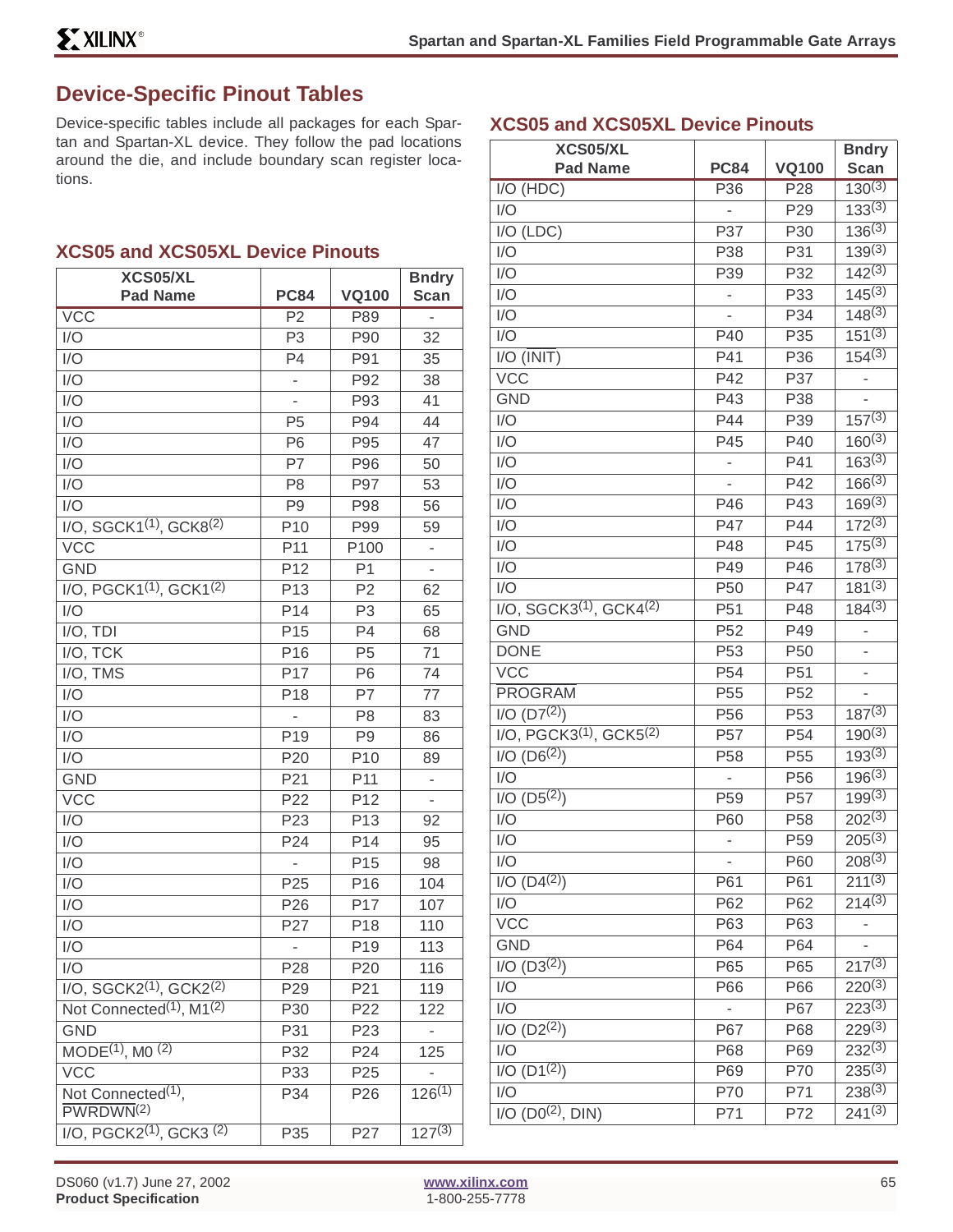**XCS05 and XCS05XL Device Pinouts**

# **Device-Specific Pinout Tables**

Device-specific tables include all packages for each Spartan and Spartan-XL device. They follow the pad locations around the die, and include boundary scan register locations.

#### **XCS05 and XCS05XL Device Pinouts**

| XCS05/XL                                                |                          |                 | <b>Bndry</b>             |
|---------------------------------------------------------|--------------------------|-----------------|--------------------------|
| <b>Pad Name</b>                                         | <b>PC84</b>              | <b>VQ100</b>    | <b>Scan</b>              |
| <b>VCC</b>                                              | P <sub>2</sub>           | P89             | $\overline{a}$           |
| I/O                                                     | P <sub>3</sub>           | P90             | 32                       |
| I/O                                                     | P <sub>4</sub>           | P91             | 35                       |
| I/O                                                     | $\overline{\phantom{0}}$ | P92             | 38                       |
| I/O                                                     | $\overline{a}$           | P93             | 41                       |
| I/O                                                     | P <sub>5</sub>           | P94             | 44                       |
| I/O                                                     | P <sub>6</sub>           | P95             | 47                       |
| I/O                                                     | P7                       | P96             | 50                       |
| I/O                                                     | P <sub>8</sub>           | P97             | 53                       |
| I/O                                                     | P <sub>9</sub>           | P98             | 56                       |
| I/O, SGCK1 <sup>(1)</sup> , GCK8 <sup>(2)</sup>         | P <sub>10</sub>          | P99             | 59                       |
| <b>VCC</b>                                              | P11                      | P100            | -                        |
| <b>GND</b>                                              | P12                      | P <sub>1</sub>  | $\overline{\phantom{0}}$ |
| $I/O$ , PGCK1 <sup>(1)</sup> , GCK1 <sup>(2)</sup>      | P <sub>13</sub>          | P <sub>2</sub>  | 62                       |
| I/O                                                     | P <sub>14</sub>          | P <sub>3</sub>  | 65                       |
| I/O, TDI                                                | P <sub>15</sub>          | P4              | 68                       |
| I/O, TCK                                                | P16                      | P <sub>5</sub>  | 71                       |
| I/O, TMS                                                | P <sub>17</sub>          | P <sub>6</sub>  | 74                       |
| I/O                                                     | P <sub>18</sub>          | P7              | 77                       |
| I/O                                                     | $\overline{\phantom{a}}$ | P <sub>8</sub>  | 83                       |
| I/O                                                     | P <sub>19</sub>          | P <sub>9</sub>  | 86                       |
| I/O                                                     | P <sub>20</sub>          | P <sub>10</sub> | 89                       |
| <b>GND</b>                                              | P21                      | P <sub>11</sub> | -                        |
| <b>VCC</b>                                              | P22                      | P12             | $\overline{\phantom{0}}$ |
| I/O                                                     | P <sub>23</sub>          | P <sub>13</sub> | 92                       |
| I/O                                                     | P24                      | P14             | 95                       |
| I/O                                                     | $\overline{\phantom{0}}$ | P <sub>15</sub> | 98                       |
| I/O                                                     | P <sub>25</sub>          | P16             | 104                      |
| I/O                                                     | P <sub>26</sub>          | P17             | 107                      |
| I/O                                                     | P27                      | P18             | 110                      |
| I/O                                                     |                          | P <sub>19</sub> | 113                      |
| I/O                                                     | P28                      | P20             | 116                      |
| I/O, SGCK2 <sup>(1)</sup> , GCK2 <sup>(2)</sup>         | P <sub>29</sub>          | P21             | 119                      |
| Not Connected <sup>(1)</sup> , M1 <sup>(2)</sup>        | P30                      | P22             | 122                      |
| <b>GND</b>                                              | P31                      | P <sub>23</sub> |                          |
| MODE <sup>(1)</sup> , MO <sup>(2)</sup>                 | P32                      | P24             | 125                      |
| <b>VCC</b>                                              | P33                      | P <sub>25</sub> |                          |
| Not Connected <sup>(1)</sup> ,<br>PWRDWN <sup>(2)</sup> | P34                      | P <sub>26</sub> | $126^{(1)}$              |
| I/O, PGCK2 <sup>(1)</sup> , GCK3 <sup>(2)</sup>         | P35                      | P27             | $127^{(3)}$              |

| XCS05/XL                                           |                 |                 | <b>Bndry</b>           |
|----------------------------------------------------|-----------------|-----------------|------------------------|
| <b>Pad Name</b>                                    | <b>PC84</b>     | <b>VQ100</b>    | <b>Scan</b>            |
| I/O (HDC)                                          | P36             | P <sub>28</sub> | $130^{(3)}$            |
| I/O                                                |                 | P <sub>29</sub> | $133^{(3)}$            |
| I/O (LDC)                                          | P37             | P30             | $136^{(3)}$            |
| I/O                                                | P38             | P31             | $139^{(3)}$            |
| I/O                                                | P39             | P32             | $142^{(3)}$            |
| I/O                                                |                 | P33             | $145^{(3)}$            |
| I/O                                                |                 | P34             | $148^{(3)}$            |
| I/O                                                | P40             | P35             | 15(13)                 |
| $I/O$ ( $\overline{INIT}$ )                        | P41             | P36             | $154^{(3)}$            |
| <b>VCC</b>                                         | P42             | P37             |                        |
| <b>GND</b>                                         | P43             | P38             |                        |
| I/O                                                | P44             | P39             | $157^{(3)}$            |
| I/O                                                | P45             | P40             | $160^{(3)}$            |
| I/O                                                |                 | P41             | $163^{(3)}$            |
| I/O                                                |                 | P42             | $166^{(3)}$            |
| I/O                                                | P46             | P43             | $169^{(3)}$            |
| I/O                                                | P47             | P44             | $172^{(3)}$            |
| I/O                                                | P48             | P45             | $175^{(3)}$            |
| I/O                                                | P49             | P46             | $178^{(3)}$            |
| I/O                                                | P <sub>50</sub> | P47             | $181^{(3)}$            |
| $I/O$ , SGCK3 <sup>(1)</sup> , GCK4 <sup>(2)</sup> | P <sub>51</sub> | P48             | $184^{(3)}$            |
| <b>GND</b>                                         | P <sub>52</sub> | P49             |                        |
| <b>DONE</b>                                        | P <sub>53</sub> | P <sub>50</sub> |                        |
| <b>VCC</b>                                         | P <sub>54</sub> | P <sub>51</sub> |                        |
| <b>PROGRAM</b>                                     | P <sub>55</sub> | P <sub>52</sub> |                        |
| 1/O (D7 <sup>(2)</sup> )                           | P56             | P <sub>53</sub> | $187^{(3)}$            |
| I/O, PGCK3 <sup>(1)</sup> , GCK5 <sup>(2)</sup>    | P <sub>57</sub> | P <sub>54</sub> | $190^{(3)}$            |
| $I/O$ (D6 <sup>(2)</sup> )                         | P <sub>58</sub> | P <sub>55</sub> | $193^{(3)}$            |
| I/O                                                | $\overline{a}$  | P <sub>56</sub> | $196^{(3)}$            |
| $I/O$ (D5 <sup>(2)</sup> )                         | P <sub>59</sub> | P <sub>57</sub> | $199^{(3)}$            |
| I/O                                                | P60             | P <sub>58</sub> | $202^{(3)}$            |
| I/O                                                |                 | P59             | $205^{(3)}$            |
| I/O                                                |                 | P60             | $208^{(3)}$            |
| $I/O (D4^{(2)})$                                   | P61             | P61             | $211^{(3)}$            |
| I/O                                                | P62             | P62             | $21\overline{4^{(3)}}$ |
| <b>VCC</b>                                         | P63             | P63             | ۳                      |
| <b>GND</b>                                         | P64             | P64             |                        |
| $I/O (D3^{(2)})$                                   | P65             | P65             | $217^{(3)}$            |
| I/O                                                | P66             | P66             | $220^{(3)}$            |
| I/O                                                |                 | P67             | $223^{(3)}$            |
| I/O (D2 <sup>(2)</sup> )                           | P67             | P68             | $229^{(3)}$            |
| I/O                                                | P68             | P69             | $23\overline{2^{(3)}}$ |
| $I/O$ $(D1(2))$                                    | P69             | P70             | $235^{(3)}$            |
| I/O                                                | P70             | P71             | $238^{(3)}$            |
| $I/O (D0^{(2)}, DIN)$                              | P71             | P72             | $241^{(3)}$            |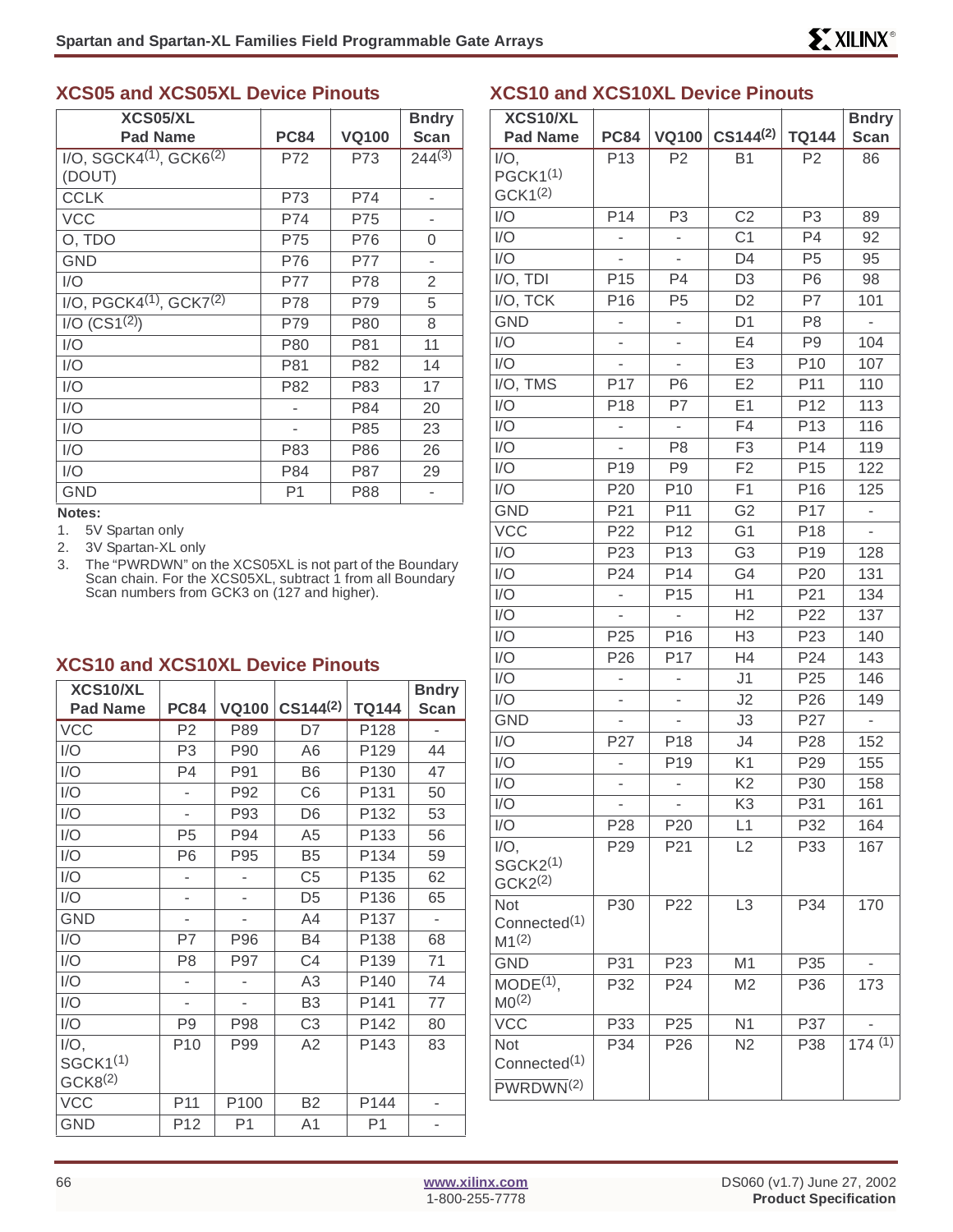#### **XCS05 and XCS05XL Device Pinouts**

| XCS05/XL<br><b>Pad Name</b>                        | <b>PC84</b>    | <b>VQ100</b> | <b>Bndry</b><br><b>Scan</b> |
|----------------------------------------------------|----------------|--------------|-----------------------------|
| $I/O$ , SGCK4 <sup>(1)</sup> , GCK6 <sup>(2)</sup> | P72            | P73          | $244^{(3)}$                 |
| (DOUT)                                             |                |              |                             |
| <b>CCLK</b>                                        | P73            | P74          |                             |
| <b>VCC</b>                                         | P74            | P75          |                             |
| O, TDO                                             | P75            | P76          | 0                           |
| <b>GND</b>                                         | P76            | P77          |                             |
| I/O                                                | P77            | P78          | $\overline{2}$              |
| $I/O$ , PGCK4 $(1)$ , GCK7 $(2)$                   | P78            | P79          | 5                           |
| $I/O$ (CS1 <sup>(2)</sup> )                        | P79            | <b>P80</b>   | 8                           |
| I/O                                                | P80            | P81          | 11                          |
| I/O                                                | P81            | P82          | 14                          |
| I/O                                                | P82            | P83          | 17                          |
| I/O                                                |                | P84          | 20                          |
| I/O                                                | ۰              | P85          | 23                          |
| I/O                                                | P83            | P86          | 26                          |
| I/O                                                | P84            | P87          | 29                          |
| GND                                                | P <sub>1</sub> | P88          |                             |

#### **Notes:**

1. 5V Spartan only

- 2. 3V Spartan-XL only
- 3. The "PWRDWN" on the XCS05XL is not part of the Boundary Scan chain. For the XCS05XL, subtract 1 from all Boundary Scan numbers from GCK3 on (127 and higher).

#### **XCS10 and XCS10XL Device Pinouts**

| XCS10/XL             |                 |                |                |                | <b>Bndry</b> |
|----------------------|-----------------|----------------|----------------|----------------|--------------|
| <b>Pad Name</b>      | <b>PC84</b>     | <b>VQ100</b>   | $CS144^{(2)}$  | <b>TQ144</b>   | <b>Scan</b>  |
| <b>VCC</b>           | P <sub>2</sub>  | P89            | D7             | P128           |              |
| I/O                  | P <sub>3</sub>  | P90            | A6             | P129           | 44           |
| I/O                  | P <sub>4</sub>  | P91            | B <sub>6</sub> | P130           | 47           |
| I/O                  |                 | P92            | C <sub>6</sub> | P131           | 50           |
| I/O                  | $\overline{a}$  | P93            | D <sub>6</sub> | P132           | 53           |
| I/O                  | P <sub>5</sub>  | P94            | A <sub>5</sub> | P133           | 56           |
| I/O                  | P <sub>6</sub>  | P95            | B <sub>5</sub> | P134           | 59           |
| I/O                  |                 |                | C <sub>5</sub> | P135           | 62           |
| I/O                  | ٠               | $\overline{a}$ | D <sub>5</sub> | P136           | 65           |
| <b>GND</b>           |                 |                | A4             | P137           |              |
| I/O                  | P7              | P96            | B4             | P138           | 68           |
| I/O                  | P <sub>8</sub>  | P97            | C <sub>4</sub> | P139           | 71           |
| I/O                  |                 |                | A <sub>3</sub> | P140           | 74           |
| I/O                  |                 |                | B <sub>3</sub> | P141           | 77           |
| 1/O                  | P <sub>9</sub>  | P98            | C <sub>3</sub> | P142           | 80           |
| $I/O$ ,              | P <sub>10</sub> | P99            | A2             | P143           | 83           |
| SGCK1 <sup>(1)</sup> |                 |                |                |                |              |
| GCK8 <sup>(2)</sup>  |                 |                |                |                |              |
| <b>VCC</b>           | P <sub>11</sub> | P100           | <b>B2</b>      | P144           |              |
| <b>GND</b>           | P12             | P <sub>1</sub> | A <sub>1</sub> | P <sub>1</sub> |              |

#### **XCS10 and XCS10XL Device Pinouts**

| XCS10/XL                                                    |                          |                          |                |                 | <b>Bndry</b>             |
|-------------------------------------------------------------|--------------------------|--------------------------|----------------|-----------------|--------------------------|
| <b>Pad Name</b>                                             | <b>PC84</b>              | <b>VQ100</b>             | $CS144^{(2)}$  | <b>TQ144</b>    | <b>Scan</b>              |
| $I/O$ ,<br>PGCK1 <sup>(1)</sup><br>GCK1 <sup>(2)</sup>      | P <sub>13</sub>          | P <sub>2</sub>           | <b>B1</b>      | P <sub>2</sub>  | 86                       |
| I/O                                                         | P14                      | P <sub>3</sub>           | C <sub>2</sub> | P <sub>3</sub>  | 89                       |
| I/O                                                         |                          | $\overline{\phantom{m}}$ | C <sub>1</sub> | P4              | 92                       |
| I/O                                                         |                          |                          | D <sub>4</sub> | P <sub>5</sub>  | 95                       |
| $I/O$ , $TDI$                                               | P <sub>15</sub>          | P <sub>4</sub>           | D <sub>3</sub> | P <sub>6</sub>  | 98                       |
| I/O, TCK                                                    | P16                      | P <sub>5</sub>           | D <sub>2</sub> | P7              | 101                      |
| <b>GND</b>                                                  | -                        | -                        | D <sub>1</sub> | P <sub>8</sub>  | $\overline{\phantom{0}}$ |
| I/O                                                         |                          | -                        | E4             | P <sub>9</sub>  | 104                      |
| I/O                                                         |                          |                          | E <sub>3</sub> | P10             | 107                      |
| I/O, TMS                                                    | P17                      | P <sub>6</sub>           | E2             | P11             | 110                      |
| I/O                                                         | P18                      | P7                       | E1             | P12             | 113                      |
| I/O                                                         |                          | $\overline{\phantom{a}}$ | F4             | P <sub>13</sub> | 116                      |
| I/O                                                         |                          | P <sub>8</sub>           | F <sub>3</sub> | P14             | 119                      |
| I/O                                                         | P <sub>19</sub>          | P <sub>9</sub>           | F <sub>2</sub> | P <sub>15</sub> | 122                      |
| I/O                                                         | P20                      | P <sub>10</sub>          | F <sub>1</sub> | P <sub>16</sub> | 125                      |
| <b>GND</b>                                                  | P21                      | P11                      | G <sub>2</sub> | P17             | $\overline{\phantom{0}}$ |
| <b>VCC</b>                                                  | P22                      | P <sub>12</sub>          | G <sub>1</sub> | P18             |                          |
| I/O                                                         | P <sub>23</sub>          | P <sub>13</sub>          | G <sub>3</sub> | P <sub>19</sub> | 128                      |
| I/O                                                         | P24                      | P14                      | G4             | P <sub>20</sub> | 131                      |
| I/O                                                         | $\overline{\phantom{0}}$ | P <sub>15</sub>          | H1             | P21             | 134                      |
| I/O                                                         |                          |                          | H2             | P22             | 137                      |
| I/O                                                         | P <sub>25</sub>          | P <sub>16</sub>          | H <sub>3</sub> | P23             | 140                      |
| I/O                                                         | P <sub>26</sub>          | P17                      | H4             | P24             | 143                      |
| I/O                                                         |                          | $\overline{\phantom{a}}$ | J1             | P <sub>25</sub> | 146                      |
| I/O                                                         |                          |                          | J2             | P <sub>26</sub> | 149                      |
| <b>GND</b>                                                  |                          |                          | J3             | P27             | $\frac{1}{2}$            |
| I/O                                                         | P27                      | P18                      | J4             | P <sub>28</sub> | 152                      |
| I/O                                                         |                          | P <sub>19</sub>          | K <sub>1</sub> | P29             | 155                      |
| I/O                                                         |                          |                          | K <sub>2</sub> | P30             | 158                      |
| I/O                                                         |                          |                          | K <sub>3</sub> | P31             | 161                      |
| 1/O                                                         | P28                      | P <sub>20</sub>          | L1             | P32             | 164                      |
| $I/O$ ,<br>SGCK2 <sup>(1)</sup><br>GCK2 <sup>(2)</sup>      | P <sub>29</sub>          | P21                      | L2             | P33             | 167                      |
| <b>Not</b><br>Connected <sup>(1)</sup><br>M1 <sup>(2)</sup> | P30                      | P <sub>22</sub>          | L <sub>3</sub> | P34             | 170                      |
| <b>GND</b>                                                  | P31                      | P <sub>23</sub>          | M <sub>1</sub> | P35             |                          |
| $MODE(1)$ ,<br>MO <sup>(2)</sup>                            | P32                      | P24                      | M <sub>2</sub> | P36             | 173                      |
| <b>VCC</b>                                                  | P33                      | P <sub>25</sub>          | N <sub>1</sub> | P37             |                          |
| Not                                                         | P34                      | P <sub>26</sub>          | N2             | P38             | 174(1)                   |
| Connected <sup>(1)</sup>                                    |                          |                          |                |                 |                          |
| PWRDWN <sup>(2)</sup>                                       |                          |                          |                |                 |                          |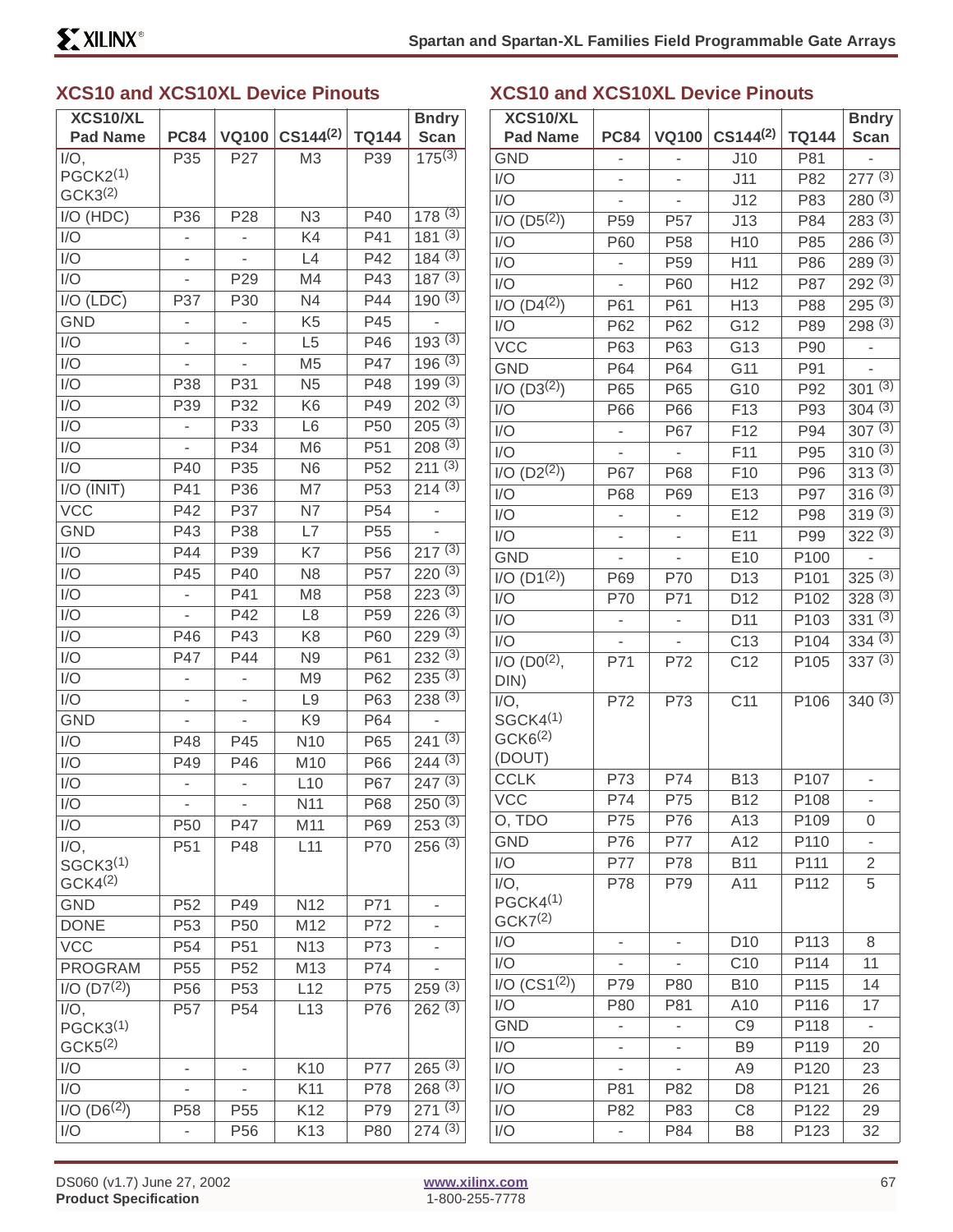## **XCS10 and XCS10XL Device Pinouts**

| XCS10/XL                                                |                          |                 |                 |                 | <b>Bndry</b>                    |
|---------------------------------------------------------|--------------------------|-----------------|-----------------|-----------------|---------------------------------|
| <b>Pad Name</b>                                         | <b>PC84</b>              | <b>VQ100</b>    | $CS144^{(2)}$   | <b>TQ144</b>    | <b>Scan</b>                     |
| $I/O$ ,<br>PGCK2 <sup>(1)</sup><br>GCK3 <sup>(2)</sup>  | P35                      | P27             | M <sub>3</sub>  | P39             | $175^{(3)}$                     |
| I/O (HDC)                                               | P36                      | P <sub>28</sub> | N <sub>3</sub>  | P40             | 178(3)                          |
| I/O                                                     |                          | -               | K4              | P41             | 181(3)                          |
| I/O                                                     |                          |                 | L4              | P42             | 184(3)                          |
| I/O                                                     |                          | P <sub>29</sub> | M4              | P43             | 187(3)                          |
| $I/O$ ( $\overline{LDC}$ )                              | P37                      | P30             | N <sub>4</sub>  | P44             | 190(3)                          |
| <b>GND</b>                                              |                          |                 | K <sub>5</sub>  | P45             |                                 |
| I/O                                                     |                          |                 | L <sub>5</sub>  | P46             | 193(3)                          |
| I/O                                                     |                          |                 | M <sub>5</sub>  | P47             | 196(3)                          |
| I/O                                                     | P38                      | P31             | N <sub>5</sub>  | P48             | 199(3)                          |
| I/O                                                     | P39                      | P32             | K <sub>6</sub>  | P49             | $202^{(3)}$                     |
| I/O                                                     |                          | P33             | L <sub>6</sub>  | P <sub>50</sub> | $205^{(3)}$                     |
| I/O                                                     |                          | P34             | M <sub>6</sub>  | P <sub>51</sub> | 208(3)                          |
| I/O                                                     | P40                      | P35             | N <sub>6</sub>  | P <sub>52</sub> | $21\overline{1}$ <sup>(3)</sup> |
| I/O (INIT)                                              | P41                      | P36             | M7              | P <sub>53</sub> | 214(3)                          |
| <b>VCC</b>                                              | P42                      | P37             | N7              | P <sub>54</sub> | $\overline{\phantom{0}}$        |
| <b>GND</b>                                              | P43                      | P38             | L7              | P <sub>55</sub> |                                 |
| I/O                                                     | P44                      | P39             | K7              | P <sub>56</sub> | $217^{(3)}$                     |
| I/O                                                     | P45                      | P40             | N <sub>8</sub>  | P <sub>57</sub> | $220^{(3)}$                     |
| I/O                                                     |                          | P41             | M <sub>8</sub>  | P <sub>58</sub> | 223(3)                          |
| I/O                                                     |                          | P42             | L <sub>8</sub>  | P <sub>59</sub> | $226^{(3)}$                     |
| I/O                                                     | P46                      | P43             | K <sub>8</sub>  | P60             | 229(3)                          |
| I/O                                                     | P47                      | P44             | N <sub>9</sub>  | P61             | 232(3)                          |
| I/O                                                     |                          | -               | M <sub>9</sub>  | P62             | 235(3)                          |
| I/O                                                     | $\overline{\phantom{0}}$ | -               | L <sub>9</sub>  | P63             | $238^{(3)}$                     |
| <b>GND</b>                                              |                          |                 | K <sub>9</sub>  | P64             | ÷,                              |
| I/O                                                     | P48                      | P45             | N <sub>10</sub> | P65             | 241(3)                          |
| I/O                                                     | P49                      | P46             | M10             | P66             | 244(3)                          |
| I/O                                                     |                          | -               | L10             | P67             | $247^{(3)}$                     |
| 1/O                                                     |                          |                 | N11             | P68             | 250(3)                          |
| I/O                                                     | P50                      | P47             | M11             | P69             | 253(3)                          |
| $I/O$ ,<br>SGCK3 <sup>(1)</sup><br>GCK4 <sup>(2)</sup>  | P51                      | P48             | L11             | P70             | 256(3)                          |
| <b>GND</b>                                              | P52                      | P49             | N12             | P71             |                                 |
| <b>DONE</b>                                             | P <sub>53</sub>          | P <sub>50</sub> | M12             | P72             |                                 |
| <b>VCC</b>                                              | P <sub>54</sub>          | P <sub>51</sub> | N <sub>13</sub> | P73             |                                 |
| <b>PROGRAM</b>                                          | P <sub>55</sub>          | P <sub>52</sub> | M13             | P74             |                                 |
| $I/O$ (D7 <sup>(2)</sup> )                              | P56                      | P <sub>53</sub> | L12             | P75             | 259(3)                          |
| $I/O$ ,<br>PGCK3 <sup>(1)</sup><br>GCK <sub>5</sub> (2) | P57                      | P <sub>54</sub> | L13             | P76             | 262(3)                          |
| I/O                                                     |                          |                 | K10             | P77             | 265(3)                          |
| I/O                                                     |                          |                 | K11             | P78             | 268(3)                          |
| $I/O$ (D6 <sup>(2)</sup> )                              | P58                      | P55             | K12             | P79             | 271(3)                          |
| I/O                                                     |                          | P <sub>56</sub> | K13             | P80             | 274(3)                          |

## **XCS10 and XCS10XL Device Pinouts**

| XCS10/XL                                                         |                 |                 |                 |              | <b>Bndry</b>             |
|------------------------------------------------------------------|-----------------|-----------------|-----------------|--------------|--------------------------|
| <b>Pad Name</b>                                                  | <b>PC84</b>     | <b>VQ100</b>    | $CS144^{(2)}$   | <b>TQ144</b> | Scan                     |
| <b>GND</b>                                                       |                 |                 | J10             | P81          |                          |
| I/O                                                              |                 |                 | J11             | P82          | 277(3)                   |
| I/O                                                              | ÷,              |                 | J12             | P83          | 280(3)                   |
| $I/O$ $(D5(2))$                                                  | P <sub>59</sub> | P <sub>57</sub> | J13             | P84          | 283(3)                   |
| I/O                                                              | P60             | P <sub>58</sub> | H <sub>10</sub> | P85          | 286(3)                   |
| I/O                                                              |                 | P <sub>59</sub> | H11             | P86          | 289(3)                   |
| I/O                                                              |                 | P60             | H12             | P87          | 292(3)                   |
| $I/O$ (D4 $(2)$ )                                                | P61             | P61             | H13             | P88          | 295(3)                   |
| I/O                                                              | P62             | P62             | G12             | P89          | 298(3)                   |
| <b>VCC</b>                                                       | P63             | P63             | G13             | P90          |                          |
| <b>GND</b>                                                       | P64             | P64             | G11             | P91          |                          |
| $I/O (D3^{(2)})$                                                 | P65             | P65             | G10             | P92          | $30^{1(3)}$              |
| I/O                                                              | P66             | P66             | F13             | P93          | 304(3)                   |
| I/O                                                              |                 | P67             | F <sub>12</sub> | P94          | 307(3)                   |
| I/O                                                              |                 | ÷,              | F11             | P95          | $310^{(3)}$              |
| 1/O (D2 <sup>(2)</sup> )                                         | P67             | P68             | F10             | P96          | 313(3)                   |
| I/O                                                              | P68             | P69             | E13             | P97          | 316(3)                   |
| I/O                                                              |                 |                 | E12             | P98          | 319(3)                   |
| I/O                                                              | -               | -               | E11             | P99          | $322^{(3)}$              |
| <b>GND</b>                                                       |                 |                 | E <sub>10</sub> | P100         | -                        |
| $I/O$ (D1 <sup>(2)</sup> )                                       | P69             | P70             | D <sub>13</sub> | P101         | 325(3)                   |
| I/O                                                              | P70             | P71             | D <sub>12</sub> | P102         | 328(3)                   |
| I/O                                                              | -               | -               | D <sub>11</sub> | P103         | 331(3)                   |
| I/O                                                              |                 |                 | C <sub>13</sub> | P104         | 334(3)                   |
| $I/O$ (D0 <sup>(2)</sup> ,<br>DIN)                               | P71             | P72             | C <sub>12</sub> | P105         | 337(3)                   |
| $I/O$ ,<br>SGCK4 <sup>(1)</sup><br>GCK6 <sup>(2)</sup><br>(DOUT) | P72             | P73             | C <sub>11</sub> | P106         | $340^{(3)}$              |
| <b>CCLK</b>                                                      | P73             | P74             | <b>B13</b>      | P107         | -                        |
| <b>VCC</b>                                                       | P74             | P75             | <b>B12</b>      | P108         |                          |
| O, TDO                                                           | P75             | P76             | A13             | P109         | 0                        |
| <b>GND</b>                                                       | P76             | P77             | A12             | P110         |                          |
| I/O                                                              | P77             | P78             | <b>B11</b>      | P111         | $\overline{c}$           |
| $I/O$ ,<br>PGCK4 <sup>(1)</sup><br>GCK7 <sup>(2)</sup>           | P78             | P79             | A11             | P112         | 5                        |
| I/O                                                              |                 |                 | D <sub>10</sub> | P113         | 8                        |
| I/O                                                              |                 |                 | C10             | P114         | 11                       |
| I/O (CS1 <sup>(2)</sup> )                                        | P79             | P80             | <b>B10</b>      | P115         | 14                       |
| I/O                                                              | P80             | P81             | A10             | P116         | 17                       |
| <b>GND</b>                                                       |                 |                 | C <sub>9</sub>  | P118         | $\overline{\phantom{0}}$ |
| I/O                                                              |                 |                 | B <sub>9</sub>  | P119         | 20                       |
| I/O                                                              |                 | -               | A <sub>9</sub>  | P120         | 23                       |
| I/O                                                              | P81             | P82             | D <sub>8</sub>  | P121         | 26                       |
| I/O                                                              | P82             | P83             | C <sub>8</sub>  | P122         | 29                       |
| I/O                                                              |                 | P84             | B8              | P123         | 32                       |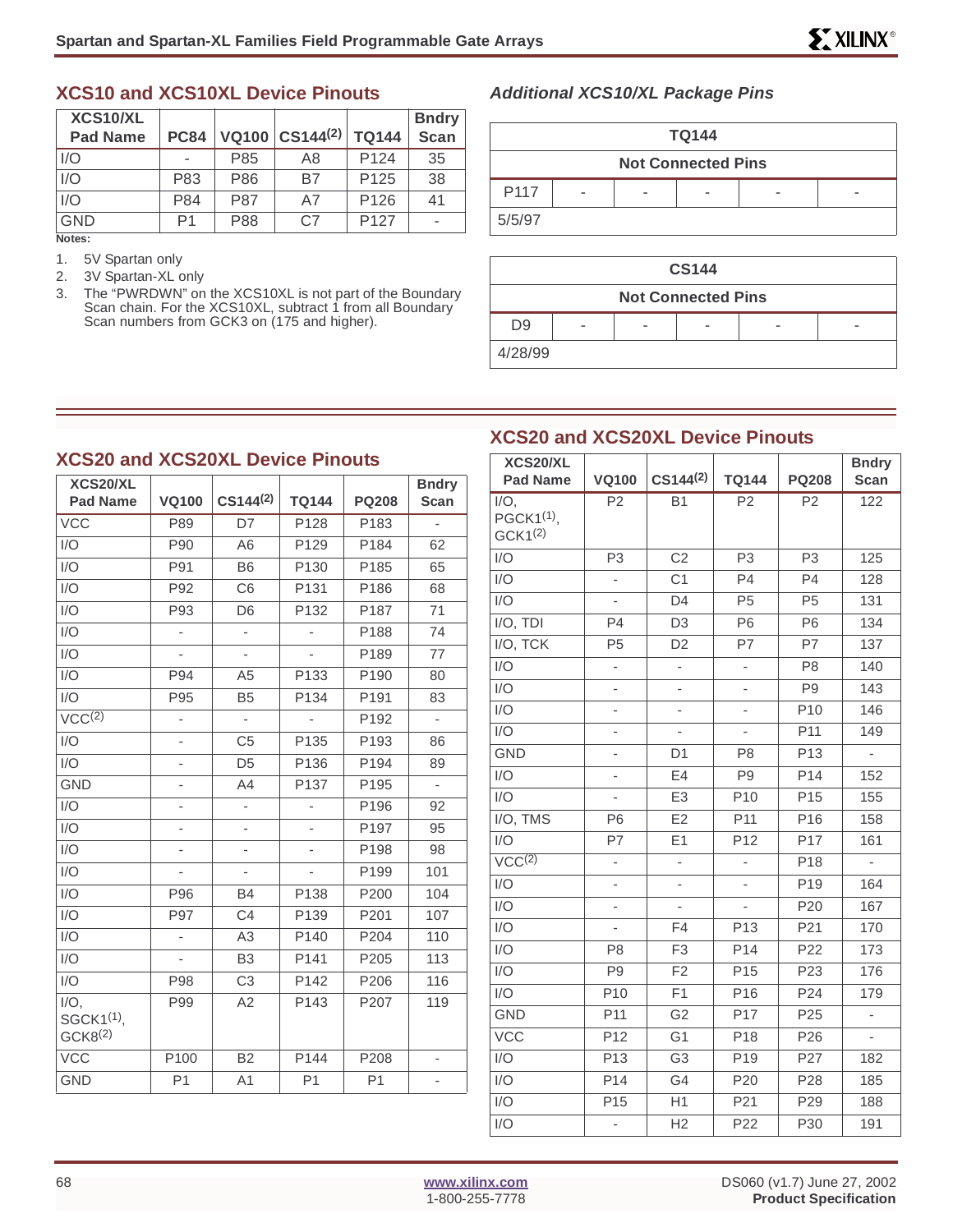#### **XCS10 and XCS10XL Device Pinouts**

| XCS10/XL<br><b>Pad Name</b> | <b>PC84</b> |            | VQ100 $ CS144^{(2)} $ | <b>TQ144</b>     | <b>Bndry</b><br><b>Scan</b> |
|-----------------------------|-------------|------------|-----------------------|------------------|-----------------------------|
| I/O                         |             | P85        | Α8                    | P <sub>124</sub> | 35                          |
| I/O                         | P83         | P86        | B7                    | P <sub>125</sub> | 38                          |
| I/O                         | P84         | <b>P87</b> | A7                    | P <sub>126</sub> | 41                          |
| <b>GND</b>                  | P1          | P88        | C <sub>7</sub>        | P <sub>127</sub> |                             |

**Notes:**

- 1. 5V Spartan only
- 2. 3V Spartan-XL only
- 3. The "PWRDWN" on the XCS10XL is not part of the Boundary Scan chain. For the XCS10XL, subtract 1 from all Boundary Scan numbers from GCK3 on (175 and higher).

#### **Additional XCS10/XL Package Pins**

| 3ndry<br><b>Scan</b> | <b>TQ144</b> |   |  |                           |   |  |  |  |  |
|----------------------|--------------|---|--|---------------------------|---|--|--|--|--|
| $\overline{35}$      |              |   |  | <b>Not Connected Pins</b> |   |  |  |  |  |
| $38$                 |              |   |  |                           |   |  |  |  |  |
| 41                   | P117         | - |  |                           | - |  |  |  |  |
| ٠                    | 5/5/97       |   |  |                           |   |  |  |  |  |

| <b>CS144</b>              |   |   |  |  |                          |  |  |  |
|---------------------------|---|---|--|--|--------------------------|--|--|--|
| <b>Not Connected Pins</b> |   |   |  |  |                          |  |  |  |
| U9                        | - | - |  |  | $\overline{\phantom{a}}$ |  |  |  |
| 4/28/99                   |   |   |  |  |                          |  |  |  |

### **XCS20 and XCS20XL Device Pinouts**

| <b>XCS20 and XCS20XL Device Pinouts</b> | <b>XCS20/X</b>           |                          |                  |                  |                              |                           |
|-----------------------------------------|--------------------------|--------------------------|------------------|------------------|------------------------------|---------------------------|
| XCS20/XL<br><b>Pad Name</b>             | <b>VQ100</b>             | $CS144^{(2)}$            | <b>TQ144</b>     | <b>PQ208</b>     | <b>Bndry</b><br><b>Scan</b>  | <b>Pad Nam</b><br>$I/O$ , |
| <b>VCC</b>                              | P89                      | D7                       | P128             | P183             | $\overline{a}$               | PGCK $1^{(1)}$ ,          |
| I/O                                     | P90                      | A <sub>6</sub>           | P129             | P184             | 62                           | GCK1 <sup>(2)</sup>       |
| I/O                                     | P91                      | B <sub>6</sub>           | P <sub>130</sub> | P185             | 65                           | I/O                       |
| I/O                                     | P92                      | C <sub>6</sub>           | P131             | P186             | 68                           | I/O                       |
| I/O                                     | P93                      | D <sub>6</sub>           | P132             | P187             | 71                           | I/O                       |
| I/O                                     | ÷                        | ÷                        |                  | P188             | 74                           | I/O, TDI                  |
| I/O                                     | ä,                       | $\overline{\phantom{a}}$ |                  | P189             | 77                           | I/O, TCK                  |
| $\overline{1/O}$                        | P94                      | A <sub>5</sub>           | P133             | P190             | 80                           | I/O                       |
| I/O                                     | P95                      | B <sub>5</sub>           | P134             | P191             | 83                           | I/O                       |
| $VCC^{(2)}$                             | $\overline{a}$           | $\overline{a}$           | ÷,               | P192             | L.                           | I/O                       |
| I/O                                     | $\overline{\phantom{0}}$ | C <sub>5</sub>           | P135             | P193             | 86                           | I/O                       |
| I/O                                     | $\overline{\phantom{0}}$ | D <sub>5</sub>           | P136             | P194             | 89                           | <b>GND</b>                |
| <b>GND</b>                              | $\overline{\phantom{0}}$ | A4                       | P <sub>137</sub> | P <sub>195</sub> | ÷,                           | I/O                       |
| I/O                                     | $\overline{\phantom{m}}$ | ÷,                       | ä,               | P196             | 92                           | I/O                       |
| I/O                                     | $\overline{\phantom{0}}$ | -                        |                  | P <sub>197</sub> | 95                           | I/O, TMS                  |
| I/O                                     | $\overline{\phantom{0}}$ | $\frac{1}{2}$            |                  | P198             | 98                           | I/O                       |
| I/O                                     |                          |                          |                  | P199             | 101                          | VCC <sup>(2)</sup>        |
| I/O                                     | P96                      | <b>B4</b>                | P138             | P200             | 104                          | I/O                       |
| I/O                                     | P97                      | C <sub>4</sub>           | P139             | P201             | 107                          | I/O                       |
| I/O                                     | $\blacksquare$           | A <sub>3</sub>           | P140             | P204             | 110                          | I/O                       |
| I/O                                     |                          | B <sub>3</sub>           | P141             | P205             | 113                          | I/O                       |
| I/O                                     | P98                      | C <sub>3</sub>           | P142             | P206             | 116                          | 1/O                       |
| $I/O$ ,                                 | P99                      | A2                       | P143             | P207             | 119                          | I/O                       |
| SGCK1 <sup>(1)</sup> ,                  |                          |                          |                  |                  |                              | <b>GND</b>                |
| GCK8 <sup>(2)</sup>                     |                          |                          |                  |                  |                              | <b>VCC</b>                |
| <b>VCC</b>                              | P100                     | <b>B2</b>                | P144             | P208             | $\overline{\phantom{0}}$     | I/O                       |
| <b>GND</b>                              | P <sub>1</sub>           | A1                       | P <sub>1</sub>   | P <sub>1</sub>   | $\qquad \qquad \blacksquare$ | I/O                       |
|                                         |                          |                          |                  |                  |                              | I/O                       |

| XCS20/XL                                                 |                          |                          |                          |                 | <b>Bndry</b>   |
|----------------------------------------------------------|--------------------------|--------------------------|--------------------------|-----------------|----------------|
| <b>Pad Name</b>                                          | <b>VQ100</b>             | $CS144^{(2)}$            | <b>TQ144</b>             | <b>PQ208</b>    | <b>Scan</b>    |
| $I/O$ ,<br>PGCK1 <sup>(1)</sup> ,<br>GCK1 <sup>(2)</sup> | P <sub>2</sub>           | <b>B1</b>                | P <sub>2</sub>           | P <sub>2</sub>  | 122            |
| I/O                                                      | P <sub>3</sub>           | C <sub>2</sub>           | P <sub>3</sub>           | P <sub>3</sub>  | 125            |
| I/O                                                      |                          | C <sub>1</sub>           | P <sub>4</sub>           | P <sub>4</sub>  | 128            |
| I/O                                                      | $\overline{\phantom{0}}$ | D <sub>4</sub>           | P <sub>5</sub>           | P <sub>5</sub>  | 131            |
| $I/O$ , TDI                                              | P4                       | D <sub>3</sub>           | P <sub>6</sub>           | P <sub>6</sub>  | 134            |
| $\overline{I/O}$ , TCK                                   | P <sub>5</sub>           | D <sub>2</sub>           | P7                       | P7              | 137            |
| I/O                                                      | $\overline{\phantom{0}}$ | $\frac{1}{2}$            | $\overline{\phantom{0}}$ | P <sub>8</sub>  | 140            |
| I/O                                                      | -                        | ÷                        | $\overline{\phantom{0}}$ | P <sub>9</sub>  | 143            |
| I/O                                                      |                          |                          |                          | P <sub>10</sub> | 146            |
| I/O                                                      | $\overline{\phantom{0}}$ | L,                       | L,                       | P11             | 149            |
| <b>GND</b>                                               | -                        | D <sub>1</sub>           | P <sub>8</sub>           | P <sub>13</sub> | $\overline{a}$ |
| I/O                                                      |                          | E4                       | P <sub>9</sub>           | P14             | 152            |
| I/O                                                      | ÷,                       | E <sub>3</sub>           | P <sub>10</sub>          | P <sub>15</sub> | 155            |
| I/O, TMS                                                 | P6                       | E2                       | P <sub>11</sub>          | P <sub>16</sub> | 158            |
| I/O                                                      | P7                       | E1                       | P12                      | P17             | 161            |
| VCC <sup>(2)</sup>                                       | ÷,                       | $\overline{\phantom{0}}$ | $\overline{\phantom{0}}$ | P <sub>18</sub> |                |
| I/O                                                      |                          | $\overline{\phantom{0}}$ | ÷,                       | P <sub>19</sub> | 164            |
| I/O                                                      | -                        |                          |                          | P <sub>20</sub> | 167            |
| I/O                                                      | i.                       | F4                       | P <sub>13</sub>          | P21             | 170            |
| I/O                                                      | P <sub>8</sub>           | F <sub>3</sub>           | P14                      | P22             | 173            |
| I/O                                                      | P <sub>9</sub>           | F <sub>2</sub>           | P <sub>15</sub>          | P <sub>23</sub> | 176            |
| I/O                                                      | P <sub>10</sub>          | F1                       | P16                      | P24             | 179            |
| <b>GND</b>                                               | P <sub>11</sub>          | G <sub>2</sub>           | P17                      | P <sub>25</sub> |                |
| <b>VCC</b>                                               | P12                      | G <sub>1</sub>           | P <sub>18</sub>          | P <sub>26</sub> |                |
| I/O                                                      | P <sub>13</sub>          | G <sub>3</sub>           | P <sub>19</sub>          | P27             | 182            |
| I/O                                                      | P14                      | G4                       | P20                      | P28             | 185            |
| I/O                                                      | P <sub>15</sub>          | H1                       | P21                      | P <sub>29</sub> | 188            |
| I/O                                                      | $\overline{\phantom{0}}$ | H <sub>2</sub>           | P <sub>22</sub>          | P30             | 191            |
|                                                          |                          |                          |                          |                 |                |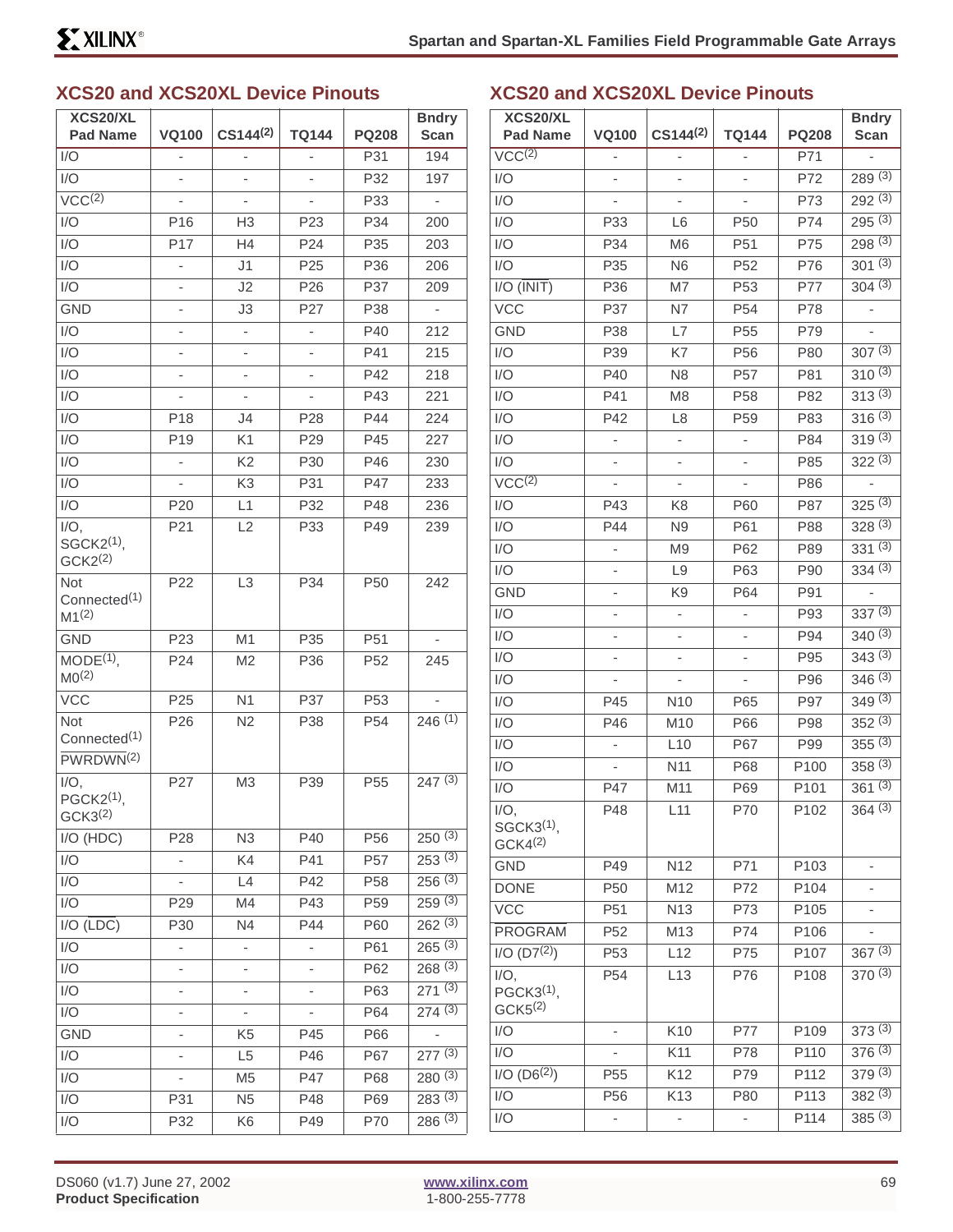# **XCS20 and XCS20XL Device Pinouts**

| XCS20/XL<br><b>Pad Name</b>                              | <b>VQ100</b>             | $CS144^{(2)}$            | <b>TQ144</b>             | <b>PQ208</b>    | <b>Bndry</b><br><b>Scan</b> |
|----------------------------------------------------------|--------------------------|--------------------------|--------------------------|-----------------|-----------------------------|
| I/O                                                      | $\frac{1}{2}$            | L,                       | ÷,                       | P31             | 194                         |
| 1/O                                                      | L,                       | L,                       |                          | P32             | 197                         |
| $VCC^{(2)}$                                              | $\overline{\phantom{0}}$ | $\frac{1}{2}$            | $\overline{\phantom{0}}$ | P33             | $\overline{\phantom{a}}$    |
| I/O                                                      | P <sub>16</sub>          | H3                       | P <sub>23</sub>          | P34             | 200                         |
| I/O                                                      | P17                      | H4                       | P <sub>24</sub>          | P35             | 203                         |
| I/O                                                      | $\overline{\phantom{0}}$ | J1                       | P <sub>25</sub>          | P36             | 206                         |
| I/O                                                      |                          | J2                       | P <sub>26</sub>          | P37             | 209                         |
| <b>GND</b>                                               |                          | J3                       | P <sub>27</sub>          | P38             | $\overline{a}$              |
| I/O                                                      | $\overline{\phantom{0}}$ | $\overline{\phantom{0}}$ | $\overline{\phantom{0}}$ | P40             | 212                         |
| I/O                                                      | Ĭ.                       | ÷                        |                          | P41             | 215                         |
| I/O                                                      |                          |                          |                          | P42             | 218                         |
| I/O                                                      |                          | $\overline{\phantom{0}}$ | $\overline{\phantom{0}}$ | P43             | 221                         |
| I/O                                                      | P18                      | J4                       | P <sub>28</sub>          | P44             | 224                         |
| I/O                                                      | P <sub>19</sub>          | K1                       | P <sub>29</sub>          | P45             | 227                         |
| I/O                                                      | ÷,                       | K <sub>2</sub>           | P30                      | P46             | 230                         |
| I/O                                                      |                          | K <sub>3</sub>           | P31                      | <b>P47</b>      | 233                         |
| I/O                                                      | P20                      | L1                       | P32                      | P48             | 236                         |
| $I/O$ ,                                                  | P21                      | L2                       | P33                      | P49             | 239                         |
| SGCK2 <sup>(1)</sup> ,<br>GCK2 <sup>(2)</sup>            |                          |                          |                          |                 |                             |
| <b>Not</b><br>Connected <sup>(1)</sup><br>$M1^{(2)}$     | P <sub>22</sub>          | L <sub>3</sub>           | P34                      | P <sub>50</sub> | 242                         |
| <b>GND</b>                                               | P <sub>23</sub>          | M <sub>1</sub>           | P35                      | P <sub>51</sub> |                             |
| $MODE(1)$ ,<br>MO <sup>(2)</sup>                         | P24                      | M <sub>2</sub>           | P36                      | P <sub>52</sub> | 245                         |
| <b>VCC</b>                                               | P <sub>25</sub>          | N <sub>1</sub>           | P37                      | P <sub>53</sub> |                             |
| Not<br>Connected <sup>(1)</sup><br>PWRDWN <sup>(2)</sup> | P <sub>26</sub>          | N2                       | P38                      | P <sub>54</sub> | 246(1)                      |
| $I/O$ ,<br>PGCK2 <sup>(1)</sup> ,<br>GCK3 <sup>(2)</sup> | P27                      | M <sub>3</sub>           | P39                      | P <sub>55</sub> | 247(3)                      |
| I/O (HDC)                                                | P <sub>28</sub>          | N <sub>3</sub>           | P40                      | P <sub>56</sub> | 250(3)                      |
| I/O                                                      |                          | K4                       | P41                      | P <sub>57</sub> | 253(3)                      |
| I/O                                                      | $\overline{\phantom{0}}$ | L4                       | P42                      | P <sub>58</sub> | 256(3)                      |
| I/O                                                      | P <sub>29</sub>          | M4                       | P43                      | P <sub>59</sub> | 259(3)                      |
| $I/O$ (LDC)                                              | P30                      | N4                       | P44                      | P60             | $262^{(3)}$                 |
| I/O                                                      | -                        | $\overline{\phantom{0}}$ | -                        | P61             | 265(3)                      |
| I/O                                                      |                          | ۰                        |                          | P62             | 268(3)                      |
| I/O                                                      |                          |                          |                          | P63             | 271(3)                      |
| I/O                                                      | -                        | -                        |                          | P64             | 274(3)                      |
| GND                                                      |                          | K <sub>5</sub>           | P45                      | P66             |                             |
| I/O                                                      |                          | L <sub>5</sub>           | P46                      | P67             | $277^{(3)}$                 |
| I/O                                                      |                          | M <sub>5</sub>           | P47                      | P68             | 280(3)                      |
| I/O                                                      | P31                      | N <sub>5</sub>           | P48                      | P69             | 283(3)                      |
| I/O                                                      | P32                      | K6                       | P49                      | P70             | 286(3)                      |

#### **XCS20 and XCS20XL Device Pinouts**

| XCS20/XL                                        |                          | $CS144^{(2)}$            | <b>TQ144</b>             | <b>PQ208</b>     | <b>Bndry</b> |
|-------------------------------------------------|--------------------------|--------------------------|--------------------------|------------------|--------------|
| <b>Pad Name</b>                                 | <b>VQ100</b>             |                          |                          |                  | Scan         |
| VCC <sup>(2)</sup>                              | $\overline{\phantom{0}}$ | $\overline{\phantom{a}}$ | -                        | P71              | ÷            |
| I/O                                             | -                        | $\overline{a}$           | -                        | P72              | 289(3)       |
| I/O                                             |                          |                          |                          | P73              | $292^{(3)}$  |
| I/O                                             | P33                      | L6                       | P <sub>50</sub>          | P74              | 295(3)       |
| I/O                                             | P34                      | M <sub>6</sub>           | P51                      | P75              | 298(3)       |
| I/O                                             | P35                      | N <sub>6</sub>           | P <sub>52</sub>          | P76              | $301^{(3)}$  |
| I/O (INIT)                                      | P36                      | M7                       | P <sub>53</sub>          | P77              | 304(3)       |
| <b>VCC</b>                                      | P37                      | N7                       | P <sub>54</sub>          | P78              | ÷            |
| <b>GND</b>                                      | P38                      | L7                       | P <sub>55</sub>          | P79              |              |
| I/O                                             | P39                      | K7                       | P <sub>56</sub>          | P80              | 307(3)       |
| I/O                                             | P40                      | N <sub>8</sub>           | P <sub>57</sub>          | P81              | $310^{(3)}$  |
| I/O                                             | P41                      | M <sub>8</sub>           | P <sub>58</sub>          | P82              | 313(3)       |
| I/O                                             | P42                      | L <sub>8</sub>           | P <sub>59</sub>          | P83              | 316(3)       |
| I/O                                             | -                        | ÷,                       | -                        | P84              | $319^{(3)}$  |
| I/O                                             |                          |                          |                          | P85              | $322^{(3)}$  |
| VCC <sup>(2)</sup>                              | -                        | ÷,                       | -                        | P86              | -            |
| I/O                                             | P43                      | K8                       | P60                      | P87              | $325^{(3)}$  |
| I/O                                             | P44                      | N <sub>9</sub>           | P61                      | P88              | 328(3)       |
| I/O                                             | -                        | M <sub>9</sub>           | P62                      | P89              | 331(3)       |
| I/O                                             |                          | L9                       | P63                      | P90              | $334^{(3)}$  |
| <b>GND</b>                                      |                          | K9                       | P64                      | P91              |              |
| I/O                                             | -                        | $\overline{\phantom{a}}$ | -                        | P93              | 337(3)       |
| I/O                                             |                          | $\overline{a}$           | -                        | P94              | $340^{(3)}$  |
| I/O                                             |                          |                          |                          | P95              | 343(3)       |
| I/O                                             |                          |                          | -                        | P96              | 346(3)       |
| I/O                                             | P45                      | N <sub>10</sub>          | P65                      | P97              | $349^{(3)}$  |
| I/O                                             | P46                      | M10                      | P66                      | P98              | 352(3)       |
| I/O                                             | ÷,                       | L10                      | P67                      | P99              | 355(3)       |
| I/O                                             |                          | N <sub>11</sub>          | P68                      | P <sub>100</sub> | $358^{(3)}$  |
| I/O                                             | P47                      | M11                      | P69                      | P101             | 361(3)       |
| $I/O$ ,<br>SGCK3 <sup>(1)</sup> ,               | P48                      | L11                      | P70                      | P102             | 364(3)       |
| GCK4 <sup>(2)</sup>                             |                          |                          |                          |                  |              |
| <b>GND</b>                                      | P49                      | N <sub>12</sub>          | P71                      | P103             | -            |
| <b>DONE</b>                                     | P50                      | M12                      | P72                      | P104             |              |
| <b>VCC</b>                                      | P <sub>51</sub>          | N <sub>13</sub>          | P73                      | P105             |              |
| <b>PROGRAM</b>                                  | P <sub>52</sub>          | M13                      | P74                      | P106             |              |
| $I/O$ (D7 <sup>(2)</sup> )                      | P <sub>53</sub>          | L12                      | P75                      | P107             | $367^{(3)}$  |
| $I/O$ ,<br>$PGCK3(1)$ ,<br>GCK <sub>5</sub> (2) | P <sub>54</sub>          | L13                      | P76                      | P108             | 370(3)       |
| I/O                                             |                          | K10                      | P77                      | P109             | 373(3)       |
| I/O                                             |                          | K11                      | P78                      | P110             | 376(3)       |
| $I/O$ (D6 <sup>(2)</sup> )                      | P <sub>55</sub>          | K12                      | P79                      | P112             | 379(3)       |
| I/O                                             | P <sub>56</sub>          | K13                      | P80                      | P113             | 382(3)       |
| I/O                                             | $\overline{\phantom{0}}$ |                          | $\overline{\phantom{0}}$ | P114             | 385(3)       |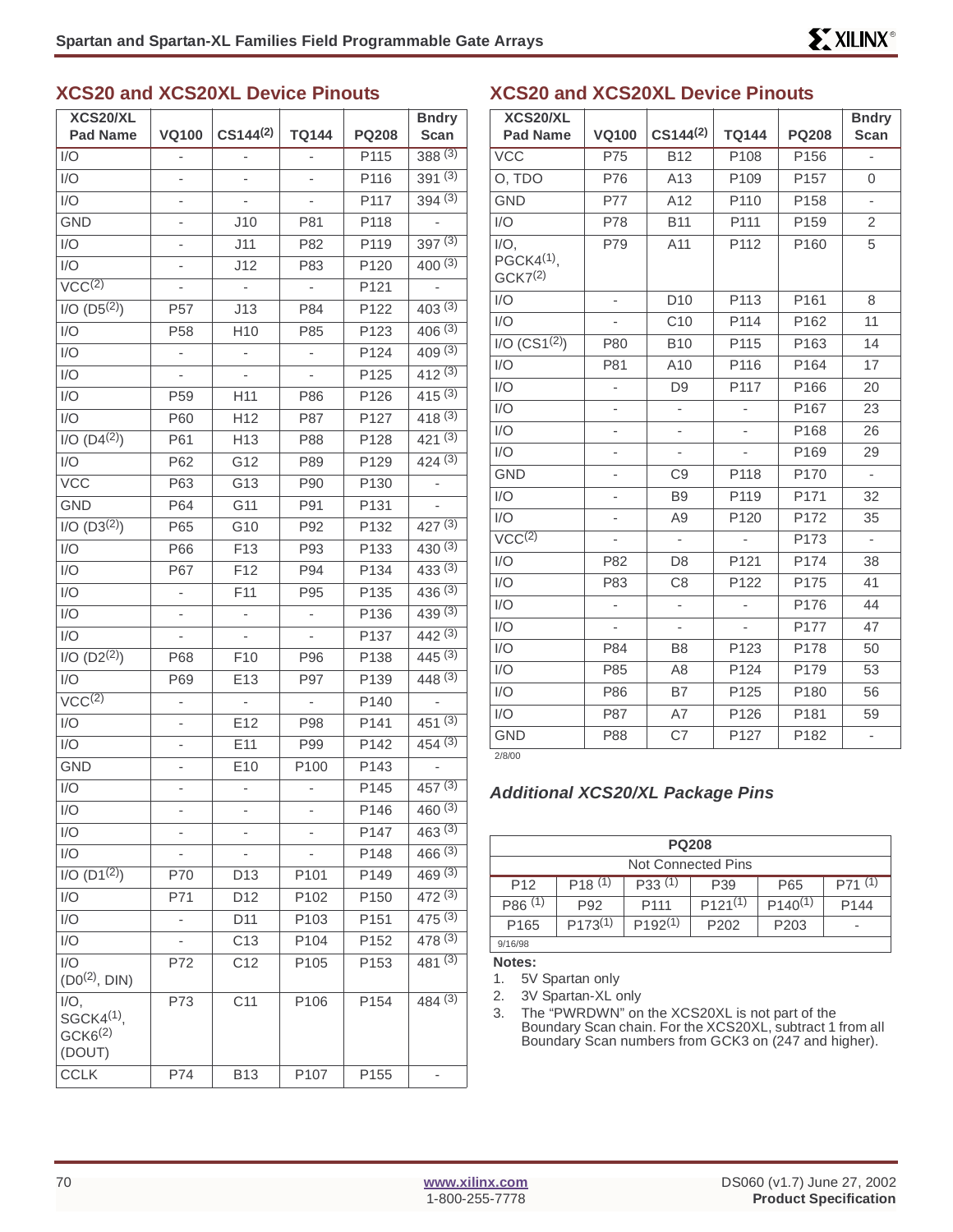#### **XCS20 and XCS20XL Device Pinouts**

| XCS20/XL                                                 |                          |                 |                          |              | <b>Bndry</b> |
|----------------------------------------------------------|--------------------------|-----------------|--------------------------|--------------|--------------|
| <b>Pad Name</b>                                          | <b>VQ100</b>             | $CS144^{(2)}$   | <b>TQ144</b>             | <b>PQ208</b> | <b>Scan</b>  |
| I/O                                                      |                          | -               |                          | P115         | 388(3)       |
| I/O                                                      | $\overline{\phantom{0}}$ | ÷               |                          | P116         | 391(3)       |
| I/O                                                      |                          |                 |                          | P117         | 394(3)       |
| <b>GND</b>                                               |                          | J10             | P81                      | P118         |              |
| I/O                                                      |                          | J11             | P82                      | P119         | 397(3)       |
| I/O                                                      |                          | J12             | P83                      | P120         | $400^{(3)}$  |
| $\overline{\text{VCC}^{(2)}}$                            |                          |                 |                          | P121         |              |
| $I/O$ $(D5(2))$                                          | P <sub>57</sub>          | J13             | P84                      | P122         | 403(3)       |
| I/O                                                      | P <sub>58</sub>          | H <sub>10</sub> | P85                      | P123         | 406(3)       |
| I/O                                                      | $\overline{\phantom{0}}$ | ÷               | $\overline{\phantom{m}}$ | P124         | 409(3)       |
| I/O                                                      |                          |                 |                          | P125         | 412(3)       |
| I/O                                                      | P <sub>59</sub>          | H11             | P86                      | P126         | 415(3)       |
| I/O                                                      | P60                      | H12             | P87                      | P127         | 418(3)       |
| $I/O (D4^{(2)})$                                         | P61                      | H13             | P88                      | P128         | $421^{(3)}$  |
| I/O                                                      | P62                      | G12             | P89                      | P129         | 424(3)       |
| <b>VCC</b>                                               | P63                      | G13             | P90                      | P130         |              |
| <b>GND</b>                                               | P64                      | G11             | P91                      | P131         |              |
| $I/O$ (D3 <sup>(2)</sup> )                               | P65                      | G10             | P92                      | P132         | $427^{(3)}$  |
| I/O                                                      | P66                      | F <sub>13</sub> | P93                      | P133         | 430(3)       |
| I/O                                                      | P67                      | F12             | P94                      | P134         | 433(3)       |
| I/O                                                      | $\overline{\phantom{a}}$ | F11             | P95                      | P135         | 436(3)       |
| I/O                                                      |                          | -               | $\overline{\phantom{m}}$ | P136         | 439(3)       |
| I/O                                                      |                          |                 |                          | P137         | 442(3)       |
| $I/O$ (D2 <sup>(2)</sup> )                               | P68                      | F <sub>10</sub> | P96                      | P138         | 445(3)       |
| I/O                                                      | P69                      | E13             | P97                      | P139         | 448(3)       |
| VCC <sup>(2)</sup>                                       |                          |                 |                          | P140         |              |
| I/O                                                      | -                        | E12             | P98                      | P141         | 451(3)       |
| I/O                                                      |                          | E <sub>11</sub> | P99                      | P142         | 454(3)       |
| <b>GND</b>                                               |                          | E10             | P100                     | P143         |              |
| I/O                                                      |                          | -               | ۰                        | P145         | 457(3)       |
| I/O                                                      | -                        | ٠               |                          | P146         | 460(3)       |
| I/O                                                      |                          |                 |                          | P147         | 463(3)       |
| 1/O                                                      |                          |                 |                          | P148         | 466(3)       |
| $I/O$ (D1 <sup>(2)</sup> )                               | P70                      | D13             | P101                     | P149         | 469(3)       |
| I/O                                                      | P71                      | D12             | P102                     | P150         | 472(3)       |
| 1/O                                                      | $\overline{\phantom{0}}$ | D11             | P103                     | P151         | 475(3)       |
| I/O                                                      |                          | C <sub>13</sub> | P104                     | P152         | 478(3)       |
| 1/O                                                      | P72                      | C12             | P105                     | P153         | $481^{(3)}$  |
| $(D0^{(2)},$ DIN)                                        |                          |                 |                          |              |              |
| $I/O$ ,<br>$SGCK4(1)$ ,<br>GCK6 <sup>(2)</sup><br>(DOUT) | P73                      | C11             | P <sub>106</sub>         | P154         | 484(3)       |
| <b>CCLK</b>                                              | P74                      | <b>B13</b>      | P107                     | P155         |              |

#### **XCS20 and XCS20XL Device Pinouts**

| XCS20/XL                                                 |                          |                 |                          |              | <b>Bndry</b>             |
|----------------------------------------------------------|--------------------------|-----------------|--------------------------|--------------|--------------------------|
| <b>Pad Name</b>                                          | <b>VQ100</b>             | $CS144^{(2)}$   | <b>TQ144</b>             | <b>PQ208</b> | <b>Scan</b>              |
| <b>VCC</b>                                               | P75                      | <b>B12</b>      | P108                     | P156         | $\overline{a}$           |
| O, TDO                                                   | P76                      | A13             | P109                     | P157         | 0                        |
| <b>GND</b>                                               | P77                      | A12             | P110                     | P158         | $\overline{\phantom{0}}$ |
| I/O                                                      | P78                      | <b>B11</b>      | P111                     | P159         | $\overline{2}$           |
| $I/O$ ,<br>PGCK4 <sup>(1)</sup> ,<br>GCK7 <sup>(2)</sup> | P79                      | A11             | P112                     | P160         | 5                        |
| I/O                                                      | $\overline{\phantom{0}}$ | D <sub>10</sub> | P113                     | P161         | 8                        |
| I/O                                                      |                          | C10             | P114                     | P162         | 11                       |
| I/O (CS1 <sup>(2)</sup> )                                | P80                      | <b>B10</b>      | P115                     | P163         | 14                       |
| I/O                                                      | P81                      | A10             | P116                     | P164         | 17                       |
| I/O                                                      | ÷                        | D <sub>9</sub>  | P117                     | P166         | 20                       |
| I/O                                                      |                          |                 | ÷                        | P167         | 23                       |
| I/O                                                      |                          | $\overline{a}$  |                          | P168         | 26                       |
| I/O                                                      |                          | ÷               |                          | P169         | 29                       |
| <b>GND</b>                                               |                          | C <sub>9</sub>  | P118                     | P170         | $\blacksquare$           |
| I/O                                                      |                          | B <sub>9</sub>  | P <sub>119</sub>         | P171         | 32                       |
| I/O                                                      |                          | A <sub>9</sub>  | P120                     | P172         | 35                       |
| VCC <sup>(2)</sup>                                       |                          | ÷,              | $\overline{\phantom{0}}$ | P173         | $\overline{\phantom{a}}$ |
| I/O                                                      | P82                      | D <sub>8</sub>  | P121                     | P174         | 38                       |
| I/O                                                      | P83                      | C <sub>8</sub>  | P122                     | P175         | 41                       |
| I/O                                                      | L,                       | ÷               | ÷,                       | P176         | 44                       |
| I/O                                                      | $\overline{\phantom{0}}$ | ÷,              | $\overline{\phantom{0}}$ | P177         | 47                       |
| I/O                                                      | P84                      | B <sub>8</sub>  | P123                     | P178         | 50                       |
| I/O                                                      | P85                      | A <sub>8</sub>  | P124                     | P179         | 53                       |
| I/O                                                      | P86                      | B7              | P125                     | P180         | 56                       |
| I/O                                                      | P87                      | A7              | P126                     | P181         | 59                       |
| <b>GND</b>                                               | P88                      | C7              | P127                     | P182         | -                        |

2/8/00

#### **Additional XCS20/XL Package Pins**

| <b>PQ208</b>                                                                                  |     |                  |              |              |                  |  |  |
|-----------------------------------------------------------------------------------------------|-----|------------------|--------------|--------------|------------------|--|--|
| Not Connected Pins                                                                            |     |                  |              |              |                  |  |  |
| $P71^{(1)}$<br>P18(1)<br>P33(1)<br>P <sub>12</sub><br>P65<br>P39                              |     |                  |              |              |                  |  |  |
| P86(1)                                                                                        | P92 | P <sub>111</sub> | $P121^{(1)}$ | $P140^{(1)}$ | P <sub>144</sub> |  |  |
| $P173^{(1)}$<br>$P192^{(1)}$<br>P <sub>203</sub><br>P <sub>202</sub><br>P <sub>165</sub><br>- |     |                  |              |              |                  |  |  |
| 9/16/98                                                                                       |     |                  |              |              |                  |  |  |

**Notes:**

1. 5V Spartan only

2. 3V Spartan-XL only

3. The "PWRDWN" on the XCS20XL is not part of the Boundary Scan chain. For the XCS20XL, subtract 1 from all Boundary Scan numbers from GCK3 on (247 and higher).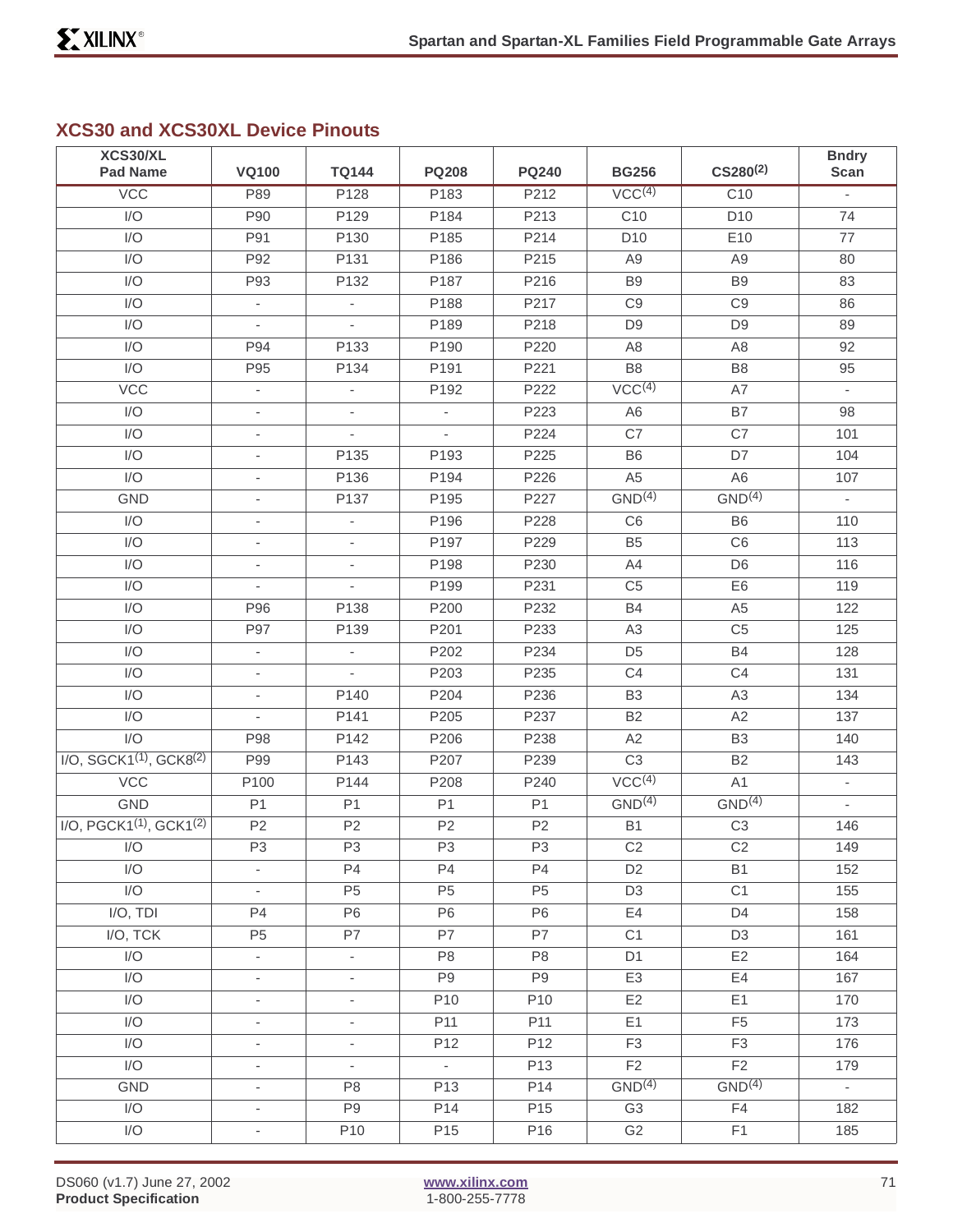# **XCS30 and XCS30XL Device Pinouts**

| XCS30/XL                         |                          |                          |                          |                 |                    | $CS280^{(2)}$      | <b>Bndry</b>             |
|----------------------------------|--------------------------|--------------------------|--------------------------|-----------------|--------------------|--------------------|--------------------------|
| <b>Pad Name</b>                  | <b>VQ100</b>             | <b>TQ144</b>             | <b>PQ208</b>             | <b>PQ240</b>    | <b>BG256</b>       |                    | Scan                     |
| <b>VCC</b>                       | P89                      | P128                     | P183                     | P212            | VCC <sup>(4)</sup> | C <sub>10</sub>    | $\overline{\phantom{a}}$ |
| I/O                              | P90                      | P129                     | P184                     | P213            | C <sub>10</sub>    | D <sub>10</sub>    | 74                       |
| I/O                              | P91                      | P130                     | P185                     | P214            | D <sub>10</sub>    | E <sub>10</sub>    | 77                       |
| I/O                              | P92                      | P131                     | P186                     | P215            | A <sub>9</sub>     | A <sub>9</sub>     | 80                       |
| I/O                              | P93                      | P132                     | P187                     | P216            | B <sub>9</sub>     | B <sub>9</sub>     | 83                       |
| I/O                              | $\blacksquare$           | $\blacksquare$           | P188                     | P217            | C9                 | C <sub>9</sub>     | 86                       |
| I/O                              | $\overline{\phantom{a}}$ | $\blacksquare$           | P189                     | P218            | D <sub>9</sub>     | D <sub>9</sub>     | 89                       |
| I/O                              | P94                      | P133                     | P190                     | P220            | A <sub>8</sub>     | A <sub>8</sub>     | 92                       |
| I/O                              | P95                      | P134                     | P191                     | P221            | B <sub>8</sub>     | B <sub>8</sub>     | 95                       |
| VCC                              | $\overline{\phantom{a}}$ | $\overline{\phantom{a}}$ | P <sub>192</sub>         | P222            | VCC <sup>(4)</sup> | A7                 | $\overline{\phantom{a}}$ |
| I/O                              | $\overline{\phantom{a}}$ | $\overline{\phantom{a}}$ | $\overline{\phantom{a}}$ | P223            | A <sub>6</sub>     | B7                 | 98                       |
| I/O                              | ÷,                       | $\overline{a}$           | ÷.                       | P224            | C7                 | C7                 | 101                      |
| I/O                              | $\overline{\phantom{a}}$ | P135                     | P193                     | P225            | B <sub>6</sub>     | D7                 | 104                      |
| I/O                              | $\overline{\phantom{a}}$ | P136                     | P194                     | P226            | A <sub>5</sub>     | A <sub>6</sub>     | 107                      |
| <b>GND</b>                       | ÷,                       | P137                     | P195                     | P227            | GND <sup>(4)</sup> | GND <sup>(4)</sup> | $\overline{\phantom{a}}$ |
| I/O                              | $\overline{\phantom{a}}$ | $\overline{\phantom{a}}$ | P196                     | P228            | C6                 | B <sub>6</sub>     | 110                      |
| I/O                              | $\overline{\phantom{a}}$ | $\overline{\phantom{a}}$ | P197                     | P229            | B <sub>5</sub>     | C <sub>6</sub>     | 113                      |
| I/O                              | ÷,                       | ä,                       | P198                     | P230            | A4                 | D <sub>6</sub>     | 116                      |
| I/O                              | $\overline{\phantom{a}}$ | $\overline{\phantom{a}}$ | P199                     | P231            | C <sub>5</sub>     | E <sub>6</sub>     | 119                      |
| I/O                              | P96                      | P138                     | P200                     | P232            | <b>B4</b>          | A <sub>5</sub>     | 122                      |
| I/O                              | P97                      | P139                     | P201                     | P233            | A <sub>3</sub>     | C <sub>5</sub>     | 125                      |
| I/O                              | $\overline{\phantom{a}}$ | $\overline{\phantom{a}}$ | P202                     | P234            | D <sub>5</sub>     | <b>B4</b>          | 128                      |
| I/O                              | $\overline{\phantom{a}}$ | L,                       | P203                     | P235            | C <sub>4</sub>     | C4                 | 131                      |
| $\overline{1/O}$                 | $\overline{\phantom{a}}$ | P140                     | P204                     | P236            | B <sub>3</sub>     | A <sub>3</sub>     | 134                      |
| I/O                              | $\overline{\phantom{a}}$ | P141                     | P205                     | P237            | B <sub>2</sub>     | A2                 | 137                      |
| I/O                              | P98                      | P142                     | P206                     | P238            | A2                 | B <sub>3</sub>     | 140                      |
| $I/O$ , SGCK1 $(1)$ , GCK8 $(2)$ | P99                      | P143                     | P207                     | P239            | C <sub>3</sub>     | <b>B2</b>          | 143                      |
| VCC                              | P100                     | P144                     | P208                     | P240            | VCC <sup>(4)</sup> | A1                 | $\overline{\phantom{a}}$ |
| <b>GND</b>                       | P <sub>1</sub>           | P <sub>1</sub>           | P <sub>1</sub>           | P <sub>1</sub>  | GND <sup>(4)</sup> | GND <sup>(4)</sup> | $\overline{\phantom{a}}$ |
| $I/O, PGCK1(1), GCK1(2)$         | P <sub>2</sub>           | P <sub>2</sub>           | P <sub>2</sub>           | P <sub>2</sub>  | <b>B1</b>          | C <sub>3</sub>     | 146                      |
| I/O                              | P <sub>3</sub>           | P <sub>3</sub>           | P <sub>3</sub>           | P <sub>3</sub>  | $\mathbb{C}2$      | C <sub>2</sub>     | 149                      |
| I/O                              | $\overline{\phantom{a}}$ | P4                       | P <sub>4</sub>           | <b>P4</b>       | D <sub>2</sub>     | <b>B1</b>          | 152                      |
| $\overline{1/O}$                 | $\overline{\phantom{a}}$ | P <sub>5</sub>           | P <sub>5</sub>           | P <sub>5</sub>  | D <sub>3</sub>     | C <sub>1</sub>     | 155                      |
| I/O, TDI                         | P <sub>4</sub>           | P <sub>6</sub>           | P <sub>6</sub>           | P <sub>6</sub>  | E4                 | D4                 | 158                      |
| I/O, TCK                         | P <sub>5</sub>           | P7                       | P7                       | P7              | C1                 | D <sub>3</sub>     | 161                      |
| I/O                              | $\overline{\phantom{a}}$ | $\overline{\phantom{a}}$ | P <sub>8</sub>           | P <sub>8</sub>  | D <sub>1</sub>     | E2                 | 164                      |
| I/O                              | $\overline{\phantom{a}}$ | $\overline{\phantom{a}}$ | P <sub>9</sub>           | P <sub>9</sub>  | E <sub>3</sub>     | E4                 | 167                      |
| I/O                              | $\overline{\phantom{a}}$ | $\blacksquare$           | P10                      | P10             | E <sub>2</sub>     | E1                 | 170                      |
| I/O                              | $\overline{\phantom{a}}$ | $\overline{\phantom{0}}$ | P <sub>11</sub>          | P11             | E1                 | F <sub>5</sub>     | 173                      |
| I/O                              | $\overline{\phantom{0}}$ | $\overline{\phantom{a}}$ | P12                      | P12             | F <sub>3</sub>     | F <sub>3</sub>     | 176                      |
| I/O                              | $\overline{\phantom{a}}$ | $\overline{\phantom{a}}$ | $\sim$                   | P <sub>13</sub> | F <sub>2</sub>     | F <sub>2</sub>     | 179                      |
| GND                              | $\overline{\phantom{a}}$ | P <sub>8</sub>           | P <sub>13</sub>          | P14             | GND <sup>(4)</sup> | GND <sup>(4)</sup> | $\sim$                   |
| I/O                              | $\overline{\phantom{a}}$ | P <sub>9</sub>           | P <sub>14</sub>          | P <sub>15</sub> | G <sub>3</sub>     | F4                 | 182                      |
| I/O                              | $\overline{\phantom{a}}$ | P10                      | P <sub>15</sub>          | P16             | G <sub>2</sub>     | F <sub>1</sub>     | 185                      |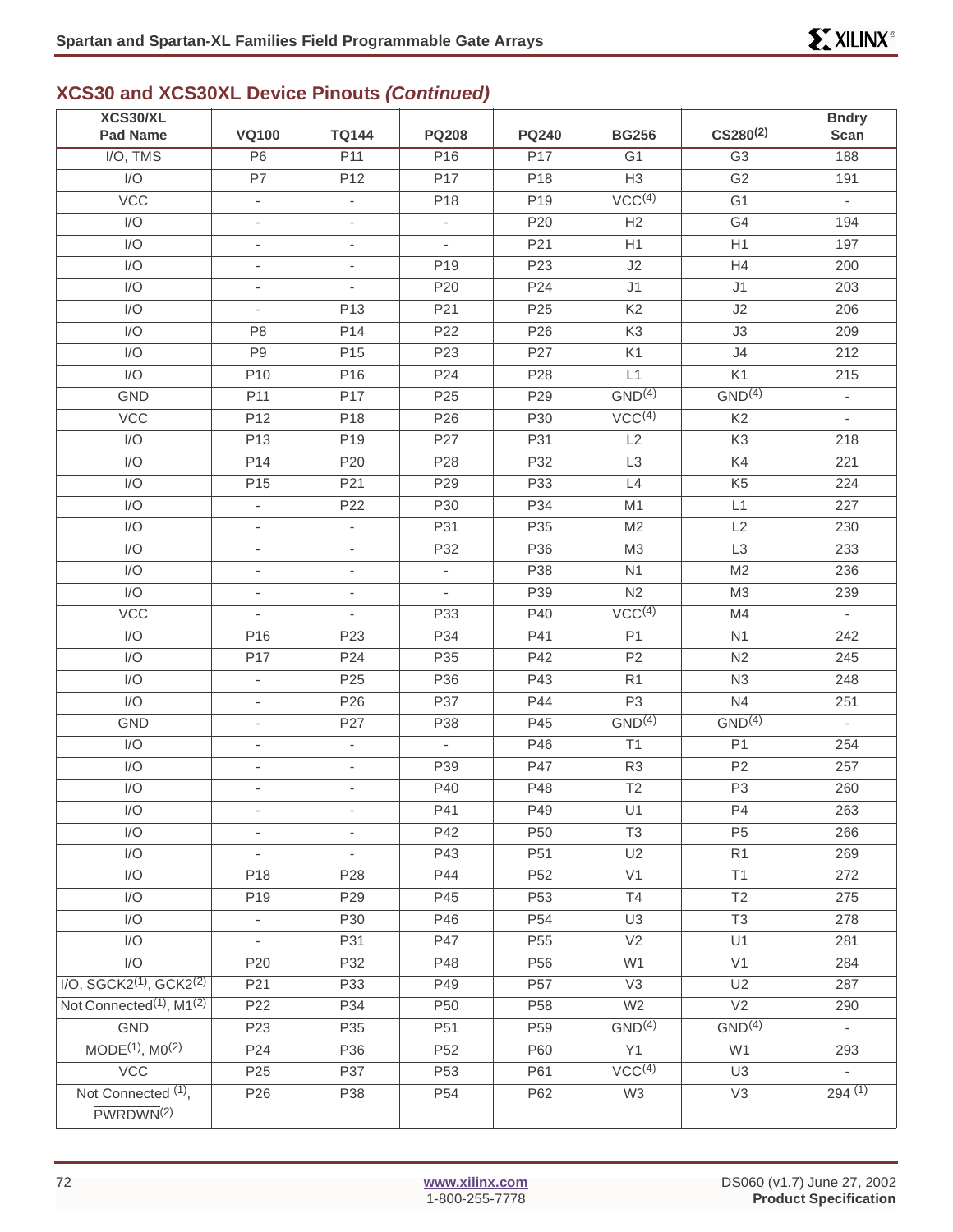### **XCS30 and XCS30XL Device Pinouts (Continued)**

| XCS30/XL<br><b>Pad Name</b>                        | <b>VQ100</b>             | <b>TQ144</b>             | <b>PQ208</b>                | <b>PQ240</b>    | <b>BG256</b>             | $CS280^{(2)}$      | <b>Bndry</b><br><b>Scan</b> |
|----------------------------------------------------|--------------------------|--------------------------|-----------------------------|-----------------|--------------------------|--------------------|-----------------------------|
|                                                    | $\overline{P6}$          | P11                      | P16                         | P17             | G <sub>1</sub>           | $\overline{G3}$    | 188                         |
| I/O, TMS<br>I/O                                    |                          |                          |                             |                 |                          |                    |                             |
|                                                    | P7                       | P <sub>12</sub>          | P <sub>17</sub>             | P18             | H3<br>VCC <sup>(4)</sup> | G <sub>2</sub>     | 191                         |
| VCC                                                | $\overline{\phantom{a}}$ | $\overline{\phantom{a}}$ | P18                         | P <sub>19</sub> |                          | G <sub>1</sub>     | $\sim$                      |
| I/O                                                | $\overline{\phantom{a}}$ | ÷,                       |                             | P20             | H2                       | G4                 | 194                         |
| I/O                                                | $\overline{\phantom{a}}$ | $\overline{\phantom{a}}$ | $\overline{\phantom{a}}$    | P21             | H1                       | H1                 | 197                         |
| I/O                                                | $\overline{\phantom{a}}$ | $\overline{\phantom{a}}$ | P <sub>19</sub>             | P23             | J2                       | H4                 | 200                         |
| I/O                                                | $\overline{\phantom{a}}$ | $\overline{\phantom{a}}$ | P20                         | P24             | J <sub>1</sub>           | J1                 | 203                         |
| I/O                                                | $\overline{\phantom{a}}$ | P <sub>13</sub>          | P21                         | P <sub>25</sub> | K <sub>2</sub>           | J2                 | 206                         |
| I/O                                                | P <sub>8</sub>           | P14                      | P <sub>22</sub>             | P <sub>26</sub> | K <sub>3</sub>           | J3                 | 209                         |
| I/O                                                | P <sub>9</sub>           | P <sub>15</sub>          | P <sub>23</sub>             | P27             | K <sub>1</sub>           | J <sub>4</sub>     | 212                         |
| I/O                                                | P10                      | P <sub>16</sub>          | P24                         | P <sub>28</sub> | L1                       | K1                 | 215                         |
| <b>GND</b>                                         | P <sub>11</sub>          | P17                      | P <sub>25</sub>             | P <sub>29</sub> | GND <sup>(4)</sup>       | GND <sup>(4)</sup> | $\overline{\phantom{a}}$    |
| VCC                                                | P12                      | P <sub>18</sub>          | P26                         | P30             | VCC <sup>(4)</sup>       | K <sub>2</sub>     | ÷.                          |
| I/O                                                | P <sub>13</sub>          | P <sub>19</sub>          | P27                         | P31             | L2                       | K <sub>3</sub>     | 218                         |
| I/O                                                | P14                      | P <sub>20</sub>          | P28                         | P32             | L <sub>3</sub>           | K4                 | 221                         |
| I/O                                                | P <sub>15</sub>          | P21                      | P29                         | P33             | L4                       | K <sub>5</sub>     | 224                         |
| I/O                                                | $\overline{\phantom{a}}$ | P22                      | P30                         | P34             | M1                       | L1                 | 227                         |
| I/O                                                | $\overline{\phantom{a}}$ | $\overline{\phantom{a}}$ | P31                         | P35             | M <sub>2</sub>           | L2                 | 230                         |
| I/O                                                | $\mathbf{r}$             | $\overline{\phantom{a}}$ | P32                         | P36             | M3                       | L <sub>3</sub>     | 233                         |
| I/O                                                | $\overline{\phantom{a}}$ | $\overline{\phantom{a}}$ | $\overline{\phantom{a}}$    | P38             | N1                       | M <sub>2</sub>     | 236                         |
| I/O                                                | $\overline{\phantom{a}}$ | $\overline{\phantom{a}}$ | $\mathcal{L}_{\mathcal{A}}$ | P39             | N <sub>2</sub>           | M <sub>3</sub>     | 239                         |
| <b>VCC</b>                                         | $\overline{\phantom{a}}$ | $\overline{\phantom{a}}$ | P33                         | P40             | VCC <sup>(4)</sup>       | M4                 | $\omega$                    |
| I/O                                                | P16                      | P <sub>23</sub>          | P34                         | P41             | P <sub>1</sub>           | N <sub>1</sub>     | 242                         |
| I/O                                                | P17                      | P24                      | P35                         | P42             | P <sub>2</sub>           | N <sub>2</sub>     | 245                         |
| I/O                                                | ÷,                       | P <sub>25</sub>          | P36                         | P43             | R1                       | N3                 | 248                         |
| I/O                                                | $\overline{\phantom{a}}$ | P <sub>26</sub>          | P37                         | P44             | P <sub>3</sub>           | N4                 | 251                         |
| <b>GND</b>                                         | $\overline{\phantom{a}}$ | P27                      | P38                         | P45             | GND <sup>(4)</sup>       | GND <sup>(4)</sup> | $\sim$                      |
| I/O                                                | $\overline{\phantom{a}}$ | $\overline{\phantom{a}}$ | ÷.                          | P46             | T1                       | P <sub>1</sub>     | 254                         |
| I/O                                                | $\overline{\phantom{a}}$ | $\overline{\phantom{a}}$ | P39                         | P47             | R <sub>3</sub>           | P <sub>2</sub>     | 257                         |
| I/O                                                | $\overline{\phantom{a}}$ | $\overline{\phantom{a}}$ | P40                         | P48             | T <sub>2</sub>           | P <sub>3</sub>     | 260                         |
| $\ensuremath{\mathsf{I}}/\ensuremath{\mathsf{O}}$  |                          |                          | P41                         | P49             | U1                       | P4                 | 263                         |
| I/O                                                | $\overline{\phantom{a}}$ | $\overline{\phantom{a}}$ | P42                         | P50             | T <sub>3</sub>           | P <sub>5</sub>     | 266                         |
| I/O                                                | $\overline{\phantom{a}}$ | ÷,                       | P43                         | P51             | U <sub>2</sub>           | R <sub>1</sub>     | 269                         |
| $\overline{1/O}$                                   | P18                      | P <sub>28</sub>          | P44                         | P <sub>52</sub> | V <sub>1</sub>           | T1                 | 272                         |
| I/O                                                | P19                      | P29                      | P45                         | P <sub>53</sub> | T4                       | T2                 | 275                         |
| I/O                                                | $\overline{\phantom{a}}$ | P30                      | P46                         | P <sub>54</sub> | U <sub>3</sub>           | T <sub>3</sub>     | 278                         |
| I/O                                                | $\overline{\phantom{a}}$ | P31                      | P47                         | P <sub>55</sub> | V <sub>2</sub>           | U1                 | 281                         |
| $\mathsf{I}/\mathsf{O}$                            | P20                      | P32                      | P48                         | P56             | W1                       | V <sub>1</sub>     | 284                         |
| $I/O$ , SGCK2 <sup>(1)</sup> , GCK2 <sup>(2)</sup> | P21                      | P33                      | P49                         | P <sub>57</sub> | V3                       | U2                 | 287                         |
| Not Connected <sup>(1)</sup> , M1 <sup>(2)</sup>   | P22                      | P34                      | P <sub>50</sub>             | P <sub>58</sub> | W <sub>2</sub>           | $\overline{V2}$    | 290                         |
| GND                                                | P <sub>23</sub>          | P35                      | P51                         | P59             | GND <sup>(4)</sup>       | GND <sup>(4)</sup> |                             |
| MODE <sup>(1)</sup> , M0 <sup>(2)</sup>            | P <sub>24</sub>          | P36                      | P <sub>52</sub>             | P60             | Y1                       | W1                 | 293                         |
| VCC                                                | P <sub>25</sub>          | P37                      | P <sub>53</sub>             | P61             | VCC <sup>(4)</sup>       | U <sub>3</sub>     | $\overline{\phantom{a}}$    |
| Not Connected <sup>(1)</sup> ,                     | P <sub>26</sub>          | P38                      | P <sub>54</sub>             | P62             | W <sub>3</sub>           | V3                 | 294(1)                      |
| PWRDWN <sup>(2)</sup>                              |                          |                          |                             |                 |                          |                    |                             |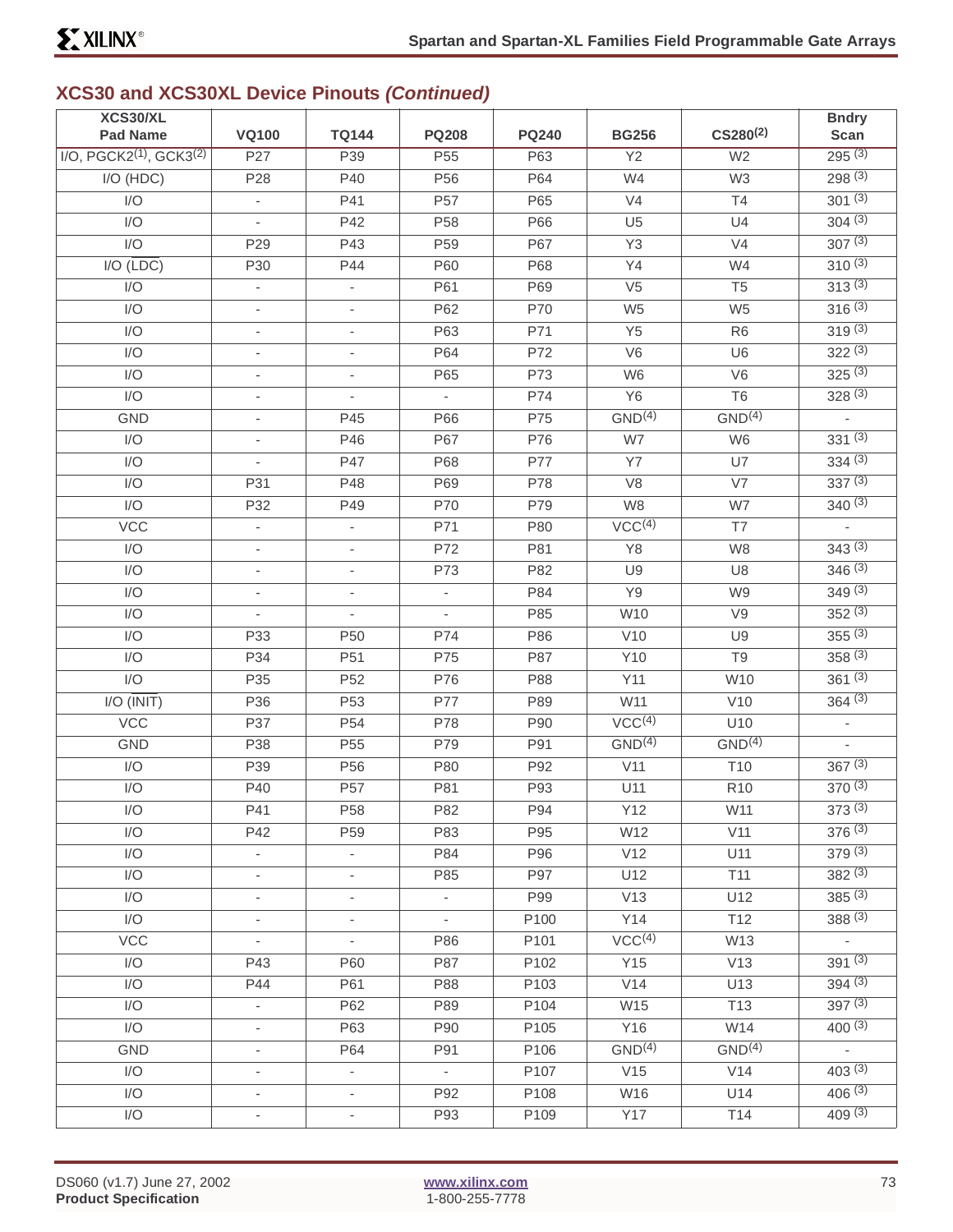| XCS30/XL                                           |                          |                          |                             |              |                    |                    | <b>Bndry</b>   |
|----------------------------------------------------|--------------------------|--------------------------|-----------------------------|--------------|--------------------|--------------------|----------------|
| <b>Pad Name</b>                                    | <b>VQ100</b>             | <b>TQ144</b>             | <b>PQ208</b>                | <b>PQ240</b> | <b>BG256</b>       | $CS280^{(2)}$      | Scan           |
| $I/O$ , PGCK2 <sup>(1)</sup> , GCK3 <sup>(2)</sup> | P27                      | P39                      | P <sub>55</sub>             | P63          | $\overline{Y2}$    | W <sub>2</sub>     | 295(3)         |
| I/O (HDC)                                          | P <sub>28</sub>          | P40                      | P <sub>56</sub>             | P64          | W4                 | W <sub>3</sub>     | 298(3)         |
| I/O                                                | ÷.                       | P41                      | P <sub>57</sub>             | P65          | V <sub>4</sub>     | T4                 | $301^{(3)}$    |
| I/O                                                |                          | P42                      | P <sub>58</sub>             | P66          | U <sub>5</sub>     | U4                 | 304(3)         |
| I/O                                                | P <sub>29</sub>          | P43                      | P <sub>59</sub>             | P67          | Y3                 | V <sub>4</sub>     | 307(3)         |
| $I/O(\overline{LDC})$                              | P30                      | P44                      | P60                         | P68          | Y4                 | W4                 | $310^{(3)}$    |
| I/O                                                |                          |                          | P61                         | P69          | V <sub>5</sub>     | T <sub>5</sub>     | 313(3)         |
| I/O                                                | $\overline{\phantom{0}}$ | $\overline{\phantom{a}}$ | P62                         | P70          | W <sub>5</sub>     | W <sub>5</sub>     | 316(3)         |
| I/O                                                | $\overline{\phantom{0}}$ | $\overline{\phantom{a}}$ | P63                         | P71          | Y <sub>5</sub>     | R <sub>6</sub>     | 319(3)         |
| I/O                                                | ÷,                       | $\overline{\phantom{a}}$ | P64                         | P72          | V <sub>6</sub>     | U <sub>6</sub>     | 322(3)         |
| I/O                                                | $\overline{\phantom{0}}$ | $\overline{\phantom{a}}$ | P65                         | P73          | W <sub>6</sub>     | V <sub>6</sub>     | 325(3)         |
| I/O                                                | $\overline{\phantom{0}}$ | $\overline{\phantom{a}}$ | $\mathcal{L}_{\mathcal{A}}$ | P74          | <b>Y6</b>          | T <sub>6</sub>     | 328(3)         |
| GND                                                | $\overline{\phantom{0}}$ | P45                      | P66                         | P75          | GND <sup>(4)</sup> | GND <sup>(4)</sup> | $\frac{1}{2}$  |
| I/O                                                | $\overline{\phantom{0}}$ | P46                      | P67                         | P76          | W7                 | W <sub>6</sub>     | $331^{(3)}$    |
| I/O                                                | $\overline{\phantom{0}}$ | P47                      | P68                         | P77          | <b>Y7</b>          | U7                 | 334(3)         |
| I/O                                                | P31                      | P48                      | P69                         | P78          | V8                 | V7                 | 337(3)         |
| I/O                                                | P32                      | P49                      | P70                         | P79          | W8                 | W7                 | $340^{(3)}$    |
| <b>VCC</b>                                         | ÷,                       | $\blacksquare$           | P71                         | P80          | VCC <sup>(4)</sup> | T7                 | L.             |
| I/O                                                | $\overline{a}$           | $\overline{\phantom{a}}$ | P72                         | P81          | Y8                 | W <sub>8</sub>     | 343(3)         |
| I/O                                                | $\overline{\phantom{0}}$ | $\overline{\phantom{a}}$ | P73                         | P82          | U9                 | U8                 | 346(3)         |
| I/O                                                | $\overline{\phantom{a}}$ | $\overline{\phantom{a}}$ | $\overline{\phantom{a}}$    | P84          | Y9                 | W9                 | 349(3)         |
| I/O                                                | L.                       | $\overline{\phantom{a}}$ |                             | P85          | W10                | V9                 | 352(3)         |
| I/O                                                | P33                      | P <sub>50</sub>          | P74                         | P86          | V10                | U <sub>9</sub>     | $355^{(3)}$    |
| I/O                                                | P34                      | P51                      | P75                         | P87          | Y10                | T <sub>9</sub>     | 358(3)         |
| I/O                                                | P35                      | P <sub>52</sub>          | P76                         | P88          | Y11                | W10                | 361(3)         |
| $I/O$ ( $\overline{INIT}$ )                        | P36                      | P <sub>53</sub>          | P77                         | P89          | W11                | V10                | 364(3)         |
| <b>VCC</b>                                         | P37                      | P <sub>54</sub>          | P78                         | P90          | VCC <sup>(4)</sup> | U10                | $\blacksquare$ |
| GND                                                | P38                      | P <sub>55</sub>          | P79                         | P91          | GND <sup>(4)</sup> | GND <sup>(4)</sup> | $\overline{a}$ |
| I/O                                                | P39                      | P <sub>56</sub>          | P80                         | P92          | V11                | T <sub>10</sub>    | 367(3)         |
| I/O                                                | P40                      | P <sub>57</sub>          | P81                         | P93          | U11                | R <sub>10</sub>    | 370(3)         |
| $\ensuremath{\mathsf{I}}/\ensuremath{\mathsf{O}}$  | P41                      | P <sub>58</sub>          | P82                         | P94          | Y12                | W11                | 373(3)         |
| I/O                                                | P42                      | P <sub>59</sub>          | P83                         | P95          | W12                | V11                | 376(3)         |
| I/O                                                | $\overline{\phantom{a}}$ | $\sim$                   | P84                         | P96          | V12                | U11                | 379(3)         |
| I/O                                                | $\frac{1}{2}$            | $\overline{\phantom{a}}$ | P85                         | P97          | U12                | T <sub>11</sub>    | 382(3)         |
| I/O                                                | ۰.                       | $\overline{\phantom{a}}$ | $\sim$                      | P99          | V13                | U12                | $385^{(3)}$    |
| I/O                                                | $\overline{\phantom{a}}$ | $\overline{\phantom{a}}$ | $\mathcal{L}_{\mathcal{A}}$ | P100         | Y14                | T12                | 388(3)         |
| <b>VCC</b>                                         | $\overline{\phantom{a}}$ | $\sim$                   | P86                         | P101         | VCC <sup>(4)</sup> | W13                | $\sim$         |
| I/O                                                | P43                      | P60                      | P87                         | P102         | Y15                | V13                | 391(3)         |
| I/O                                                | P44                      | P61                      | P88                         | P103         | V14                | U13                | 394(3)         |
| I/O                                                | $\overline{\phantom{a}}$ | P62                      | P89                         | P104         | W15                | T <sub>13</sub>    | 397(3)         |
| I/O                                                | $\overline{\phantom{a}}$ | P63                      | P90                         | P105         | Y16                | W14                | $400^{(3)}$    |
| GND                                                | $\blacksquare$           | P64                      | P91                         | P106         | GND <sup>(4)</sup> | GND <sup>(4)</sup> | $\sim$         |
| I/O                                                | ۰.                       | $\overline{\phantom{a}}$ | $\sim$                      | P107         | V15                | V14                | 403(3)         |
| I/O                                                | ۰.                       | $\overline{\phantom{a}}$ | P92                         | P108         | W16                | U14                | 406(3)         |
| I/O                                                | ۰.                       | $\overline{\phantom{a}}$ | P93                         | P109         | <b>Y17</b>         | T14                | 409(3)         |
|                                                    |                          |                          |                             |              |                    |                    |                |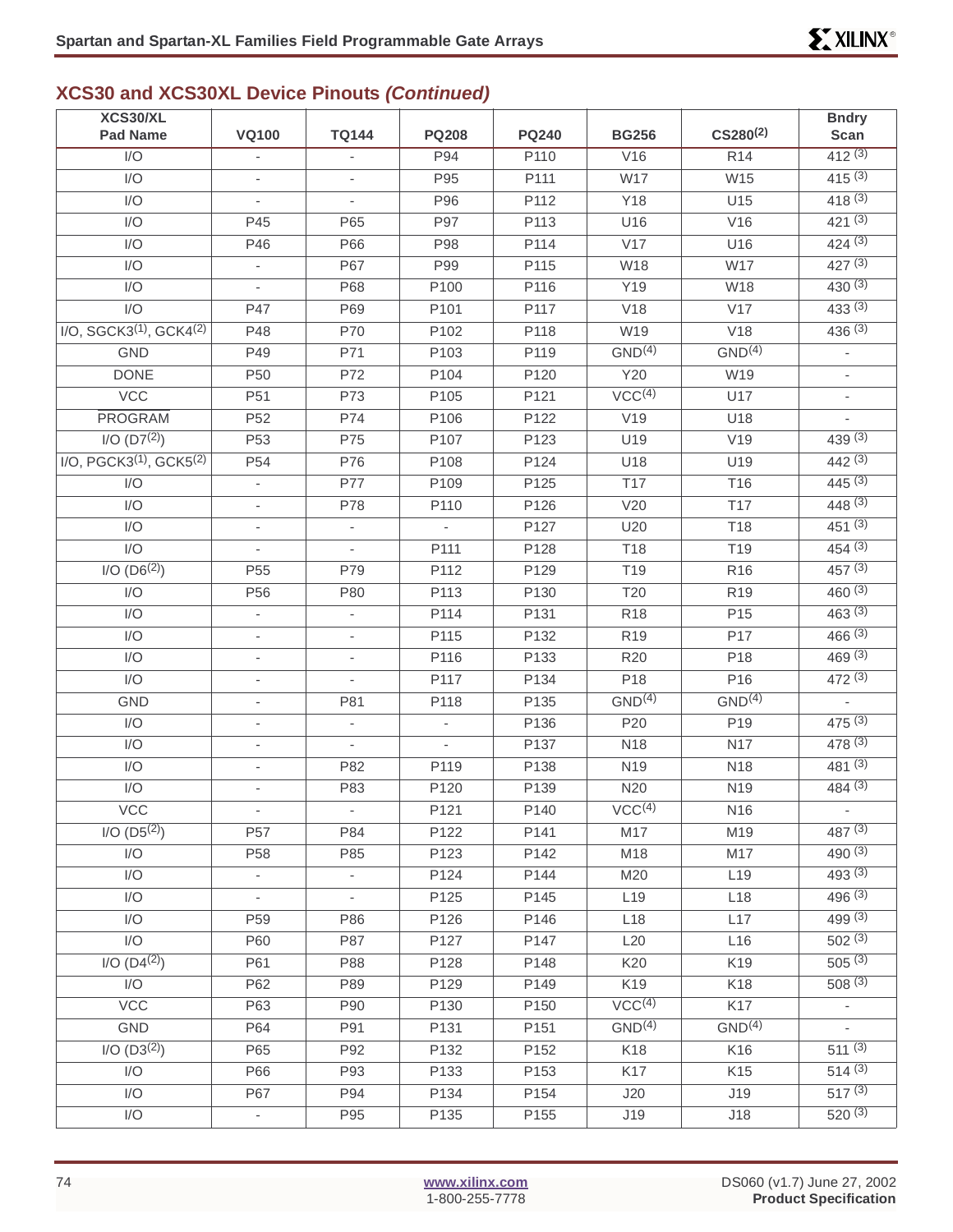| XCS30/XL                                          |                          |                          |                          |                  |                    | $CS280^{(2)}$      | <b>Bndry</b>                       |
|---------------------------------------------------|--------------------------|--------------------------|--------------------------|------------------|--------------------|--------------------|------------------------------------|
| <b>Pad Name</b>                                   | <b>VQ100</b>             | <b>TQ144</b>             | <b>PQ208</b>             | <b>PQ240</b>     | <b>BG256</b>       |                    | <b>Scan</b>                        |
| $\overline{1/O}$                                  |                          |                          | P94                      | P <sub>110</sub> | V16                | R14                | 412(3)                             |
| I/O                                               |                          | $\overline{\phantom{a}}$ | P95                      | P111             | W17                | W15                | 415(3)                             |
| I/O                                               | $\overline{\phantom{a}}$ |                          | P96                      | P112             | Y18                | U15                | 418(3)                             |
| I/O                                               | P45                      | P65                      | P97                      | P113             | U16                | V16                | 421(3)                             |
| I/O                                               | P46                      | P66                      | P98                      | P114             | V17                | U16                | 424(3)                             |
| I/O                                               | $\overline{\phantom{a}}$ | P67                      | P99                      | P115             | W18                | W17                | 427(3)                             |
| I/O                                               |                          | P68                      | P100                     | P116             | Y19                | W18                | 430(3)                             |
| I/O                                               | P47                      | P69                      | P101                     | P117             | V18                | V17                | 433(3)                             |
| I/O, SGCK3 <sup>(1)</sup> , GCK4 <sup>(2)</sup>   | P48                      | P70                      | P102                     | P118             | W19                | V18                | 436(3)                             |
| <b>GND</b>                                        | P49                      | P71                      | P103                     | P119             | GND <sup>(4)</sup> | GND <sup>(4)</sup> | ÷,                                 |
| <b>DONE</b>                                       | P <sub>50</sub>          | P72                      | P104                     | P120             | Y20                | W19                | $\overline{\phantom{a}}$           |
| <b>VCC</b>                                        | P <sub>51</sub>          | P73                      | P105                     | P121             | VCC <sup>(4)</sup> | U17                | $\overline{\phantom{a}}$           |
| <b>PROGRAM</b>                                    | P <sub>52</sub>          | P74                      | P106                     | P122             | V19                | U18                | ÷.                                 |
| $I/O$ (D7 <sup>(2)</sup> )                        | P <sub>53</sub>          | P75                      | P107                     | P123             | U19                | V19                | 439(3)                             |
| I/O, PGCK3 <sup>(1)</sup> , GCK5 <sup>(2)</sup>   | P <sub>54</sub>          | P76                      | P108                     | P124             | U18                | U19                | 442(3)                             |
| I/O                                               | ÷,                       | <b>P77</b>               | P109                     | P125             | T <sub>17</sub>    | T16                | 445(3)                             |
| I/O                                               | $\overline{\phantom{a}}$ | P78                      | P110                     | P126             | V20                | <b>T17</b>         | 448(3)                             |
| I/O                                               | $\overline{\phantom{a}}$ | $\overline{\phantom{a}}$ | $\overline{\phantom{a}}$ | P127             | U20                | T18                | 451(3)                             |
| $\overline{1/O}$                                  |                          |                          | P111                     | P128             | <b>T18</b>         | T <sub>19</sub>    | 454(3)                             |
| $I/O (D6^{(2)})$                                  | P <sub>55</sub>          | P79                      | P112                     | P129             | T <sub>19</sub>    | R <sub>16</sub>    | 457(3)                             |
| I/O                                               | P56                      | P80                      | P113                     | P130             | T20                | R <sub>19</sub>    | 460(3)                             |
| I/O                                               | ÷,                       | ä,                       | P114                     | P131             | <b>R18</b>         | P <sub>15</sub>    | 463(3)                             |
| I/O                                               | $\overline{\phantom{a}}$ | $\overline{\phantom{a}}$ | P115                     | P132             | R <sub>19</sub>    | P17                | 466(3)                             |
| I/O                                               | $\overline{\phantom{a}}$ | $\overline{\phantom{a}}$ | P116                     | P133             | R <sub>20</sub>    | P18                | 469(3)                             |
| I/O                                               | $\overline{\phantom{a}}$ |                          | P117                     | P134             | P18                | P16                | 472(3)                             |
| <b>GND</b>                                        | $\overline{\phantom{a}}$ | P81                      | P118                     | P135             | GND <sup>(4)</sup> | GND <sup>(4)</sup> |                                    |
| I/O                                               | $\overline{\phantom{a}}$ | $\overline{\phantom{a}}$ | $\overline{\phantom{a}}$ | P136             | P20                | P <sub>19</sub>    | 475(3)                             |
| I/O                                               | $\overline{\phantom{a}}$ |                          | $\mathcal{L}$            | P137             | <b>N18</b>         | <b>N17</b>         | 478(3)                             |
| I/O                                               | $\overline{\phantom{a}}$ | P82                      | P119                     | P138             | N <sub>19</sub>    | N18                | 481(3)                             |
| I/O                                               | $\overline{\phantom{a}}$ | P83                      | P120                     | P139             | N20                | N <sub>19</sub>    | 484(3)                             |
| VCC                                               |                          |                          | P121                     | P140             | $\sqrt{CC^{(4)}}$  | N <sub>16</sub>    |                                    |
| $I/O$ $(D5(2))$                                   | P <sub>57</sub>          | P84                      | P122                     | P141             | M17                | M19                | 487(3)                             |
| I/O                                               | P <sub>58</sub>          | P85                      | P123                     | P142             | M18                | M17                | 490(3)                             |
| I/O                                               |                          | $\blacksquare$           | P124                     | P144             | M20                | L <sub>19</sub>    | 493(3)                             |
| I/O                                               | $\overline{\phantom{a}}$ | $\overline{\phantom{a}}$ | P125                     | P145             | L <sub>19</sub>    | L18                | 496(3)                             |
| I/O                                               | P59                      | P86                      | P126                     | P146             | L18                | L17                | 499(3)                             |
| I/O                                               | P60                      | P87                      | P127                     | P147             | L20                | L16                | 502(3)                             |
| 1/O (D4 <sup>(2)</sup> )                          | P61                      | P88                      | P128                     | P148             | K20                | K19                | $505^{(3)}$                        |
| $\ensuremath{\mathsf{I}}/\ensuremath{\mathsf{O}}$ | P62                      | P89                      | P129                     | P149             | K19                | K18                | 508(3)                             |
| $\overline{VCC}$                                  | P63                      | P90                      | P130                     | P150             | VCC <sup>(4)</sup> | K17                |                                    |
|                                                   |                          |                          |                          |                  | GND <sup>(4)</sup> | GND <sup>(4)</sup> |                                    |
| GND<br>$I/O$ (D3 <sup>(2)</sup> )                 | P64<br>P65               | P91<br>P92               | P131<br>P132             | P151<br>P152     | K18                |                    | $\overline{\phantom{a}}$<br>511(3) |
| I/O                                               | P66                      |                          |                          |                  | K17                | K16                | 514(3)                             |
|                                                   |                          | P93                      | P133                     | P153             |                    | K15                | $517^{(3)}$                        |
| I/O                                               | P67                      | P94                      | P134                     | P154             | J20                | J19                |                                    |
| I/O                                               | ÷                        | P95                      | P135                     | P155             | J19                | J18                | 520(3)                             |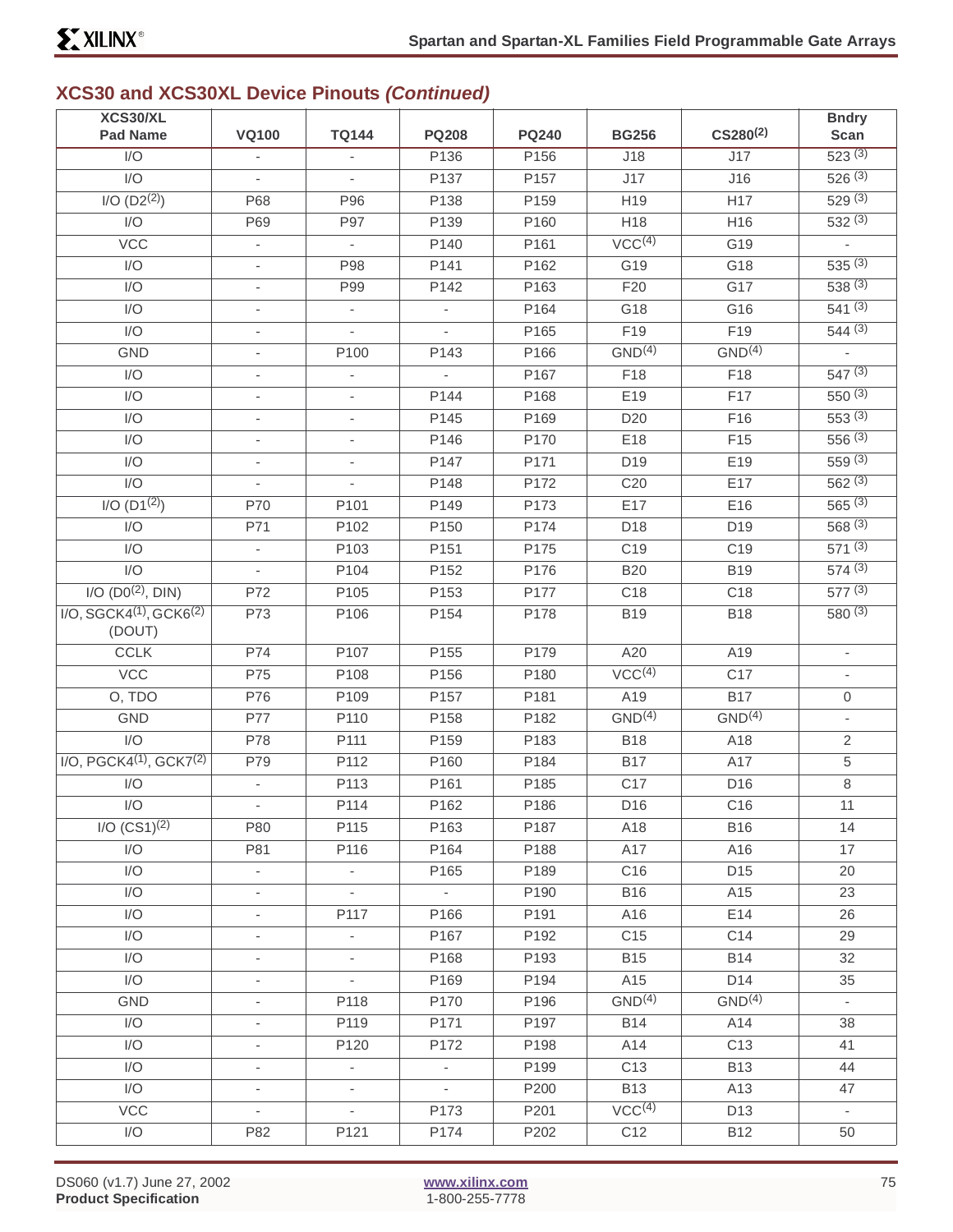| XCS30/XL                   | <b>VQ100</b>             | <b>TQ144</b>             | <b>PQ208</b>                |              |                    | $CS280^{(2)}$      | <b>Bndry</b>             |
|----------------------------|--------------------------|--------------------------|-----------------------------|--------------|--------------------|--------------------|--------------------------|
| <b>Pad Name</b>            |                          |                          |                             | <b>PQ240</b> | <b>BG256</b>       |                    | Scan                     |
| I/O                        |                          |                          | P136                        | P156         | J18                | J17                | 523(3)                   |
| I/O                        | $\overline{\phantom{a}}$ | $\overline{\phantom{a}}$ | P137                        | P157         | J17                | J16                | 526(3)                   |
| I/O (D2 <sup>(2)</sup> )   | P68                      | P96                      | P138                        | P159         | H19                | H <sub>17</sub>    | 529(3)                   |
| I/O                        | P69                      | P97                      | P139                        | P160         | H18                | H16                | 532(3)                   |
| VCC                        | $\overline{\phantom{a}}$ | $\overline{\phantom{a}}$ | P140                        | P161         | VCC <sup>(4)</sup> | G19                | $\overline{\phantom{a}}$ |
| I/O                        | $\overline{\phantom{a}}$ | P98                      | P141                        | P162         | G19                | G18                | 535(3)                   |
| I/O                        |                          | P99                      | P142                        | P163         | F20                | G17                | 538(3)                   |
| I/O                        | $\overline{\phantom{a}}$ | $\overline{\phantom{a}}$ | $\overline{\phantom{a}}$    | P164         | G18                | G16                | 541(3)                   |
| I/O                        | $\overline{\phantom{a}}$ | $\overline{\phantom{a}}$ | $\mathbf{r}$                | P165         | F19                | F19                | 544(3)                   |
| <b>GND</b>                 |                          | P100                     | P143                        | P166         | GND <sup>(4)</sup> | GND <sup>(4)</sup> |                          |
| I/O                        | $\overline{\phantom{a}}$ | $\overline{\phantom{a}}$ | $\overline{\phantom{a}}$    | P167         | F18                | F18                | 547(3)                   |
| I/O                        | $\overline{\phantom{a}}$ | $\overline{\phantom{a}}$ | P144                        | P168         | E19                | F17                | 550(3)                   |
| I/O                        |                          |                          | P145                        | P169         | D <sub>20</sub>    | F16                | 553(3)                   |
| I/O                        | $\overline{\phantom{a}}$ | $\overline{\phantom{a}}$ | P146                        | P170         | E18                | F15                | 556(3)                   |
| I/O                        | $\overline{\phantom{a}}$ | $\overline{\phantom{a}}$ | P147                        | P171         | D19                | E19                | 559(3)                   |
| $\overline{1/O}$           |                          |                          | P148                        | P172         | C20                | E17                | 562(3)                   |
| $I/O$ (D1 <sup>(2)</sup> ) | P70                      | P101                     | P149                        | P173         | E17                | E16                | 565(3)                   |
| I/O                        | P71                      | P102                     | P150                        | P174         | D18                | D19                | 568(3)                   |
| I/O                        |                          | P103                     | P151                        | P175         | C <sub>19</sub>    | C <sub>19</sub>    | 571(3)                   |
| I/O                        | $\overline{\phantom{a}}$ | P104                     | P152                        | P176         | <b>B20</b>         | <b>B19</b>         | 574(3)                   |
| $I/O (D0^{(2)}, DIN)$      | P72                      | P105                     | P153                        | P177         | C <sub>18</sub>    | C <sub>18</sub>    | 577(3)                   |
| $I/O, SGCK4(1), GCK6(2)$   | P73                      | P106                     | P154                        | P178         | <b>B19</b>         | <b>B18</b>         | 580(3)                   |
| (DOUT)                     |                          |                          |                             |              |                    |                    |                          |
| <b>CCLK</b>                | P74                      | P107                     | P155                        | P179         | A20                | A19                | $\overline{\phantom{a}}$ |
| <b>VCC</b>                 | P75                      | P108                     | P156                        | P180         | VCC <sup>(4)</sup> | C <sub>17</sub>    | $\overline{\phantom{a}}$ |
| O, TDO                     | P76                      | P109                     | P157                        | P181         | A19                | B17                | 0                        |
| <b>GND</b>                 | P77                      | P110                     | P158                        | P182         | GND <sup>(4)</sup> | GND <sup>(4)</sup> | $\overline{\phantom{a}}$ |
| I/O                        | P78                      | P111                     | P159                        | P183         | <b>B18</b>         | A18                | $\overline{2}$           |
| $I/O, PGCK4(1), GCK7(2)$   | P79                      | P112                     | P160                        | P184         | <b>B17</b>         | A17                | 5                        |
| I/O                        |                          | P113                     | P161                        | P185         | C <sub>17</sub>    | D16                | $\,8\,$                  |
| I/O                        |                          | P114                     | P162                        | P186         | D <sub>16</sub>    | C <sub>16</sub>    | 11                       |
| $I/O (CS1)^{(2)}$          | P80                      | P115                     | P163                        | P187         | A18                | <b>B16</b>         | 14                       |
| I/O                        | P81                      | P116                     | P164                        | P188         | A17                | A16                | 17                       |
| I/O                        | $\overline{\phantom{a}}$ | $\overline{\phantom{a}}$ | P165                        | P189         | C <sub>16</sub>    | D15                | 20                       |
| I/O                        | $\overline{\phantom{0}}$ | $\overline{\phantom{a}}$ | $\mathcal{L}_{\mathcal{A}}$ | P190         | <b>B16</b>         | A15                | 23                       |
| I/O                        | $\overline{\phantom{a}}$ | P117                     | P166                        | P191         | A16                | E14                | 26                       |
| I/O                        | $\overline{\phantom{a}}$ | $\overline{\phantom{a}}$ | P167                        | P192         | C <sub>15</sub>    | C14                | 29                       |
| I/O                        |                          | $\overline{\phantom{a}}$ | P168                        | P193         | <b>B15</b>         | <b>B14</b>         | 32                       |
| I/O                        | $\overline{\phantom{a}}$ | $\overline{\phantom{a}}$ | P169                        | P194         | A15                | D14                | 35                       |
| <b>GND</b>                 | $\overline{\phantom{a}}$ | P118                     | P170                        | P196         | GND <sup>(4)</sup> | GND <sup>(4)</sup> | $\overline{\phantom{a}}$ |
| I/O                        | $\overline{\phantom{a}}$ | P119                     | P171                        | P197         | <b>B14</b>         | A14                | 38                       |
| I/O                        | $\overline{\phantom{a}}$ | P120                     | P172                        | P198         | A14                | C <sub>13</sub>    | 41                       |
| I/O                        | $\overline{\phantom{a}}$ | $\blacksquare$           | $\overline{\phantom{a}}$    | P199         | C <sub>13</sub>    | <b>B13</b>         | 44                       |
| I/O                        |                          |                          | $\mathcal{L}_{\mathcal{A}}$ | P200         | <b>B13</b>         | A13                | 47                       |
| VCC                        |                          | $\overline{\phantom{a}}$ | P173                        | P201         | VCC <sup>(4)</sup> | D <sub>13</sub>    | $\overline{\phantom{a}}$ |
| I/O                        | P82                      | P121                     | P174                        | P202         | C <sub>12</sub>    | <b>B12</b>         | 50                       |
|                            |                          |                          |                             |              |                    |                    |                          |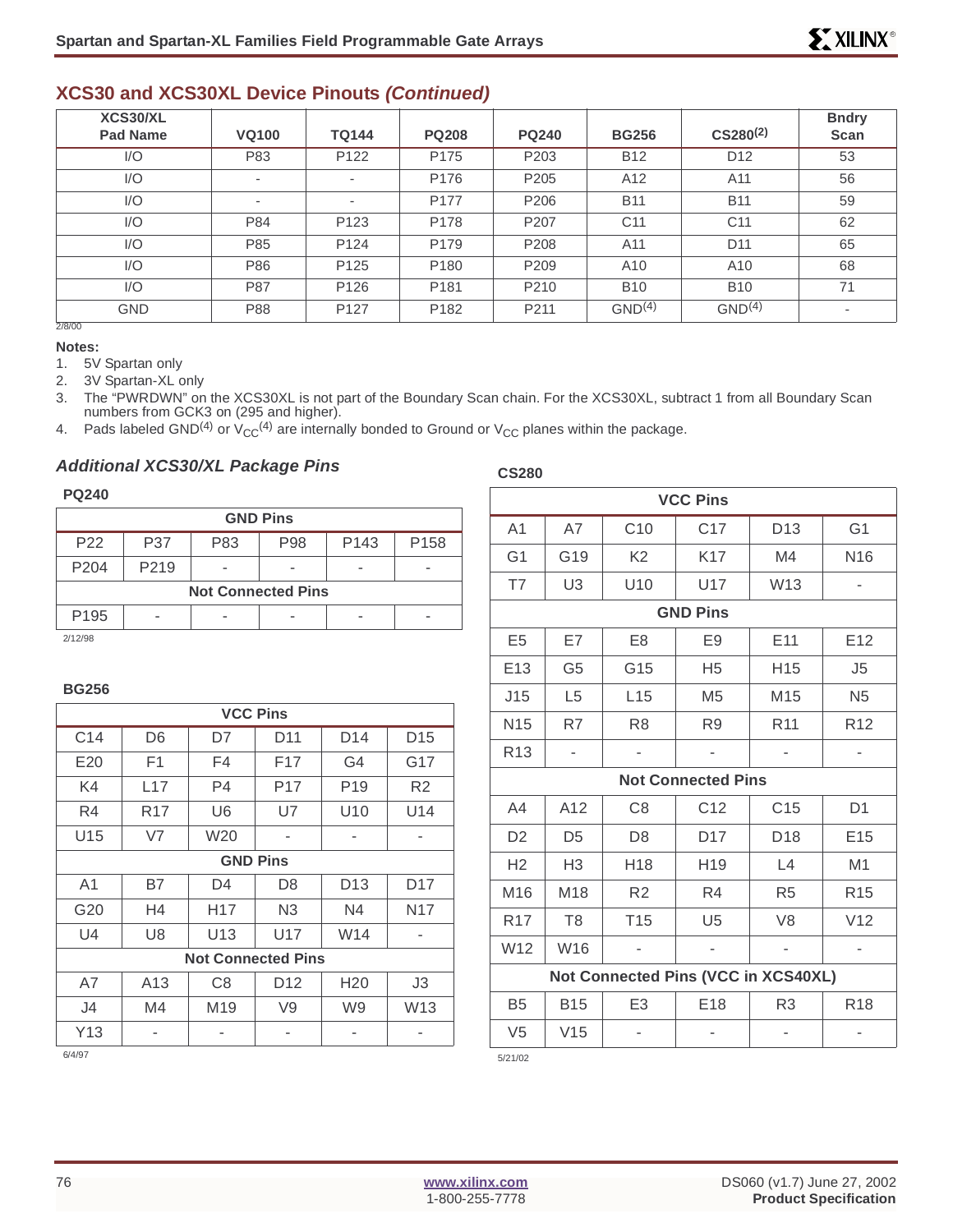| XCS30/XL<br><b>Pad Name</b> | <b>VQ100</b>             | <b>TQ144</b>             | <b>PQ208</b>     | <b>PQ240</b>     | <b>BG256</b>       | $CS280^{(2)}$      | <b>Bndry</b><br>Scan     |
|-----------------------------|--------------------------|--------------------------|------------------|------------------|--------------------|--------------------|--------------------------|
| 1/O                         | P83                      | P <sub>122</sub>         | P175             | P <sub>203</sub> | <b>B12</b>         | D <sub>12</sub>    | 53                       |
| I/O                         | ٠                        | $\sim$                   | P <sub>176</sub> | P <sub>205</sub> | A12                | A11                | 56                       |
| I/O                         | $\overline{\phantom{a}}$ | $\overline{\phantom{a}}$ | P177             | P <sub>206</sub> | <b>B11</b>         | <b>B11</b>         | 59                       |
| I/O                         | P84                      | P <sub>123</sub>         | P178             | P <sub>207</sub> | C <sub>11</sub>    | C <sub>11</sub>    | 62                       |
| I/O                         | P85                      | P124                     | P <sub>179</sub> | P <sub>208</sub> | A11                | D <sub>11</sub>    | 65                       |
| I/O                         | P86                      | P <sub>125</sub>         | P <sub>180</sub> | P <sub>209</sub> | A10                | A10                | 68                       |
| 1/O                         | P87                      | P126                     | P <sub>181</sub> | P <sub>210</sub> | <b>B10</b>         | <b>B10</b>         | 71                       |
| <b>GND</b>                  | P88                      | P <sub>127</sub>         | P182             | P211             | GND <sup>(4)</sup> | GND <sup>(4)</sup> | $\overline{\phantom{a}}$ |
| 2/8/00                      |                          |                          |                  |                  |                    |                    |                          |

#### **Notes:**

1. 5V Spartan only

2. 3V Spartan-XL only

3. The "PWRDWN" on the XCS30XL is not part of the Boundary Scan chain. For the XCS30XL, subtract 1 from all Boundary Scan numbers from GCK3 on (295 and higher).

**CS280**

4. Pads labeled GND<sup>(4)</sup> or  $V_{CC}^{(4)}$  are internally bonded to Ground or  $V_{CC}$  planes within the package.

#### **Additional XCS30/XL Package Pins**

#### **PQ240**

| <b>GND Pins</b>  |                           |     |     |                  |                  |  |  |  |
|------------------|---------------------------|-----|-----|------------------|------------------|--|--|--|
| P <sub>22</sub>  | P37                       | P83 | P98 | P <sub>143</sub> | P <sub>158</sub> |  |  |  |
| P <sub>204</sub> | P <sub>2</sub> 19         |     |     |                  |                  |  |  |  |
|                  | <b>Not Connected Pins</b> |     |     |                  |                  |  |  |  |
| P <sub>195</sub> |                           |     |     |                  |                  |  |  |  |
| 0/40/00          |                           |     |     |                  |                  |  |  |  |

2/12/98

#### **BG256**

| <b>VCC Pins</b> |                 |                 |                           |                 |                 |  |  |
|-----------------|-----------------|-----------------|---------------------------|-----------------|-----------------|--|--|
| C <sub>14</sub> | D <sub>6</sub>  | D7              | D11                       | D <sub>14</sub> | D <sub>15</sub> |  |  |
| E20             | F <sub>1</sub>  | F4              | F17                       | G4              | G17             |  |  |
| K4              | L17             | P <sub>4</sub>  | P <sub>17</sub>           | P <sub>19</sub> | R <sub>2</sub>  |  |  |
| R4              | R <sub>17</sub> | U6              | U7                        | U10             | U14             |  |  |
| U15             | V7              | W20             | ٠                         | -               | ۰               |  |  |
| <b>GND Pins</b> |                 |                 |                           |                 |                 |  |  |
| A1              | B7              | D4              | D8                        | D <sub>13</sub> | D <sub>17</sub> |  |  |
| G20             | H4              | H <sub>17</sub> | N <sub>3</sub>            | N4              | N17             |  |  |
| U4              | U8              | U <sub>13</sub> | U17                       | W <sub>14</sub> |                 |  |  |
|                 |                 |                 | <b>Not Connected Pins</b> |                 |                 |  |  |
| A7              | A <sub>13</sub> | C8              | D <sub>12</sub>           | H <sub>20</sub> | J3              |  |  |
| J4              | M4              | M <sub>19</sub> | V9                        | W <sub>9</sub>  | W13             |  |  |
| Y13             |                 |                 |                           |                 |                 |  |  |

| <b>VCC Pins</b> |                |                                     |                           |                 |                 |  |  |  |  |
|-----------------|----------------|-------------------------------------|---------------------------|-----------------|-----------------|--|--|--|--|
| A <sub>1</sub>  | A7             | C <sub>10</sub>                     | C <sub>17</sub>           | D <sub>13</sub> | G <sub>1</sub>  |  |  |  |  |
| G <sub>1</sub>  | G19            | K <sub>2</sub>                      | K17                       | M4              | N <sub>16</sub> |  |  |  |  |
| T7              | U <sub>3</sub> | U10                                 | U17                       | W13             |                 |  |  |  |  |
| <b>GND Pins</b> |                |                                     |                           |                 |                 |  |  |  |  |
| E <sub>5</sub>  | E7             | E <sub>8</sub>                      | E9                        | E11             | E <sub>12</sub> |  |  |  |  |
| E13             | G <sub>5</sub> | G15                                 | H <sub>5</sub>            | H <sub>15</sub> | J5              |  |  |  |  |
| J15             | L <sub>5</sub> | L15                                 | M <sub>5</sub>            | M <sub>15</sub> | N <sub>5</sub>  |  |  |  |  |
| N <sub>15</sub> | R7             | R <sub>8</sub>                      | R <sub>9</sub>            | R <sub>11</sub> | R <sub>12</sub> |  |  |  |  |
| R <sub>13</sub> |                |                                     | ÷,                        |                 |                 |  |  |  |  |
|                 |                |                                     | <b>Not Connected Pins</b> |                 |                 |  |  |  |  |
| A4              | A12            | C <sub>8</sub>                      | C12                       | C <sub>15</sub> | D <sub>1</sub>  |  |  |  |  |
| D <sub>2</sub>  | D <sub>5</sub> | D <sub>8</sub>                      | D <sub>17</sub>           | D <sub>18</sub> | E <sub>15</sub> |  |  |  |  |
| H2              | H <sub>3</sub> | H <sub>18</sub>                     | H <sub>19</sub>           | L4              | M1              |  |  |  |  |
| M16             | M18            | R <sub>2</sub>                      | R4                        | R <sub>5</sub>  | R <sub>15</sub> |  |  |  |  |
| R <sub>17</sub> | T <sub>8</sub> | T <sub>15</sub>                     | U <sub>5</sub>            | V <sub>8</sub>  | V12             |  |  |  |  |
| W12             | W16            |                                     |                           |                 |                 |  |  |  |  |
|                 |                | Not Connected Pins (VCC in XCS40XL) |                           |                 |                 |  |  |  |  |
| B <sub>5</sub>  | <b>B15</b>     | E3                                  | E <sub>18</sub>           | R <sub>3</sub>  | R <sub>18</sub> |  |  |  |  |
| V <sub>5</sub>  | V15            |                                     |                           |                 |                 |  |  |  |  |
| 5/21/02         |                |                                     |                           |                 |                 |  |  |  |  |

6/4/97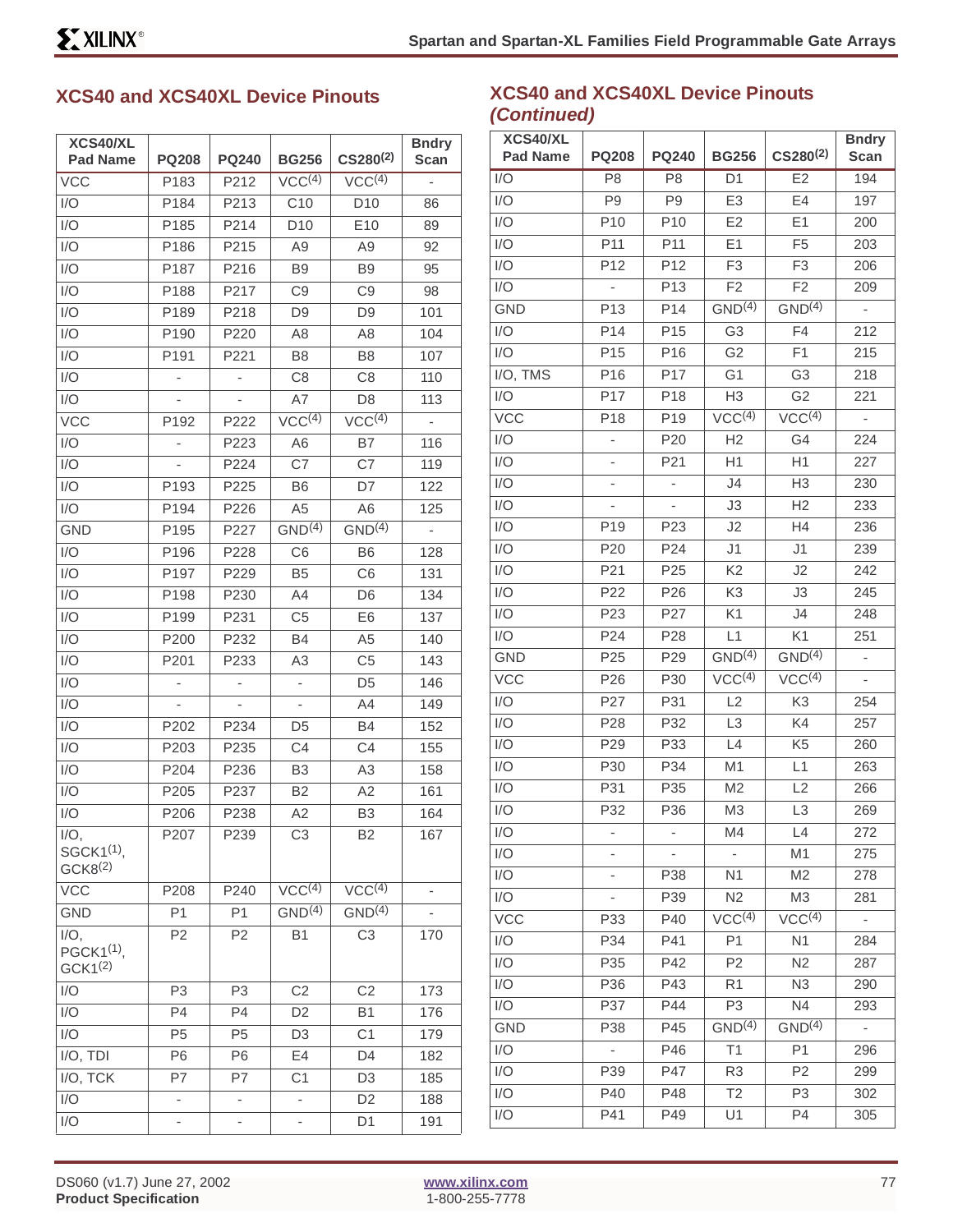### **XCS40 and XCS40XL Device Pinouts**

| XCS40/XL<br><b>Pad Name</b>                              | <b>PQ208</b>     | <b>PQ240</b>             | <b>BG256</b>             | $CS280^{(2)}$          | <b>Bndry</b><br>Scan |
|----------------------------------------------------------|------------------|--------------------------|--------------------------|------------------------|----------------------|
| <b>VCC</b>                                               | P <sub>183</sub> | P212                     | VCC <sup>(4)</sup>       | VCC <sup>(4)</sup>     | L,                   |
| 1/O                                                      | P184             | P213                     | C10                      | D <sub>10</sub>        | 86                   |
| I/O                                                      | P185             | P214                     | D <sub>10</sub>          | E10                    | 89                   |
| 1/O                                                      | P186             | P215                     | A9                       | A9                     | 92                   |
| I/O                                                      | P187             | P216                     | B <sub>9</sub>           | B <sub>9</sub>         | 95                   |
| I/O                                                      | P188             | P217                     | C <sub>9</sub>           | C <sub>9</sub>         | 98                   |
| I/O                                                      | P189             | P218                     | D9                       | D <sub>9</sub>         | 101                  |
| I/O                                                      | P190             | P220                     | A <sub>8</sub>           | A8                     | 104                  |
| I/O                                                      | P191             | P221                     | B <sub>8</sub>           | B <sub>8</sub>         | 107                  |
| I/O                                                      |                  |                          | C <sub>8</sub>           | C8                     | 110                  |
| I/O                                                      |                  |                          | A7                       | D <sub>8</sub>         | 113                  |
| <b>VCC</b>                                               | P192             | P222                     | VCC <sup>(4)</sup>       | VCC <sup>(4)</sup>     | ÷                    |
| I/O                                                      |                  | P223                     | A <sub>6</sub>           | <b>B7</b>              | 116                  |
| 1/O                                                      |                  | P224                     | C7                       | C7                     | 119                  |
| I/O                                                      | P193             | P225                     | B <sub>6</sub>           | D7                     | 122                  |
| 1/O                                                      | P194             | P226                     | A <sub>5</sub>           | A <sub>6</sub>         | 125                  |
| <b>GND</b>                                               | P195             | P227                     | GND <sup>(4)</sup>       | GND <sup>(4)</sup>     | ÷,                   |
| I/O                                                      | P196             | P228                     | C <sub>6</sub>           | <b>B6</b>              | 128                  |
| I/O                                                      | P197             | P229                     | B <sub>5</sub>           | C <sub>6</sub>         | 131                  |
| 1/O                                                      | P198             | P230                     | A4                       | D <sub>6</sub>         | 134                  |
| I/O                                                      | P199             | P231                     | C <sub>5</sub>           | E <sub>6</sub>         | 137                  |
| I/O                                                      | P200             | P232                     | <b>B4</b>                | A5                     | 140                  |
| I/O                                                      | P201             | P233                     | A3                       | C <sub>5</sub>         | 143                  |
| I/O                                                      |                  |                          | -                        | D <sub>5</sub>         | 146                  |
| I/O                                                      |                  |                          |                          | A4                     | 149                  |
| I/O                                                      | P202             | P234                     | D <sub>5</sub>           | B4                     | 152                  |
| I/O                                                      | P203             | P235                     | C <sub>4</sub>           | C <sub>4</sub>         | 155                  |
| I/O                                                      | P204             | P236                     | B <sub>3</sub>           | A3                     | 158                  |
| I/O                                                      | P205             | P237                     | B <sub>2</sub>           | A2                     | 161                  |
| I/O                                                      | P206             | P238                     | A2                       | B <sub>3</sub>         | 164                  |
| $I/O$ ,<br>SGCK1 <sup>(1)</sup> ,<br>GCK8 <sup>(2)</sup> | P207             | P239                     | CЗ                       | B2                     | 167                  |
| <b>VCC</b>                                               | P208             | P240                     | VCC <sup>(4)</sup>       | $VCC^{\overline{(4)}}$ |                      |
| <b>GND</b>                                               | P <sub>1</sub>   | P1                       | GND <sup>(4)</sup>       | GND <sup>(4)</sup>     |                      |
| $I/O$ ,<br>PGCK1 <sup>(1)</sup> ,<br>GCK1 <sup>(2)</sup> | P <sub>2</sub>   | P <sub>2</sub>           | <b>B1</b>                | C <sub>3</sub>         | 170                  |
| I/O                                                      | P <sub>3</sub>   | P <sub>3</sub>           | C <sub>2</sub>           | C <sub>2</sub>         | 173                  |
| I/O                                                      | P <sub>4</sub>   | P4                       | D2                       | <b>B1</b>              | 176                  |
| I/O                                                      | P <sub>5</sub>   | P <sub>5</sub>           | D <sub>3</sub>           | C <sub>1</sub>         | 179                  |
| I/O, TDI                                                 | P6               | P <sub>6</sub>           | E4                       | D <sub>4</sub>         | 182                  |
| I/O, TCK                                                 | P7               | P7                       | C <sub>1</sub>           | D3                     | 185                  |
| I/O                                                      | -                | -                        | -                        | D <sub>2</sub>         | 188                  |
| I/O                                                      | $\frac{1}{2}$    | $\overline{\phantom{0}}$ | $\overline{\phantom{0}}$ | D <sub>1</sub>         | 191                  |

#### **XCS40 and XCS40XL Device Pinouts (Continued)**

| XCS40/XL        |                 |                          |                    |                    | <b>Bndry</b>             |
|-----------------|-----------------|--------------------------|--------------------|--------------------|--------------------------|
| <b>Pad Name</b> | <b>PQ208</b>    | <b>PQ240</b>             | <b>BG256</b>       | $CS280^{(2)}$      | <b>Scan</b>              |
| I/O             | P <sub>8</sub>  | P <sub>8</sub>           | D <sub>1</sub>     | E <sub>2</sub>     | 194                      |
| I/O             | P <sub>9</sub>  | P <sub>9</sub>           | E3                 | E <sub>4</sub>     | 197                      |
| I/O             | P <sub>10</sub> | P <sub>10</sub>          | E2                 | E1                 | 200                      |
| I/O             | P11             | P11                      | E1                 | F <sub>5</sub>     | 203                      |
| I/O             | P12             | P <sub>12</sub>          | F <sub>3</sub>     | F <sub>3</sub>     | 206                      |
| I/O             |                 | P <sub>13</sub>          | F <sub>2</sub>     | F <sub>2</sub>     | 209                      |
| <b>GND</b>      | P <sub>13</sub> | P14                      | GND <sup>(4)</sup> | GND <sup>(4)</sup> | ÷,                       |
| I/O             | P <sub>14</sub> | P <sub>15</sub>          | G <sub>3</sub>     | F4                 | 212                      |
| I/O             | P <sub>15</sub> | P <sub>16</sub>          | G <sub>2</sub>     | F1                 | 215                      |
| I/O, TMS        | P16             | P17                      | G <sub>1</sub>     | G <sub>3</sub>     | 218                      |
| I/O             | P <sub>17</sub> | P <sub>18</sub>          | H <sub>3</sub>     | G <sub>2</sub>     | 221                      |
| <b>VCC</b>      | P18             | P <sub>19</sub>          | VCC <sup>(4)</sup> | VCC <sup>(4)</sup> |                          |
| I/O             |                 | P20                      | H <sub>2</sub>     | G4                 | 224                      |
| I/O             | -               | P21                      | H1                 | H1                 | 227                      |
| I/O             |                 | $\overline{\phantom{0}}$ | J4                 | H <sub>3</sub>     | 230                      |
| I/O             |                 |                          | J3                 | H <sub>2</sub>     | 233                      |
| I/O             | P <sub>19</sub> | P <sub>23</sub>          | J2                 | H4                 | 236                      |
| I/O             | P20             | P24                      | J1                 | J1                 | 239                      |
| I/O             | P21             | P <sub>25</sub>          | K <sub>2</sub>     | J2                 | 242                      |
| I/O             | P <sub>22</sub> | P <sub>26</sub>          | K3                 | JЗ                 | 245                      |
| I/O             | P23             | P27                      | K1                 | J4                 | 248                      |
| I/O             | P24             | P <sub>28</sub>          | L1                 | K1                 | 251                      |
| GND             | P <sub>25</sub> | P <sub>29</sub>          | GND <sup>(4)</sup> | GND <sup>(4)</sup> | -                        |
| <b>VCC</b>      | P <sub>26</sub> | P30                      | VCC <sup>(4)</sup> | VCC <sup>(4)</sup> |                          |
| I/O             | P27             | P31                      | L2                 | K <sub>3</sub>     | 254                      |
| I/O             | P28             | P32                      | L <sub>3</sub>     | K4                 | 257                      |
| I/O             | P <sub>29</sub> | P33                      | L4                 | K <sub>5</sub>     | 260                      |
| 1/O             | P30             | P34                      | M <sub>1</sub>     | L1                 | 263                      |
| I/O             | P31             | P35                      | M <sub>2</sub>     | L2                 | 266                      |
| I/O             | P32             | P36                      | M <sub>3</sub>     | L <sub>3</sub>     | 269                      |
| I/O             |                 |                          | M4                 | L4                 | 272                      |
| I/O             |                 |                          |                    | M1                 | 275                      |
| I/O             |                 | P38                      | N1                 | M <sub>2</sub>     | 278                      |
| I/O             |                 | P39                      | N <sub>2</sub>     | M3                 | 281                      |
| <b>VCC</b>      | P33             | P40                      | VCC <sup>(4)</sup> | VCC <sup>(4)</sup> | ۰                        |
| I/O             | P34             | P41                      | P <sub>1</sub>     | N <sub>1</sub>     | 284                      |
| I/O             | P35             | P42                      | P <sub>2</sub>     | N <sub>2</sub>     | 287                      |
| I/O             | P36             | P43                      | R <sub>1</sub>     | N <sub>3</sub>     | 290                      |
| I/O             | P37             | P44                      | P3                 | N4                 | 293                      |
| <b>GND</b>      | P38             | P45                      | $GND^{(4)}$        | GND <sup>(4)</sup> | $\overline{\phantom{a}}$ |
| I/O             | -               | P46                      | T1                 | P <sub>1</sub>     | 296                      |
| I/O             | P39             | P47                      | R <sub>3</sub>     | P2                 | 299                      |
| I/O             | P40             | P48                      | T2                 | P3                 | 302                      |
| I/O             | P41             | P49                      | U1                 | P4                 | 305                      |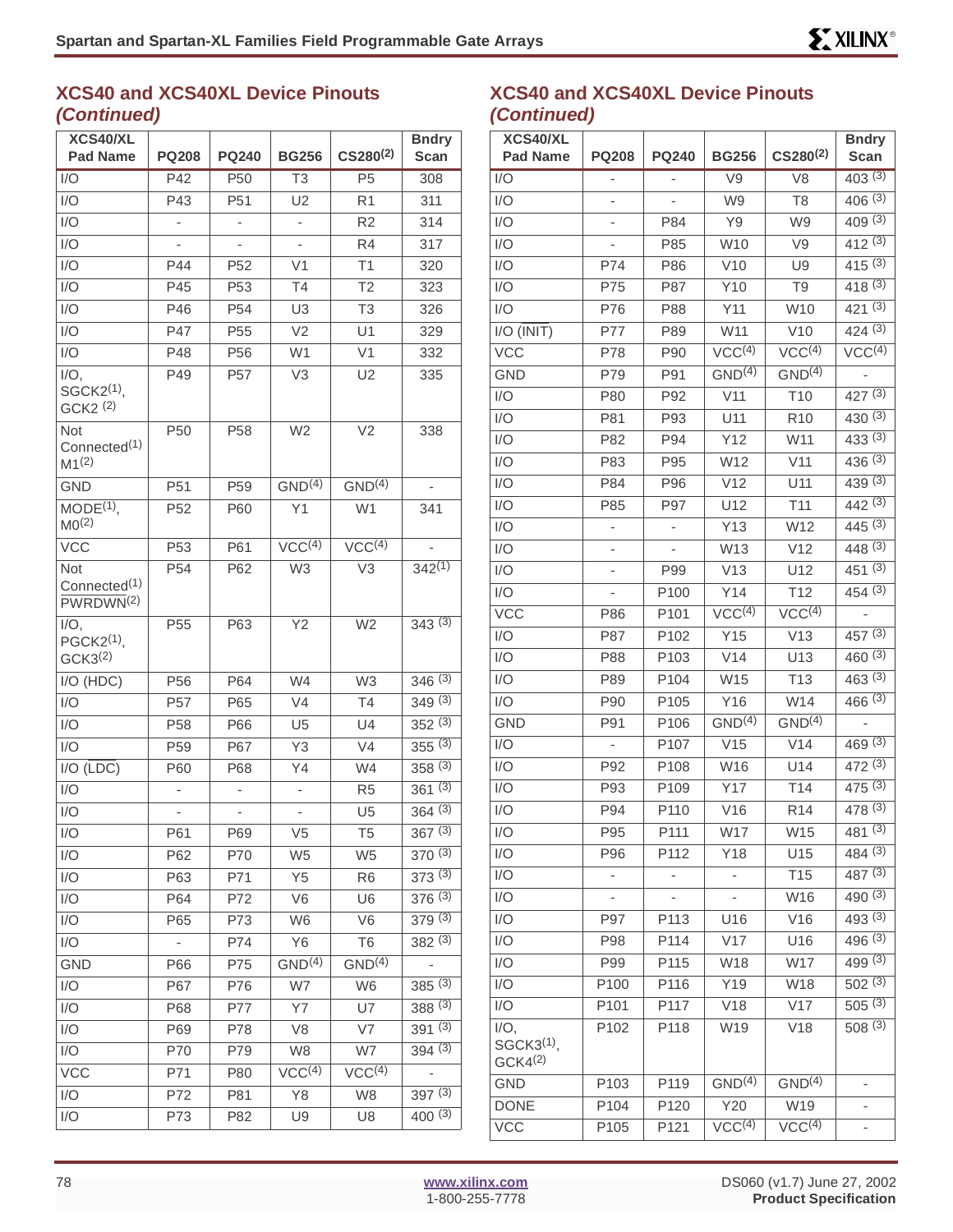| XCS40/XL                                                 |                 |                 |                          |                        | <b>Bndry</b>             |
|----------------------------------------------------------|-----------------|-----------------|--------------------------|------------------------|--------------------------|
| <b>Pad Name</b>                                          | <b>PQ208</b>    | <b>PQ240</b>    | <b>BG256</b>             | $CS280^{(2)}$          | Scan                     |
| 1/O                                                      | P42             | P <sub>50</sub> | T3                       | P <sub>5</sub>         | 308                      |
| I/O                                                      | P43             | P <sub>51</sub> | U <sub>2</sub>           | R <sub>1</sub>         | 311                      |
| 1/O                                                      |                 |                 |                          | R2                     | 314                      |
| I/O                                                      |                 |                 | $\overline{\phantom{0}}$ | R <sub>4</sub>         | 317                      |
| I/O                                                      | P44             | P <sub>52</sub> | V <sub>1</sub>           | T1                     | 320                      |
| I/O                                                      | P45             | P <sub>53</sub> | T <sub>4</sub>           | T <sub>2</sub>         | 323                      |
| I/O                                                      | P46             | P <sub>54</sub> | U3                       | T3                     | 326                      |
| I/O                                                      | P47             | P <sub>55</sub> | V <sub>2</sub>           | U1                     | 329                      |
| I/O                                                      | P48             | P <sub>56</sub> | W <sub>1</sub>           | V <sub>1</sub>         | 332                      |
| $I/O$ ,<br>SGCK2 <sup>(1)</sup> ,<br>GCK2 <sup>(2)</sup> | P49             | P <sub>57</sub> | V <sub>3</sub>           | U <sub>2</sub>         | 335                      |
| Not<br>Connected <sup>(1)</sup><br>M1 <sup>(2)</sup>     | P <sub>50</sub> | P <sub>58</sub> | W <sub>2</sub>           | V <sub>2</sub>         | 338                      |
| <b>GND</b>                                               | P <sub>51</sub> | P <sub>59</sub> | GND <sup>(4)</sup>       | GND <sup>(4)</sup>     |                          |
| $MODE(1)$ ,<br>MO <sup>(2)</sup>                         | P <sub>52</sub> | P60             | Y1                       | W <sub>1</sub>         | 341                      |
| $\overline{VCC}$                                         | P <sub>53</sub> | P61             | VCC <sup>(4)</sup>       | VCC <sup>(4)</sup>     |                          |
| Not<br>Connected <sup>(1)</sup><br>PWRDWN <sup>(2)</sup> | P <sub>54</sub> | P62             | W <sub>3</sub>           | $\overline{\text{V}}3$ | $342^{(1)}$              |
| $I/O$ ,<br>PGCK2 <sup>(1)</sup> ,<br>GCK3 <sup>(2)</sup> | P <sub>55</sub> | P63             | Y2                       | W <sub>2</sub>         | 343(3)                   |
| I/O (HDC)                                                | P <sub>56</sub> | P64             | W4                       | W <sub>3</sub>         | $346^{(3)}$              |
| 1/O                                                      | P57             | P65             | V4                       | T4                     | 349(3)                   |
| I/O                                                      | P <sub>58</sub> | P66             | U <sub>5</sub>           | U4                     | 352(3)                   |
| I/O                                                      | P <sub>59</sub> | P67             | Y <sub>3</sub>           | V4                     | $355^{(3)}$              |
| $I/O$ (LDC)                                              | P60             | P68             | Υ4                       | W4                     | 358(3)                   |
| I/O                                                      |                 |                 |                          | R <sub>5</sub>         | 361(3)                   |
| 1/O                                                      |                 |                 |                          | U <sub>5</sub>         | $364^{(3)}$              |
| I/O                                                      | P61             | P69             | V5                       | T5                     | 367(3)                   |
| I/O                                                      | P62             | P70             | W <sub>5</sub>           | W <sub>5</sub>         | 370(3)                   |
| I/O                                                      | P63             | P71             | Y <sub>5</sub>           | R <sub>6</sub>         | 373(3)                   |
| I/O                                                      | P64             | P72             | V <sub>6</sub>           | U <sub>6</sub>         | 376(3)                   |
| I/O                                                      | P65             | P73             | W <sub>6</sub>           | V <sub>6</sub>         | 379(3)                   |
| I/O                                                      |                 | P74             | Y6                       | T6                     | 382(3)                   |
| GND                                                      | P66             | P75             | GND <sup>(4)</sup>       | GND <sup>(4)</sup>     | $\overline{\phantom{0}}$ |
| I/O                                                      | P67             | P76             | W7                       | W <sub>6</sub>         | 385(3)                   |
| I/O                                                      | P68             | P77             | <b>Y7</b>                | U7                     | 388(3)                   |
| I/O                                                      | P69             | P78             | V8                       | V7                     | 391(3)                   |
| I/O                                                      | P70             | P79             | W8                       | W7                     | 394(3)                   |
| <b>VCC</b>                                               | P71             | P80             | VCC <sup>(4)</sup>       | VCC <sup>(4)</sup>     |                          |
| I/O                                                      | P72             | P81             | Y8                       | W8                     | 397(3)                   |
| I/O                                                      | P73             | P82             | U9                       | U8                     | $400^{(3)}$              |

### **XCS40 and XCS40XL Device Pinouts (Continued)**

| XCS40/XL<br><b>Pad Name</b>                    | <b>PQ208</b>     | <b>PQ240</b>             | <b>BG256</b>             | CS280 <sup>(2)</sup> | <b>Bndry</b><br>Scan            |
|------------------------------------------------|------------------|--------------------------|--------------------------|----------------------|---------------------------------|
| I/O                                            | -                | $\overline{\phantom{0}}$ | V9                       | V <sub>8</sub>       | 403(3)                          |
| I/O                                            |                  |                          | W9                       | T <sub>8</sub>       | $406^{(3)}$                     |
| I/O                                            | -                | P84                      | Y9                       | W9                   | 409(3)                          |
| I/O                                            |                  | P85                      | W10                      | V9                   | 412(3)                          |
| I/O                                            | P74              | P86                      | V10                      | U9                   | 415(3)                          |
| I/O                                            | P75              | P87                      | Y10                      | T <sub>9</sub>       | 418(3)                          |
| I/O                                            | P76              | P88                      | Y11                      | W10                  | 421(3)                          |
| $I/O$ ( $\overline{INIT}$ )                    | P77              | P89                      | W11                      | V10                  | 424(3)                          |
| <b>VCC</b>                                     | P78              | P90                      | VCC <sup>(4)</sup>       | VCC <sup>(4)</sup>   | $\sqrt{CC^{(4)}}$               |
| <b>GND</b>                                     | P79              | P91                      | GND <sup>(4)</sup>       | GND <sup>(4)</sup>   | $\overline{\phantom{a}}$        |
| I/O                                            | P80              | P92                      | V11                      | T <sub>10</sub>      | 427 $(3)$                       |
| I/O                                            | P81              | P93                      | U11                      | R <sub>10</sub>      | 430(3)                          |
| I/O                                            | P82              | P94                      | Y12                      | W11                  | $433^{(3)}$                     |
| I/O                                            | P83              | P95                      | W12                      | V11                  | 436 (3)                         |
| I/O                                            | P84              | P96                      | V12                      | U11                  | 439(3)                          |
| I/O                                            | P85              | P97                      | U12                      | T11                  | $442^{(3)}$                     |
| I/O                                            |                  |                          | Y13                      | W12                  | 445 (3)                         |
| I/O                                            | -                |                          | W13                      | V12                  | 448(3)                          |
| I/O                                            |                  | P99                      | V13                      | U12                  | $45\overline{1}$ <sup>(3)</sup> |
| I/O                                            |                  | P100                     | Y14                      | T12                  | 454 (3)                         |
| <b>VCC</b>                                     | P86              | P101                     | VCC <sup>(4)</sup>       | VCC <sup>(4)</sup>   | ÷                               |
| I/O                                            | P87              | P102                     | Y15                      | V13                  | $457^{(3)}$                     |
| I/O                                            | P88              | P103                     | V14                      | U13                  | 460(3)                          |
| I/O                                            | P89              | P104                     | W15                      | T <sub>13</sub>      | 463(3)                          |
| I/O                                            | P90              | P105                     | Y16                      | W14                  | $466^{(3)}$                     |
| <b>GND</b>                                     | P91              | P <sub>106</sub>         | GND <sup>(4)</sup>       | GND <sup>(4)</sup>   |                                 |
| I/O                                            | ÷,               | P107                     | V15                      | V14                  | 469(3)                          |
| I/O                                            | P92              | P108                     | W16                      | U14                  | $472^{(3)}$                     |
| I/O                                            | P93              | P109                     | Y17                      | T14                  | 475(3)                          |
| I/O                                            | P94              | P110                     | V16                      | R <sub>14</sub>      | 478(3)                          |
| I/O                                            | P95              | P111                     | W17                      | W15                  | $481^{(3)}$                     |
| I/O                                            | P96              | P112                     | Y18                      | U15                  | 484(3)                          |
| I/O                                            | -                | $\overline{\phantom{a}}$ | $\overline{\phantom{0}}$ | T <sub>15</sub>      | 487(3)                          |
| I/O                                            |                  |                          | $\overline{\phantom{a}}$ | W16                  | $490^{(3)}$                     |
| I/O                                            | P97              | P113                     | U16                      | V16                  | 493(3)                          |
| I/O                                            | P98              | P114                     | V17                      | U16                  | 496(3)                          |
| I/O                                            | P99              | P115                     | W18                      | W17                  | 499 (3)                         |
| I/O                                            | P100             | P116                     | Y19                      | W18                  | 502(3)                          |
| I/O                                            | P <sub>101</sub> | P117                     | V18                      | V17                  | 505(3)                          |
| $I/O$ ,<br>$SGCK3(1)$ ,<br>GCK4 <sup>(2)</sup> | P102             | P118                     | W19                      | V18                  | $508^{(3)}$                     |
| GND                                            | P103             | P119                     | GND <sup>(4)</sup>       | GND <sup>(4)</sup>   | $\overline{\phantom{a}}$        |
| <b>DONE</b>                                    | P104             | P120                     | Y20                      | W19                  |                                 |
| <b>VCC</b>                                     | P <sub>105</sub> | P121                     | VCC <sup>(4)</sup>       | VCC <sup>(4)</sup>   | -                               |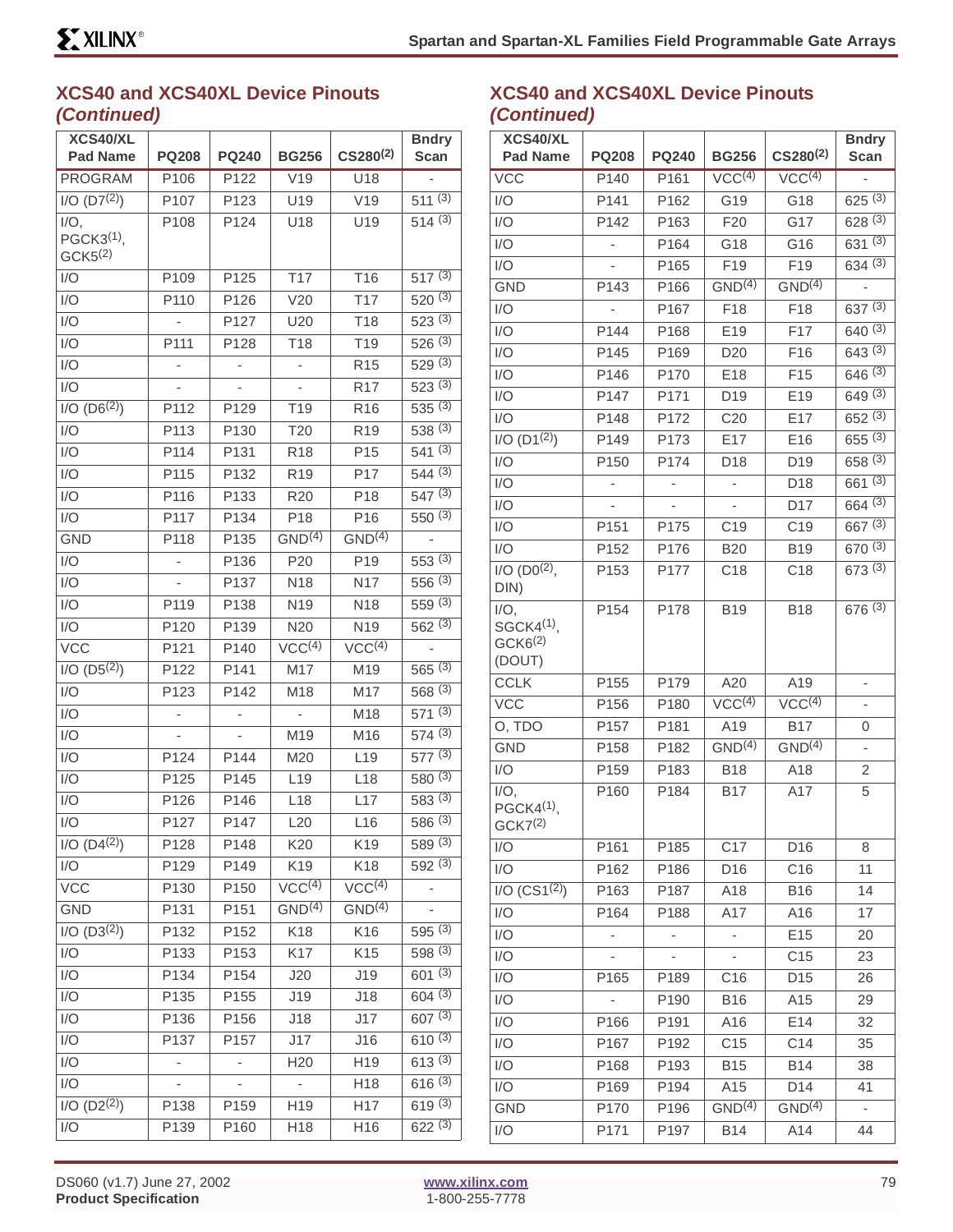| XCS40/XL                                       |                          |              |                    |                      | <b>Bndry</b>         |
|------------------------------------------------|--------------------------|--------------|--------------------|----------------------|----------------------|
| <b>Pad Name</b>                                | <b>PQ208</b>             | <b>PQ240</b> | <b>BG256</b>       | CS280 <sup>(2)</sup> | Scan                 |
| <b>PROGRAM</b>                                 | P106                     | P122         | V19                | U18                  |                      |
| $I/O$ (D7 <sup>(2)</sup> )                     | P107                     | P123         | U19                | V19                  | $511^{(3)}$          |
| $I/O$ ,                                        | P108                     | P124         | U18                | U19                  | 514(3)               |
| PGCK3 <sup>(1)</sup> ,<br>GCK <sub>5</sub> (2) |                          |              |                    |                      |                      |
| 1/O                                            | P109                     | P125         | <b>T17</b>         | T <sub>16</sub>      | 517(3)               |
| I/O                                            | P110                     | P126         | V20                | T <sub>17</sub>      | 520(3)               |
| 1/O                                            |                          | P127         | U20                | T18                  | 523(3)               |
| I/O                                            | P111                     | P128         | T <sub>18</sub>    | T <sub>19</sub>      | 526(3)               |
| I/O                                            | -                        | -            | -                  | R <sub>15</sub>      | 529(3)               |
| 1/O                                            |                          |              |                    | R <sub>17</sub>      | 523(3)               |
| $I/O (D6^{(2)})$                               | P112                     | P129         | T <sub>19</sub>    | R <sub>16</sub>      | 535(3)               |
| I/O                                            | P113                     | P130         | T <sub>20</sub>    | R <sub>19</sub>      | 538(3)               |
| I/O                                            | P114                     | P131         | R <sub>18</sub>    | P <sub>15</sub>      | 541(3)               |
| I/O                                            | P115                     | P132         | R <sub>19</sub>    | P17                  | 544(3)               |
| I/O                                            | P116                     | P133         | R <sub>20</sub>    | P18                  | 547(3)               |
| 1/O                                            | P117                     | P134         | P <sub>18</sub>    | P16                  | 550(3)               |
| <b>GND</b>                                     | P118                     | P135         | GND <sup>(4)</sup> | GND <sup>(4)</sup>   |                      |
| I/O                                            | ÷                        | P136         | P <sub>20</sub>    | P <sub>19</sub>      | 553(3)               |
| 1/O                                            |                          | P137         | N <sub>18</sub>    | N17                  | 556(3)               |
| 1/O                                            | P119                     | P138         | N <sub>19</sub>    | N <sub>18</sub>      | 559(3)               |
| 1/O                                            | P120                     | P139         | N20                | N19                  | $562^{(3)}$          |
| <b>VCC</b>                                     | P121                     | P140         | VCC <sup>(4)</sup> | VCC <sup>(4)</sup>   |                      |
| $I/O$ (D5 <sup>(2)</sup> )                     | P122                     | P141         | M17                | M19                  | 565(3)               |
| I/O                                            | P123                     | P142         | M18                | M17                  | 568(3)               |
| I/O                                            | $\overline{\phantom{0}}$ | ÷,           | L,                 | M18                  | 571(3)               |
| I/O                                            |                          |              | M19                | M16                  | 574(3)               |
| I/O                                            | P124                     | P144         | M20                | L <sub>19</sub>      | 577(3)               |
| 1/O                                            | P125                     | P145         | L <sub>19</sub>    | L18                  | 580(3)               |
| I/O                                            | P126                     | P146         | L18                | L17                  | 583(3)               |
| I/O                                            | P127                     | P147         | L20                | L16                  | $586^{(3)}$          |
| $I/O$ $\overline{(D4^{(2)})}$                  | P128                     | P148         | K20                | K19                  | 589(3)               |
| I/O                                            | P129                     | P149         | K19                | K18                  | 592(3)               |
| <b>VCC</b>                                     | P130                     | P150         | VCC <sup>(4)</sup> | VCC <sup>(4)</sup>   | -                    |
| <b>GND</b>                                     | P131                     | P151         | GND <sup>(4)</sup> | GND <sup>(4)</sup>   |                      |
| $I/O$ $(D3(2))$                                | P132                     | P152         | K18                | K16                  | 595(3)               |
| I/O                                            | P133                     | P153         | K17                | K <sub>15</sub>      | 598 (3)              |
| 1/O                                            | P134                     | P154         | J20                | J19                  | 601(3)               |
| I/O                                            | P135                     | P155         | J19                | J18                  | 604(3)               |
| 1/O                                            | P136                     | P156         | J18                | J17                  | $607^{(3)}$          |
| I/O                                            | P137                     | P157         | J17                | J16                  | $610^{(3)}$          |
| I/O                                            |                          |              | H <sub>20</sub>    | H19                  | $6\overline{13}$ (3) |
| 1/O                                            |                          |              |                    | H18                  | 616(3)               |
| $I/O$ (D2 <sup>(2)</sup> )                     | P138                     | P159         | H19                | H17                  | 619(3)               |
| I/O                                            | P139                     | P160         | H18                | H16                  | 622(3)               |

### **XCS40 and XCS40XL Device Pinouts (Continued)**

| XCS40/XL                            |                          |                  |                          |                               | <b>Bndry</b>                    |
|-------------------------------------|--------------------------|------------------|--------------------------|-------------------------------|---------------------------------|
| <b>Pad Name</b>                     | <b>PQ208</b>             | <b>PQ240</b>     | <b>BG256</b>             | $CS280^{(2)}$                 | <b>Scan</b>                     |
| <b>VCC</b>                          | P140                     | P161             | VCC <sup>(4)</sup>       | $\overline{\text{VCC}^{(4)}}$ |                                 |
| 1/O                                 | P <sub>141</sub>         | P162             | G19                      | G18                           | $625^{(3)}$                     |
| I/O                                 | P142                     | P163             | F <sub>20</sub>          | G17                           | 628(3)                          |
| I/O                                 |                          | P164             | G18                      | G16                           | 631(3)                          |
| I/O                                 |                          | P165             | F <sub>19</sub>          | F19                           | 634(3)                          |
| <b>GND</b>                          | P143                     | P166             | GND <sup>(4)</sup>       | GND <sup>(4)</sup>            |                                 |
| I/O                                 |                          | P167             | F18                      | F18                           | 637(3)                          |
| I/O                                 | P144                     | P168             | E19                      | F17                           | 640(3)                          |
| I/O                                 | P145                     | P169             | D <sub>20</sub>          | F16                           | 643(3)                          |
| $1/\overline{O}$                    | P146                     | P170             | E18                      | F <sub>15</sub>               | 646(3)                          |
| I/O                                 | P <sub>147</sub>         | P171             | D <sub>19</sub>          | E19                           | 649(3)                          |
| I/O                                 | P148                     | P172             | C <sub>20</sub>          | E17                           | 652(3)                          |
| $I/O$ (D1 $^{(2)}$ )                | P149                     | P173             | E17                      | E16                           | $655^{(3)}$                     |
| I/O                                 | P <sub>150</sub>         | P174             | D18                      | D19                           | 658(3)                          |
| 1/O                                 | $\overline{\phantom{0}}$ |                  | $\overline{\phantom{0}}$ | D18                           | $66\overline{1}$ <sup>(3)</sup> |
| I/O                                 |                          |                  |                          | D17                           | 664(3)                          |
| I/O                                 | P151                     | P175             | C <sub>19</sub>          | C <sub>19</sub>               | 667(3)                          |
| I/O                                 | P152                     | P176             | <b>B20</b>               | <b>B19</b>                    | 670(3)                          |
| $1/O (D0^{(2)},$                    | P153                     | P177             | C <sub>18</sub>          | C18                           | 673(3)                          |
| DIN)                                |                          |                  |                          |                               |                                 |
| $I/O$ ,<br>SGCK4 <sup>(1)</sup>     | P154                     | P178             | <b>B19</b>               | <b>B18</b>                    | 676(3)                          |
| GCK6 <sup>(2)</sup>                 |                          |                  |                          |                               |                                 |
| (DOUT)                              |                          |                  |                          |                               |                                 |
| <b>CCLK</b>                         | P155                     | P179             | A20                      | A19                           |                                 |
| <b>VCC</b>                          | P156                     | P180             | VCC <sup>(4)</sup>       | VCC <sup>(4)</sup>            |                                 |
| O, TDO                              | P157                     | P181             | A19                      | <b>B17</b>                    | 0                               |
| <b>GND</b>                          | P158                     | P182             | GND <sup>(4)</sup>       | GND <sup>(4)</sup>            | L.                              |
| I/O                                 | P159                     | P183             | <b>B18</b>               | A18                           | 2                               |
| $\overline{\mathsf{I}/\mathsf{O}},$ | P160                     | P184             | <b>B17</b>               | A17                           | 5                               |
| PGCK4 <sup>(1)</sup> ,              |                          |                  |                          |                               |                                 |
| GCK7 <sup>(2)</sup>                 |                          |                  |                          |                               |                                 |
| I/O                                 | P161                     | P185             | C17                      | D <sub>16</sub>               | 8                               |
| I/O                                 | P162                     | P186             | D16                      | C16                           | 11                              |
| I/O (CS1 <sup>(2)</sup> )           | P <sub>163</sub>         | P187             | A18                      | <b>B16</b>                    | 14                              |
| I/O                                 | P164                     | P188             | A17                      | A16                           | 17                              |
| I/O                                 |                          |                  |                          | E15                           | 20                              |
| I/O                                 |                          |                  |                          | C <sub>15</sub>               | 23                              |
| I/O                                 | P165                     | P189             | C16                      | D <sub>15</sub>               | 26                              |
| I/O                                 |                          | P190             | <b>B16</b>               | A15                           | 29                              |
| I/O                                 | P166                     | P <sub>191</sub> | A16                      | E14                           | 32                              |
| I/O                                 | P167                     | P192             | C15                      | C14                           | 35                              |
| I/O                                 | P168                     | P193             | <b>B15</b>               | <b>B14</b>                    | 38                              |
| I/O                                 | P169                     | P194             | A15                      | D14                           | 41                              |
| <b>GND</b>                          | P170                     | P196             | GND <sup>(4)</sup>       | GND <sup>(4)</sup>            | ۰                               |
| I/O                                 | P171                     | P197             | <b>B14</b>               | A14                           | 44                              |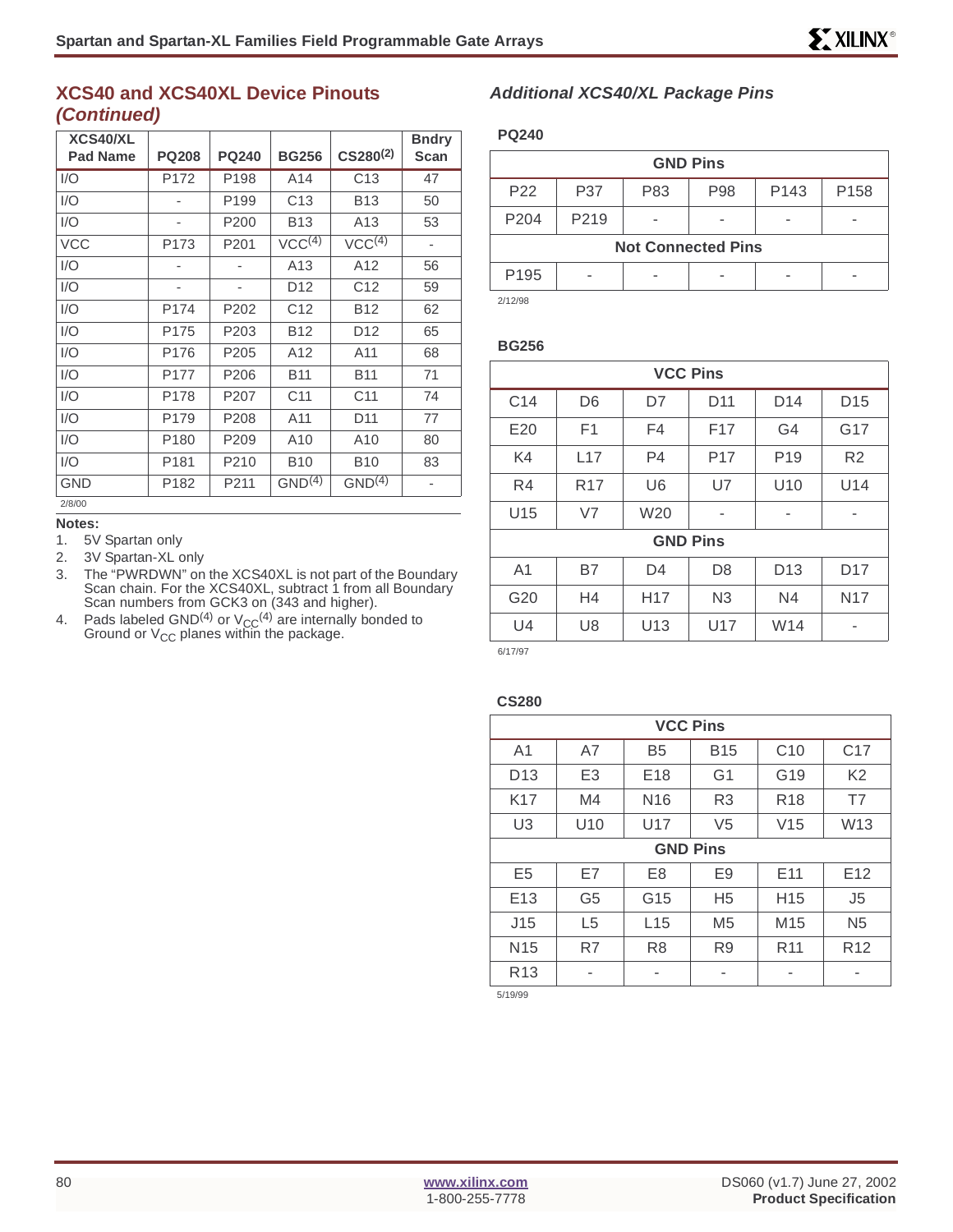| XCS40/XL<br><b>Pad Name</b> | <b>PQ208</b> | <b>PQ240</b>     | <b>BG256</b>       | $CS280^{(2)}$      | <b>Bndry</b><br>Scan         |
|-----------------------------|--------------|------------------|--------------------|--------------------|------------------------------|
| 1/O                         | P172         | P198             | A <sub>14</sub>    | C13                | 47                           |
| I/O                         |              | P199             | C <sub>13</sub>    | <b>B13</b>         | 50                           |
| 1/O                         | ٠            | P200             | <b>B13</b>         | A <sub>13</sub>    | 53                           |
| <b>VCC</b>                  | P173         | P201             | VCC <sup>(4)</sup> | VCC <sup>(4)</sup> | ٠                            |
| 1/O                         |              |                  | A <sub>13</sub>    | A12                | 56                           |
| I/O                         |              |                  | D <sub>12</sub>    | C <sub>12</sub>    | 59                           |
| I/O                         | P174         | P202             | C <sub>12</sub>    | <b>B12</b>         | 62                           |
| 1/O                         | P175         | P203             | <b>B12</b>         | D <sub>12</sub>    | 65                           |
| 1/O                         | P176         | P205             | A12                | A11                | 68                           |
| 1/O                         | P177         | P206             | <b>B11</b>         | <b>B11</b>         | 71                           |
| 1/O                         | P178         | P207             | C <sub>11</sub>    | C <sub>11</sub>    | 74                           |
| 1/O                         | P179         | P208             | A11                | D <sub>11</sub>    | 77                           |
| 1/O                         | P180         | P <sub>209</sub> | A <sub>10</sub>    | A10                | 80                           |
| 1/O                         | P181         | P210             | <b>B10</b>         | <b>B10</b>         | 83                           |
| <b>GND</b>                  | P182         | P211             | GND <sup>(4)</sup> | GND <sup>(4)</sup> | $\qquad \qquad \blacksquare$ |
| 2/8/00                      |              |                  |                    |                    |                              |

#### **Notes:**

1. 5V Spartan only

- 2. 3V Spartan-XL only
- 3. The "PWRDWN" on the XCS40XL is not part of the Boundary Scan chain. For the XCS40XL, subtract 1 from all Boundary Scan numbers from GCK3 on (343 and higher).
- 4. Pads labeled GND<sup>(4)</sup> or  $V_{CC}^{(4)}$  are internally bonded to Ground or V<sub>CC</sub> planes within the package.

#### **Additional XCS40/XL Package Pins**

#### **PQ240**

| <b>GND Pins</b>           |                   |     |     |                  |      |  |  |  |
|---------------------------|-------------------|-----|-----|------------------|------|--|--|--|
| P <sub>22</sub>           | P37               | P83 | P98 | P <sub>143</sub> | P158 |  |  |  |
| P <sub>204</sub>          | P <sub>2</sub> 19 |     |     |                  |      |  |  |  |
| <b>Not Connected Pins</b> |                   |     |     |                  |      |  |  |  |
| P <sub>195</sub>          | -                 |     |     |                  |      |  |  |  |
| $\cdots$                  |                   |     |     |                  |      |  |  |  |

2/12/98

#### **BG256**

| <b>VCC Pins</b> |                 |                 |                 |                 |                 |  |  |
|-----------------|-----------------|-----------------|-----------------|-----------------|-----------------|--|--|
| C <sub>14</sub> | D <sub>6</sub>  | D7              | D <sub>11</sub> | D <sub>14</sub> | D <sub>15</sub> |  |  |
| E20             | F <sub>1</sub>  | F <sub>4</sub>  | F <sub>17</sub> | G <sub>4</sub>  | G17             |  |  |
| K4              | L17             | P <sub>4</sub>  | P <sub>17</sub> | P <sub>19</sub> | R <sub>2</sub>  |  |  |
| R4              | R <sub>17</sub> | U <sub>6</sub>  | U7              | U <sub>10</sub> | U14             |  |  |
| U15             | V <sub>7</sub>  | W20             | ۰               | ۰               | -               |  |  |
| <b>GND Pins</b> |                 |                 |                 |                 |                 |  |  |
| A <sub>1</sub>  | <b>B7</b>       | D <sub>4</sub>  | D <sub>8</sub>  | D <sub>13</sub> | D <sub>17</sub> |  |  |
| G20             | H <sub>4</sub>  | H <sub>17</sub> | N <sub>3</sub>  | N4              | N <sub>17</sub> |  |  |
| U4              | U <sub>8</sub>  | U13             | U17             | W14             | ۰               |  |  |
| 6/17/07         |                 |                 |                 |                 |                 |  |  |

6/17/97

#### **CS280**

| <b>VCC Pins</b> |                                                              |                 |                |                 |                 |  |  |  |
|-----------------|--------------------------------------------------------------|-----------------|----------------|-----------------|-----------------|--|--|--|
| A <sub>1</sub>  | C10<br>C <sub>17</sub><br>A7<br>B <sub>5</sub><br><b>B15</b> |                 |                |                 |                 |  |  |  |
| D <sub>13</sub> | E <sub>3</sub>                                               | E <sub>18</sub> | G <sub>1</sub> | G19             | K <sub>2</sub>  |  |  |  |
| K17             | M4                                                           | N <sub>16</sub> | R <sub>3</sub> | R <sub>18</sub> | T7              |  |  |  |
| U <sub>3</sub>  | U10                                                          | U17             | V <sub>5</sub> | W13<br>V15      |                 |  |  |  |
|                 | <b>GND Pins</b>                                              |                 |                |                 |                 |  |  |  |
| E <sub>5</sub>  | E7                                                           | E <sub>8</sub>  | E <sub>9</sub> | E <sub>11</sub> | E <sub>12</sub> |  |  |  |
| E <sub>13</sub> | G5                                                           | G15             | H5             | H <sub>15</sub> | J5              |  |  |  |
| J15             | L <sub>5</sub>                                               | L15             | M <sub>5</sub> | M15             | N <sub>5</sub>  |  |  |  |
| N <sub>15</sub> | R7                                                           | R <sub>8</sub>  | R <sub>9</sub> | R <sub>11</sub> | R <sub>12</sub> |  |  |  |
| R <sub>13</sub> |                                                              |                 |                |                 |                 |  |  |  |

5/19/99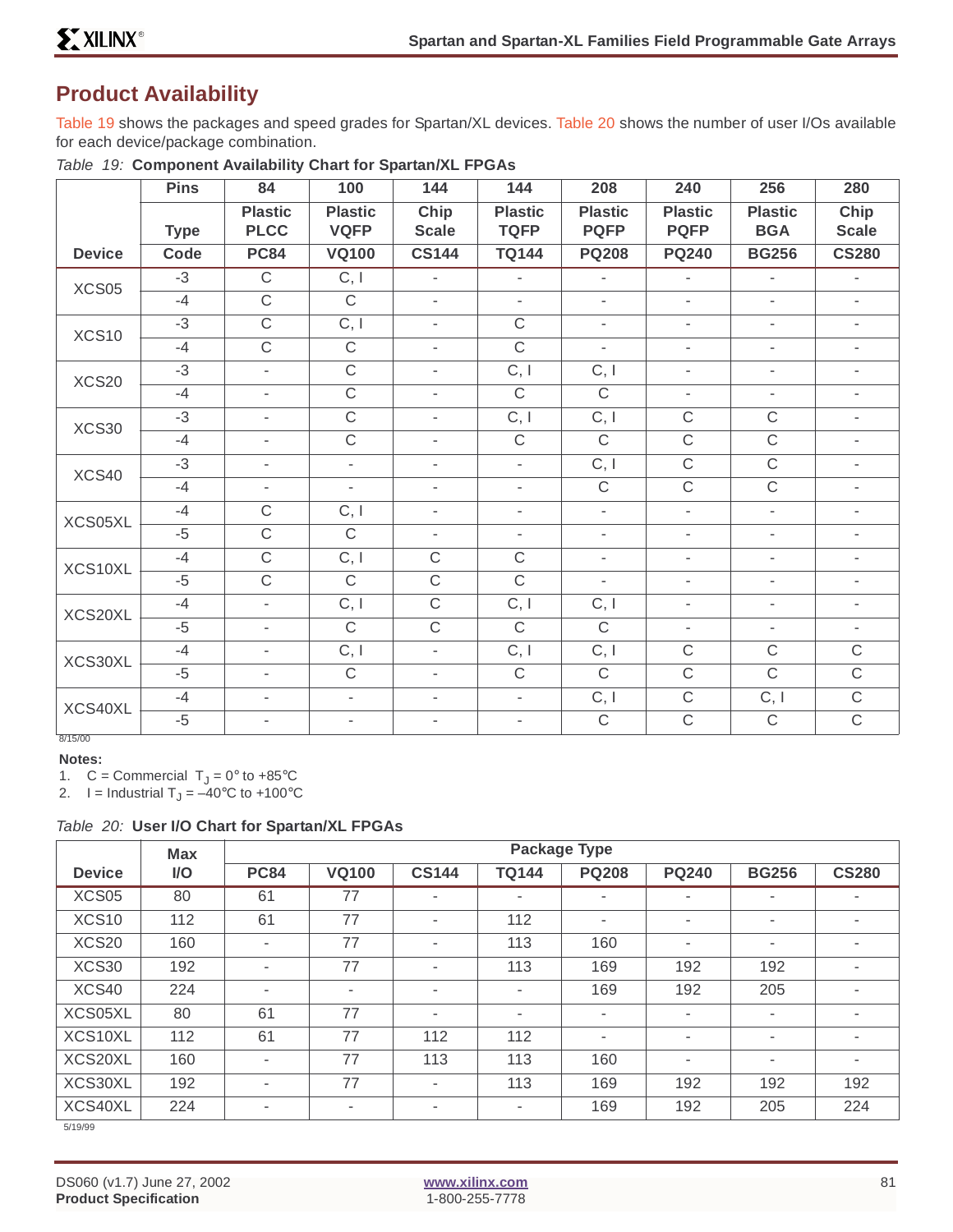# **Product Availability**

Table 19 shows the packages and speed grades for Spartan/XL devices. Table 20 shows the number of user I/Os available for each device/package combination.

|               | <b>Pins</b> | 84                            | 100                           | 144                      | 144                           | 208                           | 240                           | 256                          | 280                      |
|---------------|-------------|-------------------------------|-------------------------------|--------------------------|-------------------------------|-------------------------------|-------------------------------|------------------------------|--------------------------|
|               | <b>Type</b> | <b>Plastic</b><br><b>PLCC</b> | <b>Plastic</b><br><b>VQFP</b> | Chip<br><b>Scale</b>     | <b>Plastic</b><br><b>TQFP</b> | <b>Plastic</b><br><b>PQFP</b> | <b>Plastic</b><br><b>PQFP</b> | <b>Plastic</b><br><b>BGA</b> | Chip<br><b>Scale</b>     |
| <b>Device</b> | Code        | <b>PC84</b>                   | <b>VQ100</b>                  | <b>CS144</b>             | <b>TQ144</b>                  | <b>PQ208</b>                  | <b>PQ240</b>                  | <b>BG256</b>                 | <b>CS280</b>             |
| XCS05         | $-3$        | $\mathsf C$                   | C, I                          | $\sim$                   | $\overline{\phantom{a}}$      | $\overline{\phantom{a}}$      | $\overline{\phantom{a}}$      | $\bar{ }$                    | $\overline{\phantom{a}}$ |
|               | $-4$        | $\mathsf C$                   | $\mathsf C$                   | $\overline{\phantom{a}}$ | $\overline{\phantom{a}}$      | $\overline{\phantom{a}}$      | $\overline{\phantom{a}}$      | $\overline{\phantom{a}}$     | $\overline{\phantom{a}}$ |
| XCS10         | $-3$        | $\mathsf{C}$                  | C, I                          | $\overline{\phantom{a}}$ | $\mathsf C$                   | $\overline{\phantom{a}}$      | $\overline{\phantom{a}}$      | $\overline{\phantom{a}}$     | $\overline{\phantom{a}}$ |
|               | $-4$        | $\mathsf{C}$                  | $\mathsf C$                   | $\overline{\phantom{a}}$ | $\mathsf C$                   | $\overline{\phantom{a}}$      | $\overline{\phantom{a}}$      | $\bar{ }$                    | $\overline{\phantom{a}}$ |
| XCS20         | $-3$        | $\overline{\phantom{a}}$      | $\mathsf C$                   | $\overline{\phantom{0}}$ | C, I                          | C, I                          | $\overline{\phantom{a}}$      | $\overline{\phantom{0}}$     | $\overline{\phantom{a}}$ |
|               | $-4$        | $\overline{\phantom{a}}$      | $\mathsf C$                   | $\overline{\phantom{0}}$ | $\mathsf C$                   | $\mathsf C$                   | $\overline{\phantom{a}}$      | $\overline{\phantom{a}}$     | $\overline{\phantom{a}}$ |
| XCS30         | $-3$        | $\overline{\phantom{a}}$      | $\mathsf C$                   | $\overline{\phantom{0}}$ | C, I                          | C, I                          | $\mathsf C$                   | $\mathsf C$                  | $\overline{\phantom{a}}$ |
|               | $-4$        | $\blacksquare$                | $\mathsf C$                   | $\overline{\phantom{0}}$ | $\overline{C}$                | $\mathsf{C}$                  | $\mathsf C$                   | $\mathsf C$                  | $\overline{\phantom{0}}$ |
| XCS40         | $-3$        | $\blacksquare$                | $\overline{\phantom{a}}$      | Ξ.                       | $\mathbf{r}$                  | C, I                          | $\mathsf C$                   | $\mathsf C$                  | $\overline{\phantom{a}}$ |
|               | $-4$        | $\overline{\phantom{a}}$      | $\overline{\phantom{a}}$      | ٠                        | $\overline{\phantom{a}}$      | $\mathsf C$                   | $\mathsf C$                   | $\mathsf C$                  | $\overline{\phantom{a}}$ |
| XCS05XL       | $-4$        | $\mathsf C$                   | C, I                          | ٠                        | $\blacksquare$                | $\blacksquare$                | $\overline{\phantom{a}}$      | $\overline{\phantom{a}}$     | $\overline{\phantom{0}}$ |
|               | $-5$        | $\mathsf C$                   | $\mathsf C$                   | $\blacksquare$           | $\overline{\phantom{a}}$      | $\overline{\phantom{a}}$      | $\overline{\phantom{a}}$      | $\overline{\phantom{a}}$     | $\overline{\phantom{a}}$ |
| XCS10XL       | $-4$        | $\mathsf C$                   | C, I                          | $\mathsf C$              | $\mathsf C$                   | $\overline{\phantom{a}}$      | $\overline{\phantom{a}}$      | $\overline{\phantom{a}}$     | $\overline{\phantom{a}}$ |
|               | $-5$        | $\mathsf{C}$                  | $\mathsf C$                   | $\mathsf C$              | $\mathsf{C}$                  | $\overline{\phantom{a}}$      | $\overline{\phantom{a}}$      | $\overline{\phantom{a}}$     | $\overline{\phantom{a}}$ |
| XCS20XL       | $-4$        | $\overline{\phantom{a}}$      | C, I                          | $\mathsf{C}$             | C, I                          | C, I                          | $\overline{\phantom{a}}$      | $\overline{\phantom{a}}$     | $\overline{\phantom{a}}$ |
|               | $-5$        | $\overline{\phantom{a}}$      | $\mathsf C$                   | $\mathsf{C}$             | $\overline{C}$                | $\mathsf C$                   | $\overline{\phantom{a}}$      | $\bar{ }$                    | $\overline{\phantom{a}}$ |
| XCS30XL       | $-4$        | $\overline{\phantom{a}}$      | C, I                          | $\overline{\phantom{a}}$ | C, I                          | C, I                          | $\mathsf C$                   | $\mathsf C$                  | $\mathsf C$              |
|               | $-5$        | $\overline{\phantom{a}}$      | $\mathsf C$                   | $\blacksquare$           | $\mathsf C$                   | $\mathsf C$                   | $\mathsf C$                   | $\mathsf C$                  | $\mathsf C$              |
| XCS40XL       | $-4$        | $\overline{\phantom{a}}$      | $\overline{\phantom{a}}$      | $\overline{\phantom{a}}$ | $\overline{\phantom{a}}$      | C, I                          | $\mathsf C$                   | C, I                         | $\mathsf C$              |
| 8/15/00       | $-5$        | $\overline{\phantom{a}}$      | $\overline{\phantom{a}}$      | $\overline{\phantom{a}}$ | $\overline{\phantom{a}}$      | $\mathsf C$                   | $\mathsf{C}$                  | $\mathsf C$                  | $\mathsf{C}$             |

Table 19: **Component Availability Chart for Spartan/XL FPGAs**

#### **Notes:**

1.  $C =$  Commercial  $T_J = 0^\circ$  to +85 $\degree$ C

2. I = Industrial  $T_J = -40$ °C to +100°C

#### Table 20: **User I/O Chart for Spartan/XL FPGAs**

|                   | <b>Max</b> | <b>Package Type</b> |              |                          |                          |                          |              |                          |                |
|-------------------|------------|---------------------|--------------|--------------------------|--------------------------|--------------------------|--------------|--------------------------|----------------|
| <b>Device</b>     | I/O        | <b>PC84</b>         | <b>VQ100</b> | <b>CS144</b>             | <b>TQ144</b>             | <b>PQ208</b>             | <b>PQ240</b> | <b>BG256</b>             | <b>CS280</b>   |
| XCS05             | 80         | 61                  | 77           | ٠                        | ٠                        | $\overline{\phantom{a}}$ | ٠            | ٠                        |                |
| XCS <sub>10</sub> | 112        | 61                  | 77           | ٠                        | 112                      | ۰                        | ٠            | ٠                        | ٠              |
| XCS <sub>20</sub> | 160        | ٠                   | 77           | ٠                        | 113                      | 160                      | ٠            | ٠                        | ٠              |
| XCS30             | 192        | ٠                   | 77           | ٠                        | 113                      | 169                      | 192          | 192                      | ٠              |
| XCS40             | 224        | ٠                   | ٠            | $\overline{\phantom{a}}$ | $\blacksquare$           | 169                      | 192          | 205                      | $\blacksquare$ |
| XCS05XL           | 80         | 61                  | 77           | ۰                        | $\blacksquare$           | ۰                        | ٠            | ٠                        | $\blacksquare$ |
| XCS10XL           | 112        | 61                  | 77           | 112                      | 112                      | ۰                        | ۰            | ٠                        | ۰.             |
| XCS20XL           | 160        | ٠                   | 77           | 113                      | 113                      | 160                      | ۰            | $\overline{\phantom{a}}$ | $\blacksquare$ |
| XCS30XL           | 192        | ٠                   | 77           | ۰                        | 113                      | 169                      | 192          | 192                      | 192            |
| XCS40XL           | 224        | ۰                   | ٠            | $\overline{\phantom{a}}$ | $\overline{\phantom{a}}$ | 169                      | 192          | 205                      | 224            |
| 5/19/99           |            |                     |              |                          |                          |                          |              |                          |                |